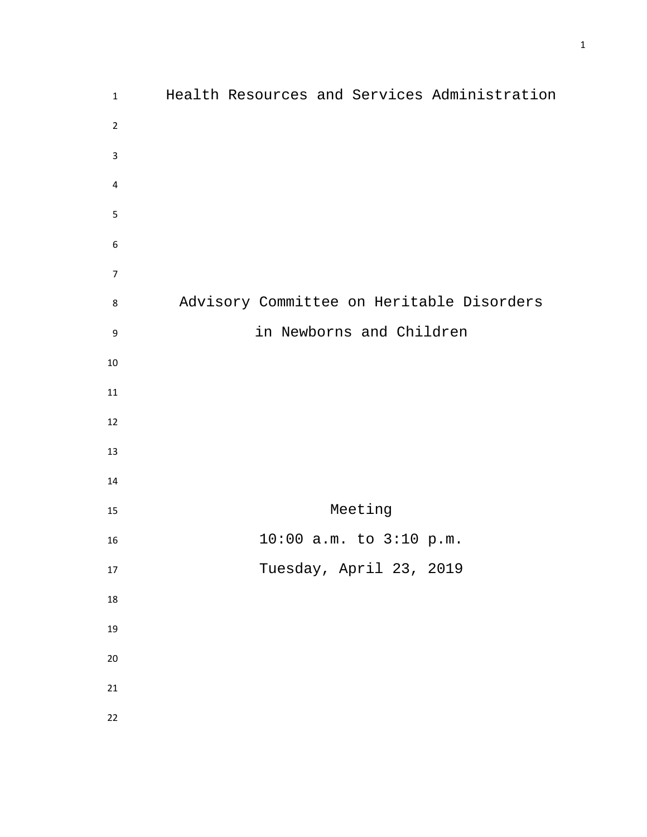| $\mathbf{1}$     | Health Resources and Services Administration |
|------------------|----------------------------------------------|
| $\overline{2}$   |                                              |
| 3                |                                              |
| 4                |                                              |
| 5                |                                              |
| $\boldsymbol{6}$ |                                              |
| $\overline{7}$   |                                              |
| 8                | Advisory Committee on Heritable Disorders    |
| 9                | in Newborns and Children                     |
| 10               |                                              |
| 11               |                                              |
| 12               |                                              |
| 13               |                                              |
| 14               |                                              |
| 15               | Meeting                                      |
| 16               | 10:00 a.m. to 3:10 p.m.                      |
| 17               | Tuesday, April 23, 2019                      |
| $18\,$           |                                              |
| 19               |                                              |
| $20\,$           |                                              |
| 21               |                                              |
| 22               |                                              |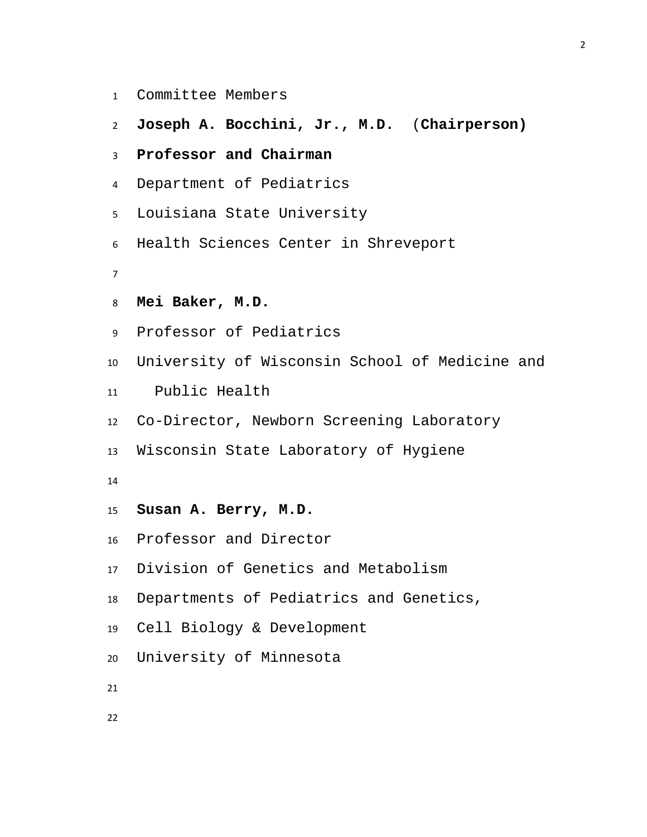- Committee Members
- **Joseph A. Bocchini, Jr., M.D.** (**Chairperson)**
- **Professor and Chairman**
- Department of Pediatrics
- Louisiana State University
- Health Sciences Center in Shreveport
- 
- **Mei Baker, M.D.**
- Professor of Pediatrics
- University of Wisconsin School of Medicine and
- Public Health
- Co-Director, Newborn Screening Laboratory
- Wisconsin State Laboratory of Hygiene
- 
- **Susan A. Berry, M.D.**
- Professor and Director
- Division of Genetics and Metabolism
- Departments of Pediatrics and Genetics,
- Cell Biology & Development
- University of Minnesota
-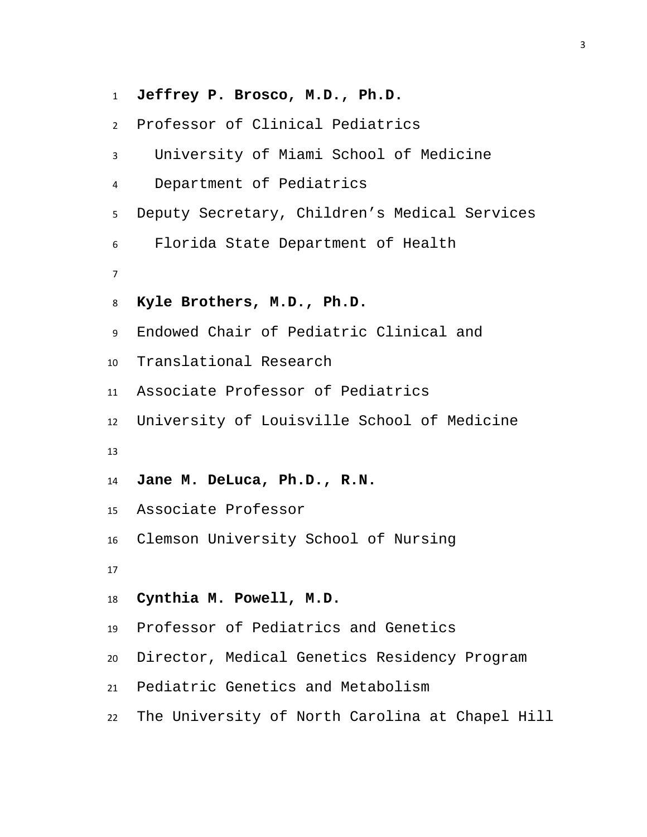**Jeffrey P. Brosco, M.D., Ph.D.** Professor of Clinical Pediatrics University of Miami School of Medicine Department of Pediatrics Deputy Secretary, Children's Medical Services Florida State Department of Health **Kyle Brothers, M.D., Ph.D.** Endowed Chair of Pediatric Clinical and Translational Research Associate Professor of Pediatrics University of Louisville School of Medicine **Jane M. DeLuca, Ph.D., R.N.** Associate Professor Clemson University School of Nursing **Cynthia M. Powell, M.D.** Professor of Pediatrics and Genetics Director, Medical Genetics Residency Program Pediatric Genetics and Metabolism The University of North Carolina at Chapel Hill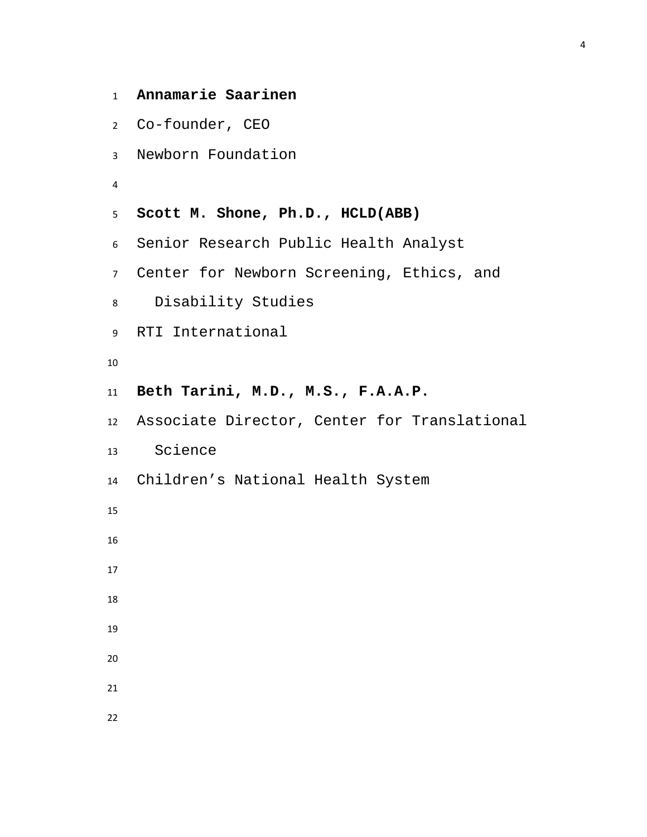```
1 Annamarie Saarinen
2 Co-founder, CEO
3 Newborn Foundation
4
5 Scott M. Shone, Ph.D., HCLD(ABB)
6 Senior Research Public Health Analyst
7 Center for Newborn Screening, Ethics, and 
8 Disability Studies
9 RTI International
10
11 Beth Tarini, M.D., M.S., F.A.A.P.
12 Associate Director, Center for Translational 
13 Science 
14 Children's National Health System
15
16
17
18
19
20
21
22
```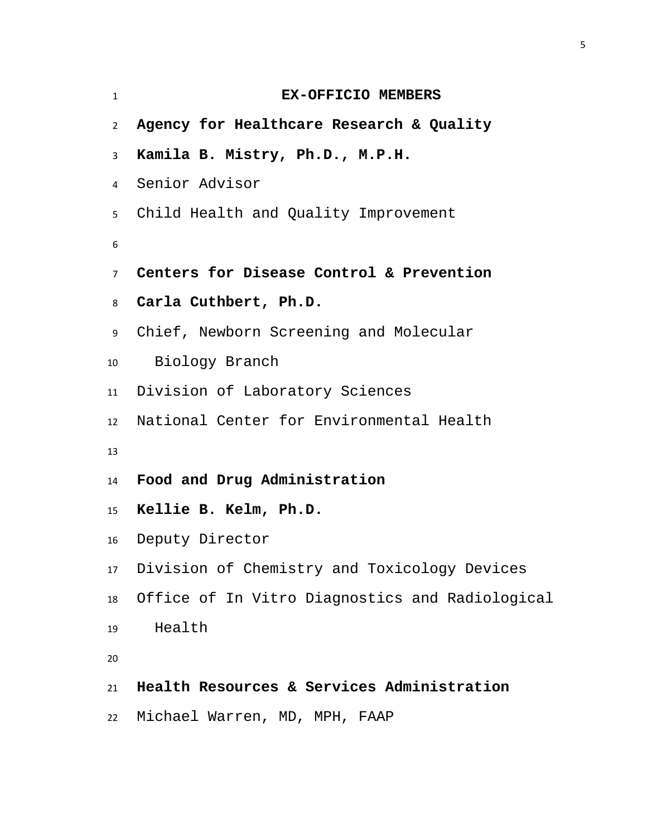| $\mathbf{1}$    | EX-OFFICIO MEMBERS                                 |
|-----------------|----------------------------------------------------|
| $\overline{2}$  | Agency for Healthcare Research & Quality           |
| $\mathbf{3}$    | Kamila B. Mistry, Ph.D., M.P.H.                    |
| $\overline{4}$  | Senior Advisor                                     |
| 5 <sub>5</sub>  | Child Health and Quality Improvement               |
| 6               |                                                    |
| $\overline{7}$  | Centers for Disease Control & Prevention           |
| 8               | Carla Cuthbert, Ph.D.                              |
| 9               | Chief, Newborn Screening and Molecular             |
| 10              | Biology Branch                                     |
|                 | 11 Division of Laboratory Sciences                 |
| 12              | National Center for Environmental Health           |
| 13              |                                                    |
| 14              | Food and Drug Administration                       |
| 15 <sup>2</sup> | Kellie B. Kelm, Ph.D.                              |
| 16              | Deputy Director                                    |
| 17              | Division of Chemistry and Toxicology Devices       |
|                 | 18 Office of In Vitro Diagnostics and Radiological |
| 19              | Health                                             |
| 20              |                                                    |
| 21              | Health Resources & Services Administration         |
| 22              | Michael Warren, MD, MPH, FAAP                      |
|                 |                                                    |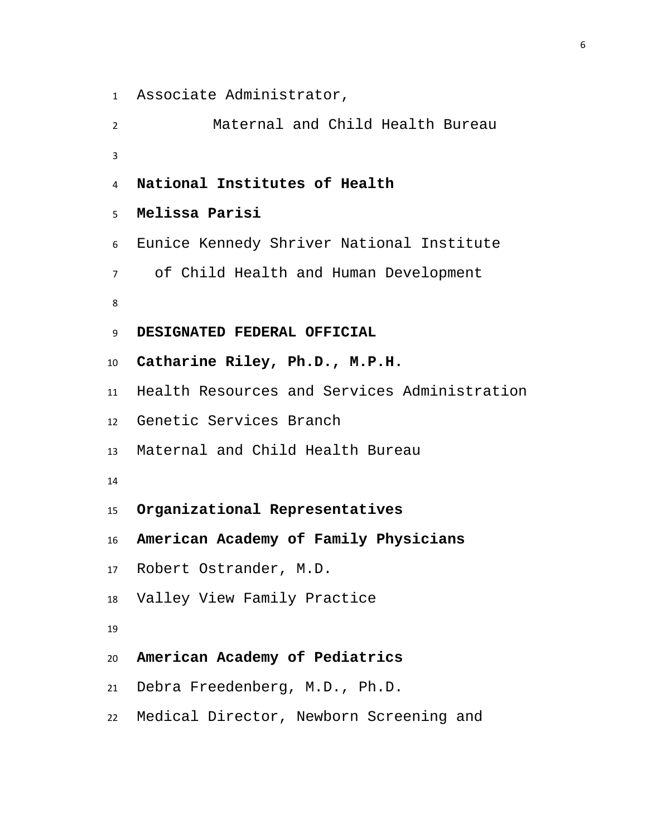```
1 Associate Administrator,
```
 Maternal and Child Health Bureau **National Institutes of Health Melissa Parisi** Eunice Kennedy Shriver National Institute of Child Health and Human Development **DESIGNATED FEDERAL OFFICIAL Catharine Riley, Ph.D., M.P.H.** Health Resources and Services Administration Genetic Services Branch Maternal and Child Health Bureau **Organizational Representatives American Academy of Family Physicians**  Robert Ostrander, M.D. Valley View Family Practice **American Academy of Pediatrics** Debra Freedenberg, M.D., Ph.D.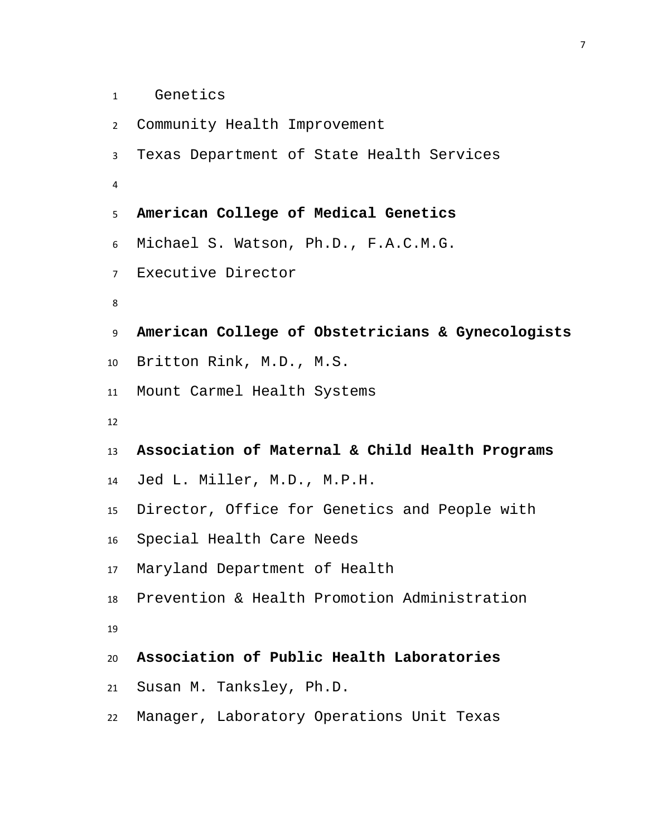```
1 Genetics
```

```
2 Community Health Improvement 
3 Texas Department of State Health Services 
4
5 American College of Medical Genetics
6 Michael S. Watson, Ph.D., F.A.C.M.G.
7 Executive Director
8
9 American College of Obstetricians & Gynecologists
10 Britton Rink, M.D., M.S.
11 Mount Carmel Health Systems 
12
13 Association of Maternal & Child Health Programs
14 Jed L. Miller, M.D., M.P.H.
15 Director, Office for Genetics and People with 
16 Special Health Care Needs
17 Maryland Department of Health 
18 Prevention & Health Promotion Administration
19
20 Association of Public Health Laboratories
21 Susan M. Tanksley, Ph.D.
22 Manager, Laboratory Operations Unit Texas
```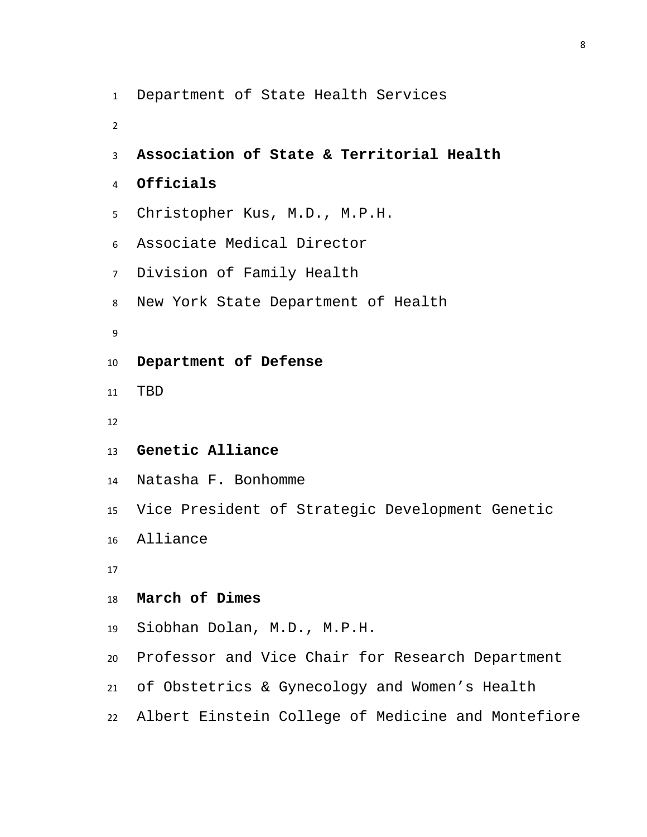Department of State Health Services **Association of State & Territorial Health Officials** Christopher Kus, M.D., M.P.H. Associate Medical Director Division of Family Health New York State Department of Health **Department of Defense** TBD **Genetic Alliance** Natasha F. Bonhomme Vice President of Strategic Development Genetic Alliance **March of Dimes** Siobhan Dolan, M.D., M.P.H. Professor and Vice Chair for Research Department of Obstetrics & Gynecology and Women's Health Albert Einstein College of Medicine and Montefiore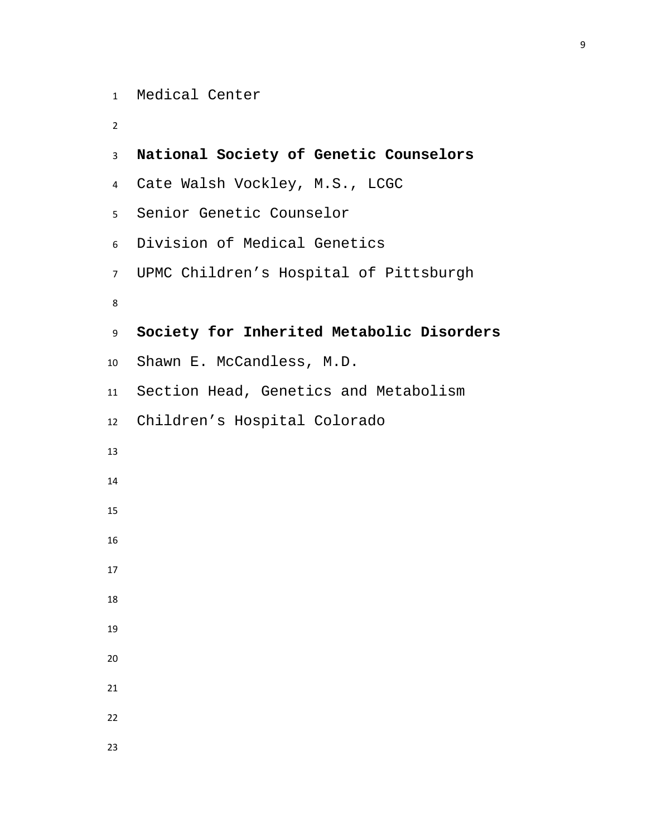```
1 Medical Center
```

```
2
```

```
3 National Society of Genetic Counselors
4 Cate Walsh Vockley, M.S., LCGC 
5 Senior Genetic Counselor 
6 Division of Medical Genetics
7 UPMC Children's Hospital of Pittsburgh 
8
9 Society for Inherited Metabolic Disorders
10 Shawn E. McCandless, M.D.
11 Section Head, Genetics and Metabolism
12 Children's Hospital Colorado 
13
14
15
16
17
18
19
20
21
22
23
```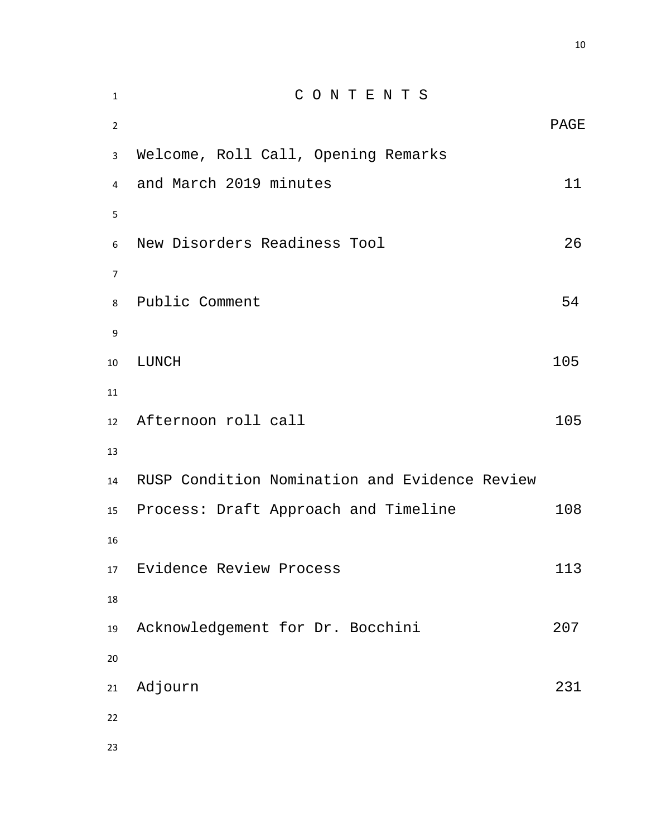| $\mathbf 1$    | CONTENTS                                      |             |
|----------------|-----------------------------------------------|-------------|
| $\overline{2}$ |                                               | <b>PAGE</b> |
| 3              | Welcome, Roll Call, Opening Remarks           |             |
| 4              | and March 2019 minutes                        | 11          |
| 5              |                                               |             |
| 6              | New Disorders Readiness Tool                  | 26          |
| $\overline{7}$ |                                               |             |
| 8              | Public Comment                                | 54          |
| 9              |                                               |             |
| 10             | LUNCH                                         | 105         |
| 11             |                                               |             |
| 12             | Afternoon roll call                           | 105         |
| 13             |                                               |             |
| 14             | RUSP Condition Nomination and Evidence Review |             |
| 15             | Process: Draft Approach and Timeline          | 108         |
| 16             |                                               |             |
| 17             | Evidence Review Process                       | 113         |
| 18             |                                               |             |
| 19             | Acknowledgement for Dr. Bocchini              | 207         |
| 20             |                                               |             |
| 21             | Adjourn                                       | 231         |
| 22             |                                               |             |
| 23             |                                               |             |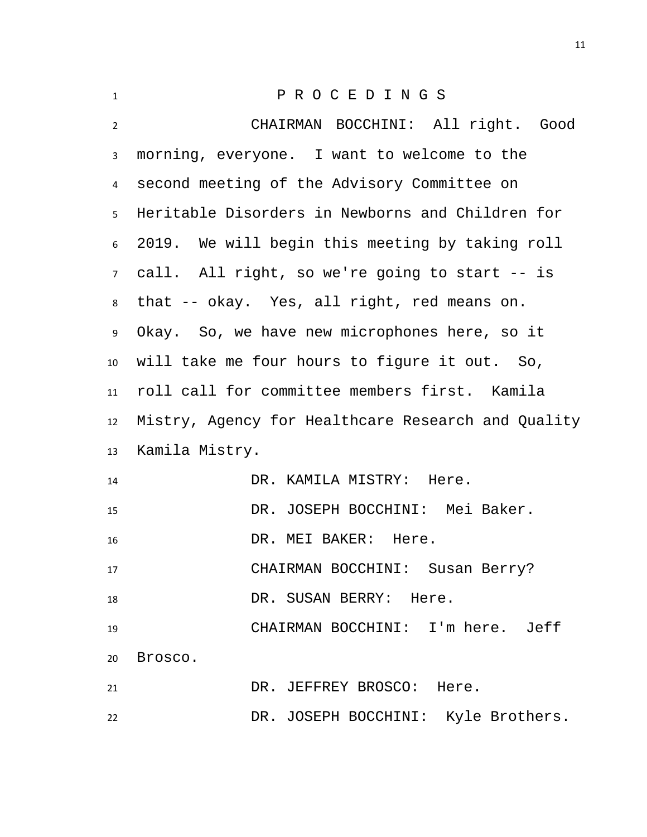<span id="page-10-0"></span>

| $\mathbf{1}$    | PROCEDINGS                                         |  |
|-----------------|----------------------------------------------------|--|
| $\overline{2}$  | CHAIRMAN BOCCHINI: All right. Good                 |  |
| $\mathbf{3}$    | morning, everyone. I want to welcome to the        |  |
| $\overline{4}$  | second meeting of the Advisory Committee on        |  |
| 5               | Heritable Disorders in Newborns and Children for   |  |
| $6\overline{6}$ | 2019. We will begin this meeting by taking roll    |  |
| 7 <sup>7</sup>  | call. All right, so we're going to start -- is     |  |
| 8               | that -- okay. Yes, all right, red means on.        |  |
| 9               | Okay. So, we have new microphones here, so it      |  |
| 10              | will take me four hours to figure it out. So,      |  |
| 11              | roll call for committee members first. Kamila      |  |
| 12              | Mistry, Agency for Healthcare Research and Quality |  |
| 13              | Kamila Mistry.                                     |  |
| 14              | DR. KAMILA MISTRY: Here.                           |  |
| 15              | DR. JOSEPH BOCCHINI: Mei Baker.                    |  |
| 16              | DR. MEI BAKER: Here.                               |  |
| 17              | CHAIRMAN BOCCHINI: Susan Berry?                    |  |
| 18              | DR. SUSAN BERRY: Here.                             |  |
| 19              | CHAIRMAN BOCCHINI: I'm here. Jeff                  |  |
| 20              | Brosco.                                            |  |
| 21              | DR. JEFFREY BROSCO: Here.                          |  |
| 22              | DR. JOSEPH BOCCHINI: Kyle Brothers.                |  |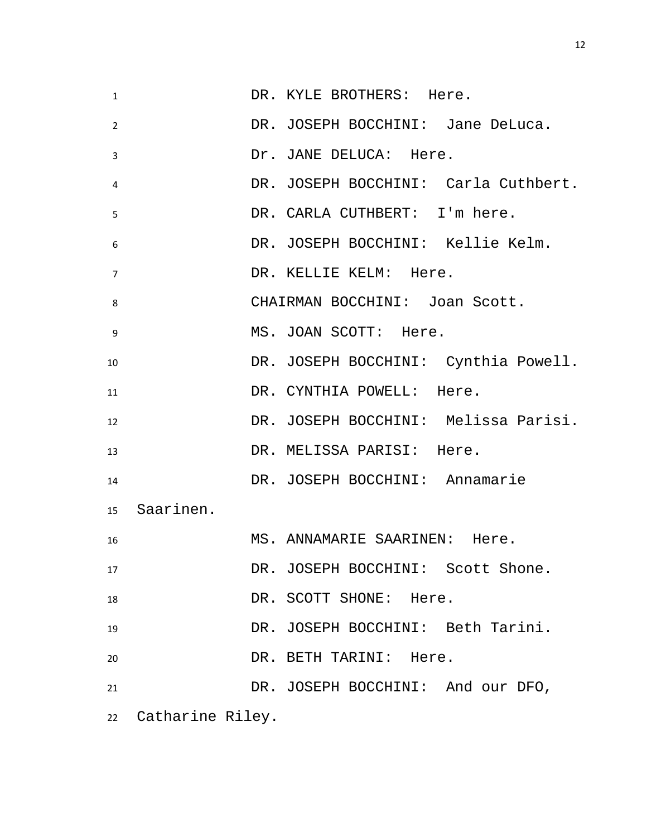| $\mathbf{1}$   |                     | DR. KYLE BROTHERS: Here.             |
|----------------|---------------------|--------------------------------------|
| 2              |                     | DR. JOSEPH BOCCHINI: Jane DeLuca.    |
| 3              |                     | Dr. JANE DELUCA: Here.               |
| $\overline{4}$ |                     | DR. JOSEPH BOCCHINI: Carla Cuthbert. |
| 5              |                     | DR. CARLA CUTHBERT: I'm here.        |
| 6              |                     | DR. JOSEPH BOCCHINI: Kellie Kelm.    |
| $\overline{7}$ |                     | DR. KELLIE KELM: Here.               |
| 8              |                     | CHAIRMAN BOCCHINI: Joan Scott.       |
| 9              |                     | MS. JOAN SCOTT: Here.                |
| 10             |                     | DR. JOSEPH BOCCHINI: Cynthia Powell. |
| 11             |                     | DR. CYNTHIA POWELL: Here.            |
| 12             |                     | DR. JOSEPH BOCCHINI: Melissa Parisi. |
| 13             |                     | DR. MELISSA PARISI: Here.            |
| 14             |                     | DR. JOSEPH BOCCHINI: Annamarie       |
|                | 15 Saarinen.        |                                      |
| 16             |                     | MS. ANNAMARIE SAARINEN: Here.        |
| 17             |                     | DR. JOSEPH BOCCHINI: Scott Shone.    |
| 18             |                     | DR. SCOTT SHONE: Here.               |
| 19             |                     | DR. JOSEPH BOCCHINI: Beth Tarini.    |
| 20             |                     | DR. BETH TARINI: Here.               |
| 21             |                     | DR. JOSEPH BOCCHINI: And our DFO,    |
|                | 22 Catharine Riley. |                                      |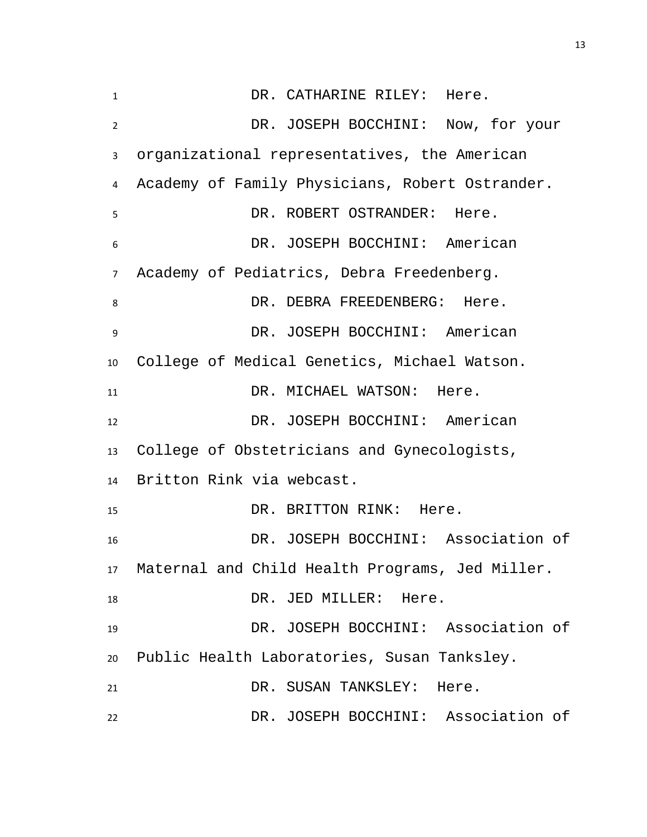1 DR. CATHARINE RILEY: Here. DR. JOSEPH BOCCHINI: Now, for your organizational representatives, the American Academy of Family Physicians, Robert Ostrander. DR. ROBERT OSTRANDER: Here. DR. JOSEPH BOCCHINI: American Academy of Pediatrics, Debra Freedenberg. 8 DR. DEBRA FREEDENBERG: Here. DR. JOSEPH BOCCHINI: American College of Medical Genetics, Michael Watson. 11 DR. MICHAEL WATSON: Here. DR. JOSEPH BOCCHINI: American College of Obstetricians and Gynecologists, Britton Rink via webcast. 15 DR. BRITTON RINK: Here. DR. JOSEPH BOCCHINI: Association of Maternal and Child Health Programs, Jed Miller. 18 DR. JED MILLER: Here. DR. JOSEPH BOCCHINI: Association of Public Health Laboratories, Susan Tanksley. DR. SUSAN TANKSLEY: Here. DR. JOSEPH BOCCHINI: Association of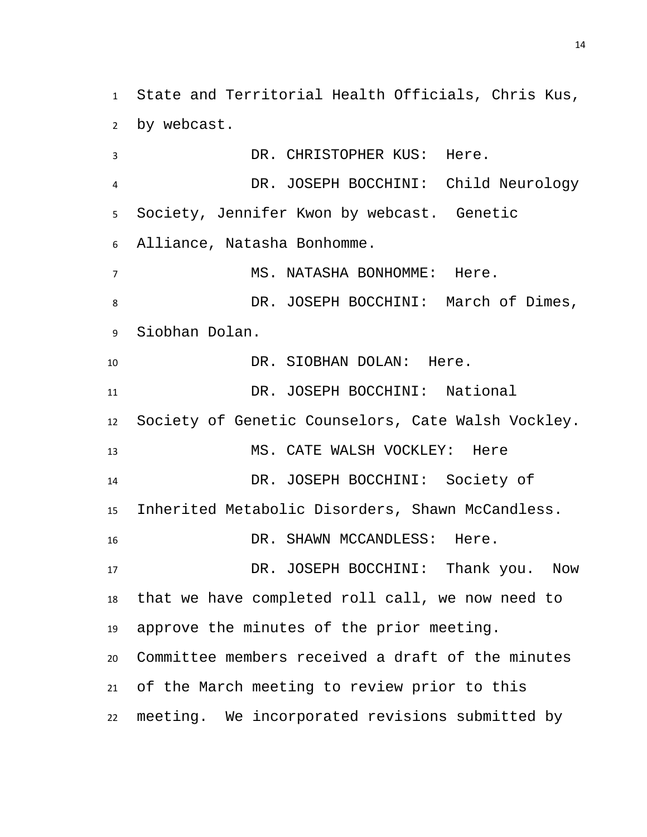State and Territorial Health Officials, Chris Kus, by webcast.

 DR. CHRISTOPHER KUS: Here. DR. JOSEPH BOCCHINI: Child Neurology Society, Jennifer Kwon by webcast. Genetic Alliance, Natasha Bonhomme. MS. NATASHA BONHOMME: Here. 8 DR. JOSEPH BOCCHINI: March of Dimes, Siobhan Dolan. 10 DR. SIOBHAN DOLAN: Here. DR. JOSEPH BOCCHINI: National Society of Genetic Counselors, Cate Walsh Vockley. MS. CATE WALSH VOCKLEY: Here DR. JOSEPH BOCCHINI: Society of Inherited Metabolic Disorders, Shawn McCandless. 16 DR. SHAWN MCCANDLESS: Here. DR. JOSEPH BOCCHINI: Thank you. Now that we have completed roll call, we now need to approve the minutes of the prior meeting. Committee members received a draft of the minutes of the March meeting to review prior to this meeting. We incorporated revisions submitted by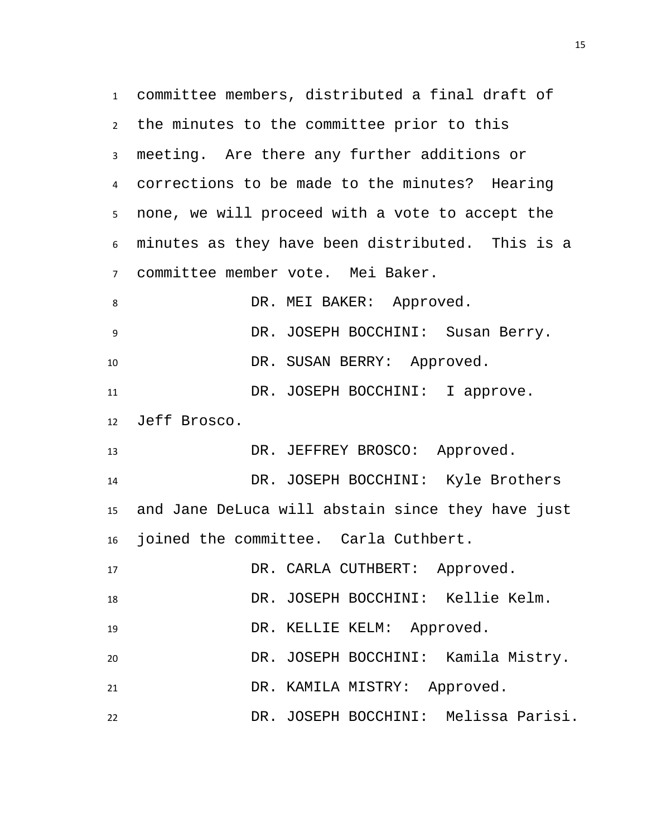committee members, distributed a final draft of the minutes to the committee prior to this meeting. Are there any further additions or corrections to be made to the minutes? Hearing none, we will proceed with a vote to accept the minutes as they have been distributed. This is a committee member vote. Mei Baker. 8 DR. MEI BAKER: Approved. DR. JOSEPH BOCCHINI: Susan Berry. 10 DR. SUSAN BERRY: Approved. 11 DR. JOSEPH BOCCHINI: I approve. Jeff Brosco. DR. JEFFREY BROSCO: Approved. DR. JOSEPH BOCCHINI: Kyle Brothers and Jane DeLuca will abstain since they have just joined the committee. Carla Cuthbert. 17 DR. CARLA CUTHBERT: Approved. DR. JOSEPH BOCCHINI: Kellie Kelm. DR. KELLIE KELM: Approved. DR. JOSEPH BOCCHINI: Kamila Mistry. DR. KAMILA MISTRY: Approved. DR. JOSEPH BOCCHINI: Melissa Parisi.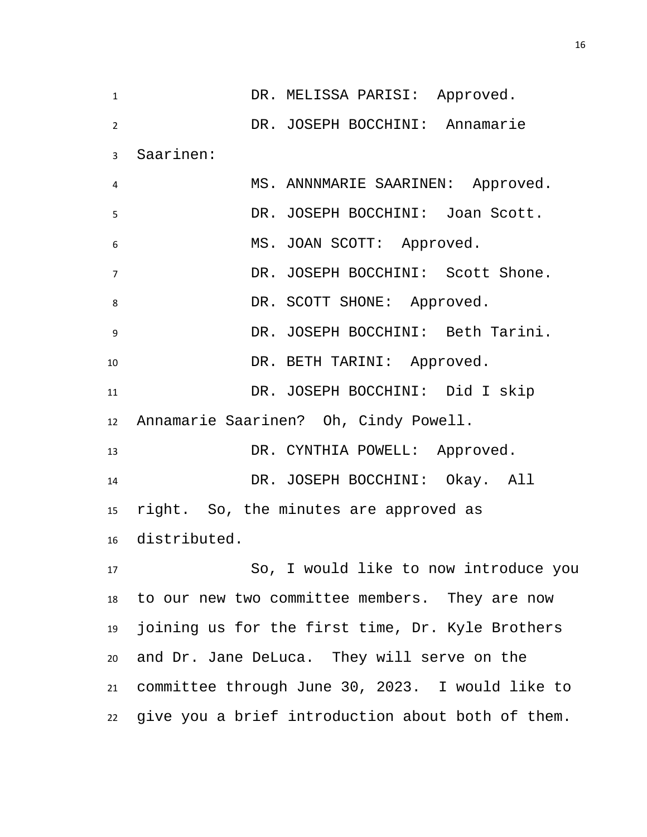1 DR. MELISSA PARISI: Approved. DR. JOSEPH BOCCHINI: Annamarie Saarinen: MS. ANNNMARIE SAARINEN: Approved. DR. JOSEPH BOCCHINI: Joan Scott. MS. JOAN SCOTT: Approved. DR. JOSEPH BOCCHINI: Scott Shone. 8 DR. SCOTT SHONE: Approved. DR. JOSEPH BOCCHINI: Beth Tarini. 10 DR. BETH TARINI: Approved. DR. JOSEPH BOCCHINI: Did I skip Annamarie Saarinen? Oh, Cindy Powell. 13 DR. CYNTHIA POWELL: Approved. DR. JOSEPH BOCCHINI: Okay. All right. So, the minutes are approved as distributed. So, I would like to now introduce you to our new two committee members. They are now joining us for the first time, Dr. Kyle Brothers and Dr. Jane DeLuca. They will serve on the committee through June 30, 2023. I would like to give you a brief introduction about both of them.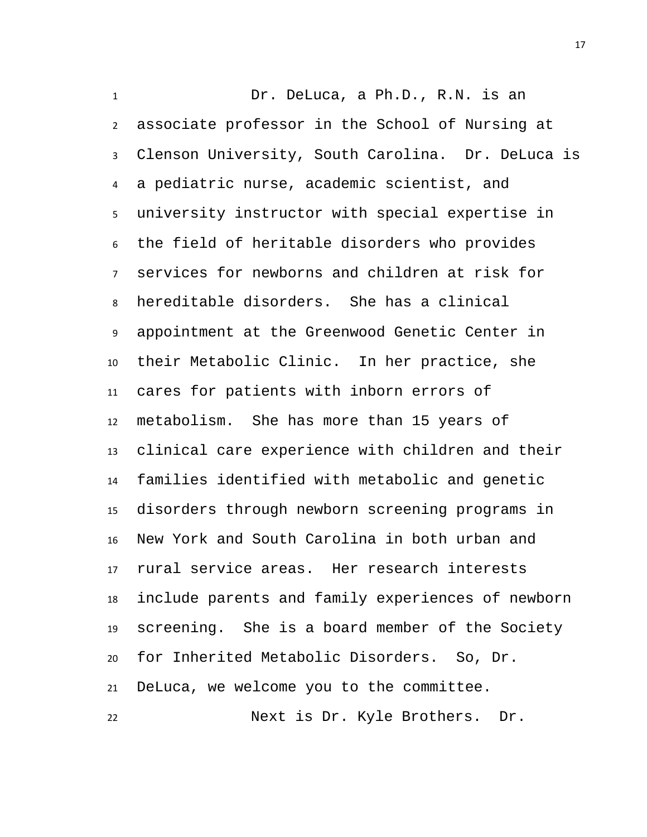Dr. DeLuca, a Ph.D., R.N. is an

 associate professor in the School of Nursing at Clenson University, South Carolina. Dr. DeLuca is a pediatric nurse, academic scientist, and university instructor with special expertise in the field of heritable disorders who provides services for newborns and children at risk for hereditable disorders. She has a clinical appointment at the Greenwood Genetic Center in their Metabolic Clinic. In her practice, she cares for patients with inborn errors of metabolism. She has more than 15 years of clinical care experience with children and their families identified with metabolic and genetic disorders through newborn screening programs in New York and South Carolina in both urban and rural service areas. Her research interests include parents and family experiences of newborn screening. She is a board member of the Society for Inherited Metabolic Disorders. So, Dr. DeLuca, we welcome you to the committee.

Next is Dr. Kyle Brothers. Dr.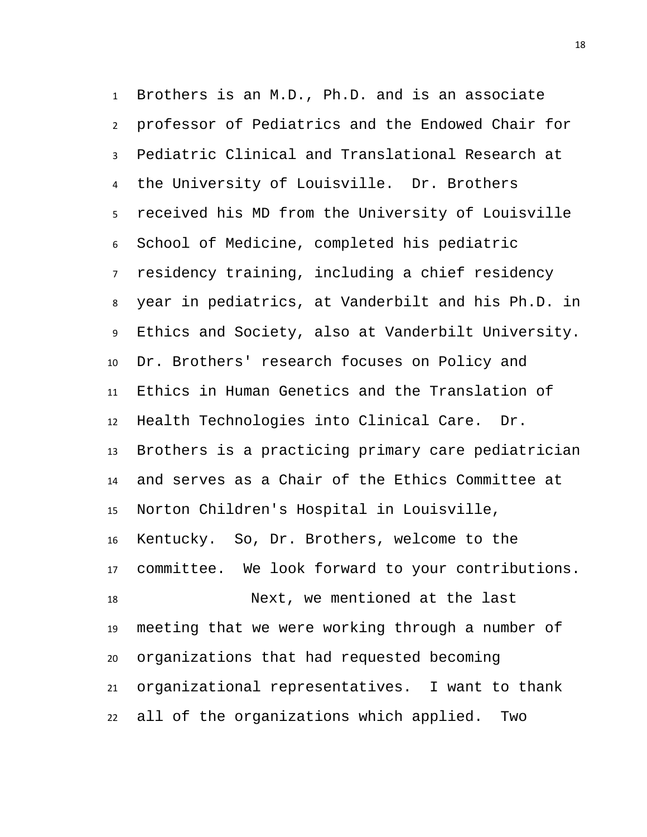Brothers is an M.D., Ph.D. and is an associate professor of Pediatrics and the Endowed Chair for Pediatric Clinical and Translational Research at the University of Louisville. Dr. Brothers received his MD from the University of Louisville School of Medicine, completed his pediatric residency training, including a chief residency year in pediatrics, at Vanderbilt and his Ph.D. in Ethics and Society, also at Vanderbilt University. Dr. Brothers' research focuses on Policy and Ethics in Human Genetics and the Translation of Health Technologies into Clinical Care. Dr. Brothers is a practicing primary care pediatrician and serves as a Chair of the Ethics Committee at Norton Children's Hospital in Louisville, Kentucky. So, Dr. Brothers, welcome to the committee. We look forward to your contributions. Next, we mentioned at the last meeting that we were working through a number of organizations that had requested becoming organizational representatives. I want to thank all of the organizations which applied. Two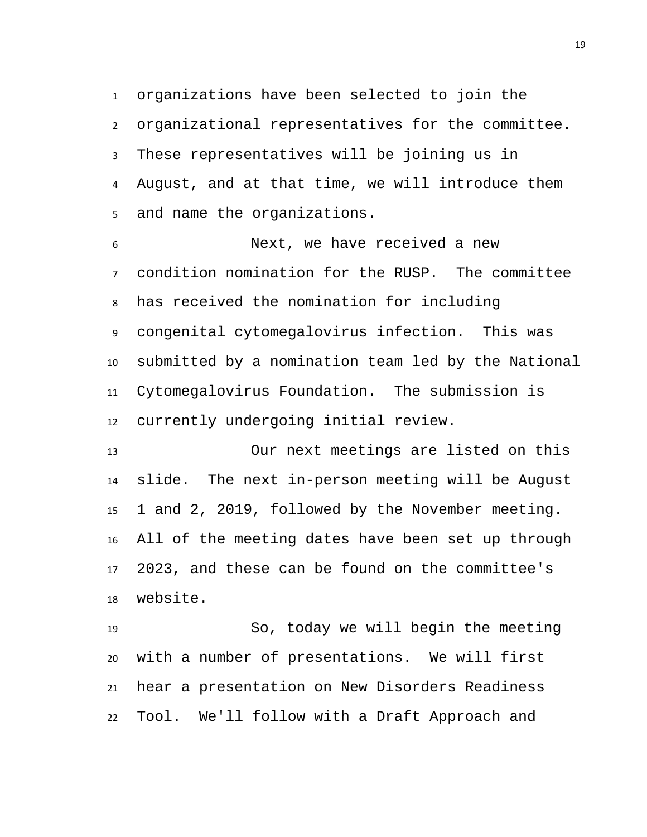organizations have been selected to join the organizational representatives for the committee. These representatives will be joining us in August, and at that time, we will introduce them and name the organizations.

 Next, we have received a new condition nomination for the RUSP. The committee has received the nomination for including congenital cytomegalovirus infection. This was submitted by a nomination team led by the National Cytomegalovirus Foundation. The submission is currently undergoing initial review.

 Our next meetings are listed on this slide. The next in-person meeting will be August 1 and 2, 2019, followed by the November meeting. All of the meeting dates have been set up through 2023, and these can be found on the committee's website.

 So, today we will begin the meeting with a number of presentations. We will first hear a presentation on New Disorders Readiness Tool. We'll follow with a Draft Approach and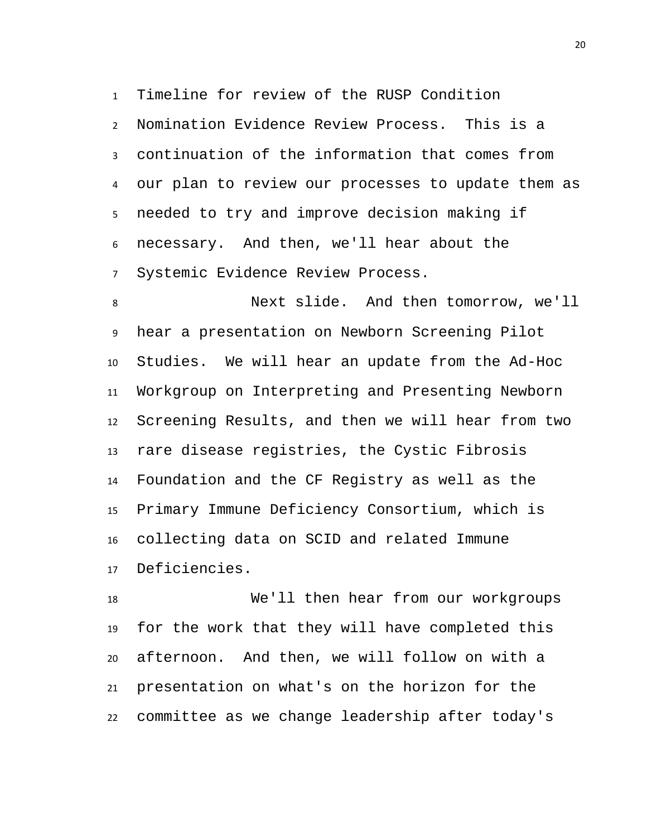Timeline for review of the RUSP Condition

 Nomination Evidence Review Process. This is a continuation of the information that comes from our plan to review our processes to update them as needed to try and improve decision making if necessary. And then, we'll hear about the Systemic Evidence Review Process.

 Next slide. And then tomorrow, we'll hear a presentation on Newborn Screening Pilot Studies. We will hear an update from the Ad-Hoc Workgroup on Interpreting and Presenting Newborn Screening Results, and then we will hear from two rare disease registries, the Cystic Fibrosis Foundation and the CF Registry as well as the Primary Immune Deficiency Consortium, which is collecting data on SCID and related Immune Deficiencies.

 We'll then hear from our workgroups for the work that they will have completed this afternoon. And then, we will follow on with a presentation on what's on the horizon for the committee as we change leadership after today's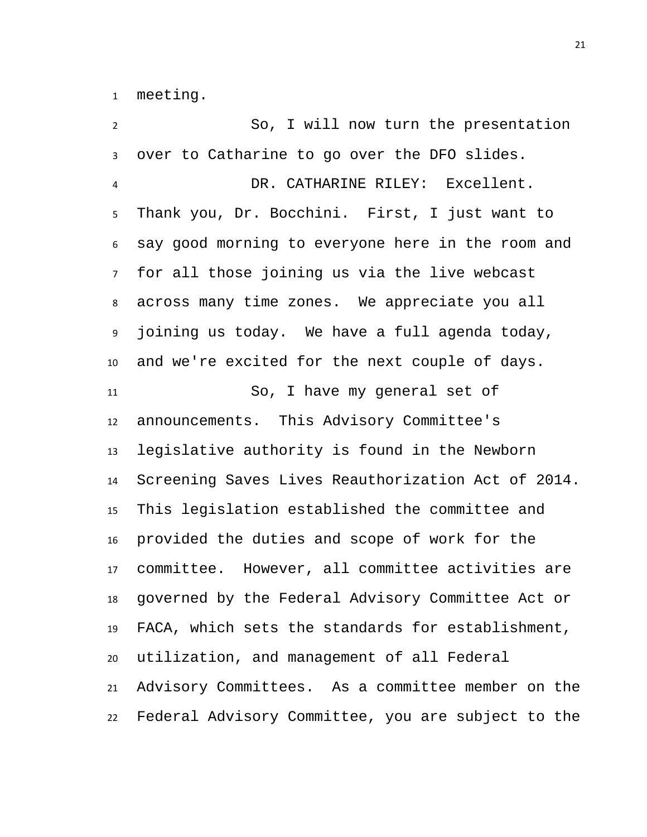meeting.

 So, I will now turn the presentation over to Catharine to go over the DFO slides. DR. CATHARINE RILEY: Excellent. Thank you, Dr. Bocchini. First, I just want to say good morning to everyone here in the room and for all those joining us via the live webcast across many time zones. We appreciate you all joining us today. We have a full agenda today, and we're excited for the next couple of days. So, I have my general set of announcements. This Advisory Committee's legislative authority is found in the Newborn Screening Saves Lives Reauthorization Act of 2014. This legislation established the committee and provided the duties and scope of work for the committee. However, all committee activities are governed by the Federal Advisory Committee Act or FACA, which sets the standards for establishment, utilization, and management of all Federal Advisory Committees. As a committee member on the Federal Advisory Committee, you are subject to the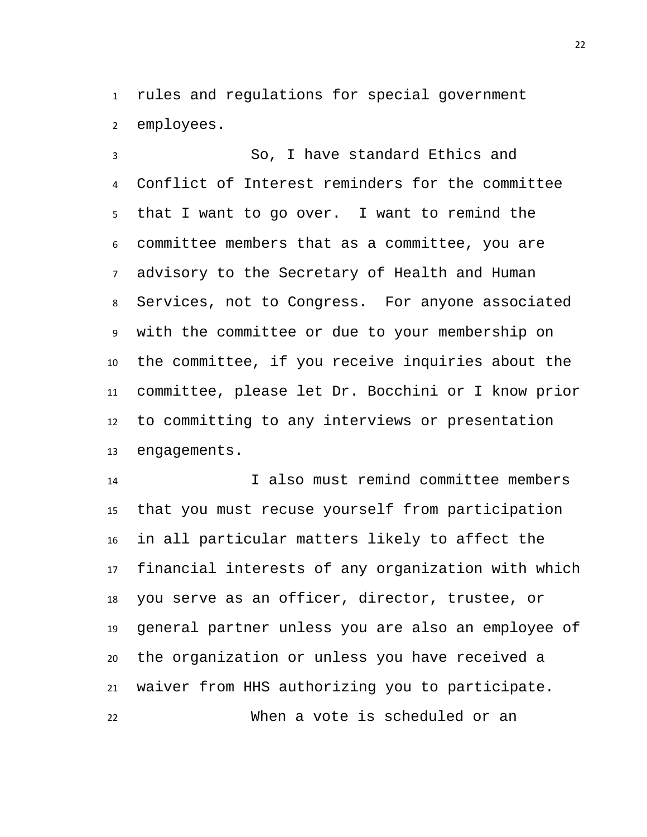rules and regulations for special government employees.

 So, I have standard Ethics and Conflict of Interest reminders for the committee that I want to go over. I want to remind the committee members that as a committee, you are advisory to the Secretary of Health and Human Services, not to Congress. For anyone associated with the committee or due to your membership on the committee, if you receive inquiries about the committee, please let Dr. Bocchini or I know prior to committing to any interviews or presentation engagements.

 I also must remind committee members that you must recuse yourself from participation in all particular matters likely to affect the financial interests of any organization with which you serve as an officer, director, trustee, or general partner unless you are also an employee of the organization or unless you have received a waiver from HHS authorizing you to participate. When a vote is scheduled or an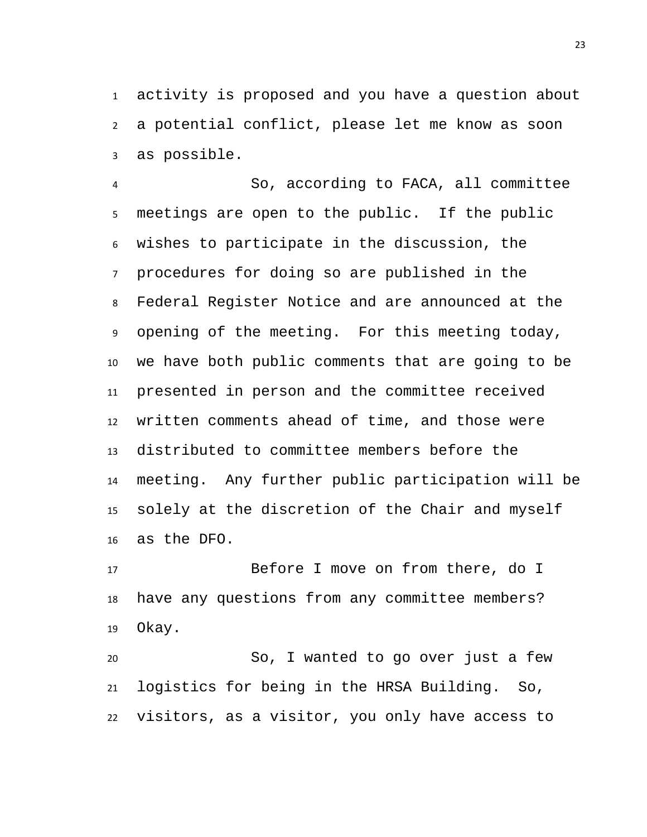activity is proposed and you have a question about a potential conflict, please let me know as soon as possible.

 So, according to FACA, all committee meetings are open to the public. If the public wishes to participate in the discussion, the procedures for doing so are published in the Federal Register Notice and are announced at the opening of the meeting. For this meeting today, we have both public comments that are going to be presented in person and the committee received written comments ahead of time, and those were distributed to committee members before the meeting. Any further public participation will be solely at the discretion of the Chair and myself as the DFO.

 Before I move on from there, do I have any questions from any committee members? Okay.

 So, I wanted to go over just a few logistics for being in the HRSA Building. So, visitors, as a visitor, you only have access to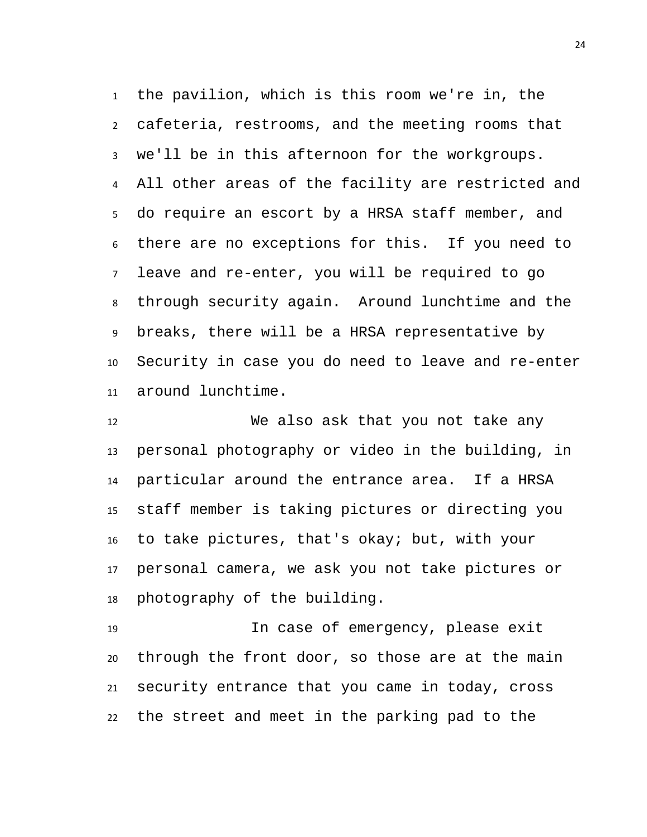the pavilion, which is this room we're in, the cafeteria, restrooms, and the meeting rooms that we'll be in this afternoon for the workgroups. All other areas of the facility are restricted and do require an escort by a HRSA staff member, and there are no exceptions for this. If you need to leave and re-enter, you will be required to go through security again. Around lunchtime and the breaks, there will be a HRSA representative by Security in case you do need to leave and re-enter around lunchtime.

 We also ask that you not take any personal photography or video in the building, in particular around the entrance area. If a HRSA staff member is taking pictures or directing you to take pictures, that's okay; but, with your personal camera, we ask you not take pictures or photography of the building.

 In case of emergency, please exit through the front door, so those are at the main security entrance that you came in today, cross the street and meet in the parking pad to the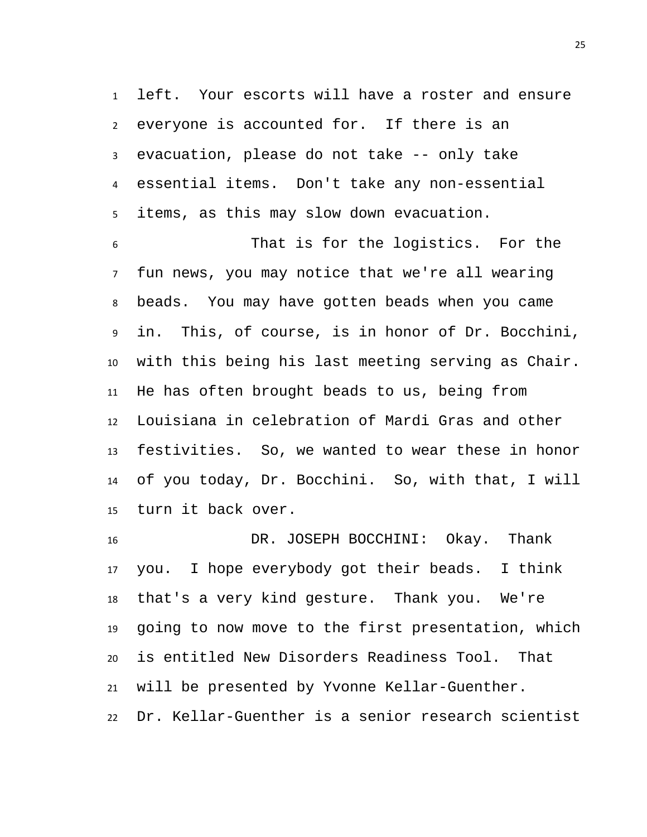left. Your escorts will have a roster and ensure everyone is accounted for. If there is an evacuation, please do not take -- only take essential items. Don't take any non-essential items, as this may slow down evacuation.

 That is for the logistics. For the fun news, you may notice that we're all wearing beads. You may have gotten beads when you came in. This, of course, is in honor of Dr. Bocchini, with this being his last meeting serving as Chair. He has often brought beads to us, being from Louisiana in celebration of Mardi Gras and other festivities. So, we wanted to wear these in honor of you today, Dr. Bocchini. So, with that, I will turn it back over.

 DR. JOSEPH BOCCHINI: Okay. Thank you. I hope everybody got their beads. I think that's a very kind gesture. Thank you. We're going to now move to the first presentation, which is entitled New Disorders Readiness Tool. That will be presented by Yvonne Kellar-Guenther. Dr. Kellar-Guenther is a senior research scientist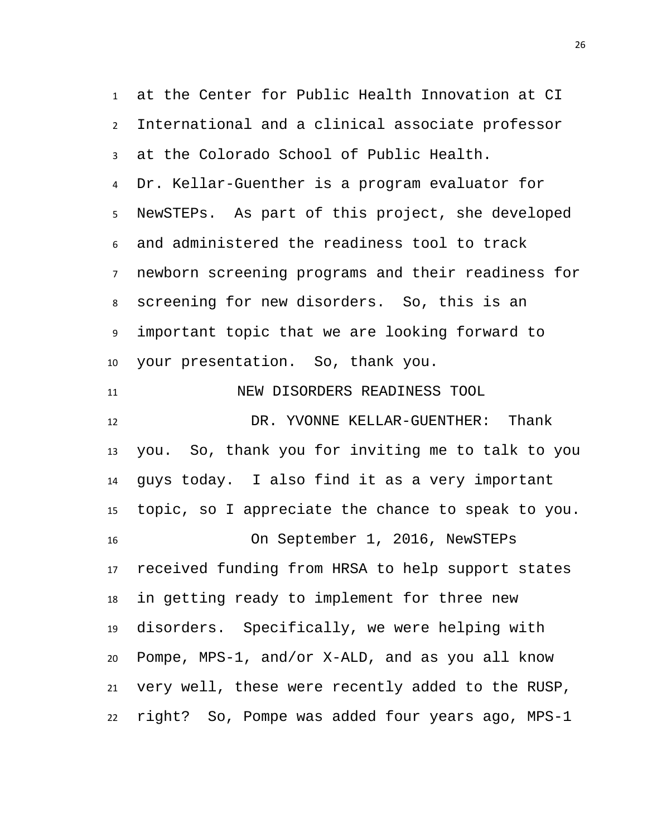<span id="page-25-0"></span> at the Center for Public Health Innovation at CI International and a clinical associate professor at the Colorado School of Public Health. Dr. Kellar-Guenther is a program evaluator for NewSTEPs. As part of this project, she developed and administered the readiness tool to track newborn screening programs and their readiness for screening for new disorders. So, this is an important topic that we are looking forward to your presentation. So, thank you. NEW DISORDERS READINESS TOOL DR. YVONNE KELLAR-GUENTHER: Thank you. So, thank you for inviting me to talk to you guys today. I also find it as a very important topic, so I appreciate the chance to speak to you. On September 1, 2016, NewSTEPs received funding from HRSA to help support states in getting ready to implement for three new disorders. Specifically, we were helping with Pompe, MPS-1, and/or X-ALD, and as you all know very well, these were recently added to the RUSP, right? So, Pompe was added four years ago, MPS-1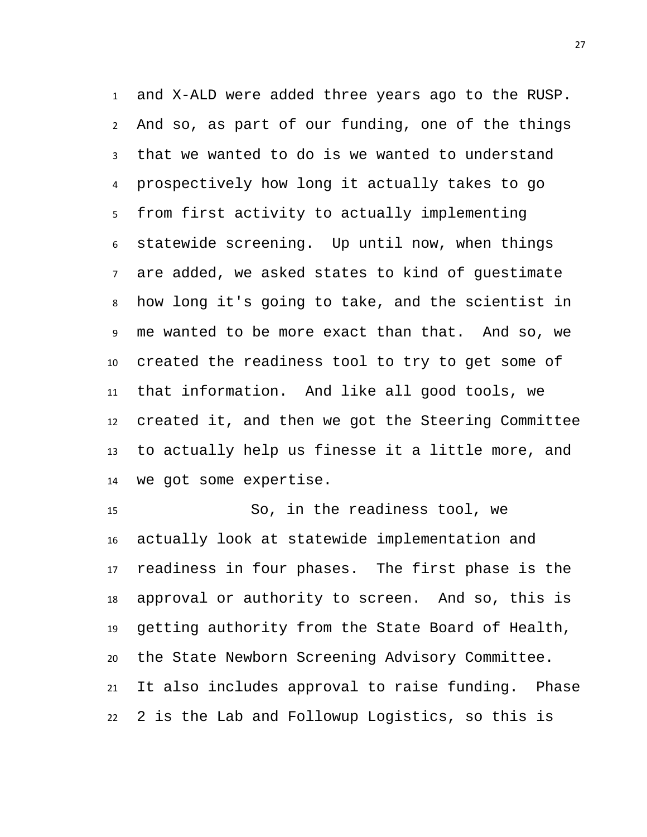and X-ALD were added three years ago to the RUSP. And so, as part of our funding, one of the things that we wanted to do is we wanted to understand prospectively how long it actually takes to go from first activity to actually implementing statewide screening. Up until now, when things are added, we asked states to kind of guestimate how long it's going to take, and the scientist in me wanted to be more exact than that. And so, we created the readiness tool to try to get some of that information. And like all good tools, we created it, and then we got the Steering Committee to actually help us finesse it a little more, and we got some expertise.

 So, in the readiness tool, we actually look at statewide implementation and readiness in four phases. The first phase is the approval or authority to screen. And so, this is getting authority from the State Board of Health, the State Newborn Screening Advisory Committee. It also includes approval to raise funding. Phase 2 is the Lab and Followup Logistics, so this is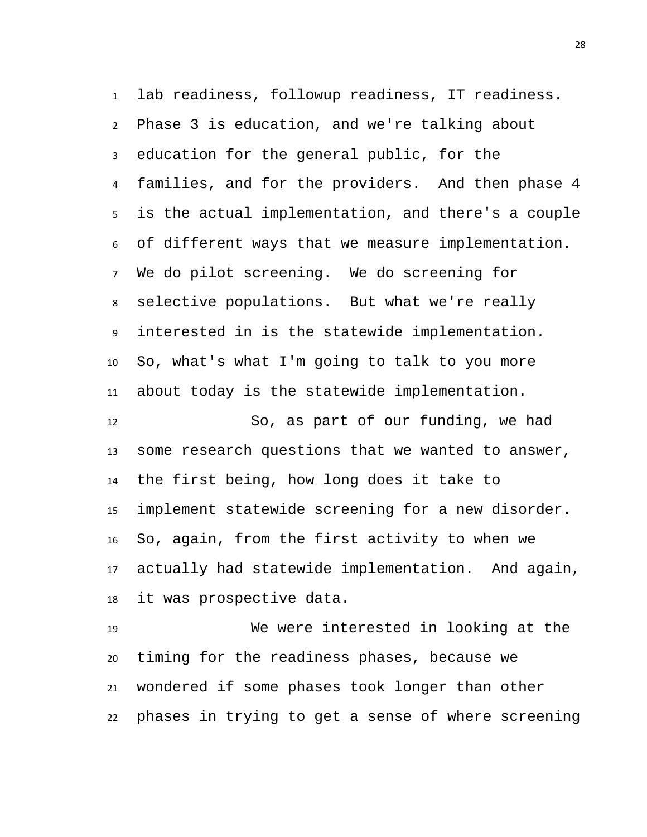lab readiness, followup readiness, IT readiness. Phase 3 is education, and we're talking about education for the general public, for the families, and for the providers. And then phase 4 is the actual implementation, and there's a couple of different ways that we measure implementation. We do pilot screening. We do screening for selective populations. But what we're really interested in is the statewide implementation. So, what's what I'm going to talk to you more about today is the statewide implementation.

 So, as part of our funding, we had some research questions that we wanted to answer, the first being, how long does it take to implement statewide screening for a new disorder. So, again, from the first activity to when we actually had statewide implementation. And again, it was prospective data.

 We were interested in looking at the timing for the readiness phases, because we wondered if some phases took longer than other phases in trying to get a sense of where screening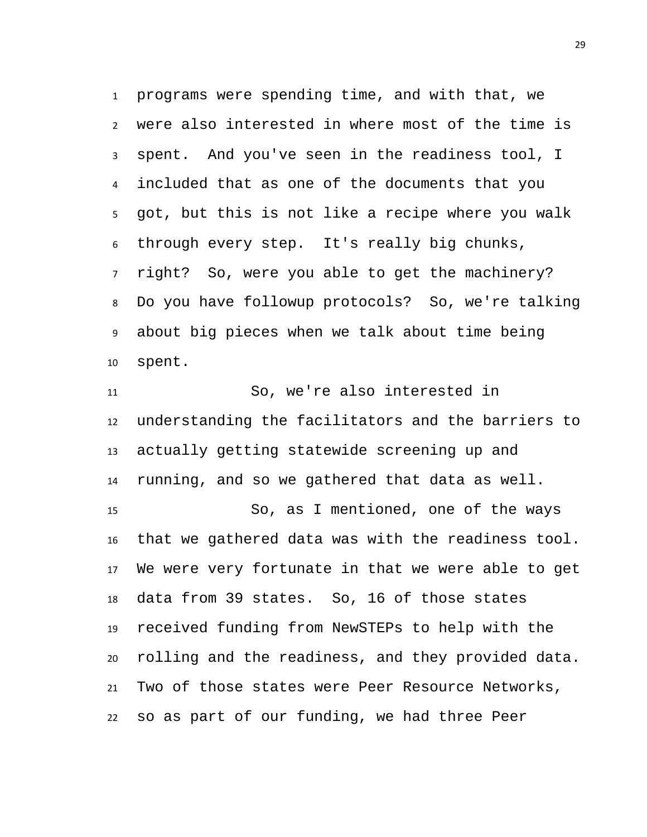programs were spending time, and with that, we were also interested in where most of the time is spent. And you've seen in the readiness tool, I included that as one of the documents that you got, but this is not like a recipe where you walk through every step. It's really big chunks, right? So, were you able to get the machinery? Do you have followup protocols? So, we're talking about big pieces when we talk about time being spent.

 So, we're also interested in understanding the facilitators and the barriers to actually getting statewide screening up and running, and so we gathered that data as well. So, as I mentioned, one of the ways that we gathered data was with the readiness tool. We were very fortunate in that we were able to get data from 39 states. So, 16 of those states received funding from NewSTEPs to help with the rolling and the readiness, and they provided data. Two of those states were Peer Resource Networks, so as part of our funding, we had three Peer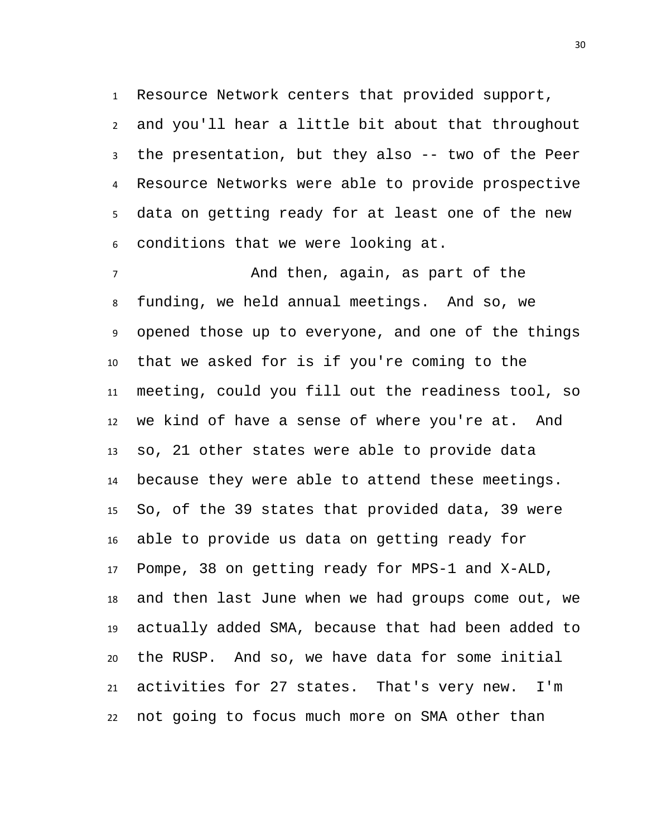Resource Network centers that provided support,

 and you'll hear a little bit about that throughout the presentation, but they also -- two of the Peer Resource Networks were able to provide prospective data on getting ready for at least one of the new conditions that we were looking at.

 And then, again, as part of the funding, we held annual meetings. And so, we opened those up to everyone, and one of the things that we asked for is if you're coming to the meeting, could you fill out the readiness tool, so we kind of have a sense of where you're at. And so, 21 other states were able to provide data because they were able to attend these meetings. So, of the 39 states that provided data, 39 were able to provide us data on getting ready for Pompe, 38 on getting ready for MPS-1 and X-ALD, and then last June when we had groups come out, we actually added SMA, because that had been added to the RUSP. And so, we have data for some initial activities for 27 states. That's very new. I'm not going to focus much more on SMA other than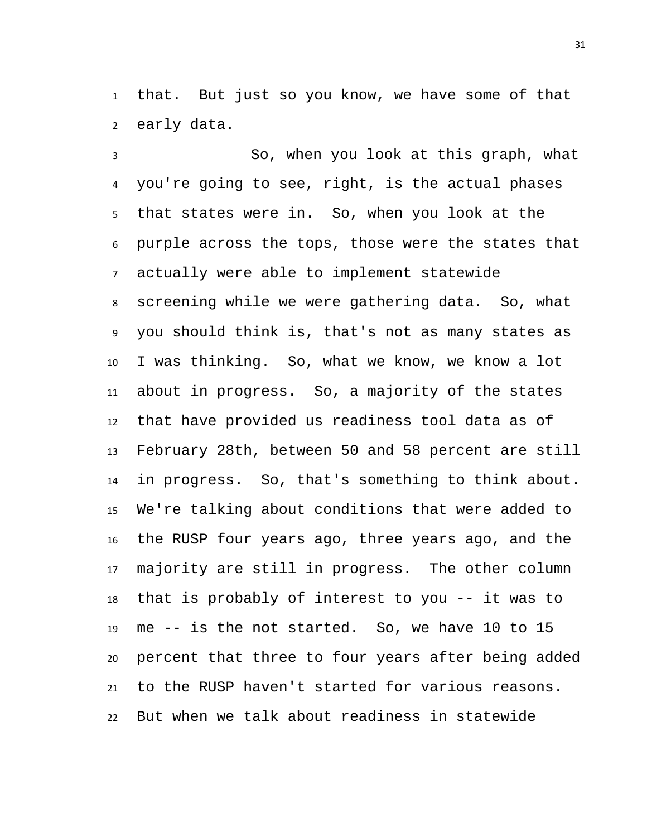that. But just so you know, we have some of that early data.

 So, when you look at this graph, what you're going to see, right, is the actual phases that states were in. So, when you look at the purple across the tops, those were the states that actually were able to implement statewide screening while we were gathering data. So, what you should think is, that's not as many states as I was thinking. So, what we know, we know a lot about in progress. So, a majority of the states that have provided us readiness tool data as of February 28th, between 50 and 58 percent are still in progress. So, that's something to think about. We're talking about conditions that were added to the RUSP four years ago, three years ago, and the majority are still in progress. The other column that is probably of interest to you -- it was to me -- is the not started. So, we have 10 to 15 percent that three to four years after being added to the RUSP haven't started for various reasons. But when we talk about readiness in statewide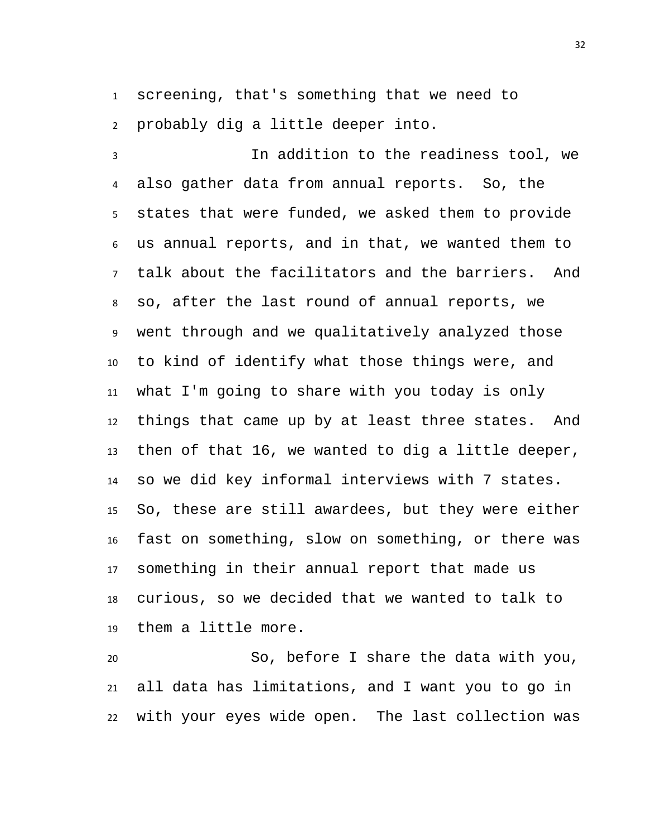screening, that's something that we need to probably dig a little deeper into.

 In addition to the readiness tool, we also gather data from annual reports. So, the states that were funded, we asked them to provide us annual reports, and in that, we wanted them to talk about the facilitators and the barriers. And so, after the last round of annual reports, we went through and we qualitatively analyzed those to kind of identify what those things were, and what I'm going to share with you today is only things that came up by at least three states. And then of that 16, we wanted to dig a little deeper, so we did key informal interviews with 7 states. So, these are still awardees, but they were either fast on something, slow on something, or there was something in their annual report that made us curious, so we decided that we wanted to talk to them a little more.

 So, before I share the data with you, all data has limitations, and I want you to go in with your eyes wide open. The last collection was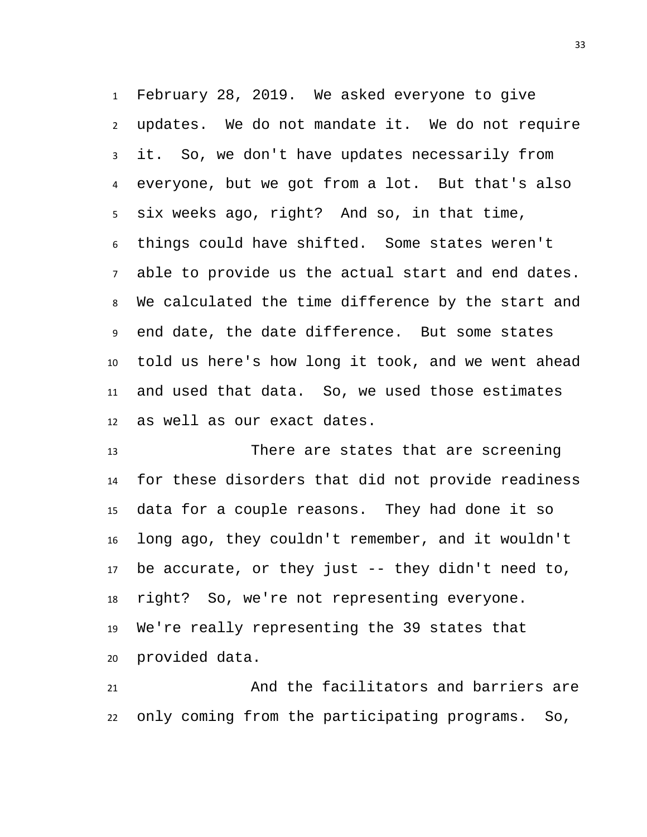February 28, 2019. We asked everyone to give updates. We do not mandate it. We do not require it. So, we don't have updates necessarily from everyone, but we got from a lot. But that's also six weeks ago, right? And so, in that time, things could have shifted. Some states weren't able to provide us the actual start and end dates. We calculated the time difference by the start and end date, the date difference. But some states told us here's how long it took, and we went ahead and used that data. So, we used those estimates as well as our exact dates.

 There are states that are screening for these disorders that did not provide readiness data for a couple reasons. They had done it so long ago, they couldn't remember, and it wouldn't be accurate, or they just -- they didn't need to, right? So, we're not representing everyone. We're really representing the 39 states that provided data.

 And the facilitators and barriers are only coming from the participating programs. So,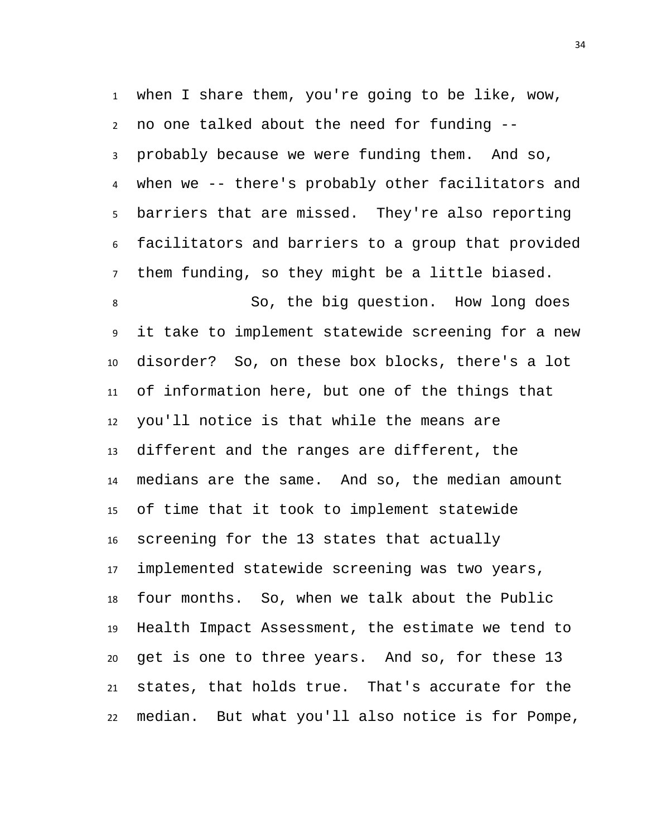when I share them, you're going to be like, wow, no one talked about the need for funding -- probably because we were funding them. And so, when we -- there's probably other facilitators and barriers that are missed. They're also reporting facilitators and barriers to a group that provided them funding, so they might be a little biased. So, the big question. How long does it take to implement statewide screening for a new disorder? So, on these box blocks, there's a lot of information here, but one of the things that you'll notice is that while the means are different and the ranges are different, the medians are the same. And so, the median amount of time that it took to implement statewide screening for the 13 states that actually implemented statewide screening was two years, four months. So, when we talk about the Public Health Impact Assessment, the estimate we tend to get is one to three years. And so, for these 13 states, that holds true. That's accurate for the median. But what you'll also notice is for Pompe,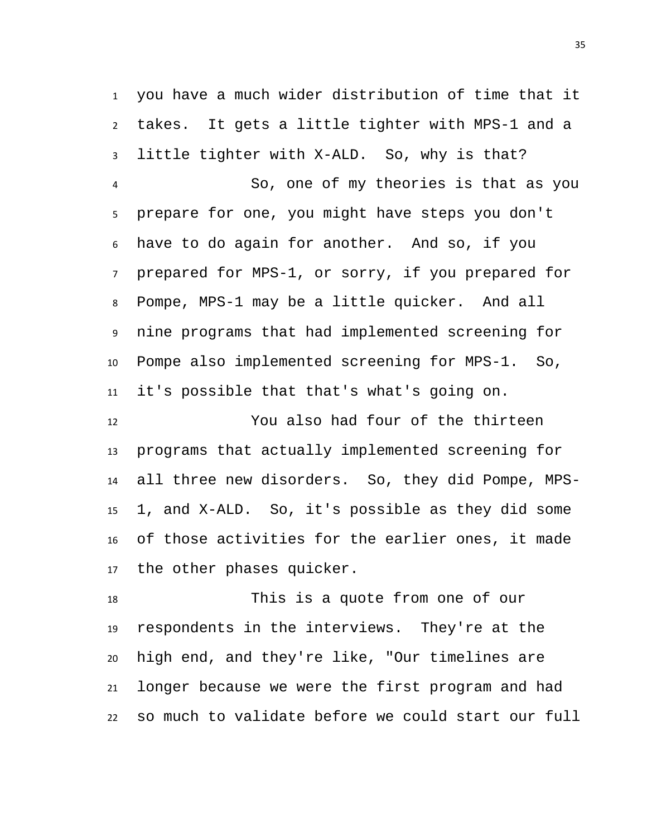you have a much wider distribution of time that it takes. It gets a little tighter with MPS-1 and a little tighter with X-ALD. So, why is that? So, one of my theories is that as you prepare for one, you might have steps you don't have to do again for another. And so, if you prepared for MPS-1, or sorry, if you prepared for Pompe, MPS-1 may be a little quicker. And all nine programs that had implemented screening for Pompe also implemented screening for MPS-1. So, it's possible that that's what's going on.

 You also had four of the thirteen programs that actually implemented screening for all three new disorders. So, they did Pompe, MPS- 1, and X-ALD. So, it's possible as they did some of those activities for the earlier ones, it made the other phases quicker.

 This is a quote from one of our respondents in the interviews. They're at the high end, and they're like, "Our timelines are longer because we were the first program and had so much to validate before we could start our full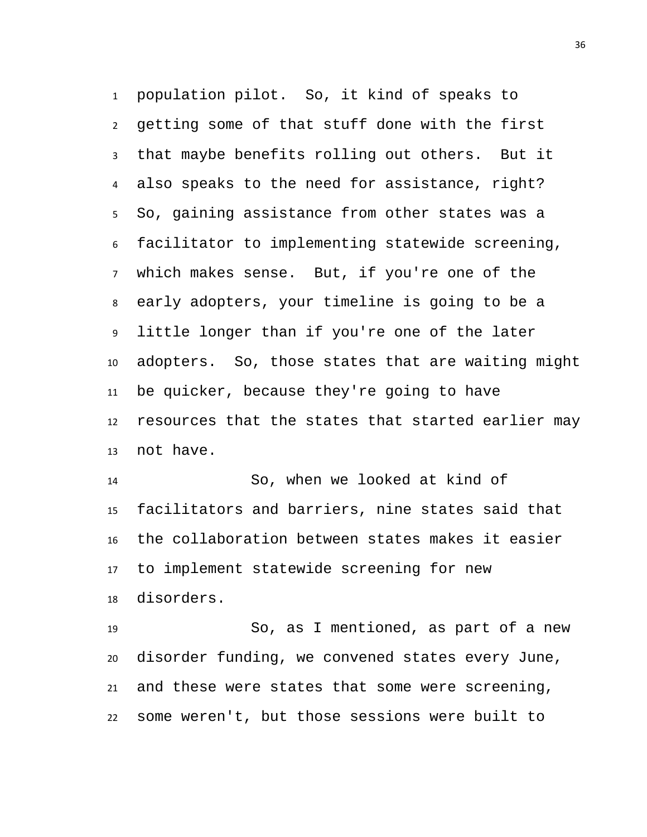population pilot. So, it kind of speaks to getting some of that stuff done with the first that maybe benefits rolling out others. But it also speaks to the need for assistance, right? So, gaining assistance from other states was a facilitator to implementing statewide screening, which makes sense. But, if you're one of the early adopters, your timeline is going to be a little longer than if you're one of the later adopters. So, those states that are waiting might be quicker, because they're going to have resources that the states that started earlier may not have.

 So, when we looked at kind of facilitators and barriers, nine states said that the collaboration between states makes it easier to implement statewide screening for new disorders.

 So, as I mentioned, as part of a new disorder funding, we convened states every June, and these were states that some were screening, some weren't, but those sessions were built to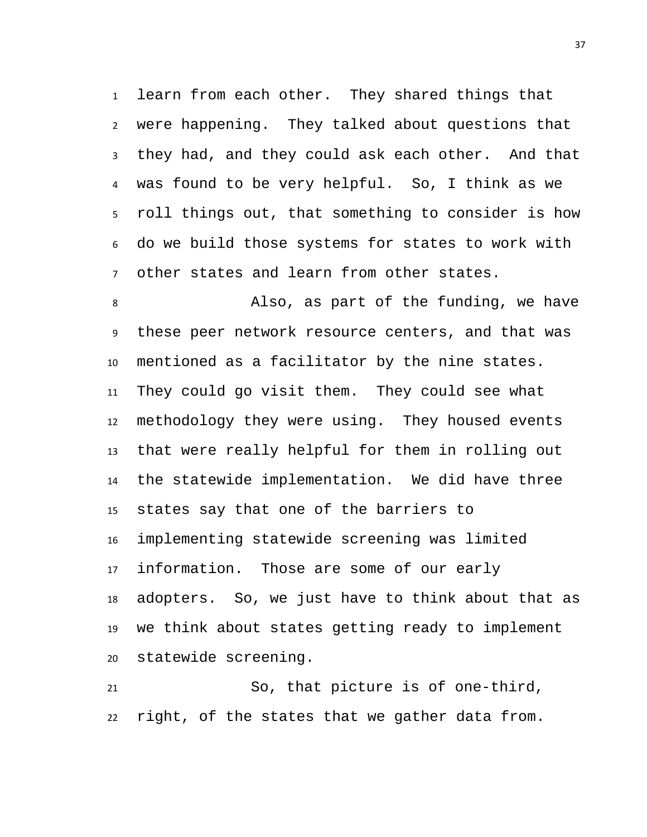learn from each other. They shared things that were happening. They talked about questions that they had, and they could ask each other. And that was found to be very helpful. So, I think as we roll things out, that something to consider is how do we build those systems for states to work with other states and learn from other states.

 Also, as part of the funding, we have these peer network resource centers, and that was mentioned as a facilitator by the nine states. They could go visit them. They could see what methodology they were using. They housed events that were really helpful for them in rolling out the statewide implementation. We did have three states say that one of the barriers to implementing statewide screening was limited information. Those are some of our early adopters. So, we just have to think about that as we think about states getting ready to implement statewide screening.

 So, that picture is of one-third, right, of the states that we gather data from.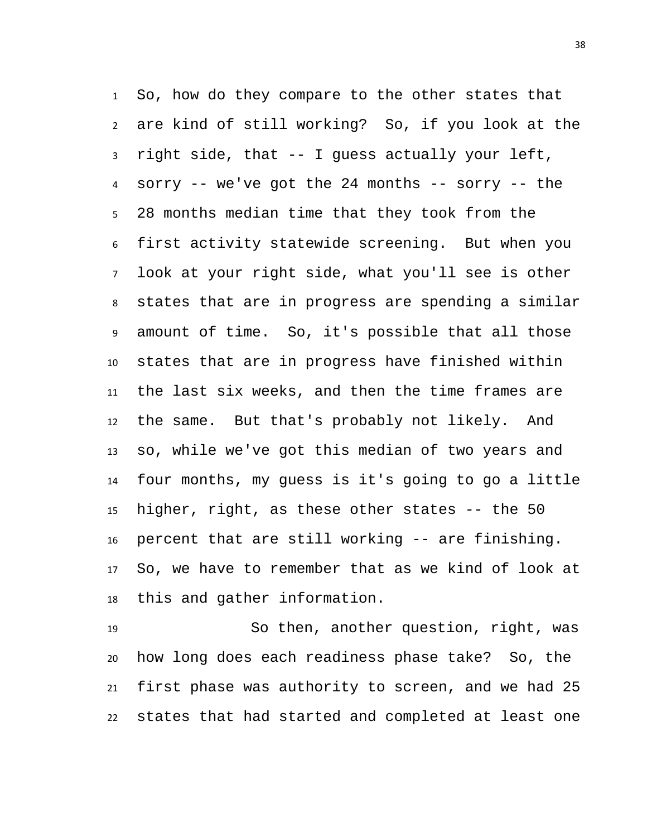So, how do they compare to the other states that are kind of still working? So, if you look at the right side, that -- I guess actually your left, sorry -- we've got the 24 months -- sorry -- the 28 months median time that they took from the first activity statewide screening. But when you look at your right side, what you'll see is other states that are in progress are spending a similar amount of time. So, it's possible that all those states that are in progress have finished within the last six weeks, and then the time frames are the same. But that's probably not likely. And so, while we've got this median of two years and four months, my guess is it's going to go a little higher, right, as these other states -- the 50 percent that are still working -- are finishing. So, we have to remember that as we kind of look at this and gather information.

 So then, another question, right, was how long does each readiness phase take? So, the first phase was authority to screen, and we had 25 states that had started and completed at least one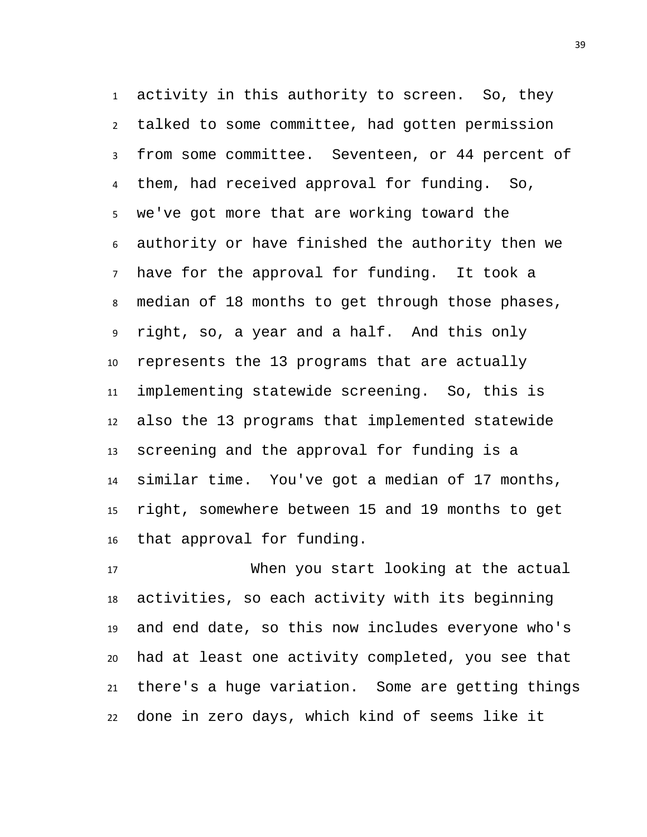activity in this authority to screen. So, they talked to some committee, had gotten permission from some committee. Seventeen, or 44 percent of them, had received approval for funding. So, we've got more that are working toward the authority or have finished the authority then we have for the approval for funding. It took a median of 18 months to get through those phases, right, so, a year and a half. And this only represents the 13 programs that are actually implementing statewide screening. So, this is also the 13 programs that implemented statewide screening and the approval for funding is a similar time. You've got a median of 17 months, right, somewhere between 15 and 19 months to get that approval for funding.

 When you start looking at the actual activities, so each activity with its beginning and end date, so this now includes everyone who's had at least one activity completed, you see that there's a huge variation. Some are getting things done in zero days, which kind of seems like it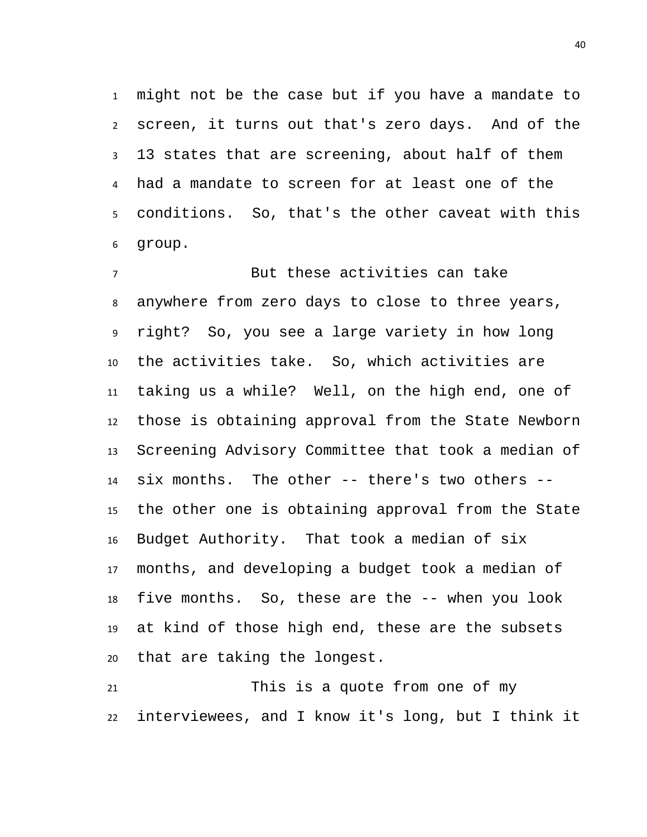might not be the case but if you have a mandate to screen, it turns out that's zero days. And of the 13 states that are screening, about half of them had a mandate to screen for at least one of the conditions. So, that's the other caveat with this group.

 But these activities can take anywhere from zero days to close to three years, right? So, you see a large variety in how long the activities take. So, which activities are taking us a while? Well, on the high end, one of those is obtaining approval from the State Newborn Screening Advisory Committee that took a median of six months. The other -- there's two others -- the other one is obtaining approval from the State Budget Authority. That took a median of six months, and developing a budget took a median of five months. So, these are the -- when you look at kind of those high end, these are the subsets that are taking the longest.

 This is a quote from one of my interviewees, and I know it's long, but I think it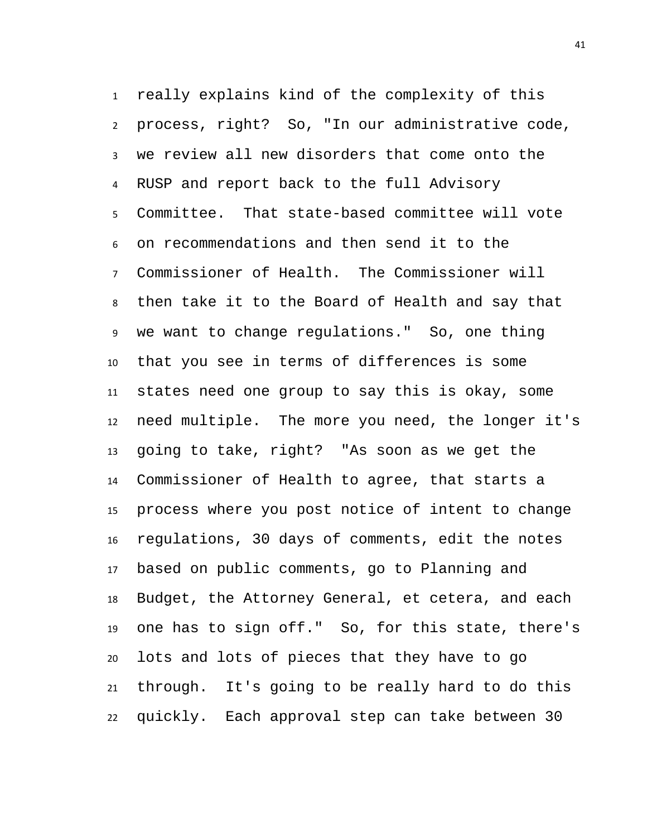really explains kind of the complexity of this process, right? So, "In our administrative code, we review all new disorders that come onto the RUSP and report back to the full Advisory Committee. That state-based committee will vote on recommendations and then send it to the Commissioner of Health. The Commissioner will then take it to the Board of Health and say that we want to change regulations." So, one thing that you see in terms of differences is some states need one group to say this is okay, some need multiple. The more you need, the longer it's going to take, right? "As soon as we get the Commissioner of Health to agree, that starts a process where you post notice of intent to change regulations, 30 days of comments, edit the notes based on public comments, go to Planning and Budget, the Attorney General, et cetera, and each one has to sign off." So, for this state, there's lots and lots of pieces that they have to go through. It's going to be really hard to do this quickly. Each approval step can take between 30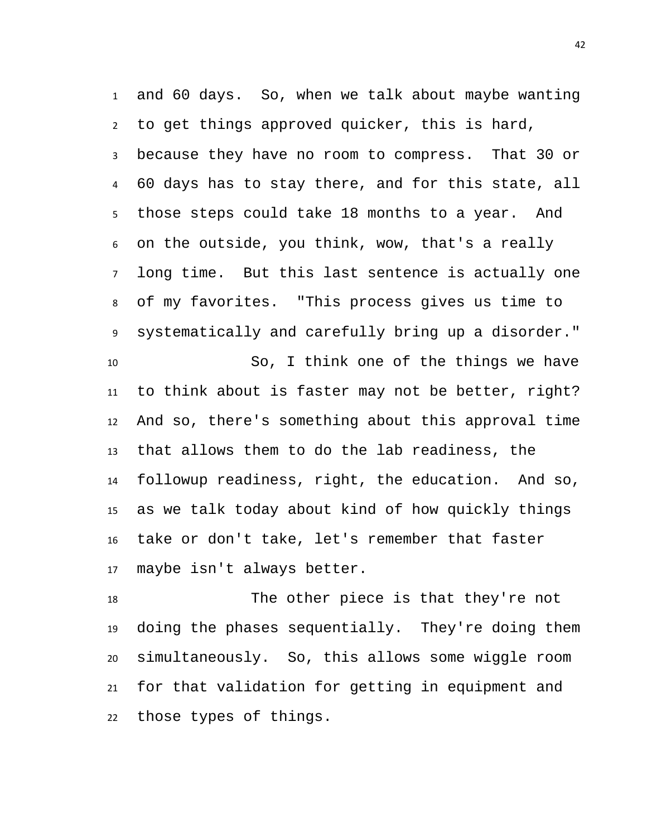and 60 days. So, when we talk about maybe wanting to get things approved quicker, this is hard, because they have no room to compress. That 30 or 60 days has to stay there, and for this state, all those steps could take 18 months to a year. And on the outside, you think, wow, that's a really long time. But this last sentence is actually one of my favorites. "This process gives us time to systematically and carefully bring up a disorder." So, I think one of the things we have to think about is faster may not be better, right? And so, there's something about this approval time that allows them to do the lab readiness, the followup readiness, right, the education. And so, as we talk today about kind of how quickly things take or don't take, let's remember that faster maybe isn't always better.

 The other piece is that they're not doing the phases sequentially. They're doing them simultaneously. So, this allows some wiggle room for that validation for getting in equipment and those types of things.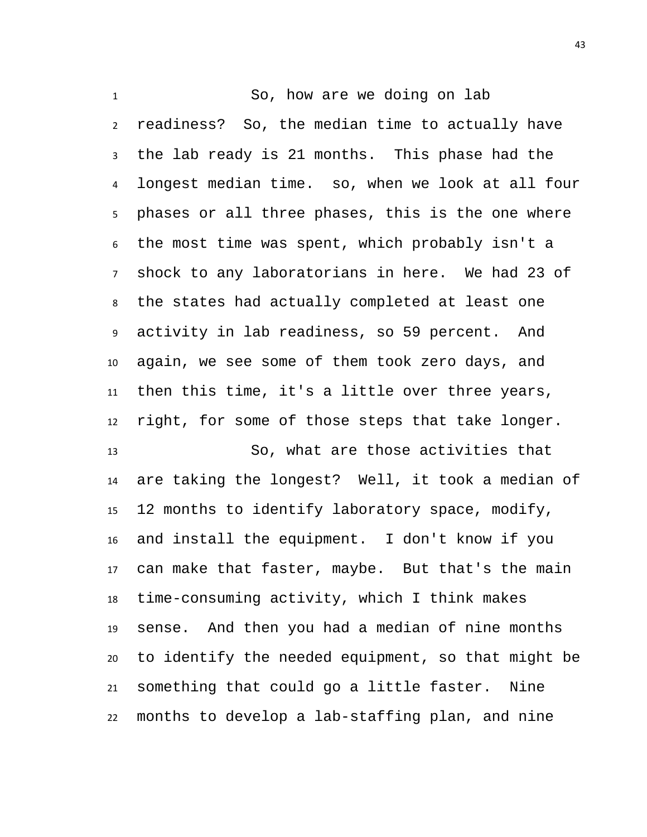So, how are we doing on lab readiness? So, the median time to actually have the lab ready is 21 months. This phase had the longest median time. so, when we look at all four phases or all three phases, this is the one where the most time was spent, which probably isn't a shock to any laboratorians in here. We had 23 of the states had actually completed at least one activity in lab readiness, so 59 percent. And again, we see some of them took zero days, and then this time, it's a little over three years, right, for some of those steps that take longer. So, what are those activities that are taking the longest? Well, it took a median of 12 months to identify laboratory space, modify, and install the equipment. I don't know if you can make that faster, maybe. But that's the main time-consuming activity, which I think makes sense. And then you had a median of nine months to identify the needed equipment, so that might be something that could go a little faster. Nine months to develop a lab-staffing plan, and nine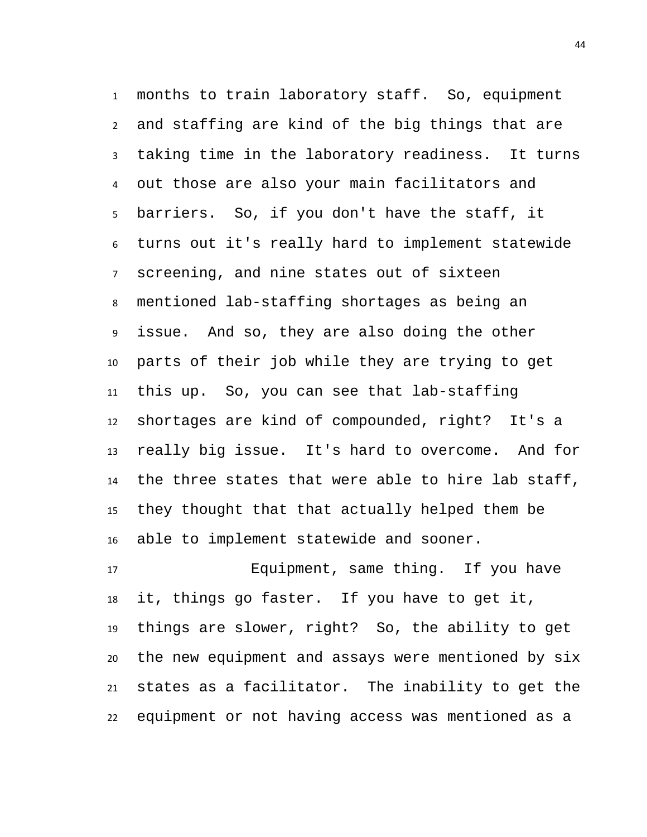months to train laboratory staff. So, equipment and staffing are kind of the big things that are taking time in the laboratory readiness. It turns out those are also your main facilitators and barriers. So, if you don't have the staff, it turns out it's really hard to implement statewide screening, and nine states out of sixteen mentioned lab-staffing shortages as being an issue. And so, they are also doing the other parts of their job while they are trying to get this up. So, you can see that lab-staffing shortages are kind of compounded, right? It's a really big issue. It's hard to overcome. And for the three states that were able to hire lab staff, they thought that that actually helped them be able to implement statewide and sooner.

 Equipment, same thing. If you have it, things go faster. If you have to get it, things are slower, right? So, the ability to get the new equipment and assays were mentioned by six states as a facilitator. The inability to get the equipment or not having access was mentioned as a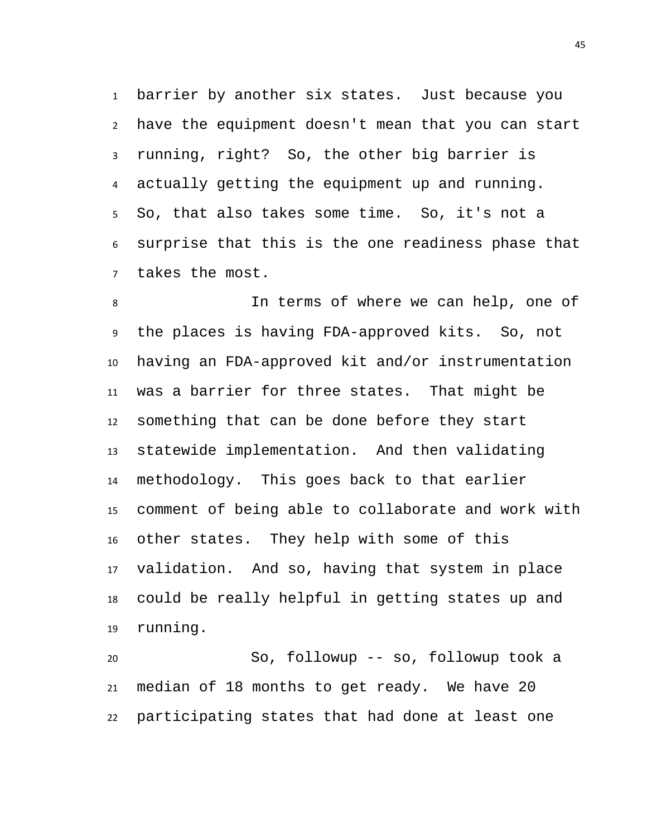barrier by another six states. Just because you have the equipment doesn't mean that you can start running, right? So, the other big barrier is actually getting the equipment up and running. So, that also takes some time. So, it's not a surprise that this is the one readiness phase that takes the most.

 In terms of where we can help, one of the places is having FDA-approved kits. So, not having an FDA-approved kit and/or instrumentation was a barrier for three states. That might be something that can be done before they start statewide implementation. And then validating methodology. This goes back to that earlier comment of being able to collaborate and work with other states. They help with some of this validation. And so, having that system in place could be really helpful in getting states up and running.

 So, followup -- so, followup took a median of 18 months to get ready. We have 20 participating states that had done at least one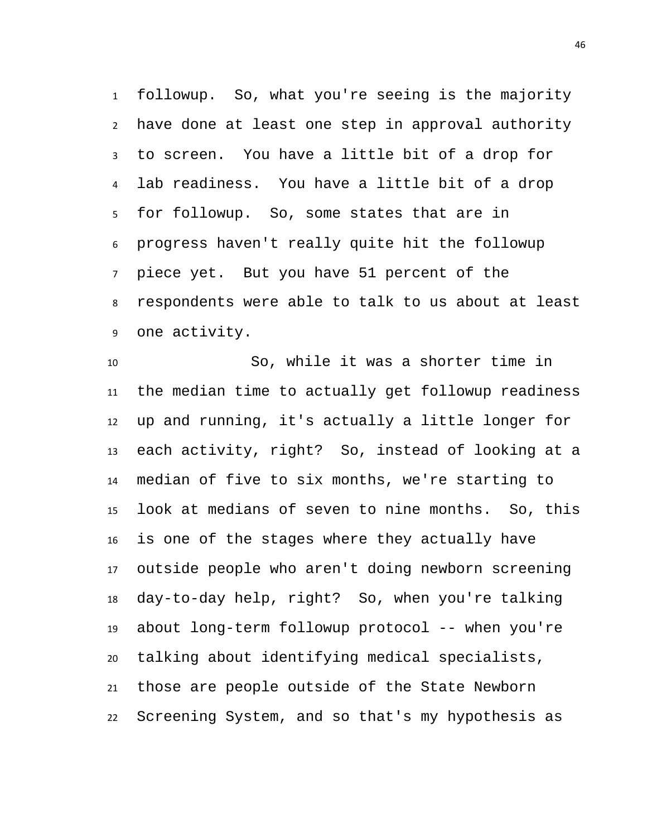followup. So, what you're seeing is the majority have done at least one step in approval authority to screen. You have a little bit of a drop for lab readiness. You have a little bit of a drop for followup. So, some states that are in progress haven't really quite hit the followup piece yet. But you have 51 percent of the respondents were able to talk to us about at least one activity.

 So, while it was a shorter time in the median time to actually get followup readiness up and running, it's actually a little longer for each activity, right? So, instead of looking at a median of five to six months, we're starting to look at medians of seven to nine months. So, this is one of the stages where they actually have outside people who aren't doing newborn screening day-to-day help, right? So, when you're talking about long-term followup protocol -- when you're talking about identifying medical specialists, those are people outside of the State Newborn Screening System, and so that's my hypothesis as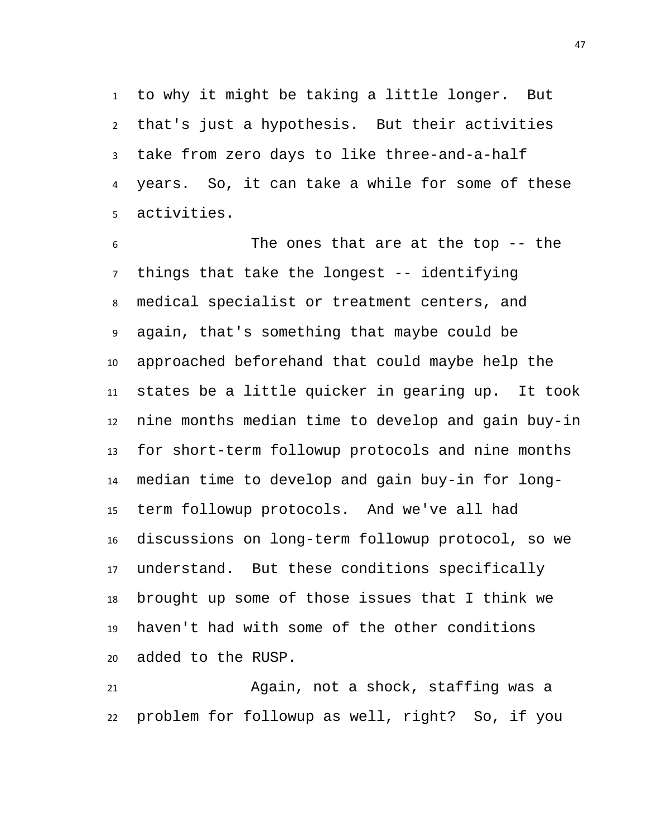to why it might be taking a little longer. But that's just a hypothesis. But their activities take from zero days to like three-and-a-half years. So, it can take a while for some of these activities.

 The ones that are at the top -- the things that take the longest -- identifying medical specialist or treatment centers, and again, that's something that maybe could be approached beforehand that could maybe help the states be a little quicker in gearing up. It took nine months median time to develop and gain buy-in for short-term followup protocols and nine months median time to develop and gain buy-in for long- term followup protocols. And we've all had discussions on long-term followup protocol, so we understand. But these conditions specifically brought up some of those issues that I think we haven't had with some of the other conditions added to the RUSP.

 Again, not a shock, staffing was a problem for followup as well, right? So, if you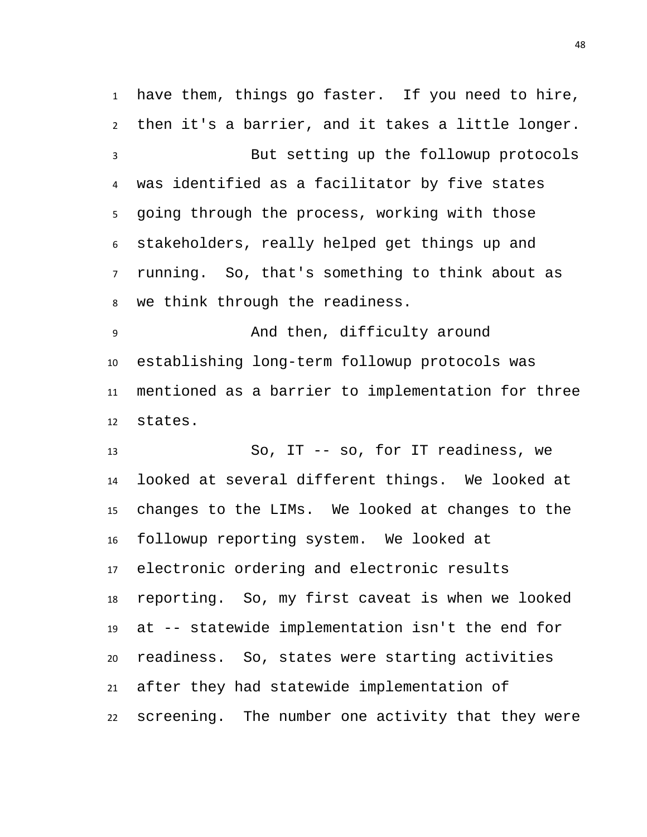have them, things go faster. If you need to hire, then it's a barrier, and it takes a little longer. But setting up the followup protocols was identified as a facilitator by five states going through the process, working with those stakeholders, really helped get things up and running. So, that's something to think about as we think through the readiness.

 And then, difficulty around establishing long-term followup protocols was mentioned as a barrier to implementation for three states.

 So, IT -- so, for IT readiness, we looked at several different things. We looked at changes to the LIMs. We looked at changes to the followup reporting system. We looked at electronic ordering and electronic results reporting. So, my first caveat is when we looked at -- statewide implementation isn't the end for readiness. So, states were starting activities after they had statewide implementation of screening. The number one activity that they were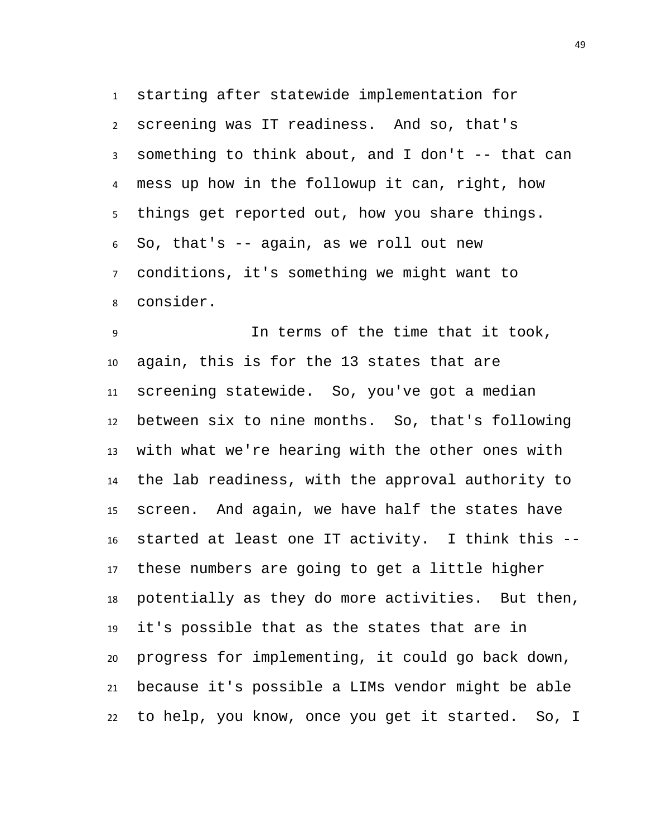starting after statewide implementation for screening was IT readiness. And so, that's something to think about, and I don't -- that can mess up how in the followup it can, right, how things get reported out, how you share things. So, that's -- again, as we roll out new conditions, it's something we might want to consider.

 In terms of the time that it took, again, this is for the 13 states that are screening statewide. So, you've got a median between six to nine months. So, that's following with what we're hearing with the other ones with the lab readiness, with the approval authority to screen. And again, we have half the states have started at least one IT activity. I think this -- these numbers are going to get a little higher potentially as they do more activities. But then, it's possible that as the states that are in progress for implementing, it could go back down, because it's possible a LIMs vendor might be able to help, you know, once you get it started. So, I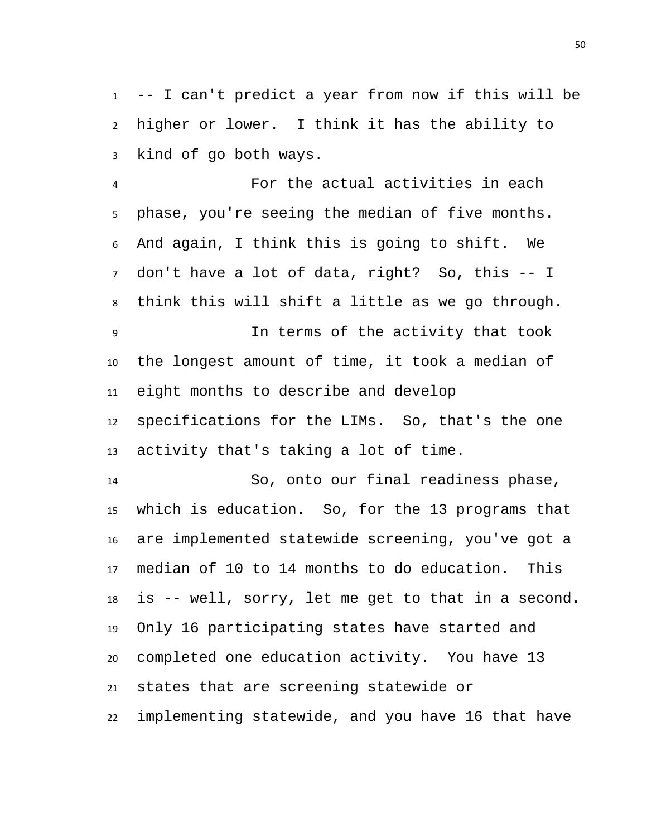-- I can't predict a year from now if this will be higher or lower. I think it has the ability to kind of go both ways.

 For the actual activities in each phase, you're seeing the median of five months. And again, I think this is going to shift. We don't have a lot of data, right? So, this -- I think this will shift a little as we go through. In terms of the activity that took the longest amount of time, it took a median of eight months to describe and develop

 specifications for the LIMs. So, that's the one activity that's taking a lot of time.

 So, onto our final readiness phase, which is education. So, for the 13 programs that are implemented statewide screening, you've got a median of 10 to 14 months to do education. This is -- well, sorry, let me get to that in a second. Only 16 participating states have started and completed one education activity. You have 13 states that are screening statewide or implementing statewide, and you have 16 that have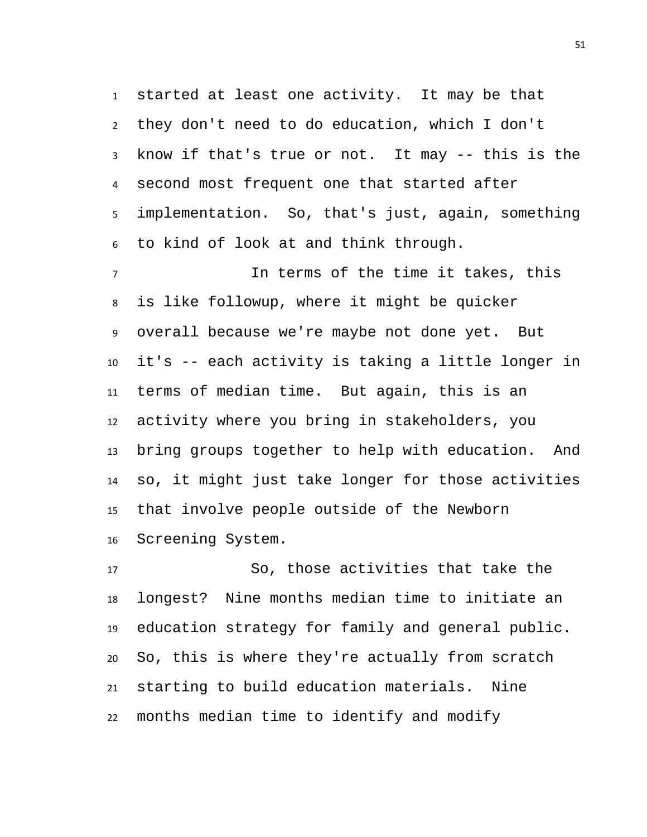started at least one activity. It may be that they don't need to do education, which I don't know if that's true or not. It may -- this is the second most frequent one that started after implementation. So, that's just, again, something to kind of look at and think through.

 In terms of the time it takes, this is like followup, where it might be quicker overall because we're maybe not done yet. But it's -- each activity is taking a little longer in terms of median time. But again, this is an activity where you bring in stakeholders, you bring groups together to help with education. And so, it might just take longer for those activities that involve people outside of the Newborn Screening System.

 So, those activities that take the longest? Nine months median time to initiate an education strategy for family and general public. So, this is where they're actually from scratch starting to build education materials. Nine months median time to identify and modify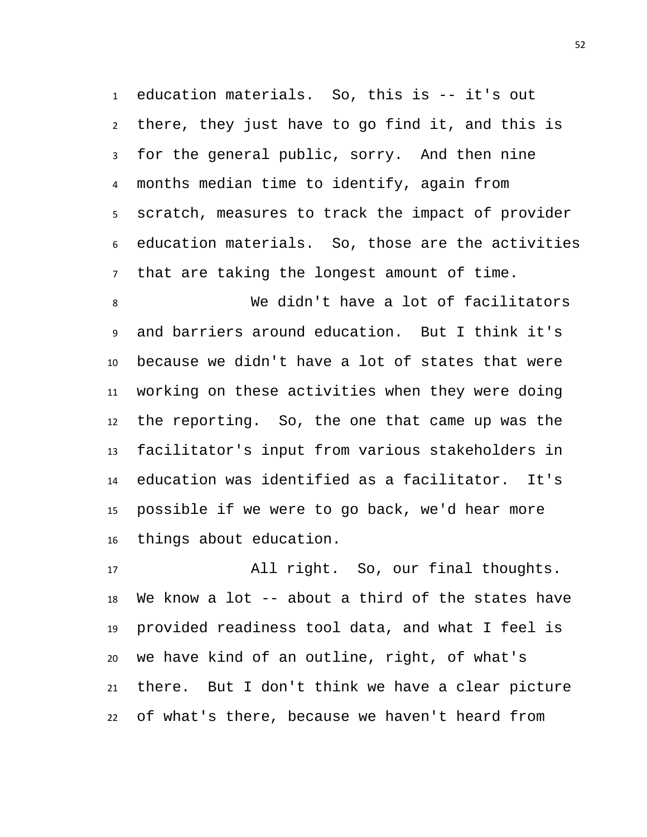education materials. So, this is -- it's out there, they just have to go find it, and this is for the general public, sorry. And then nine months median time to identify, again from scratch, measures to track the impact of provider education materials. So, those are the activities that are taking the longest amount of time.

 We didn't have a lot of facilitators and barriers around education. But I think it's because we didn't have a lot of states that were working on these activities when they were doing the reporting. So, the one that came up was the facilitator's input from various stakeholders in education was identified as a facilitator. It's possible if we were to go back, we'd hear more things about education.

 All right. So, our final thoughts. We know a lot -- about a third of the states have provided readiness tool data, and what I feel is we have kind of an outline, right, of what's there. But I don't think we have a clear picture of what's there, because we haven't heard from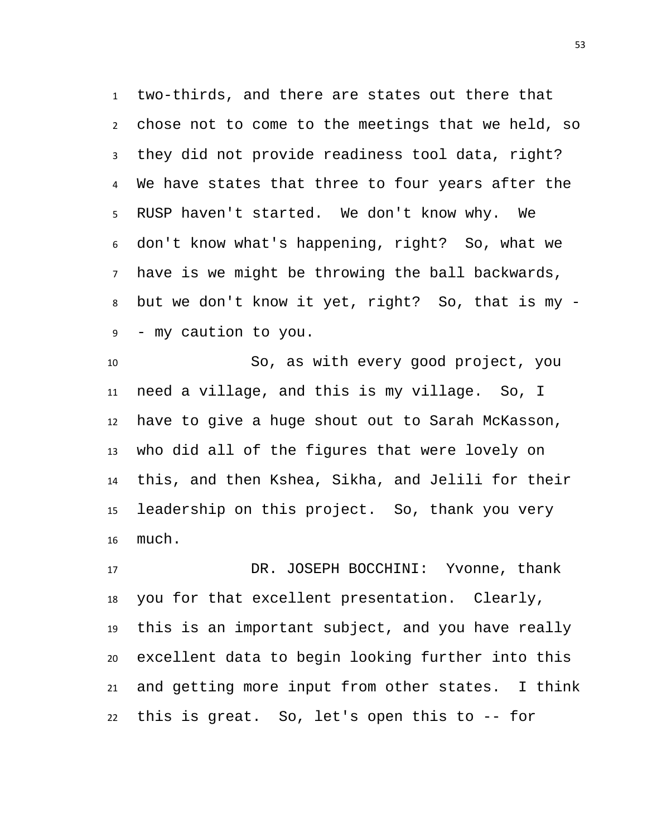two-thirds, and there are states out there that chose not to come to the meetings that we held, so they did not provide readiness tool data, right? We have states that three to four years after the RUSP haven't started. We don't know why. We don't know what's happening, right? So, what we have is we might be throwing the ball backwards, but we don't know it yet, right? So, that is my - - my caution to you.

 So, as with every good project, you need a village, and this is my village. So, I have to give a huge shout out to Sarah McKasson, who did all of the figures that were lovely on this, and then Kshea, Sikha, and Jelili for their leadership on this project. So, thank you very much.

 DR. JOSEPH BOCCHINI: Yvonne, thank you for that excellent presentation. Clearly, this is an important subject, and you have really excellent data to begin looking further into this and getting more input from other states. I think this is great. So, let's open this to -- for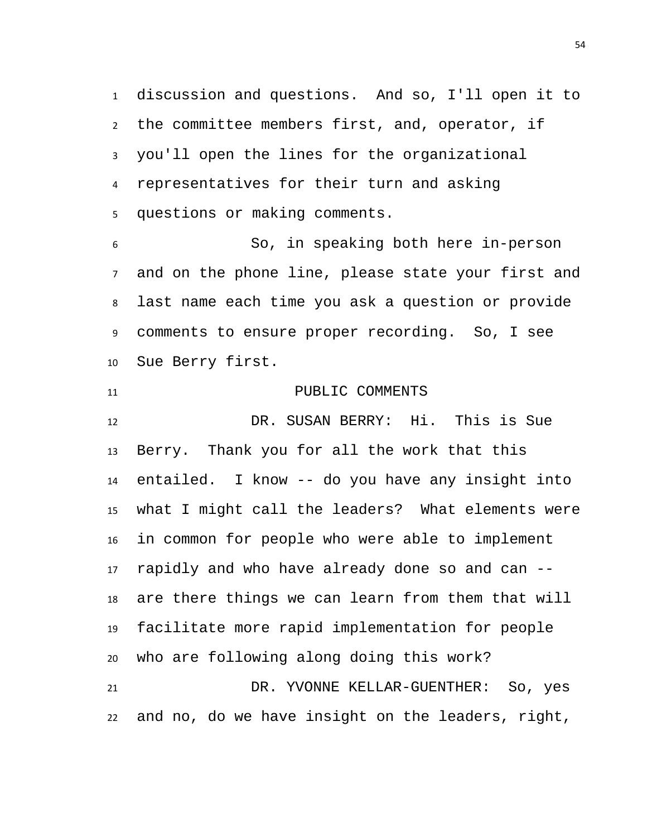discussion and questions. And so, I'll open it to the committee members first, and, operator, if you'll open the lines for the organizational representatives for their turn and asking questions or making comments.

 So, in speaking both here in-person and on the phone line, please state your first and last name each time you ask a question or provide comments to ensure proper recording. So, I see Sue Berry first.

11 PUBLIC COMMENTS DR. SUSAN BERRY: Hi. This is Sue Berry. Thank you for all the work that this entailed. I know -- do you have any insight into what I might call the leaders? What elements were in common for people who were able to implement rapidly and who have already done so and can -- are there things we can learn from them that will facilitate more rapid implementation for people who are following along doing this work? DR. YVONNE KELLAR-GUENTHER: So, yes and no, do we have insight on the leaders, right,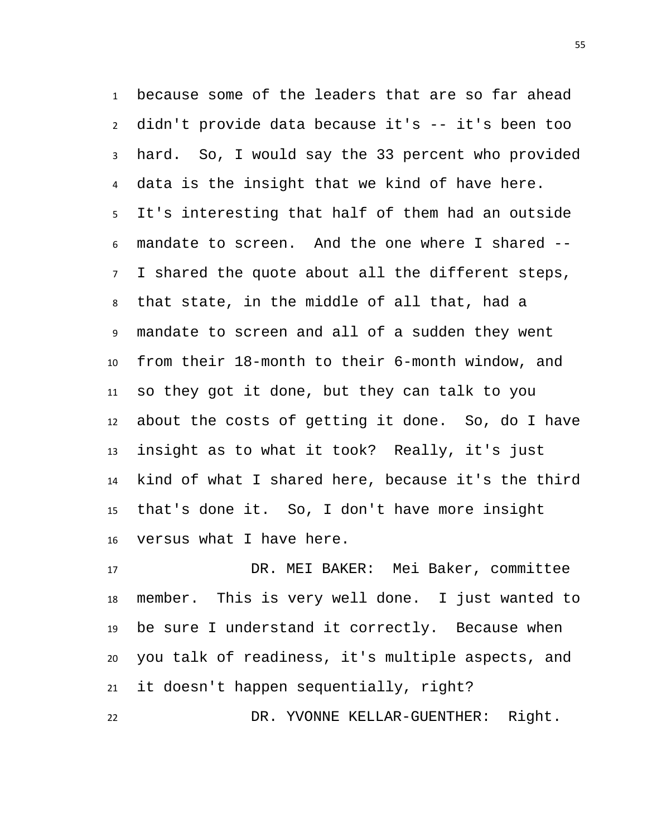because some of the leaders that are so far ahead didn't provide data because it's -- it's been too hard. So, I would say the 33 percent who provided data is the insight that we kind of have here. It's interesting that half of them had an outside mandate to screen. And the one where I shared -- I shared the quote about all the different steps, that state, in the middle of all that, had a mandate to screen and all of a sudden they went from their 18-month to their 6-month window, and so they got it done, but they can talk to you about the costs of getting it done. So, do I have insight as to what it took? Really, it's just kind of what I shared here, because it's the third that's done it. So, I don't have more insight versus what I have here.

 DR. MEI BAKER: Mei Baker, committee member. This is very well done. I just wanted to be sure I understand it correctly. Because when you talk of readiness, it's multiple aspects, and it doesn't happen sequentially, right?

DR. YVONNE KELLAR-GUENTHER: Right.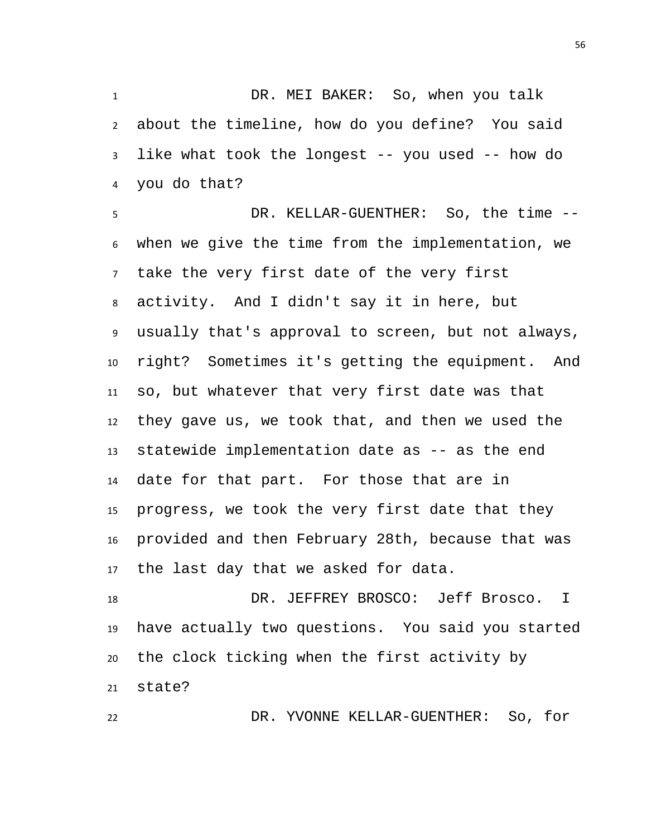DR. MEI BAKER: So, when you talk about the timeline, how do you define? You said like what took the longest -- you used -- how do you do that?

 DR. KELLAR-GUENTHER: So, the time -- when we give the time from the implementation, we take the very first date of the very first activity. And I didn't say it in here, but usually that's approval to screen, but not always, right? Sometimes it's getting the equipment. And so, but whatever that very first date was that they gave us, we took that, and then we used the statewide implementation date as -- as the end date for that part. For those that are in progress, we took the very first date that they provided and then February 28th, because that was the last day that we asked for data.

18 DR. JEFFREY BROSCO: Jeff Brosco. I have actually two questions. You said you started the clock ticking when the first activity by state?

DR. YVONNE KELLAR-GUENTHER: So, for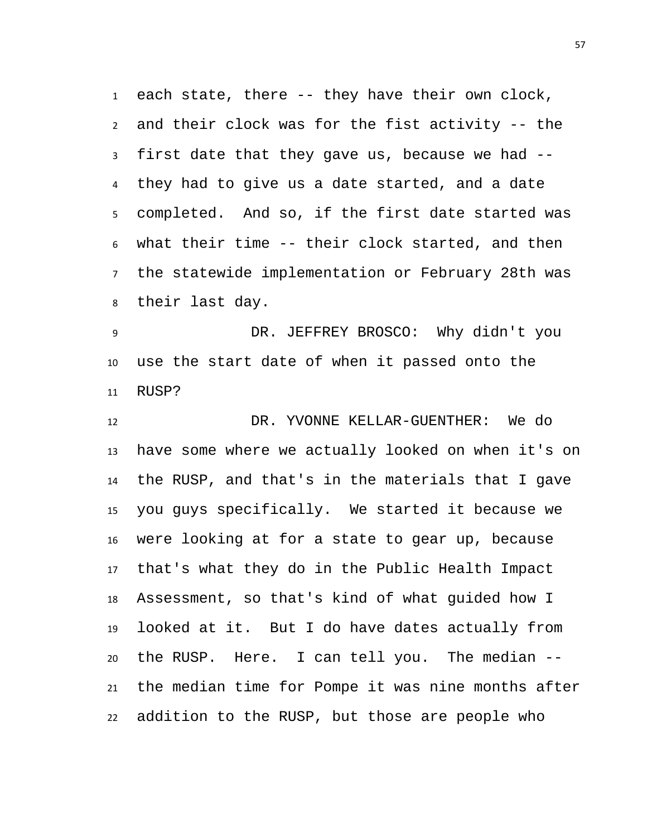each state, there -- they have their own clock, and their clock was for the fist activity -- the first date that they gave us, because we had -- they had to give us a date started, and a date completed. And so, if the first date started was what their time -- their clock started, and then the statewide implementation or February 28th was their last day.

 DR. JEFFREY BROSCO: Why didn't you use the start date of when it passed onto the RUSP?

 DR. YVONNE KELLAR-GUENTHER: We do have some where we actually looked on when it's on the RUSP, and that's in the materials that I gave you guys specifically. We started it because we were looking at for a state to gear up, because that's what they do in the Public Health Impact Assessment, so that's kind of what guided how I looked at it. But I do have dates actually from the RUSP. Here. I can tell you. The median -- the median time for Pompe it was nine months after addition to the RUSP, but those are people who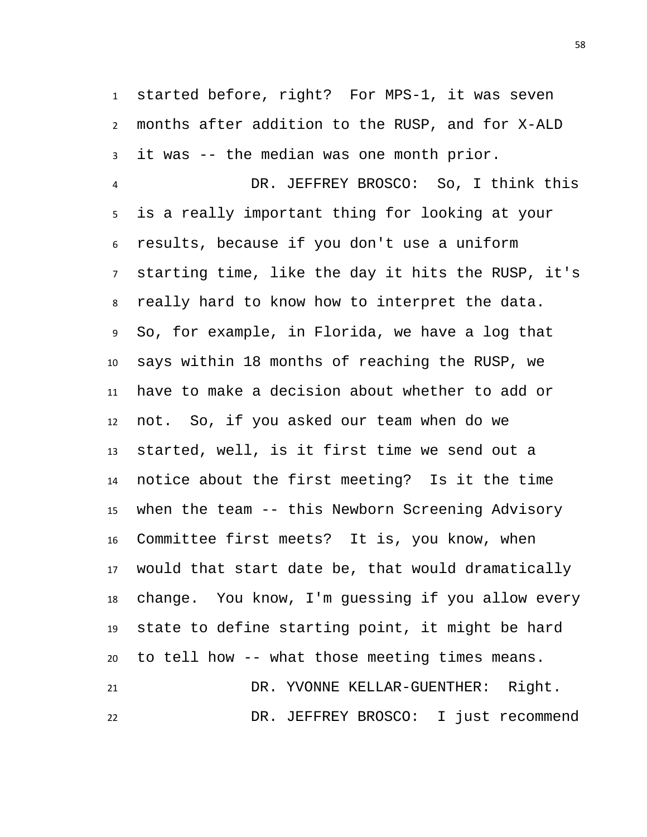started before, right? For MPS-1, it was seven months after addition to the RUSP, and for X-ALD it was -- the median was one month prior.

 DR. JEFFREY BROSCO: So, I think this is a really important thing for looking at your results, because if you don't use a uniform starting time, like the day it hits the RUSP, it's really hard to know how to interpret the data. So, for example, in Florida, we have a log that says within 18 months of reaching the RUSP, we have to make a decision about whether to add or not. So, if you asked our team when do we started, well, is it first time we send out a notice about the first meeting? Is it the time when the team -- this Newborn Screening Advisory Committee first meets? It is, you know, when would that start date be, that would dramatically change. You know, I'm guessing if you allow every state to define starting point, it might be hard to tell how -- what those meeting times means. DR. YVONNE KELLAR-GUENTHER: Right. DR. JEFFREY BROSCO: I just recommend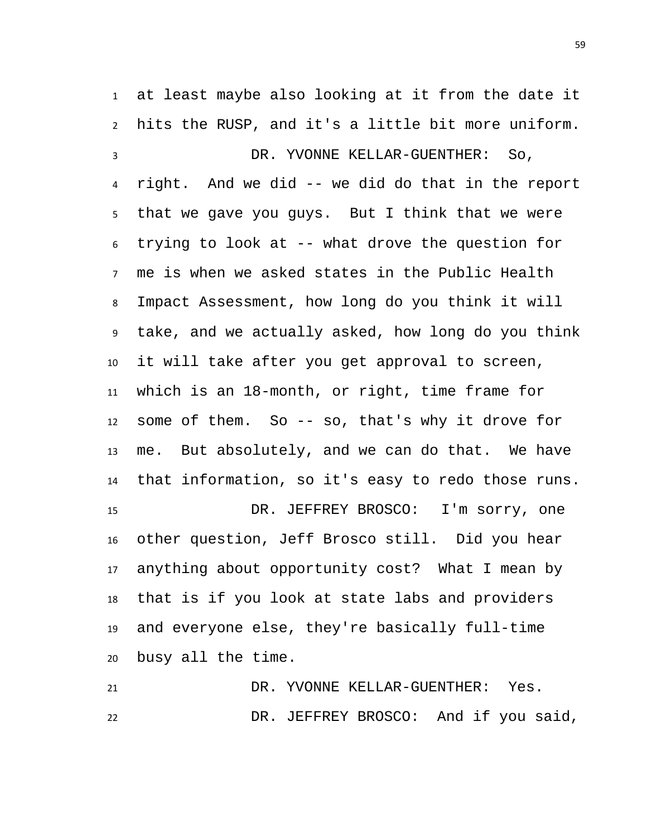at least maybe also looking at it from the date it hits the RUSP, and it's a little bit more uniform.

 DR. YVONNE KELLAR-GUENTHER: So, right. And we did -- we did do that in the report that we gave you guys. But I think that we were trying to look at -- what drove the question for me is when we asked states in the Public Health Impact Assessment, how long do you think it will take, and we actually asked, how long do you think it will take after you get approval to screen, which is an 18-month, or right, time frame for some of them. So -- so, that's why it drove for me. But absolutely, and we can do that. We have that information, so it's easy to redo those runs. DR. JEFFREY BROSCO: I'm sorry, one other question, Jeff Brosco still. Did you hear anything about opportunity cost? What I mean by that is if you look at state labs and providers and everyone else, they're basically full-time busy all the time.

 DR. YVONNE KELLAR-GUENTHER: Yes. DR. JEFFREY BROSCO: And if you said,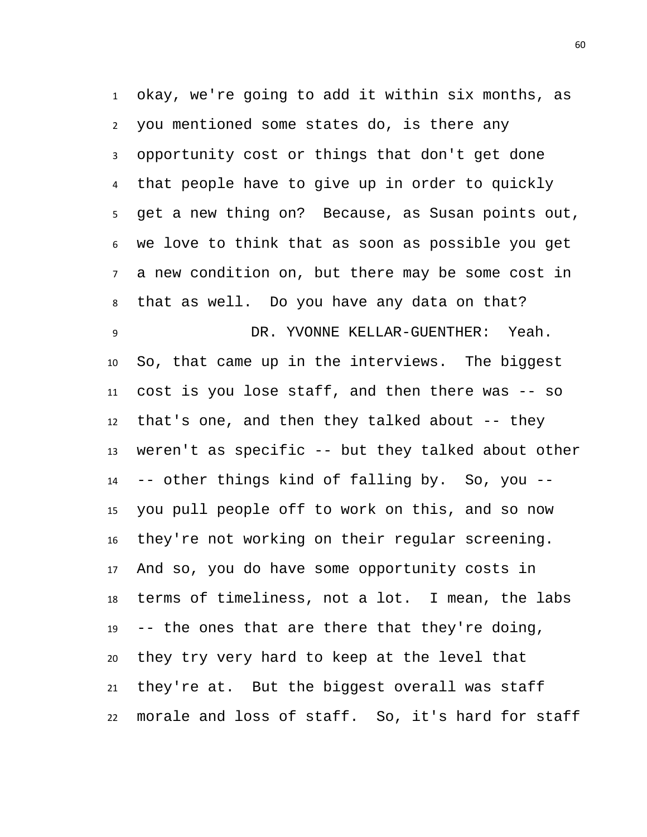okay, we're going to add it within six months, as you mentioned some states do, is there any opportunity cost or things that don't get done that people have to give up in order to quickly get a new thing on? Because, as Susan points out, we love to think that as soon as possible you get a new condition on, but there may be some cost in that as well. Do you have any data on that? DR. YVONNE KELLAR-GUENTHER: Yeah. So, that came up in the interviews. The biggest cost is you lose staff, and then there was -- so that's one, and then they talked about -- they weren't as specific -- but they talked about other -- other things kind of falling by. So, you -- you pull people off to work on this, and so now they're not working on their regular screening. And so, you do have some opportunity costs in terms of timeliness, not a lot. I mean, the labs -- the ones that are there that they're doing, they try very hard to keep at the level that they're at. But the biggest overall was staff morale and loss of staff. So, it's hard for staff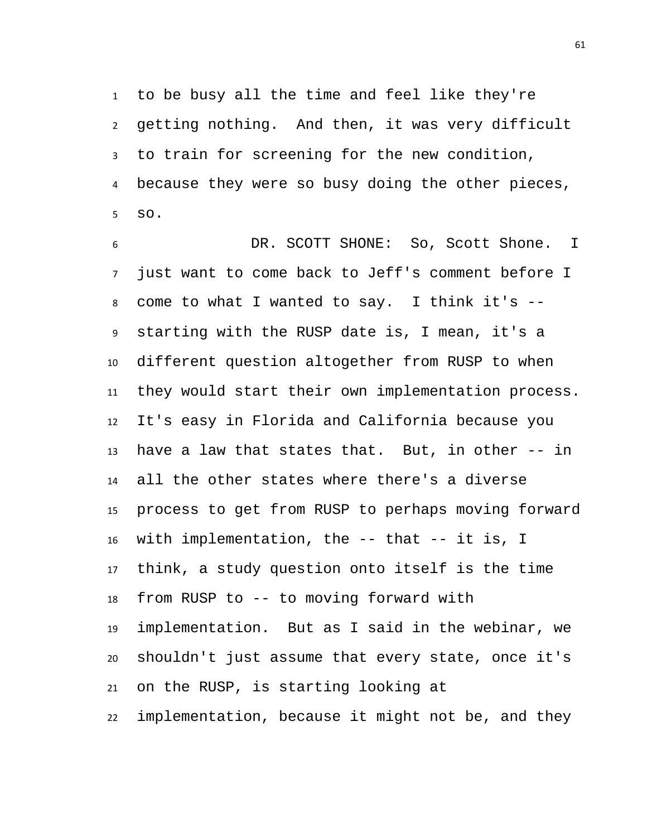to be busy all the time and feel like they're getting nothing. And then, it was very difficult to train for screening for the new condition, because they were so busy doing the other pieces, so.

 DR. SCOTT SHONE: So, Scott Shone. I just want to come back to Jeff's comment before I come to what I wanted to say. I think it's -- starting with the RUSP date is, I mean, it's a different question altogether from RUSP to when they would start their own implementation process. It's easy in Florida and California because you have a law that states that. But, in other -- in all the other states where there's a diverse process to get from RUSP to perhaps moving forward with implementation, the -- that -- it is, I think, a study question onto itself is the time from RUSP to -- to moving forward with implementation. But as I said in the webinar, we shouldn't just assume that every state, once it's on the RUSP, is starting looking at implementation, because it might not be, and they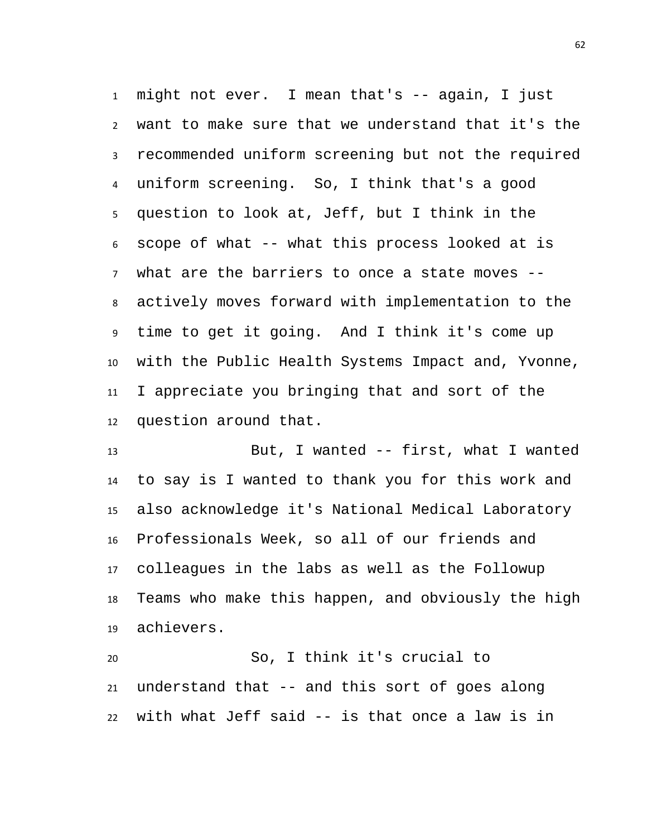might not ever. I mean that's -- again, I just want to make sure that we understand that it's the recommended uniform screening but not the required uniform screening. So, I think that's a good question to look at, Jeff, but I think in the scope of what -- what this process looked at is what are the barriers to once a state moves -- actively moves forward with implementation to the time to get it going. And I think it's come up with the Public Health Systems Impact and, Yvonne, I appreciate you bringing that and sort of the question around that.

 But, I wanted -- first, what I wanted to say is I wanted to thank you for this work and also acknowledge it's National Medical Laboratory Professionals Week, so all of our friends and colleagues in the labs as well as the Followup Teams who make this happen, and obviously the high achievers.

 So, I think it's crucial to understand that -- and this sort of goes along with what Jeff said -- is that once a law is in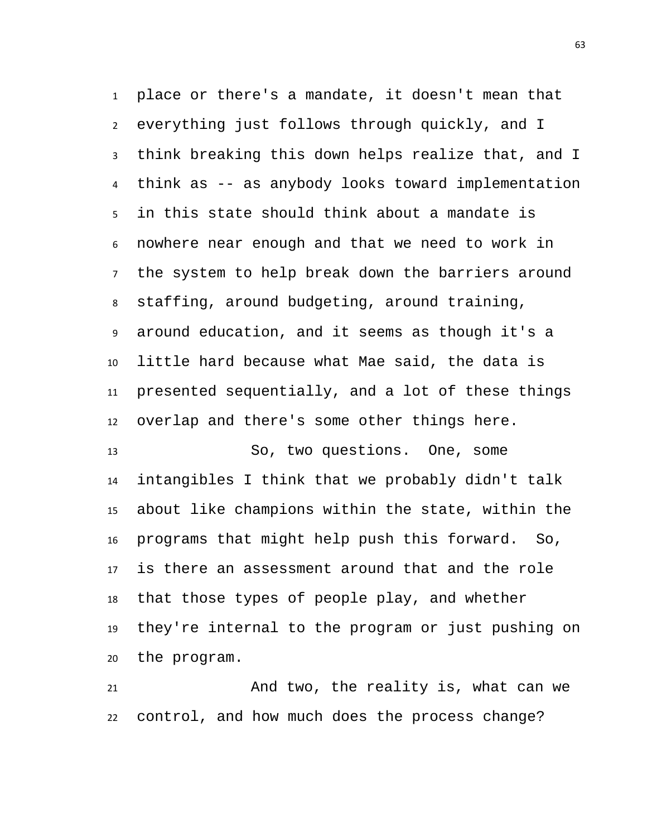place or there's a mandate, it doesn't mean that everything just follows through quickly, and I think breaking this down helps realize that, and I think as -- as anybody looks toward implementation in this state should think about a mandate is nowhere near enough and that we need to work in the system to help break down the barriers around staffing, around budgeting, around training, around education, and it seems as though it's a little hard because what Mae said, the data is presented sequentially, and a lot of these things overlap and there's some other things here. So, two questions. One, some

 intangibles I think that we probably didn't talk about like champions within the state, within the programs that might help push this forward. So, is there an assessment around that and the role that those types of people play, and whether they're internal to the program or just pushing on the program.

 And two, the reality is, what can we control, and how much does the process change?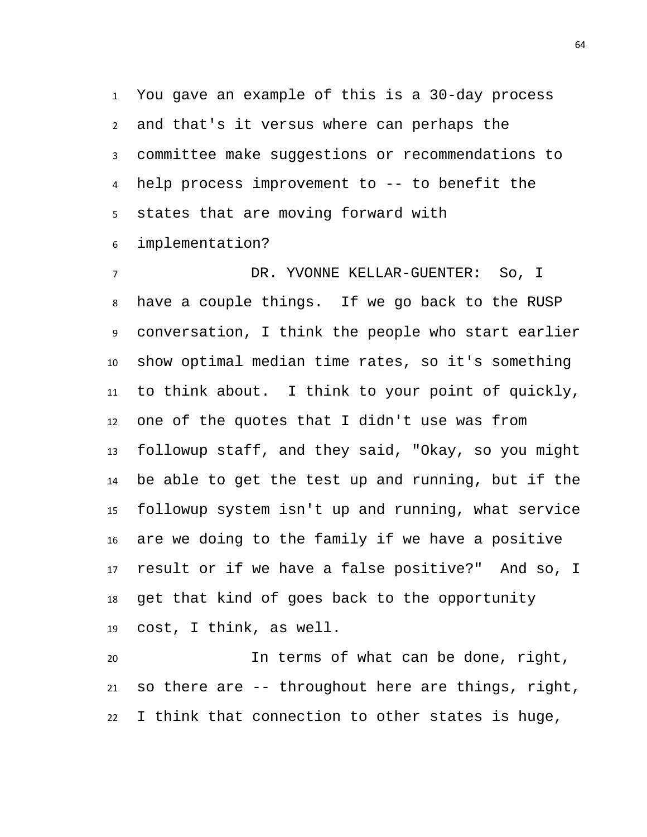You gave an example of this is a 30-day process and that's it versus where can perhaps the committee make suggestions or recommendations to help process improvement to -- to benefit the states that are moving forward with

implementation?

 DR. YVONNE KELLAR-GUENTER: So, I have a couple things. If we go back to the RUSP conversation, I think the people who start earlier show optimal median time rates, so it's something to think about. I think to your point of quickly, one of the quotes that I didn't use was from followup staff, and they said, "Okay, so you might be able to get the test up and running, but if the followup system isn't up and running, what service are we doing to the family if we have a positive result or if we have a false positive?" And so, I get that kind of goes back to the opportunity cost, I think, as well.

 In terms of what can be done, right, so there are -- throughout here are things, right, I think that connection to other states is huge,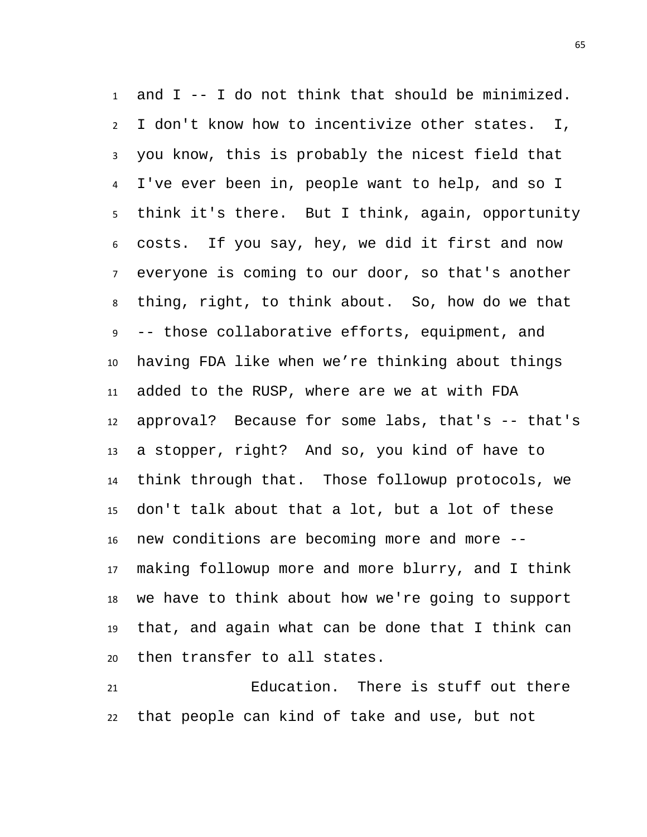and I -- I do not think that should be minimized. I don't know how to incentivize other states. I, you know, this is probably the nicest field that I've ever been in, people want to help, and so I think it's there. But I think, again, opportunity costs. If you say, hey, we did it first and now everyone is coming to our door, so that's another thing, right, to think about. So, how do we that -- those collaborative efforts, equipment, and having FDA like when we're thinking about things added to the RUSP, where are we at with FDA approval? Because for some labs, that's -- that's a stopper, right? And so, you kind of have to think through that. Those followup protocols, we don't talk about that a lot, but a lot of these new conditions are becoming more and more -- making followup more and more blurry, and I think we have to think about how we're going to support that, and again what can be done that I think can then transfer to all states.

 Education. There is stuff out there that people can kind of take and use, but not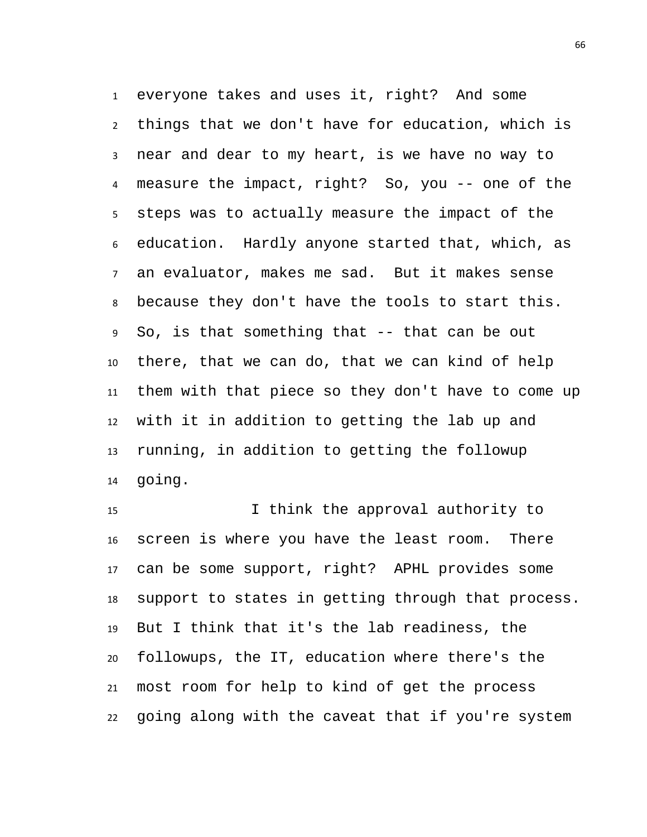everyone takes and uses it, right? And some things that we don't have for education, which is near and dear to my heart, is we have no way to measure the impact, right? So, you -- one of the steps was to actually measure the impact of the education. Hardly anyone started that, which, as an evaluator, makes me sad. But it makes sense because they don't have the tools to start this. So, is that something that -- that can be out there, that we can do, that we can kind of help them with that piece so they don't have to come up with it in addition to getting the lab up and running, in addition to getting the followup going.

 I think the approval authority to screen is where you have the least room. There can be some support, right? APHL provides some support to states in getting through that process. But I think that it's the lab readiness, the followups, the IT, education where there's the most room for help to kind of get the process going along with the caveat that if you're system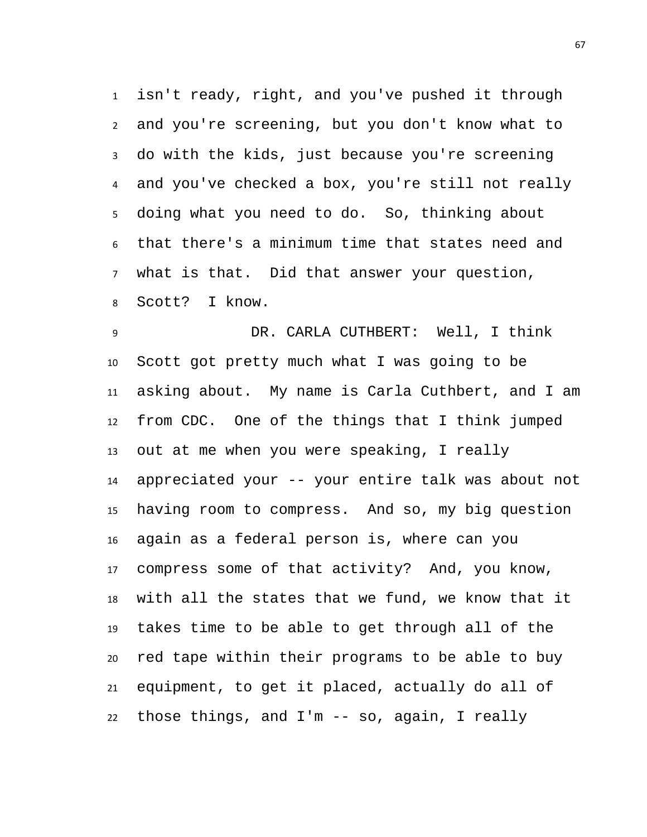isn't ready, right, and you've pushed it through and you're screening, but you don't know what to do with the kids, just because you're screening and you've checked a box, you're still not really doing what you need to do. So, thinking about that there's a minimum time that states need and what is that. Did that answer your question, Scott? I know.

 DR. CARLA CUTHBERT: Well, I think Scott got pretty much what I was going to be asking about. My name is Carla Cuthbert, and I am from CDC. One of the things that I think jumped out at me when you were speaking, I really appreciated your -- your entire talk was about not having room to compress. And so, my big question again as a federal person is, where can you compress some of that activity? And, you know, with all the states that we fund, we know that it takes time to be able to get through all of the red tape within their programs to be able to buy equipment, to get it placed, actually do all of those things, and I'm -- so, again, I really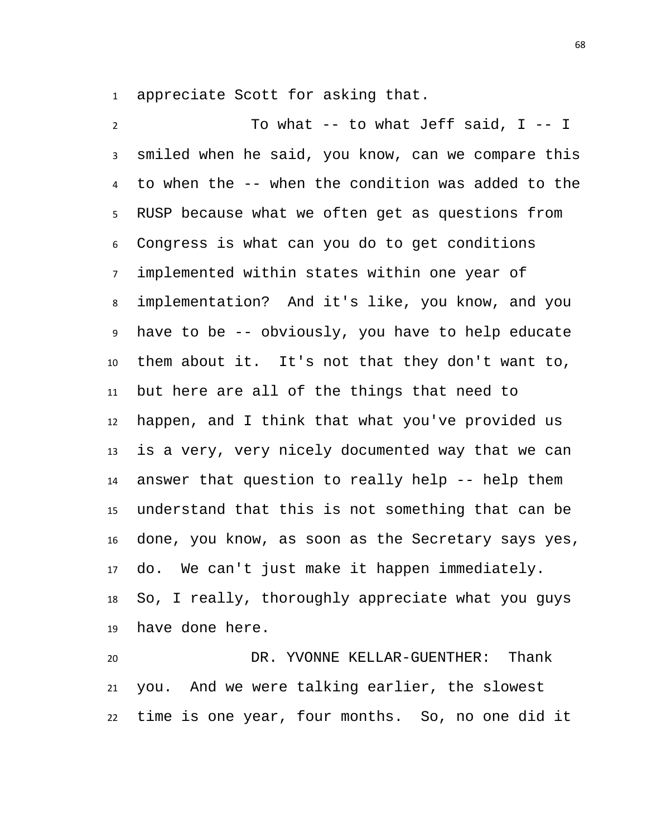appreciate Scott for asking that.

 To what -- to what Jeff said, I -- I smiled when he said, you know, can we compare this to when the -- when the condition was added to the RUSP because what we often get as questions from Congress is what can you do to get conditions implemented within states within one year of implementation? And it's like, you know, and you have to be -- obviously, you have to help educate them about it. It's not that they don't want to, but here are all of the things that need to happen, and I think that what you've provided us is a very, very nicely documented way that we can answer that question to really help -- help them understand that this is not something that can be done, you know, as soon as the Secretary says yes, do. We can't just make it happen immediately. So, I really, thoroughly appreciate what you guys have done here.

 DR. YVONNE KELLAR-GUENTHER: Thank you. And we were talking earlier, the slowest time is one year, four months. So, no one did it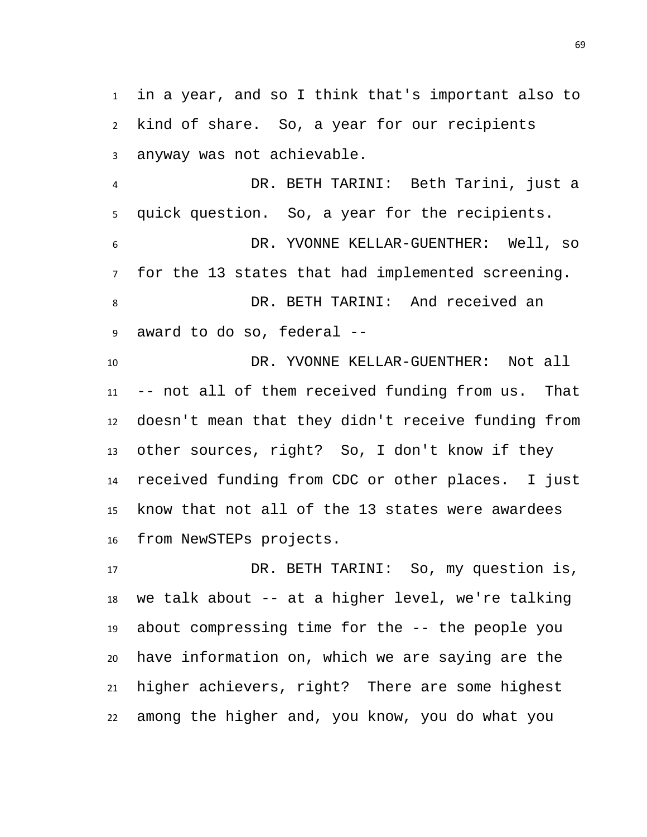in a year, and so I think that's important also to kind of share. So, a year for our recipients anyway was not achievable.

 DR. BETH TARINI: Beth Tarini, just a quick question. So, a year for the recipients. DR. YVONNE KELLAR-GUENTHER: Well, so for the 13 states that had implemented screening. DR. BETH TARINI: And received an award to do so, federal --

 DR. YVONNE KELLAR-GUENTHER: Not all -- not all of them received funding from us. That doesn't mean that they didn't receive funding from other sources, right? So, I don't know if they received funding from CDC or other places. I just know that not all of the 13 states were awardees from NewSTEPs projects.

 DR. BETH TARINI: So, my question is, we talk about -- at a higher level, we're talking about compressing time for the -- the people you have information on, which we are saying are the higher achievers, right? There are some highest among the higher and, you know, you do what you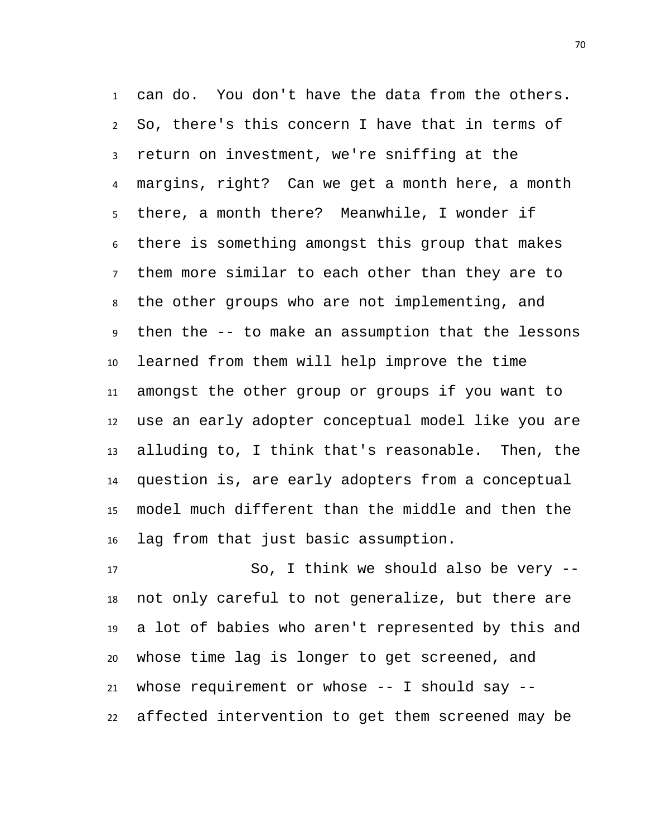can do. You don't have the data from the others. So, there's this concern I have that in terms of return on investment, we're sniffing at the margins, right? Can we get a month here, a month there, a month there? Meanwhile, I wonder if there is something amongst this group that makes them more similar to each other than they are to the other groups who are not implementing, and then the -- to make an assumption that the lessons learned from them will help improve the time amongst the other group or groups if you want to use an early adopter conceptual model like you are alluding to, I think that's reasonable. Then, the question is, are early adopters from a conceptual model much different than the middle and then the lag from that just basic assumption.

 So, I think we should also be very -- not only careful to not generalize, but there are a lot of babies who aren't represented by this and whose time lag is longer to get screened, and whose requirement or whose -- I should say -- affected intervention to get them screened may be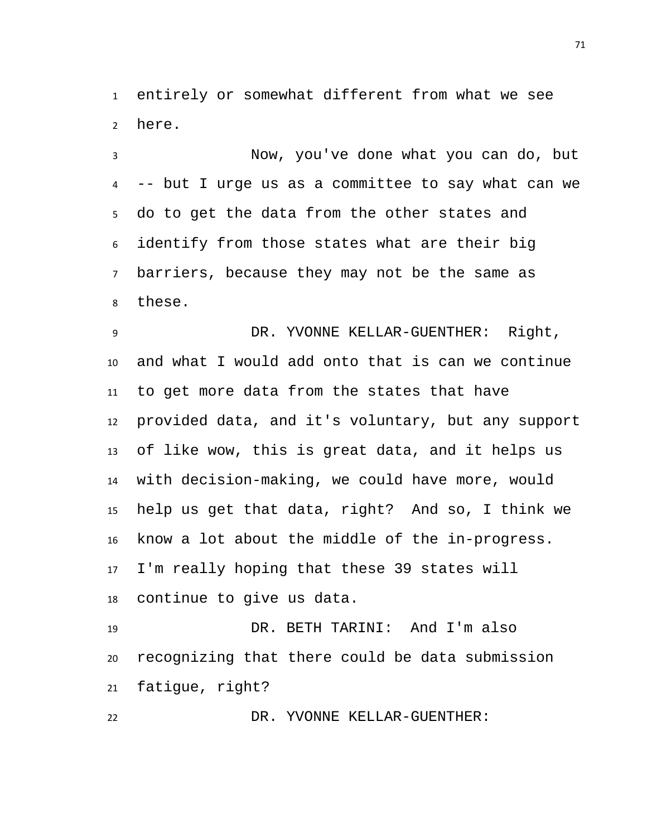entirely or somewhat different from what we see here.

 Now, you've done what you can do, but -- but I urge us as a committee to say what can we do to get the data from the other states and identify from those states what are their big barriers, because they may not be the same as these.

 DR. YVONNE KELLAR-GUENTHER: Right, and what I would add onto that is can we continue to get more data from the states that have provided data, and it's voluntary, but any support of like wow, this is great data, and it helps us with decision-making, we could have more, would help us get that data, right? And so, I think we know a lot about the middle of the in-progress. I'm really hoping that these 39 states will continue to give us data.

 DR. BETH TARINI: And I'm also recognizing that there could be data submission fatigue, right?

DR. YVONNE KELLAR-GUENTHER: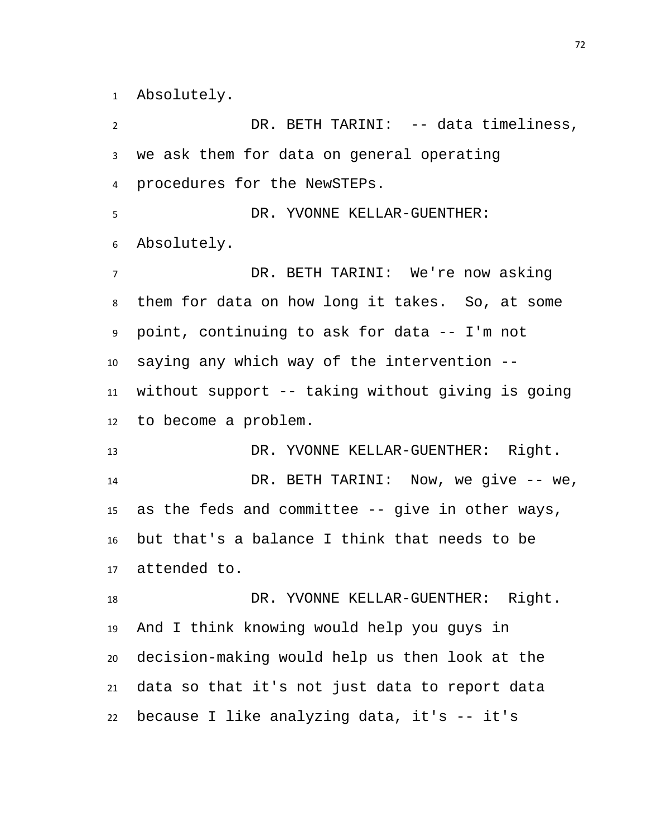Absolutely.

 DR. BETH TARINI: -- data timeliness, we ask them for data on general operating procedures for the NewSTEPs. DR. YVONNE KELLAR-GUENTHER: Absolutely. DR. BETH TARINI: We're now asking them for data on how long it takes. So, at some point, continuing to ask for data -- I'm not saying any which way of the intervention -- without support -- taking without giving is going to become a problem. DR. YVONNE KELLAR-GUENTHER: Right. DR. BETH TARINI: Now, we give -- we, as the feds and committee -- give in other ways, but that's a balance I think that needs to be attended to. 18 DR. YVONNE KELLAR-GUENTHER: Right. And I think knowing would help you guys in decision-making would help us then look at the data so that it's not just data to report data because I like analyzing data, it's -- it's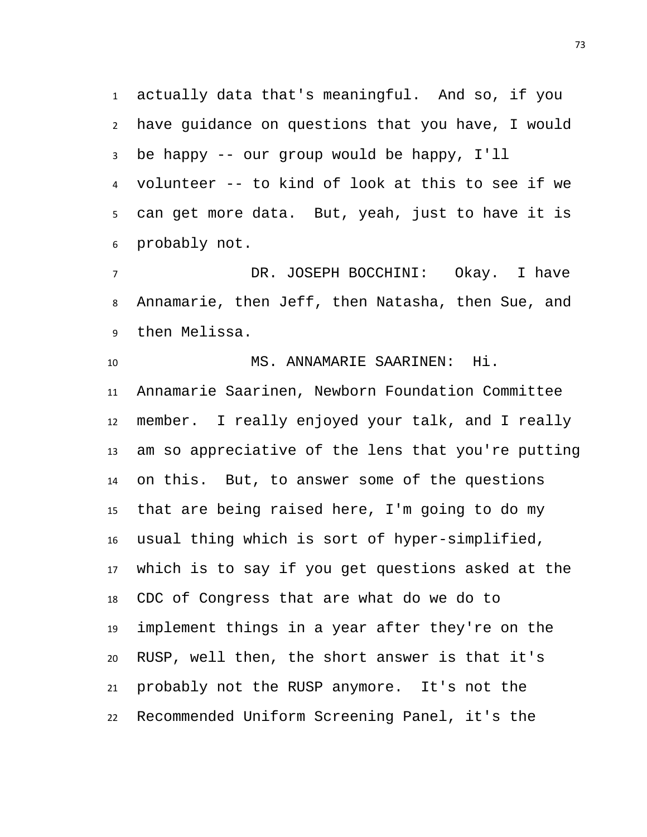actually data that's meaningful. And so, if you have guidance on questions that you have, I would be happy -- our group would be happy, I'll volunteer -- to kind of look at this to see if we can get more data. But, yeah, just to have it is probably not.

 DR. JOSEPH BOCCHINI: Okay. I have Annamarie, then Jeff, then Natasha, then Sue, and then Melissa.

MS. ANNAMARIE SAARINEN: Hi.

 Annamarie Saarinen, Newborn Foundation Committee member. I really enjoyed your talk, and I really am so appreciative of the lens that you're putting on this. But, to answer some of the questions that are being raised here, I'm going to do my usual thing which is sort of hyper-simplified, which is to say if you get questions asked at the CDC of Congress that are what do we do to implement things in a year after they're on the RUSP, well then, the short answer is that it's probably not the RUSP anymore. It's not the Recommended Uniform Screening Panel, it's the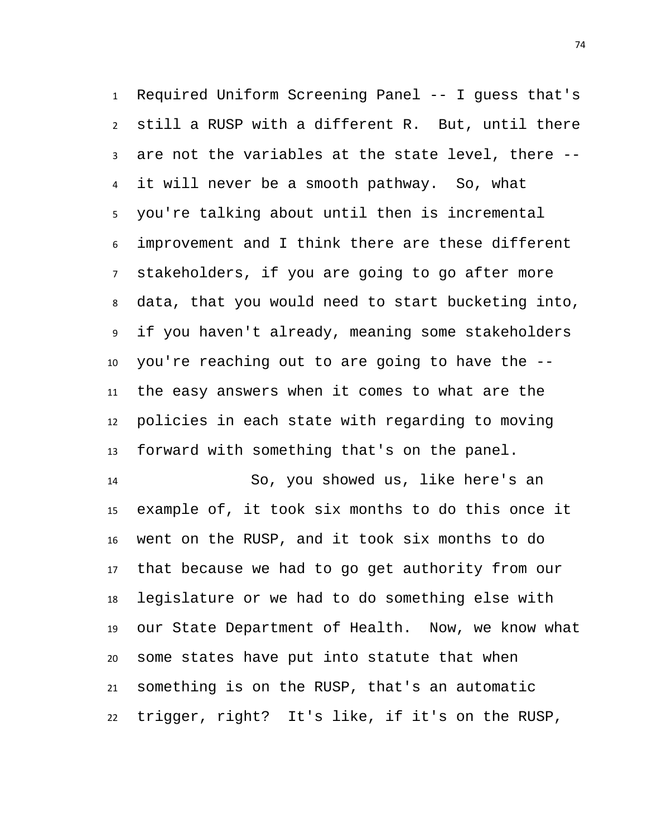Required Uniform Screening Panel -- I guess that's still a RUSP with a different R. But, until there are not the variables at the state level, there -- it will never be a smooth pathway. So, what you're talking about until then is incremental improvement and I think there are these different stakeholders, if you are going to go after more data, that you would need to start bucketing into, if you haven't already, meaning some stakeholders you're reaching out to are going to have the -- the easy answers when it comes to what are the policies in each state with regarding to moving forward with something that's on the panel.

 So, you showed us, like here's an example of, it took six months to do this once it went on the RUSP, and it took six months to do that because we had to go get authority from our legislature or we had to do something else with our State Department of Health. Now, we know what some states have put into statute that when something is on the RUSP, that's an automatic trigger, right? It's like, if it's on the RUSP,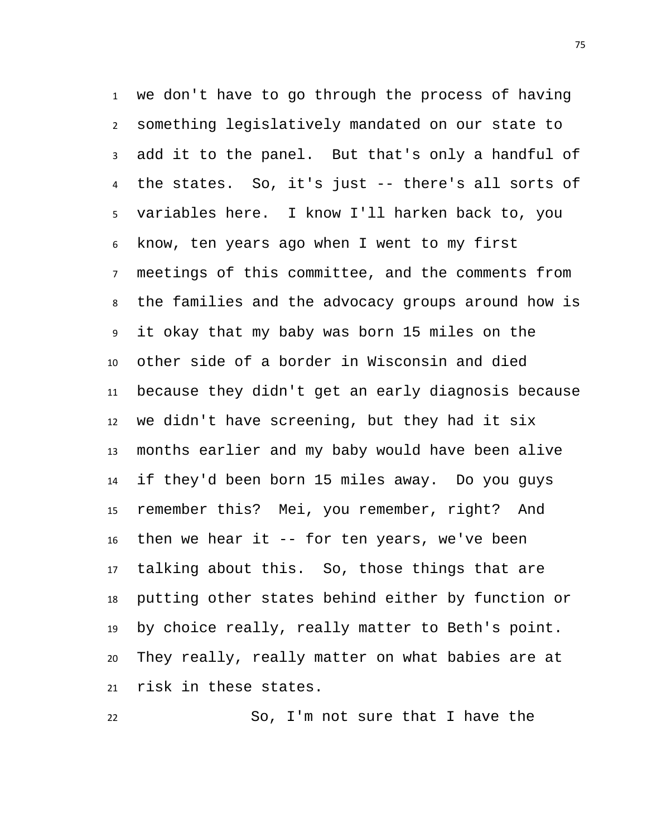we don't have to go through the process of having something legislatively mandated on our state to add it to the panel. But that's only a handful of the states. So, it's just -- there's all sorts of variables here. I know I'll harken back to, you know, ten years ago when I went to my first meetings of this committee, and the comments from the families and the advocacy groups around how is it okay that my baby was born 15 miles on the other side of a border in Wisconsin and died because they didn't get an early diagnosis because we didn't have screening, but they had it six months earlier and my baby would have been alive if they'd been born 15 miles away. Do you guys remember this? Mei, you remember, right? And then we hear it -- for ten years, we've been talking about this. So, those things that are putting other states behind either by function or by choice really, really matter to Beth's point. They really, really matter on what babies are at risk in these states.

So, I'm not sure that I have the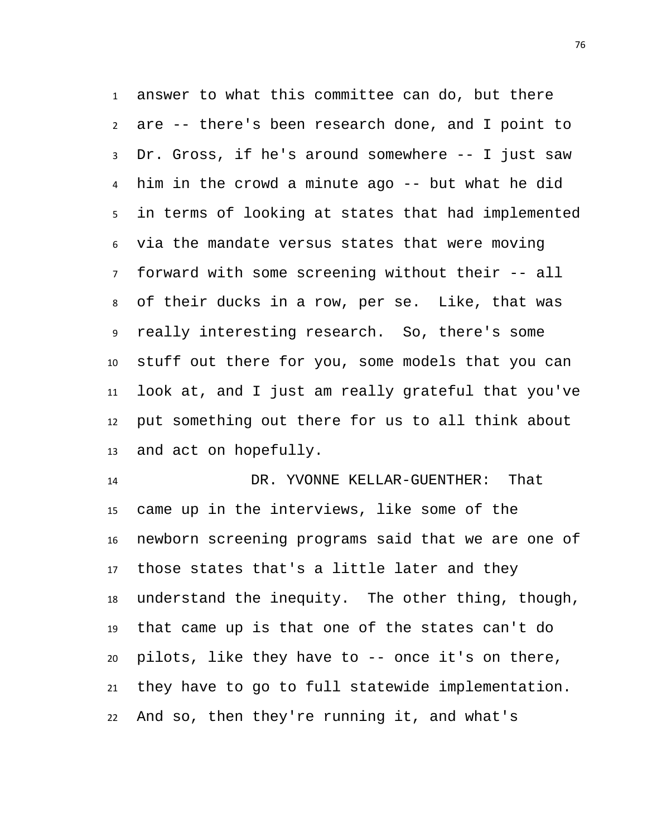answer to what this committee can do, but there are -- there's been research done, and I point to Dr. Gross, if he's around somewhere -- I just saw him in the crowd a minute ago -- but what he did in terms of looking at states that had implemented via the mandate versus states that were moving forward with some screening without their -- all of their ducks in a row, per se. Like, that was really interesting research. So, there's some stuff out there for you, some models that you can look at, and I just am really grateful that you've put something out there for us to all think about and act on hopefully.

 DR. YVONNE KELLAR-GUENTHER: That came up in the interviews, like some of the newborn screening programs said that we are one of those states that's a little later and they understand the inequity. The other thing, though, that came up is that one of the states can't do pilots, like they have to -- once it's on there, they have to go to full statewide implementation. And so, then they're running it, and what's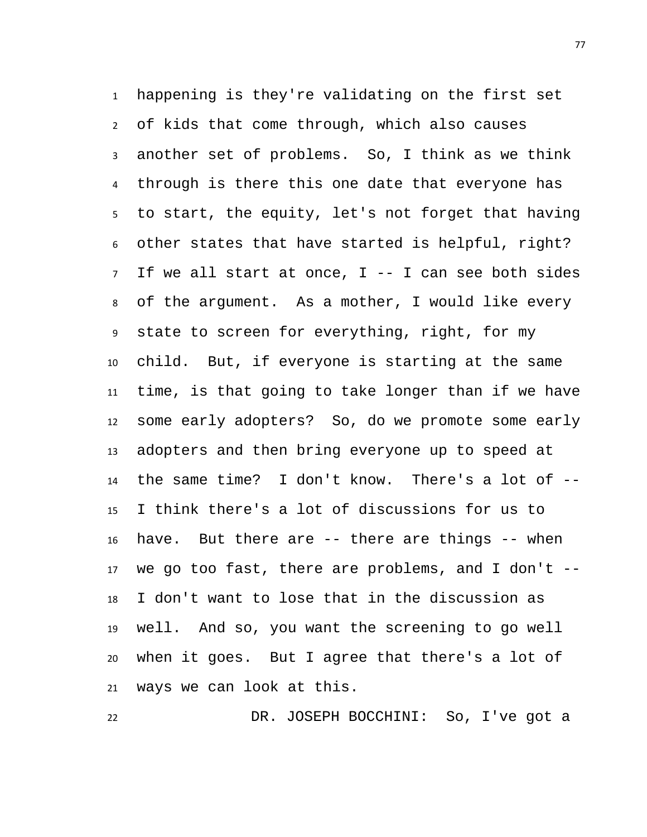happening is they're validating on the first set of kids that come through, which also causes another set of problems. So, I think as we think through is there this one date that everyone has to start, the equity, let's not forget that having other states that have started is helpful, right? If we all start at once, I -- I can see both sides of the argument. As a mother, I would like every state to screen for everything, right, for my child. But, if everyone is starting at the same time, is that going to take longer than if we have some early adopters? So, do we promote some early adopters and then bring everyone up to speed at the same time? I don't know. There's a lot of -- I think there's a lot of discussions for us to have. But there are -- there are things -- when we go too fast, there are problems, and I don't -- I don't want to lose that in the discussion as well. And so, you want the screening to go well when it goes. But I agree that there's a lot of ways we can look at this.

DR. JOSEPH BOCCHINI: So, I've got a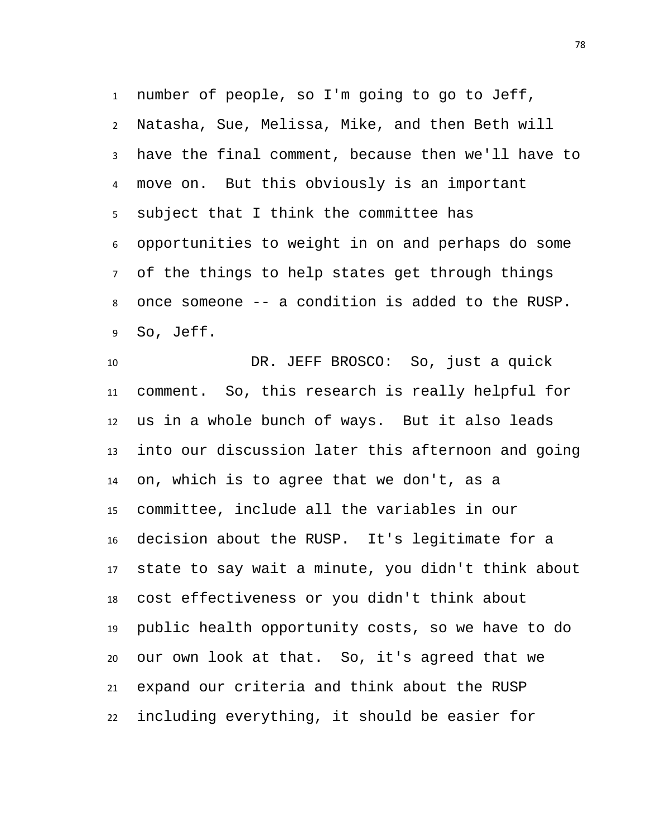number of people, so I'm going to go to Jeff, Natasha, Sue, Melissa, Mike, and then Beth will have the final comment, because then we'll have to move on. But this obviously is an important subject that I think the committee has opportunities to weight in on and perhaps do some of the things to help states get through things once someone -- a condition is added to the RUSP. So, Jeff.

 DR. JEFF BROSCO: So, just a quick comment. So, this research is really helpful for us in a whole bunch of ways. But it also leads into our discussion later this afternoon and going on, which is to agree that we don't, as a committee, include all the variables in our decision about the RUSP. It's legitimate for a state to say wait a minute, you didn't think about cost effectiveness or you didn't think about public health opportunity costs, so we have to do our own look at that. So, it's agreed that we expand our criteria and think about the RUSP including everything, it should be easier for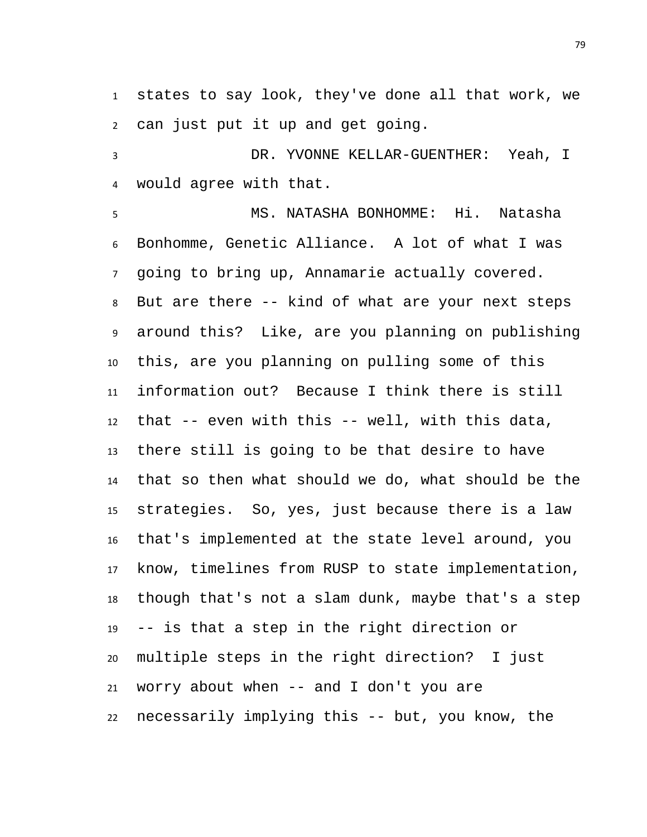states to say look, they've done all that work, we can just put it up and get going.

 DR. YVONNE KELLAR-GUENTHER: Yeah, I would agree with that.

 MS. NATASHA BONHOMME: Hi. Natasha Bonhomme, Genetic Alliance. A lot of what I was going to bring up, Annamarie actually covered. But are there -- kind of what are your next steps around this? Like, are you planning on publishing this, are you planning on pulling some of this information out? Because I think there is still that -- even with this -- well, with this data, there still is going to be that desire to have that so then what should we do, what should be the strategies. So, yes, just because there is a law that's implemented at the state level around, you know, timelines from RUSP to state implementation, though that's not a slam dunk, maybe that's a step -- is that a step in the right direction or multiple steps in the right direction? I just worry about when -- and I don't you are necessarily implying this -- but, you know, the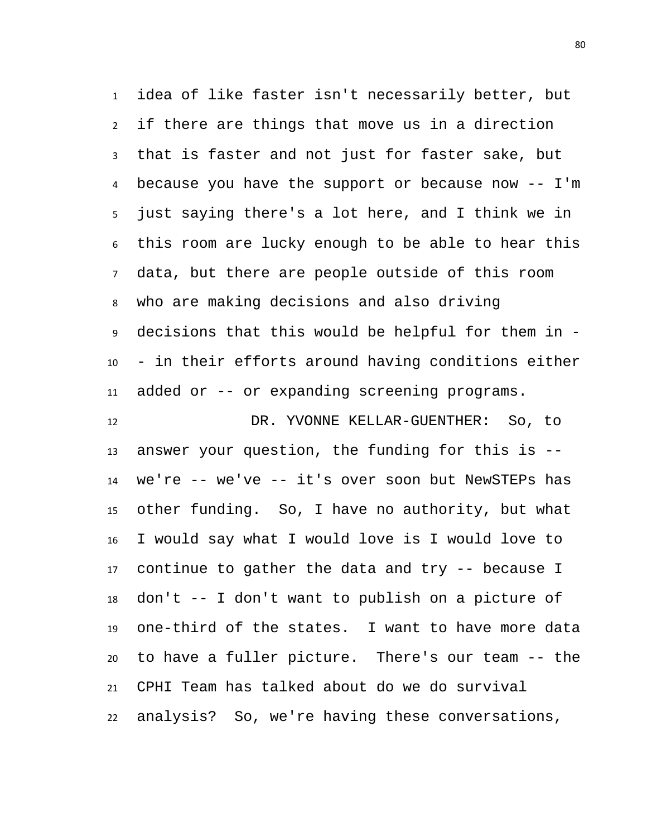idea of like faster isn't necessarily better, but if there are things that move us in a direction that is faster and not just for faster sake, but because you have the support or because now -- I'm just saying there's a lot here, and I think we in this room are lucky enough to be able to hear this data, but there are people outside of this room who are making decisions and also driving decisions that this would be helpful for them in - - in their efforts around having conditions either added or -- or expanding screening programs.

 DR. YVONNE KELLAR-GUENTHER: So, to answer your question, the funding for this is -- we're -- we've -- it's over soon but NewSTEPs has other funding. So, I have no authority, but what I would say what I would love is I would love to continue to gather the data and try -- because I don't -- I don't want to publish on a picture of one-third of the states. I want to have more data to have a fuller picture. There's our team -- the CPHI Team has talked about do we do survival analysis? So, we're having these conversations,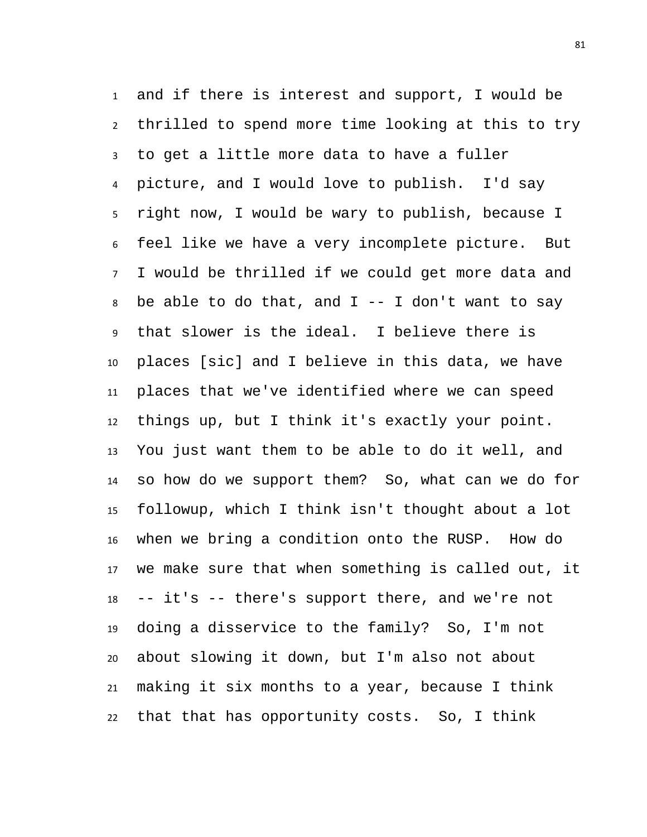and if there is interest and support, I would be thrilled to spend more time looking at this to try to get a little more data to have a fuller picture, and I would love to publish. I'd say right now, I would be wary to publish, because I feel like we have a very incomplete picture. But I would be thrilled if we could get more data and 8 be able to do that, and  $I$  -- I don't want to say that slower is the ideal. I believe there is places [sic] and I believe in this data, we have places that we've identified where we can speed things up, but I think it's exactly your point. You just want them to be able to do it well, and so how do we support them? So, what can we do for followup, which I think isn't thought about a lot when we bring a condition onto the RUSP. How do we make sure that when something is called out, it -- it's -- there's support there, and we're not doing a disservice to the family? So, I'm not about slowing it down, but I'm also not about making it six months to a year, because I think that that has opportunity costs. So, I think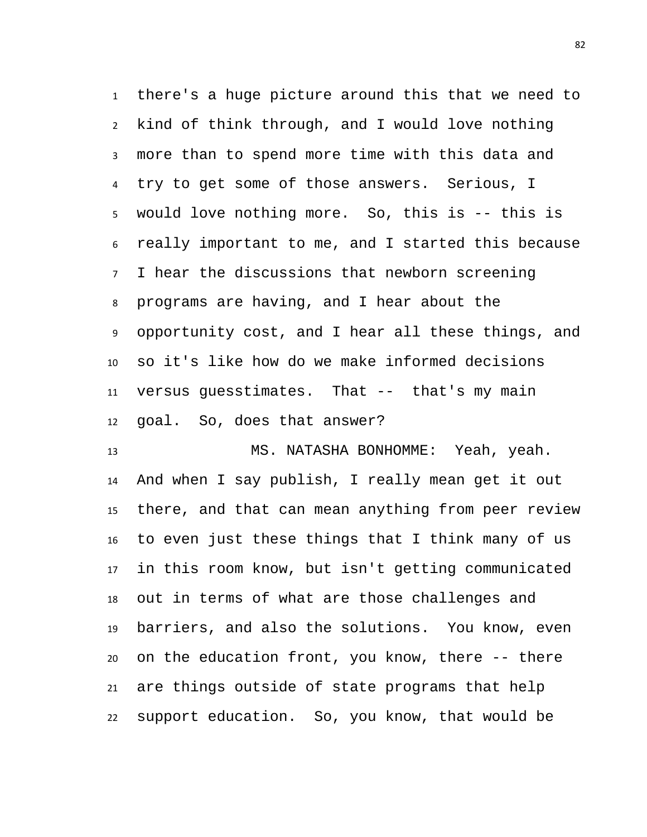there's a huge picture around this that we need to kind of think through, and I would love nothing more than to spend more time with this data and try to get some of those answers. Serious, I would love nothing more. So, this is -- this is really important to me, and I started this because I hear the discussions that newborn screening programs are having, and I hear about the opportunity cost, and I hear all these things, and so it's like how do we make informed decisions versus guesstimates. That -- that's my main goal. So, does that answer?

 MS. NATASHA BONHOMME: Yeah, yeah. And when I say publish, I really mean get it out there, and that can mean anything from peer review to even just these things that I think many of us in this room know, but isn't getting communicated out in terms of what are those challenges and barriers, and also the solutions. You know, even on the education front, you know, there -- there are things outside of state programs that help support education. So, you know, that would be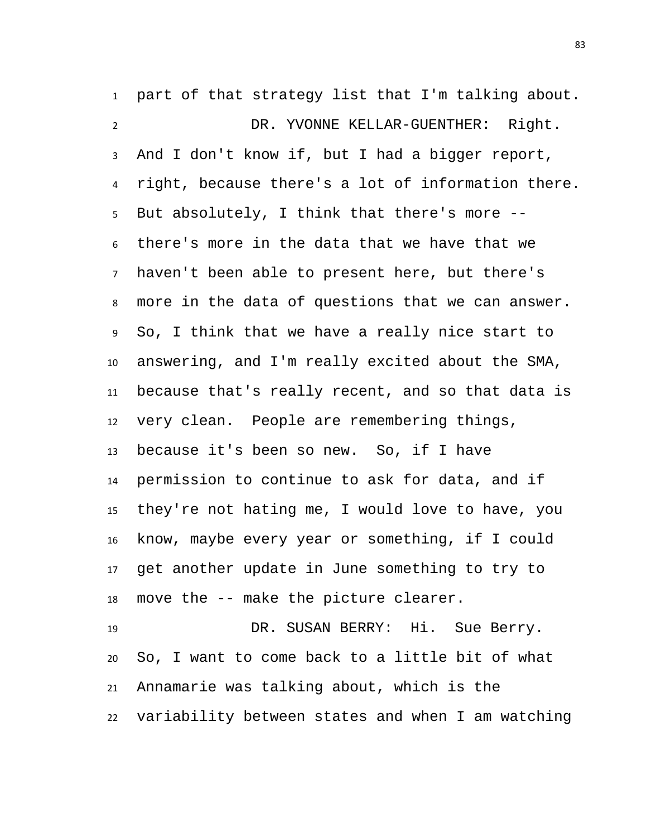part of that strategy list that I'm talking about. DR. YVONNE KELLAR-GUENTHER: Right. And I don't know if, but I had a bigger report, right, because there's a lot of information there. But absolutely, I think that there's more -- there's more in the data that we have that we haven't been able to present here, but there's more in the data of questions that we can answer. So, I think that we have a really nice start to answering, and I'm really excited about the SMA, because that's really recent, and so that data is very clean. People are remembering things, because it's been so new. So, if I have permission to continue to ask for data, and if they're not hating me, I would love to have, you know, maybe every year or something, if I could get another update in June something to try to move the -- make the picture clearer. DR. SUSAN BERRY: Hi. Sue Berry. So, I want to come back to a little bit of what

variability between states and when I am watching

Annamarie was talking about, which is the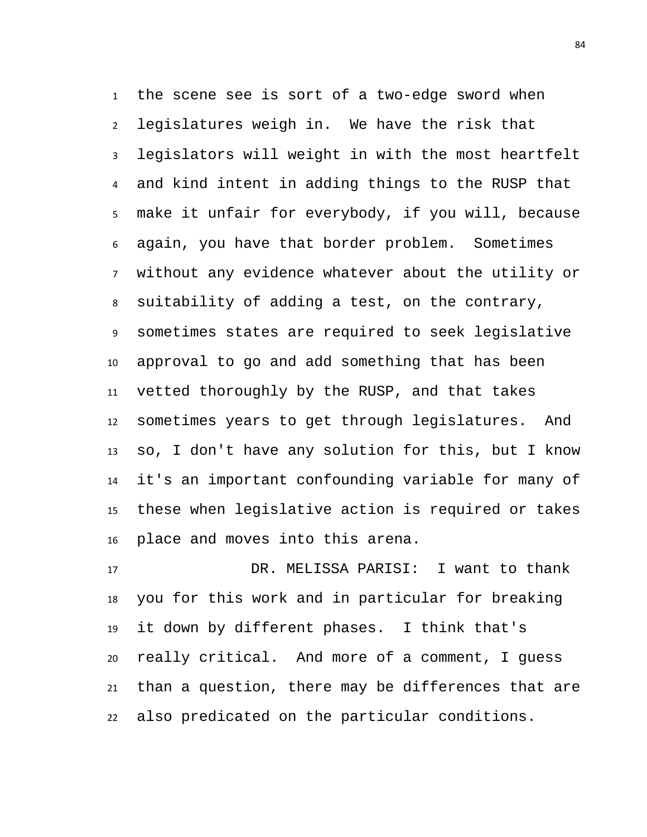the scene see is sort of a two-edge sword when legislatures weigh in. We have the risk that legislators will weight in with the most heartfelt and kind intent in adding things to the RUSP that make it unfair for everybody, if you will, because again, you have that border problem. Sometimes without any evidence whatever about the utility or suitability of adding a test, on the contrary, sometimes states are required to seek legislative approval to go and add something that has been vetted thoroughly by the RUSP, and that takes sometimes years to get through legislatures. And so, I don't have any solution for this, but I know it's an important confounding variable for many of these when legislative action is required or takes place and moves into this arena.

 DR. MELISSA PARISI: I want to thank you for this work and in particular for breaking it down by different phases. I think that's really critical. And more of a comment, I guess than a question, there may be differences that are also predicated on the particular conditions.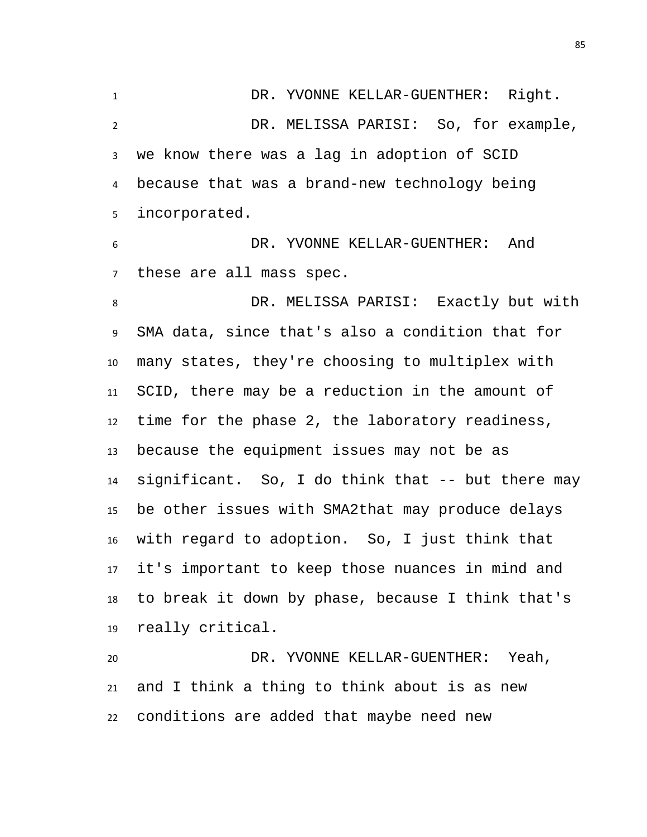DR. YVONNE KELLAR-GUENTHER: Right. DR. MELISSA PARISI: So, for example, we know there was a lag in adoption of SCID because that was a brand-new technology being incorporated. DR. YVONNE KELLAR-GUENTHER: And these are all mass spec. DR. MELISSA PARISI: Exactly but with SMA data, since that's also a condition that for many states, they're choosing to multiplex with SCID, there may be a reduction in the amount of time for the phase 2, the laboratory readiness, because the equipment issues may not be as significant. So, I do think that -- but there may be other issues with SMA2that may produce delays with regard to adoption. So, I just think that it's important to keep those nuances in mind and to break it down by phase, because I think that's

 DR. YVONNE KELLAR-GUENTHER: Yeah, and I think a thing to think about is as new conditions are added that maybe need new

really critical.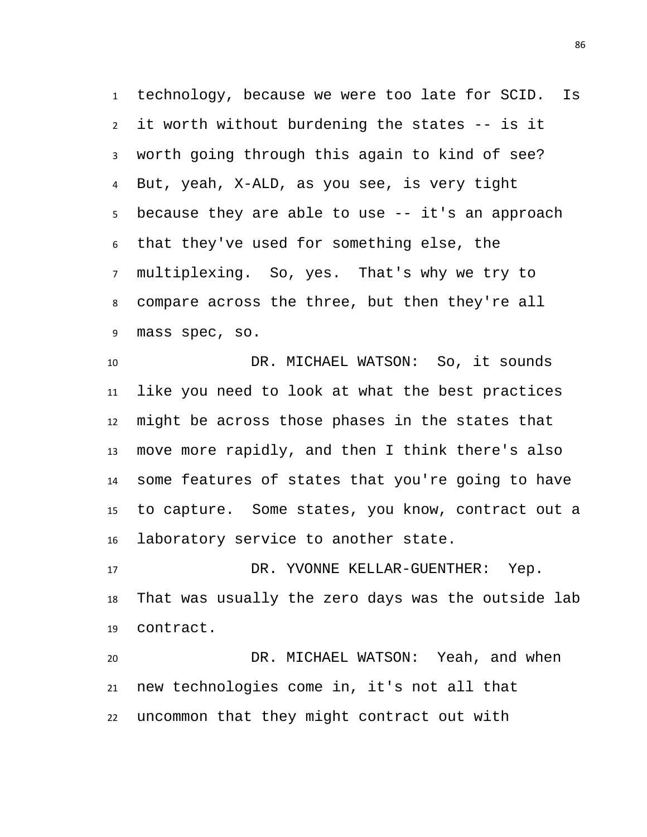technology, because we were too late for SCID. Is it worth without burdening the states -- is it worth going through this again to kind of see? But, yeah, X-ALD, as you see, is very tight because they are able to use -- it's an approach that they've used for something else, the multiplexing. So, yes. That's why we try to compare across the three, but then they're all mass spec, so.

 DR. MICHAEL WATSON: So, it sounds like you need to look at what the best practices might be across those phases in the states that move more rapidly, and then I think there's also some features of states that you're going to have to capture. Some states, you know, contract out a laboratory service to another state.

17 DR. YVONNE KELLAR-GUENTHER: Yep. That was usually the zero days was the outside lab contract.

 DR. MICHAEL WATSON: Yeah, and when new technologies come in, it's not all that uncommon that they might contract out with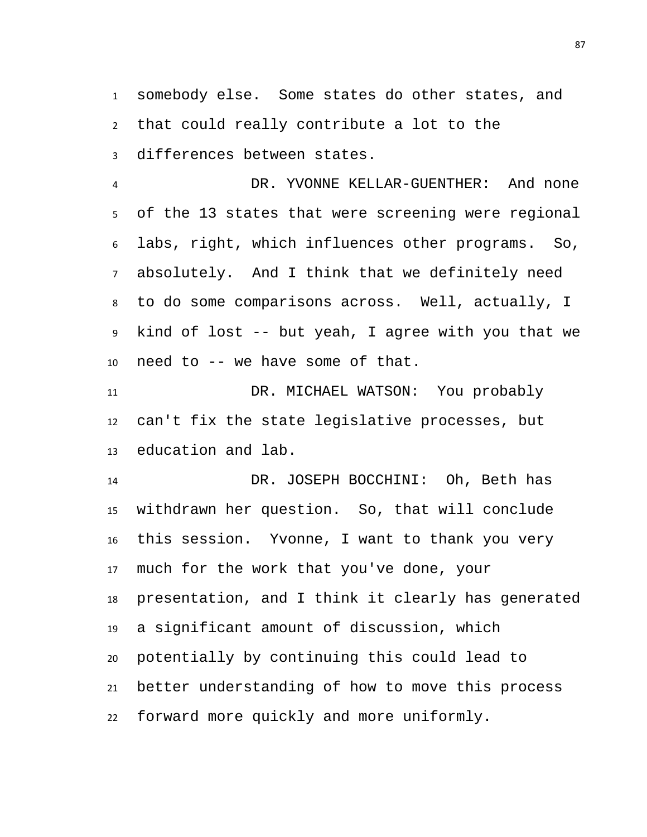somebody else. Some states do other states, and that could really contribute a lot to the differences between states.

 DR. YVONNE KELLAR-GUENTHER: And none of the 13 states that were screening were regional labs, right, which influences other programs. So, absolutely. And I think that we definitely need to do some comparisons across. Well, actually, I kind of lost -- but yeah, I agree with you that we need to -- we have some of that.

 DR. MICHAEL WATSON: You probably can't fix the state legislative processes, but education and lab.

 DR. JOSEPH BOCCHINI: Oh, Beth has withdrawn her question. So, that will conclude this session. Yvonne, I want to thank you very much for the work that you've done, your presentation, and I think it clearly has generated a significant amount of discussion, which potentially by continuing this could lead to better understanding of how to move this process forward more quickly and more uniformly.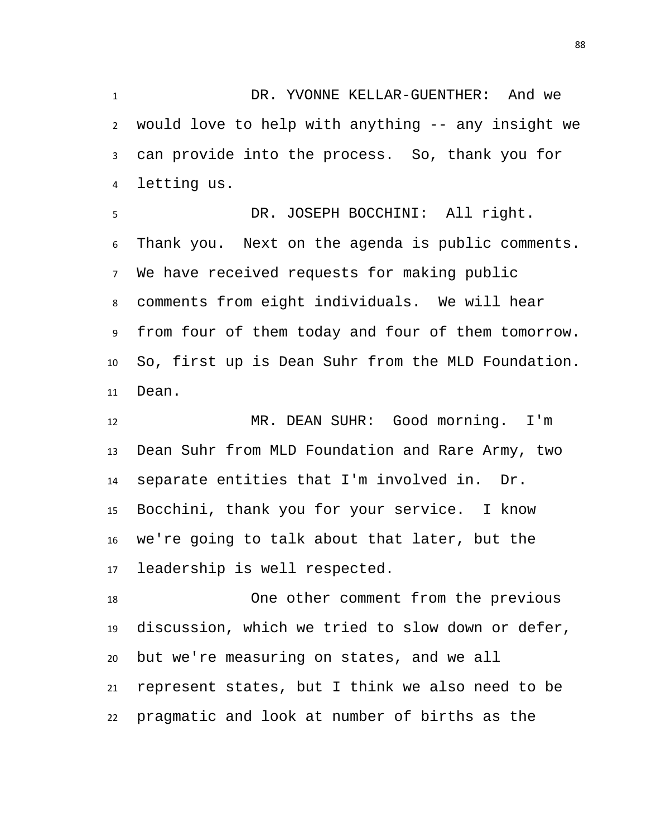DR. YVONNE KELLAR-GUENTHER: And we would love to help with anything -- any insight we can provide into the process. So, thank you for letting us.

 DR. JOSEPH BOCCHINI: All right. Thank you. Next on the agenda is public comments. We have received requests for making public comments from eight individuals. We will hear from four of them today and four of them tomorrow. So, first up is Dean Suhr from the MLD Foundation. Dean.

 MR. DEAN SUHR: Good morning. I'm Dean Suhr from MLD Foundation and Rare Army, two separate entities that I'm involved in. Dr. Bocchini, thank you for your service. I know we're going to talk about that later, but the leadership is well respected.

 One other comment from the previous discussion, which we tried to slow down or defer, but we're measuring on states, and we all represent states, but I think we also need to be pragmatic and look at number of births as the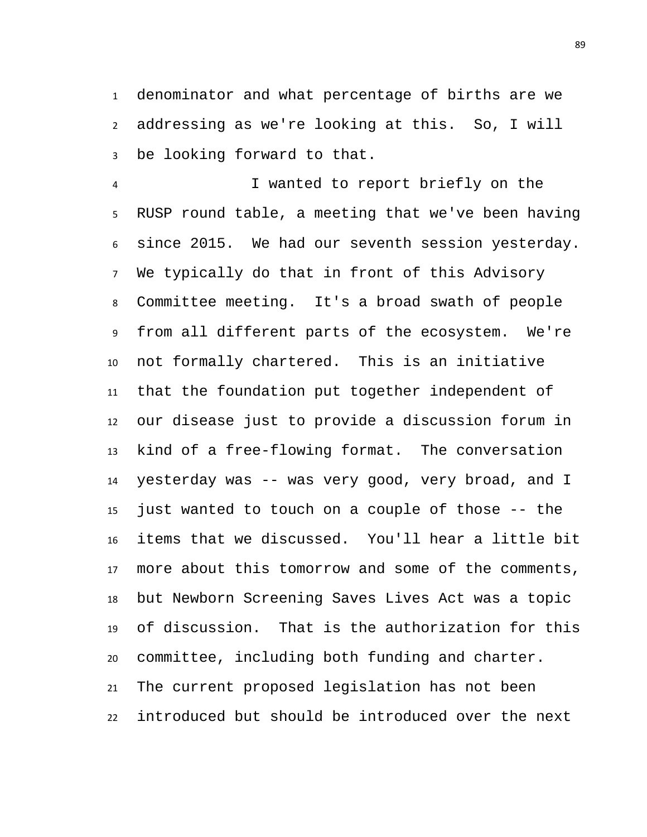denominator and what percentage of births are we addressing as we're looking at this. So, I will be looking forward to that.

 I wanted to report briefly on the RUSP round table, a meeting that we've been having since 2015. We had our seventh session yesterday. We typically do that in front of this Advisory Committee meeting. It's a broad swath of people from all different parts of the ecosystem. We're not formally chartered. This is an initiative that the foundation put together independent of our disease just to provide a discussion forum in kind of a free-flowing format. The conversation yesterday was -- was very good, very broad, and I just wanted to touch on a couple of those -- the items that we discussed. You'll hear a little bit more about this tomorrow and some of the comments, but Newborn Screening Saves Lives Act was a topic of discussion. That is the authorization for this committee, including both funding and charter. The current proposed legislation has not been introduced but should be introduced over the next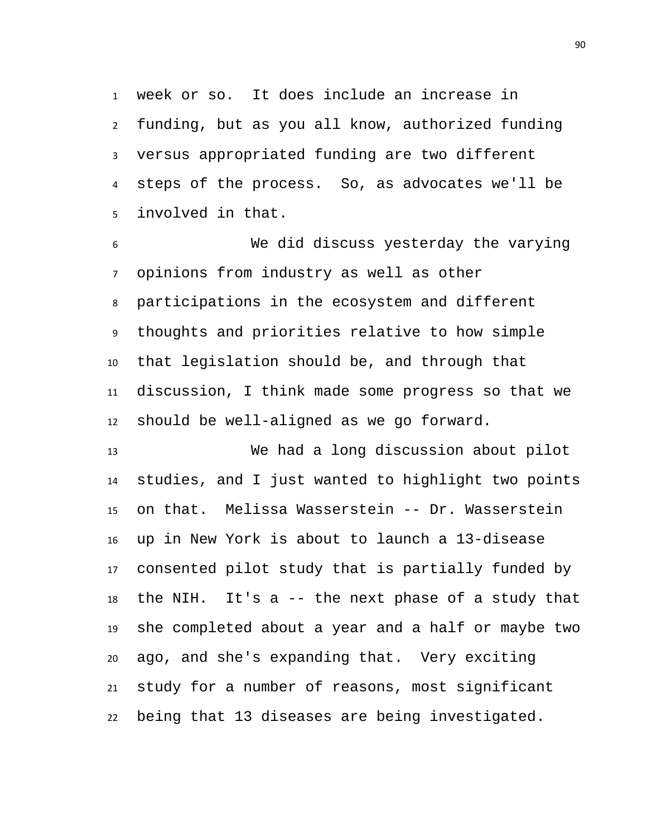week or so. It does include an increase in funding, but as you all know, authorized funding versus appropriated funding are two different steps of the process. So, as advocates we'll be involved in that.

 We did discuss yesterday the varying opinions from industry as well as other participations in the ecosystem and different thoughts and priorities relative to how simple that legislation should be, and through that discussion, I think made some progress so that we should be well-aligned as we go forward.

 We had a long discussion about pilot studies, and I just wanted to highlight two points on that. Melissa Wasserstein -- Dr. Wasserstein up in New York is about to launch a 13-disease consented pilot study that is partially funded by the NIH. It's a -- the next phase of a study that she completed about a year and a half or maybe two ago, and she's expanding that. Very exciting study for a number of reasons, most significant being that 13 diseases are being investigated.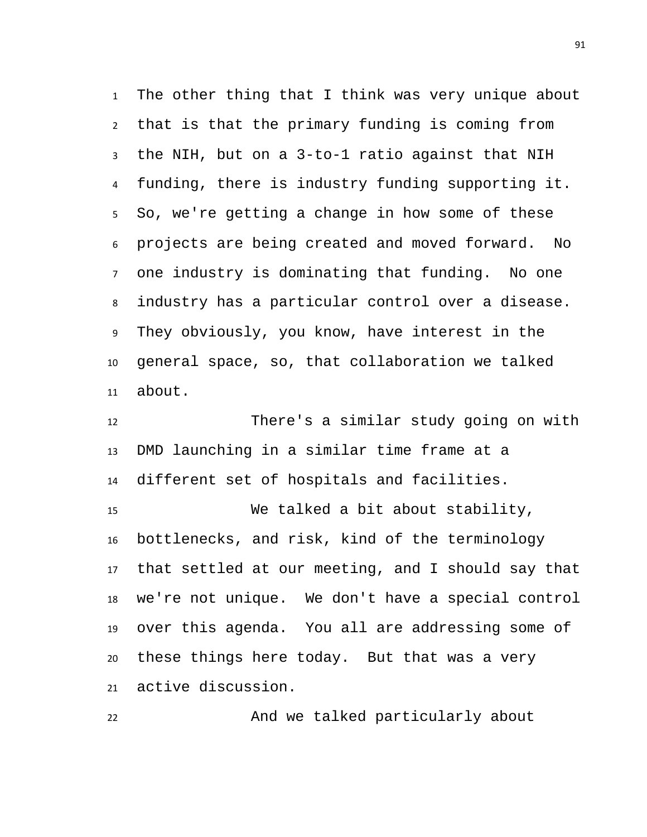The other thing that I think was very unique about that is that the primary funding is coming from the NIH, but on a 3-to-1 ratio against that NIH funding, there is industry funding supporting it. So, we're getting a change in how some of these projects are being created and moved forward. No one industry is dominating that funding. No one industry has a particular control over a disease. They obviously, you know, have interest in the general space, so, that collaboration we talked about.

 There's a similar study going on with DMD launching in a similar time frame at a different set of hospitals and facilities. We talked a bit about stability, bottlenecks, and risk, kind of the terminology that settled at our meeting, and I should say that we're not unique. We don't have a special control

 over this agenda. You all are addressing some of these things here today. But that was a very active discussion.

And we talked particularly about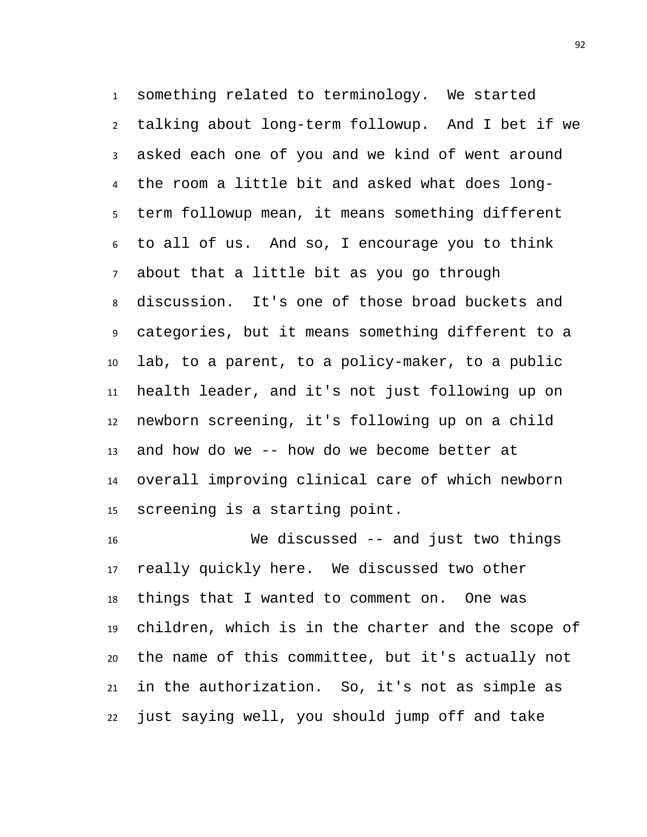something related to terminology. We started talking about long-term followup. And I bet if we asked each one of you and we kind of went around the room a little bit and asked what does long- term followup mean, it means something different to all of us. And so, I encourage you to think about that a little bit as you go through discussion. It's one of those broad buckets and categories, but it means something different to a lab, to a parent, to a policy-maker, to a public health leader, and it's not just following up on newborn screening, it's following up on a child and how do we -- how do we become better at overall improving clinical care of which newborn screening is a starting point.

 We discussed -- and just two things really quickly here. We discussed two other things that I wanted to comment on. One was children, which is in the charter and the scope of the name of this committee, but it's actually not in the authorization. So, it's not as simple as just saying well, you should jump off and take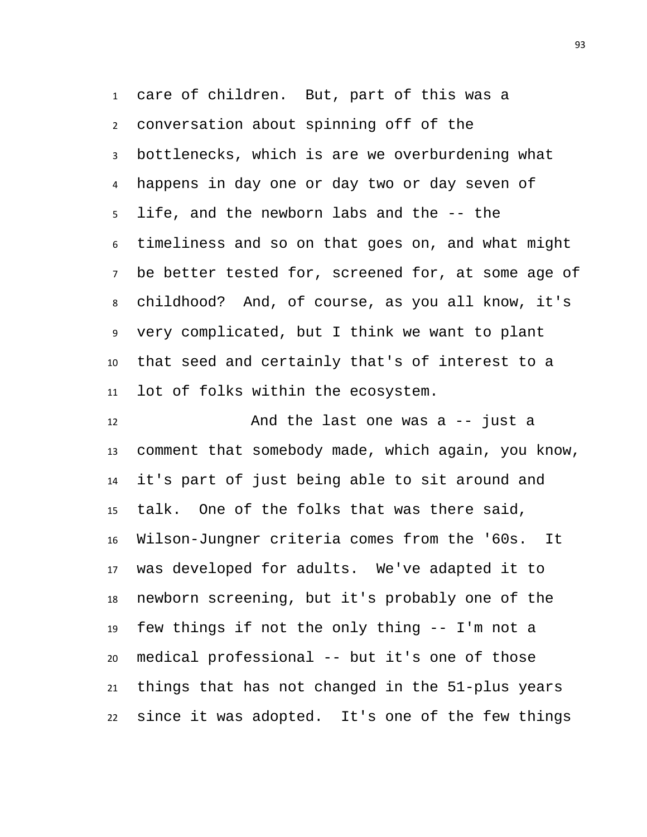care of children. But, part of this was a conversation about spinning off of the bottlenecks, which is are we overburdening what happens in day one or day two or day seven of life, and the newborn labs and the -- the timeliness and so on that goes on, and what might be better tested for, screened for, at some age of childhood? And, of course, as you all know, it's very complicated, but I think we want to plant that seed and certainly that's of interest to a lot of folks within the ecosystem.

 And the last one was a -- just a comment that somebody made, which again, you know, it's part of just being able to sit around and talk. One of the folks that was there said, Wilson-Jungner criteria comes from the '60s. It was developed for adults. We've adapted it to newborn screening, but it's probably one of the few things if not the only thing -- I'm not a medical professional -- but it's one of those things that has not changed in the 51-plus years since it was adopted. It's one of the few things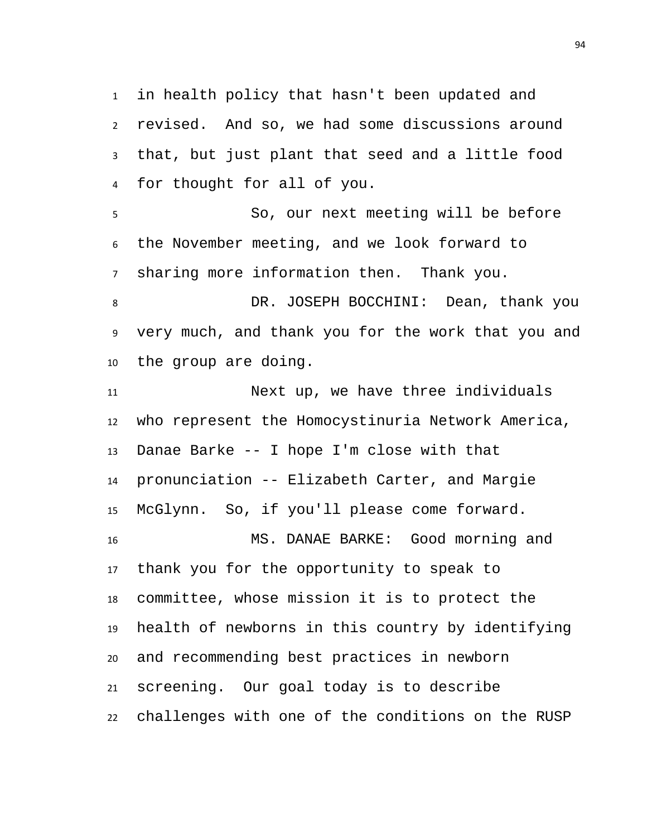in health policy that hasn't been updated and revised. And so, we had some discussions around that, but just plant that seed and a little food for thought for all of you.

 So, our next meeting will be before the November meeting, and we look forward to sharing more information then. Thank you.

 DR. JOSEPH BOCCHINI: Dean, thank you very much, and thank you for the work that you and the group are doing.

 Next up, we have three individuals who represent the Homocystinuria Network America, Danae Barke -- I hope I'm close with that pronunciation -- Elizabeth Carter, and Margie McGlynn. So, if you'll please come forward. MS. DANAE BARKE: Good morning and thank you for the opportunity to speak to committee, whose mission it is to protect the health of newborns in this country by identifying and recommending best practices in newborn screening. Our goal today is to describe challenges with one of the conditions on the RUSP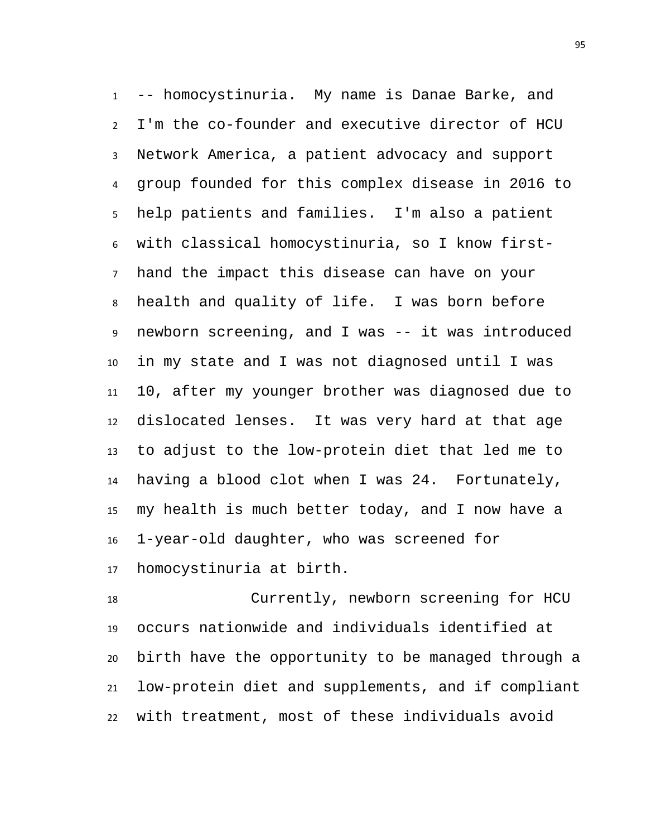-- homocystinuria. My name is Danae Barke, and I'm the co-founder and executive director of HCU Network America, a patient advocacy and support group founded for this complex disease in 2016 to help patients and families. I'm also a patient with classical homocystinuria, so I know first- hand the impact this disease can have on your health and quality of life. I was born before newborn screening, and I was -- it was introduced in my state and I was not diagnosed until I was 10, after my younger brother was diagnosed due to dislocated lenses. It was very hard at that age to adjust to the low-protein diet that led me to having a blood clot when I was 24. Fortunately, my health is much better today, and I now have a 1-year-old daughter, who was screened for homocystinuria at birth.

 Currently, newborn screening for HCU occurs nationwide and individuals identified at birth have the opportunity to be managed through a low-protein diet and supplements, and if compliant with treatment, most of these individuals avoid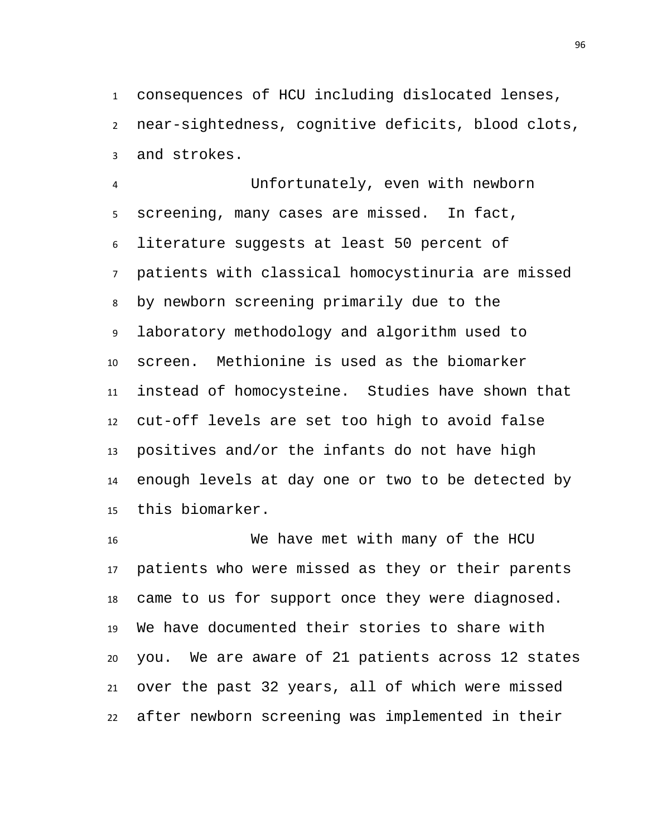consequences of HCU including dislocated lenses, near-sightedness, cognitive deficits, blood clots, and strokes.

 Unfortunately, even with newborn screening, many cases are missed. In fact, literature suggests at least 50 percent of patients with classical homocystinuria are missed by newborn screening primarily due to the laboratory methodology and algorithm used to screen. Methionine is used as the biomarker instead of homocysteine. Studies have shown that cut-off levels are set too high to avoid false positives and/or the infants do not have high enough levels at day one or two to be detected by this biomarker.

 We have met with many of the HCU patients who were missed as they or their parents came to us for support once they were diagnosed. We have documented their stories to share with you. We are aware of 21 patients across 12 states over the past 32 years, all of which were missed after newborn screening was implemented in their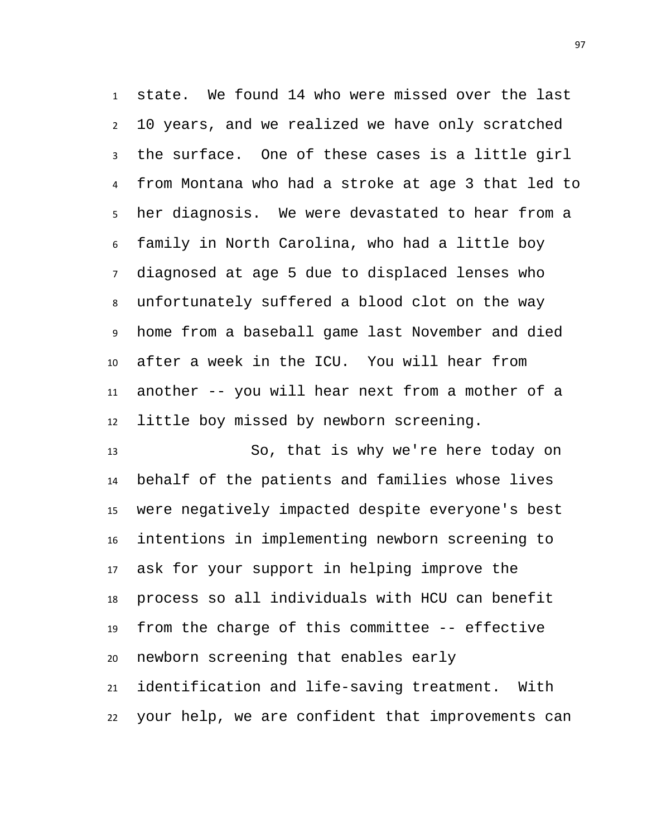state. We found 14 who were missed over the last 10 years, and we realized we have only scratched the surface. One of these cases is a little girl from Montana who had a stroke at age 3 that led to her diagnosis. We were devastated to hear from a family in North Carolina, who had a little boy diagnosed at age 5 due to displaced lenses who unfortunately suffered a blood clot on the way home from a baseball game last November and died after a week in the ICU. You will hear from another -- you will hear next from a mother of a little boy missed by newborn screening.

 So, that is why we're here today on behalf of the patients and families whose lives were negatively impacted despite everyone's best intentions in implementing newborn screening to ask for your support in helping improve the process so all individuals with HCU can benefit from the charge of this committee -- effective newborn screening that enables early identification and life-saving treatment. With your help, we are confident that improvements can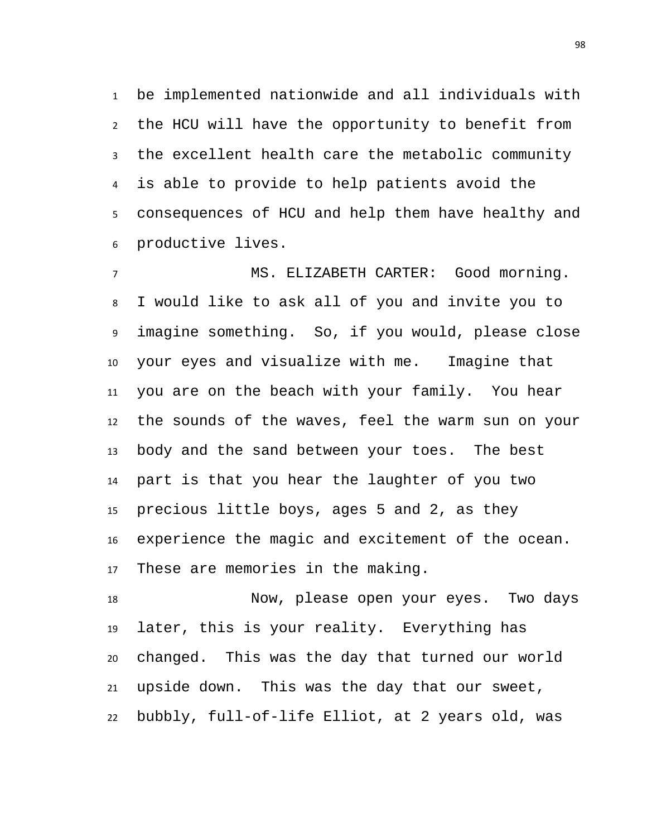be implemented nationwide and all individuals with the HCU will have the opportunity to benefit from the excellent health care the metabolic community is able to provide to help patients avoid the consequences of HCU and help them have healthy and productive lives.

 MS. ELIZABETH CARTER: Good morning. I would like to ask all of you and invite you to imagine something. So, if you would, please close your eyes and visualize with me. Imagine that you are on the beach with your family. You hear the sounds of the waves, feel the warm sun on your body and the sand between your toes. The best part is that you hear the laughter of you two precious little boys, ages 5 and 2, as they experience the magic and excitement of the ocean. These are memories in the making.

 Now, please open your eyes. Two days later, this is your reality. Everything has changed. This was the day that turned our world upside down. This was the day that our sweet, bubbly, full-of-life Elliot, at 2 years old, was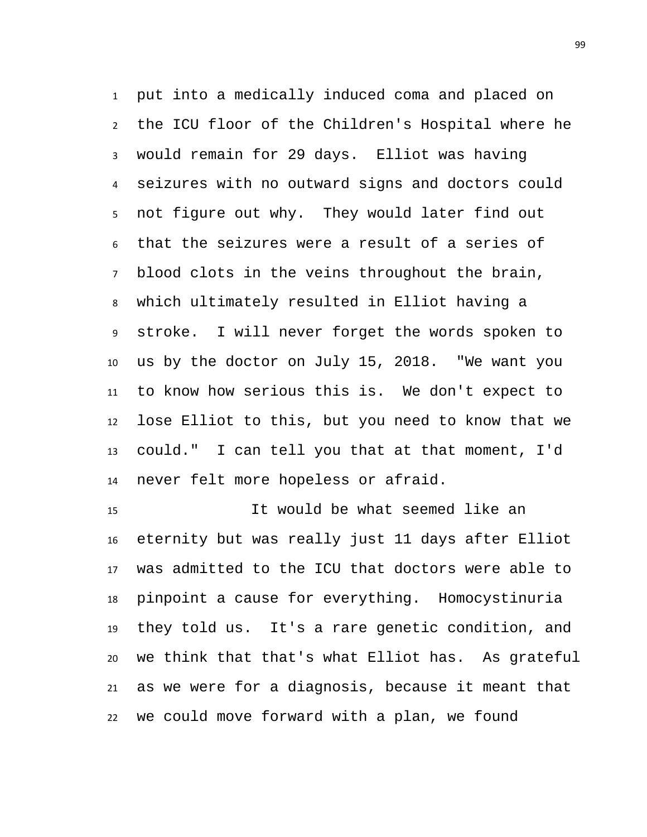put into a medically induced coma and placed on the ICU floor of the Children's Hospital where he would remain for 29 days. Elliot was having seizures with no outward signs and doctors could not figure out why. They would later find out that the seizures were a result of a series of blood clots in the veins throughout the brain, which ultimately resulted in Elliot having a stroke. I will never forget the words spoken to us by the doctor on July 15, 2018. "We want you to know how serious this is. We don't expect to lose Elliot to this, but you need to know that we could." I can tell you that at that moment, I'd never felt more hopeless or afraid.

 It would be what seemed like an eternity but was really just 11 days after Elliot was admitted to the ICU that doctors were able to pinpoint a cause for everything. Homocystinuria they told us. It's a rare genetic condition, and we think that that's what Elliot has. As grateful as we were for a diagnosis, because it meant that we could move forward with a plan, we found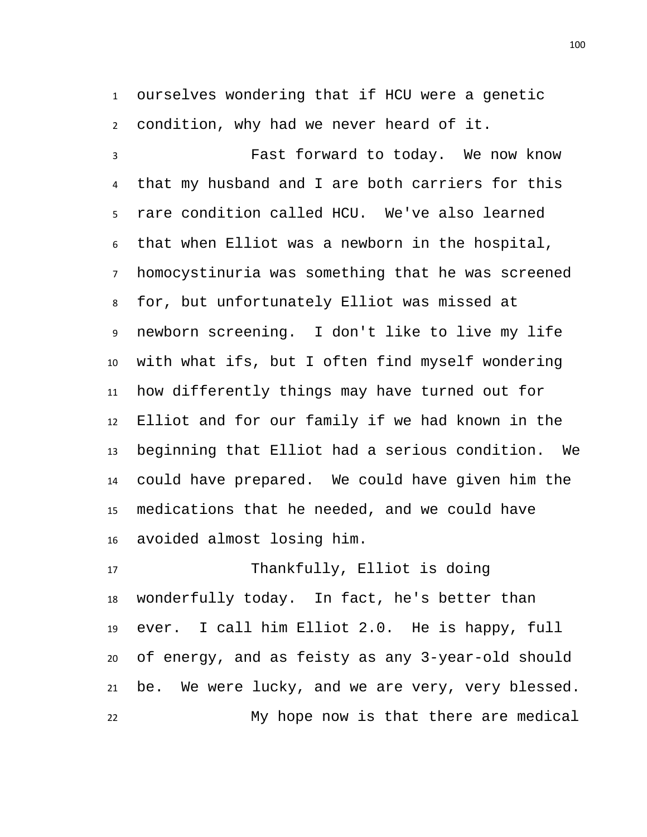ourselves wondering that if HCU were a genetic condition, why had we never heard of it.

 Fast forward to today. We now know that my husband and I are both carriers for this rare condition called HCU. We've also learned that when Elliot was a newborn in the hospital, homocystinuria was something that he was screened for, but unfortunately Elliot was missed at newborn screening. I don't like to live my life with what ifs, but I often find myself wondering how differently things may have turned out for Elliot and for our family if we had known in the beginning that Elliot had a serious condition. We could have prepared. We could have given him the medications that he needed, and we could have avoided almost losing him.

 Thankfully, Elliot is doing wonderfully today. In fact, he's better than ever. I call him Elliot 2.0. He is happy, full of energy, and as feisty as any 3-year-old should be. We were lucky, and we are very, very blessed. My hope now is that there are medical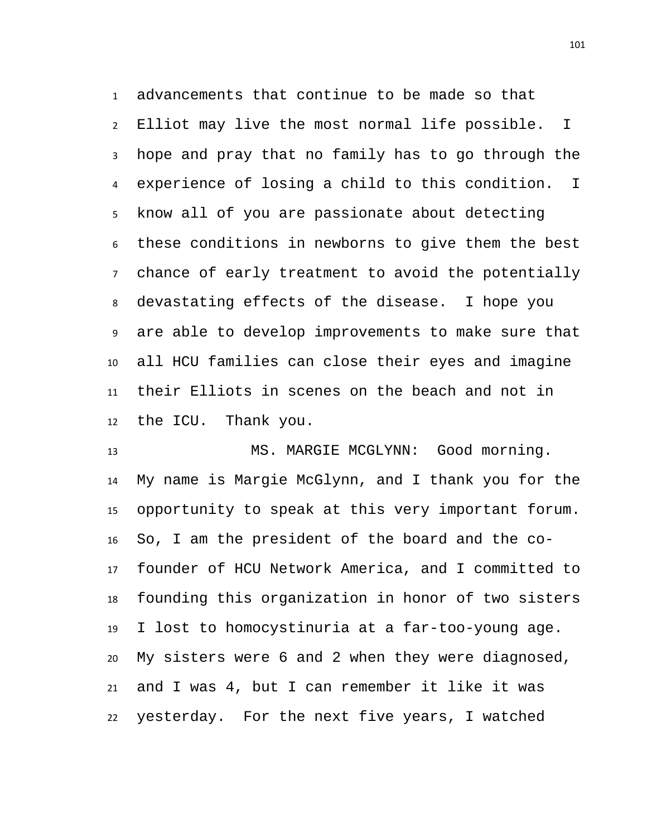advancements that continue to be made so that Elliot may live the most normal life possible. I hope and pray that no family has to go through the experience of losing a child to this condition. I know all of you are passionate about detecting these conditions in newborns to give them the best chance of early treatment to avoid the potentially devastating effects of the disease. I hope you are able to develop improvements to make sure that all HCU families can close their eyes and imagine their Elliots in scenes on the beach and not in the ICU. Thank you.

 MS. MARGIE MCGLYNN: Good morning. My name is Margie McGlynn, and I thank you for the opportunity to speak at this very important forum. So, I am the president of the board and the co- founder of HCU Network America, and I committed to founding this organization in honor of two sisters I lost to homocystinuria at a far-too-young age. My sisters were 6 and 2 when they were diagnosed, and I was 4, but I can remember it like it was yesterday. For the next five years, I watched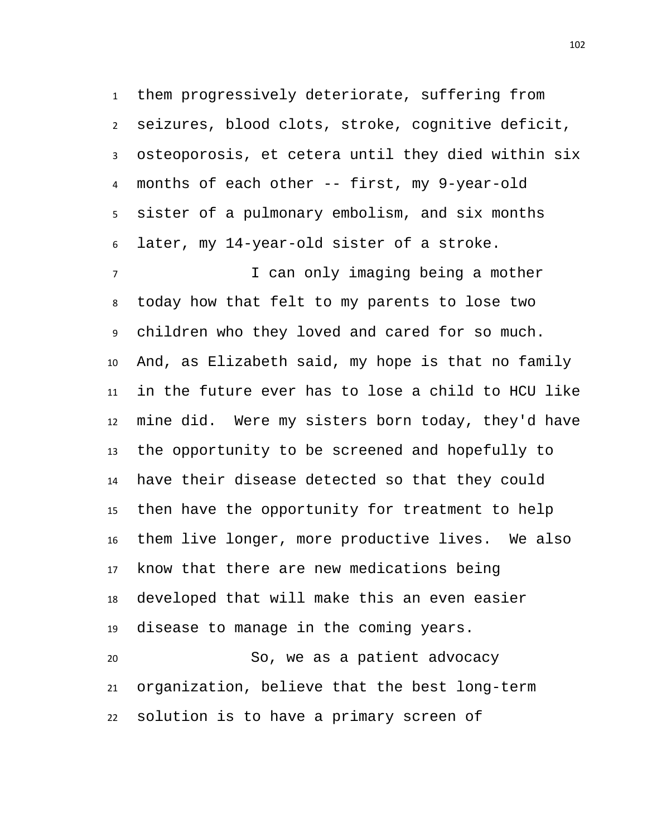them progressively deteriorate, suffering from seizures, blood clots, stroke, cognitive deficit, osteoporosis, et cetera until they died within six months of each other -- first, my 9-year-old sister of a pulmonary embolism, and six months later, my 14-year-old sister of a stroke.

7 T can only imaging being a mother today how that felt to my parents to lose two children who they loved and cared for so much. And, as Elizabeth said, my hope is that no family in the future ever has to lose a child to HCU like mine did. Were my sisters born today, they'd have the opportunity to be screened and hopefully to have their disease detected so that they could then have the opportunity for treatment to help them live longer, more productive lives. We also know that there are new medications being developed that will make this an even easier disease to manage in the coming years.

 So, we as a patient advocacy organization, believe that the best long-term solution is to have a primary screen of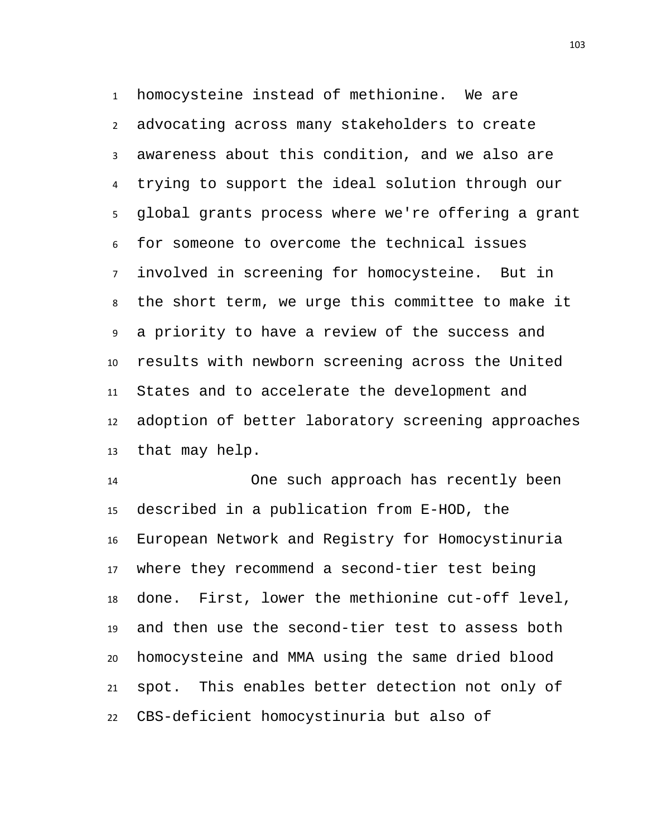homocysteine instead of methionine. We are advocating across many stakeholders to create awareness about this condition, and we also are trying to support the ideal solution through our global grants process where we're offering a grant for someone to overcome the technical issues involved in screening for homocysteine. But in the short term, we urge this committee to make it a priority to have a review of the success and results with newborn screening across the United States and to accelerate the development and adoption of better laboratory screening approaches that may help.

 One such approach has recently been described in a publication from E-HOD, the European Network and Registry for Homocystinuria where they recommend a second-tier test being done. First, lower the methionine cut-off level, and then use the second-tier test to assess both homocysteine and MMA using the same dried blood spot. This enables better detection not only of CBS-deficient homocystinuria but also of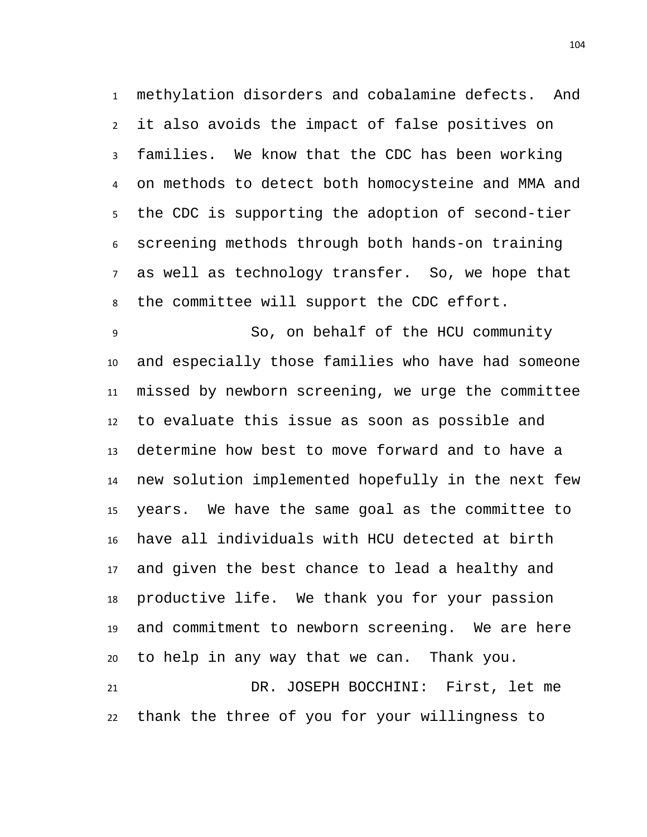methylation disorders and cobalamine defects. And it also avoids the impact of false positives on families. We know that the CDC has been working on methods to detect both homocysteine and MMA and the CDC is supporting the adoption of second-tier screening methods through both hands-on training as well as technology transfer. So, we hope that the committee will support the CDC effort.

 So, on behalf of the HCU community and especially those families who have had someone missed by newborn screening, we urge the committee to evaluate this issue as soon as possible and determine how best to move forward and to have a new solution implemented hopefully in the next few years. We have the same goal as the committee to have all individuals with HCU detected at birth and given the best chance to lead a healthy and productive life. We thank you for your passion and commitment to newborn screening. We are here to help in any way that we can. Thank you. DR. JOSEPH BOCCHINI: First, let me

thank the three of you for your willingness to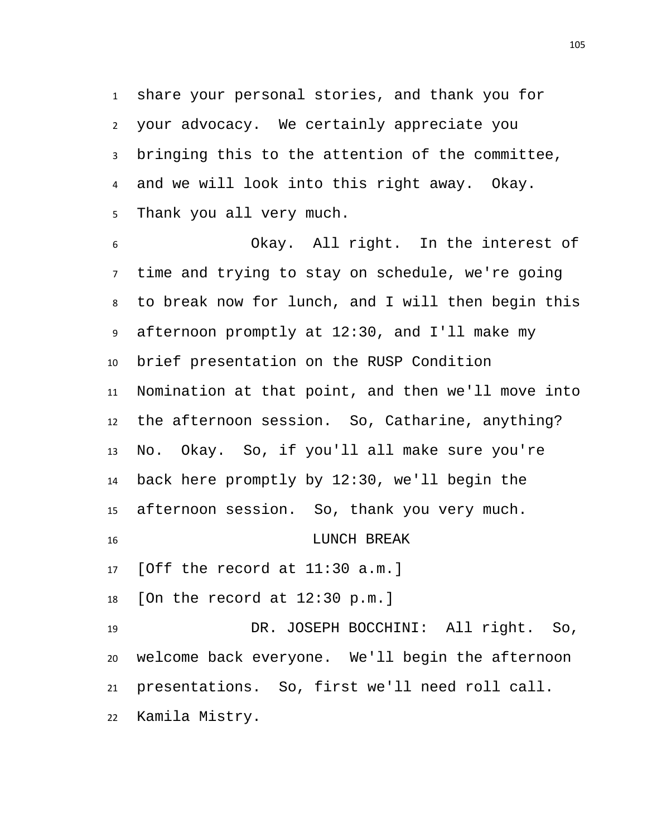share your personal stories, and thank you for your advocacy. We certainly appreciate you bringing this to the attention of the committee, and we will look into this right away. Okay. Thank you all very much.

 Okay. All right. In the interest of time and trying to stay on schedule, we're going to break now for lunch, and I will then begin this afternoon promptly at 12:30, and I'll make my brief presentation on the RUSP Condition Nomination at that point, and then we'll move into the afternoon session. So, Catharine, anything? No. Okay. So, if you'll all make sure you're back here promptly by 12:30, we'll begin the afternoon session. So, thank you very much. LUNCH BREAK [Off the record at 11:30 a.m.] [On the record at 12:30 p.m.] DR. JOSEPH BOCCHINI: All right. So, welcome back everyone. We'll begin the afternoon presentations. So, first we'll need roll call. Kamila Mistry.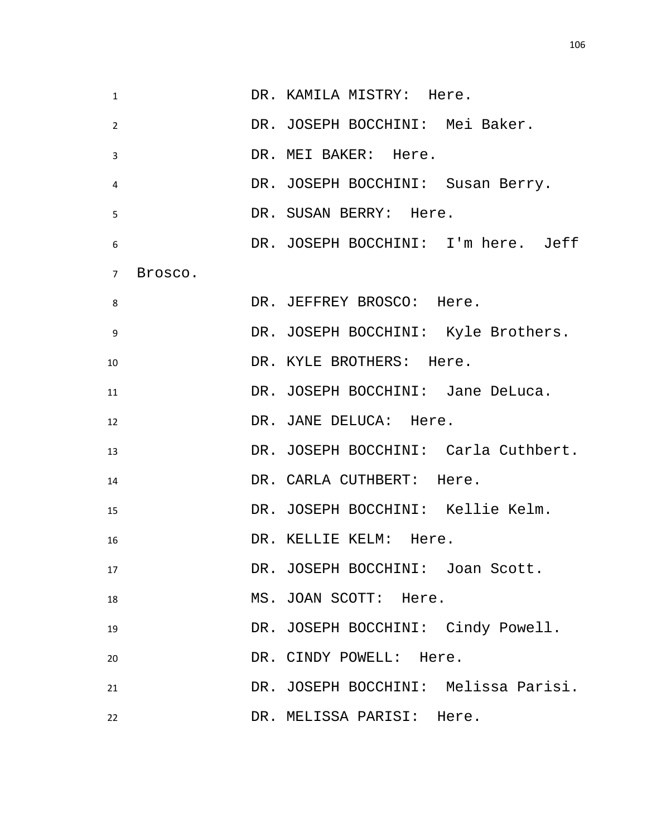| $\mathbf{1}$   |         | DR. KAMILA MISTRY: Here.             |
|----------------|---------|--------------------------------------|
| $\overline{2}$ |         | DR. JOSEPH BOCCHINI: Mei Baker.      |
| 3              |         | DR. MEI BAKER: Here.                 |
| 4              |         | DR. JOSEPH BOCCHINI: Susan Berry.    |
| 5              |         | DR. SUSAN BERRY: Here.               |
| 6              |         | DR. JOSEPH BOCCHINI: I'm here. Jeff  |
| $7^{\circ}$    | Brosco. |                                      |
| 8              |         | DR. JEFFREY BROSCO: Here.            |
| 9              |         | DR. JOSEPH BOCCHINI: Kyle Brothers.  |
| 10             |         | DR. KYLE BROTHERS: Here.             |
| 11             |         | DR. JOSEPH BOCCHINI: Jane DeLuca.    |
| 12             |         | DR. JANE DELUCA: Here.               |
| 13             |         | DR. JOSEPH BOCCHINI: Carla Cuthbert. |
| 14             |         | DR. CARLA CUTHBERT: Here.            |
| 15             |         | DR. JOSEPH BOCCHINI: Kellie Kelm.    |
| 16             |         | DR. KELLIE KELM: Here.               |
| 17             |         | DR. JOSEPH BOCCHINI: Joan Scott.     |
| 18             |         | MS. JOAN SCOTT: Here.                |
| 19             |         | DR. JOSEPH BOCCHINI: Cindy Powell.   |
| 20             |         | DR. CINDY POWELL: Here.              |
| 21             |         | DR. JOSEPH BOCCHINI: Melissa Parisi. |
| 22             |         | DR. MELISSA PARISI: Here.            |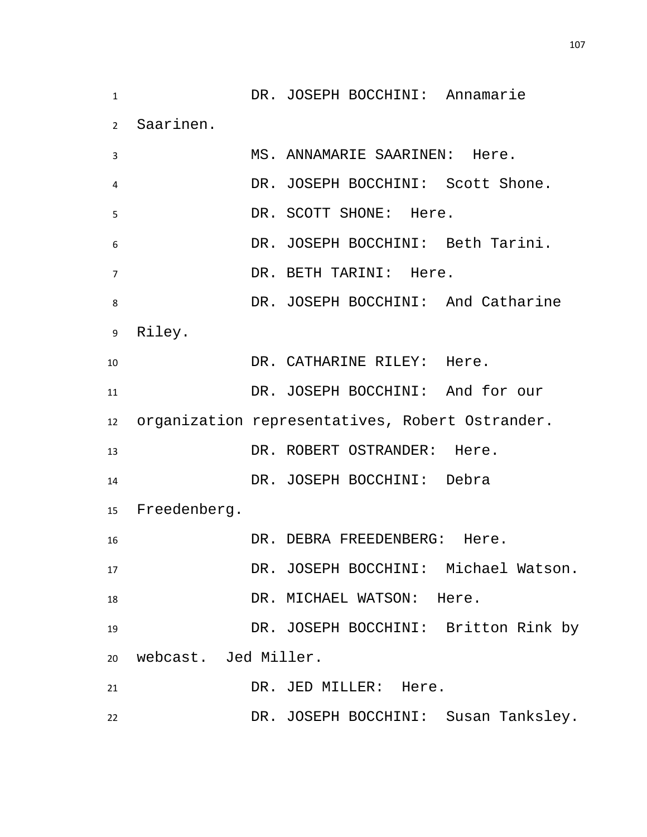DR. JOSEPH BOCCHINI: Annamarie Saarinen. MS. ANNAMARIE SAARINEN: Here. DR. JOSEPH BOCCHINI: Scott Shone. 5 DR. SCOTT SHONE: Here. DR. JOSEPH BOCCHINI: Beth Tarini. DR. BETH TARINI: Here. DR. JOSEPH BOCCHINI: And Catharine Riley. 10 DR. CATHARINE RILEY: Here. DR. JOSEPH BOCCHINI: And for our organization representatives, Robert Ostrander. 13 DR. ROBERT OSTRANDER: Here. DR. JOSEPH BOCCHINI: Debra Freedenberg. DR. DEBRA FREEDENBERG: Here. DR. JOSEPH BOCCHINI: Michael Watson. 18 DR. MICHAEL WATSON: Here. DR. JOSEPH BOCCHINI: Britton Rink by webcast. Jed Miller. 21 DR. JED MILLER: Here. DR. JOSEPH BOCCHINI: Susan Tanksley.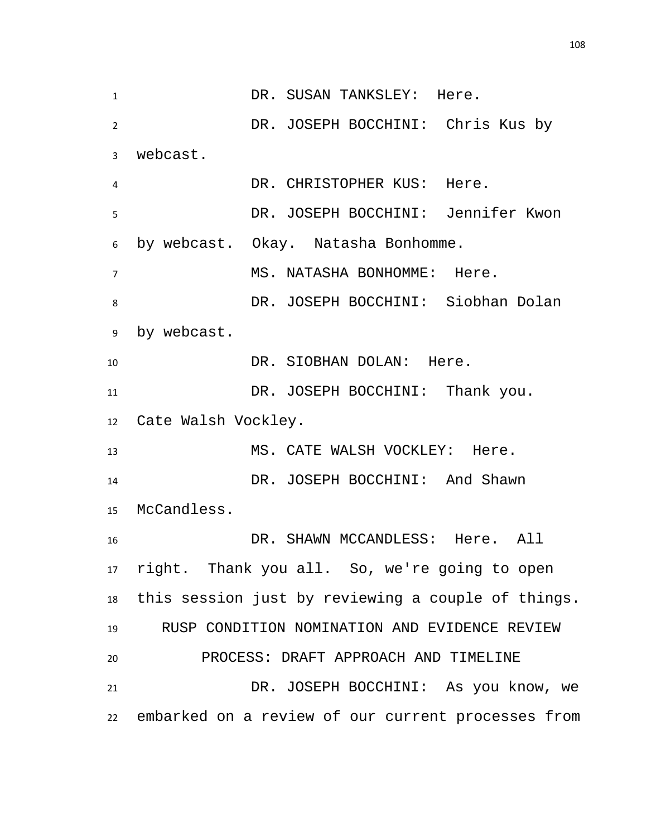1 DR. SUSAN TANKSLEY: Here. DR. JOSEPH BOCCHINI: Chris Kus by webcast. DR. CHRISTOPHER KUS: Here. DR. JOSEPH BOCCHINI: Jennifer Kwon by webcast. Okay. Natasha Bonhomme. MS. NATASHA BONHOMME: Here. DR. JOSEPH BOCCHINI: Siobhan Dolan by webcast. 10 DR. SIOBHAN DOLAN: Here. DR. JOSEPH BOCCHINI: Thank you. Cate Walsh Vockley. 13 MS. CATE WALSH VOCKLEY: Here. DR. JOSEPH BOCCHINI: And Shawn McCandless. DR. SHAWN MCCANDLESS: Here. All right. Thank you all. So, we're going to open this session just by reviewing a couple of things. RUSP CONDITION NOMINATION AND EVIDENCE REVIEW PROCESS: DRAFT APPROACH AND TIMELINE DR. JOSEPH BOCCHINI: As you know, we embarked on a review of our current processes from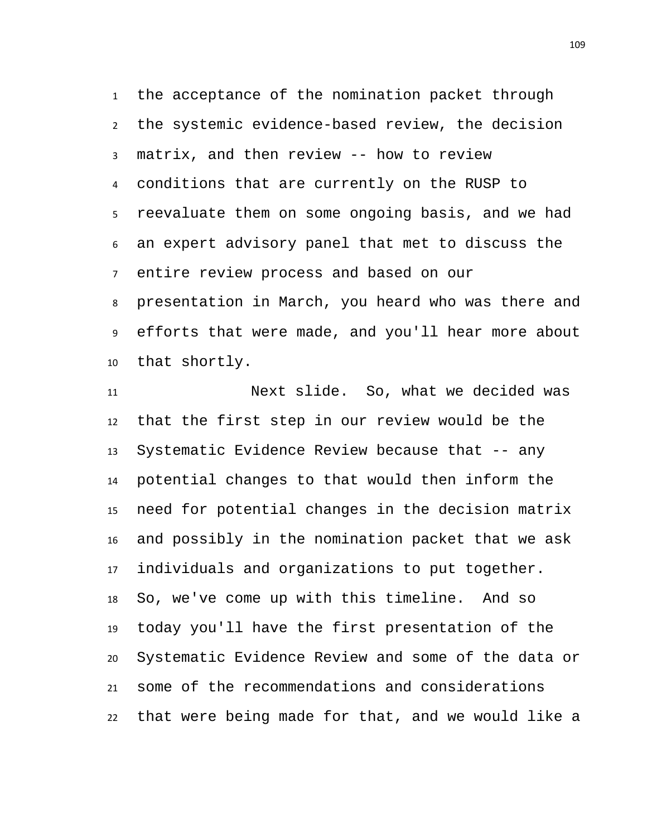the acceptance of the nomination packet through the systemic evidence-based review, the decision matrix, and then review -- how to review conditions that are currently on the RUSP to reevaluate them on some ongoing basis, and we had an expert advisory panel that met to discuss the entire review process and based on our presentation in March, you heard who was there and efforts that were made, and you'll hear more about that shortly.

 Next slide. So, what we decided was that the first step in our review would be the Systematic Evidence Review because that -- any potential changes to that would then inform the need for potential changes in the decision matrix and possibly in the nomination packet that we ask individuals and organizations to put together. So, we've come up with this timeline. And so today you'll have the first presentation of the Systematic Evidence Review and some of the data or some of the recommendations and considerations that were being made for that, and we would like a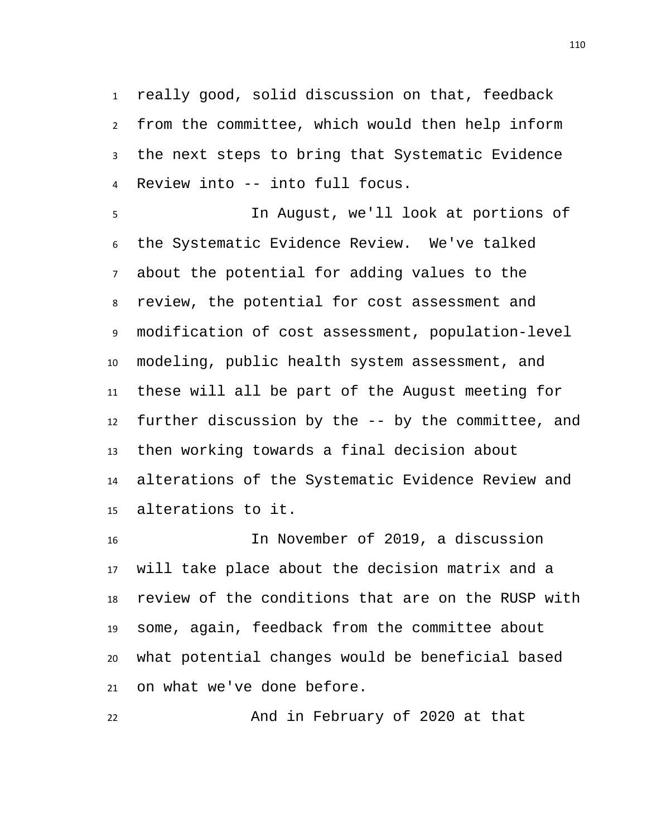really good, solid discussion on that, feedback from the committee, which would then help inform the next steps to bring that Systematic Evidence Review into -- into full focus.

 In August, we'll look at portions of the Systematic Evidence Review. We've talked about the potential for adding values to the review, the potential for cost assessment and modification of cost assessment, population-level modeling, public health system assessment, and these will all be part of the August meeting for further discussion by the -- by the committee, and then working towards a final decision about alterations of the Systematic Evidence Review and alterations to it.

 In November of 2019, a discussion will take place about the decision matrix and a review of the conditions that are on the RUSP with some, again, feedback from the committee about what potential changes would be beneficial based on what we've done before.

And in February of 2020 at that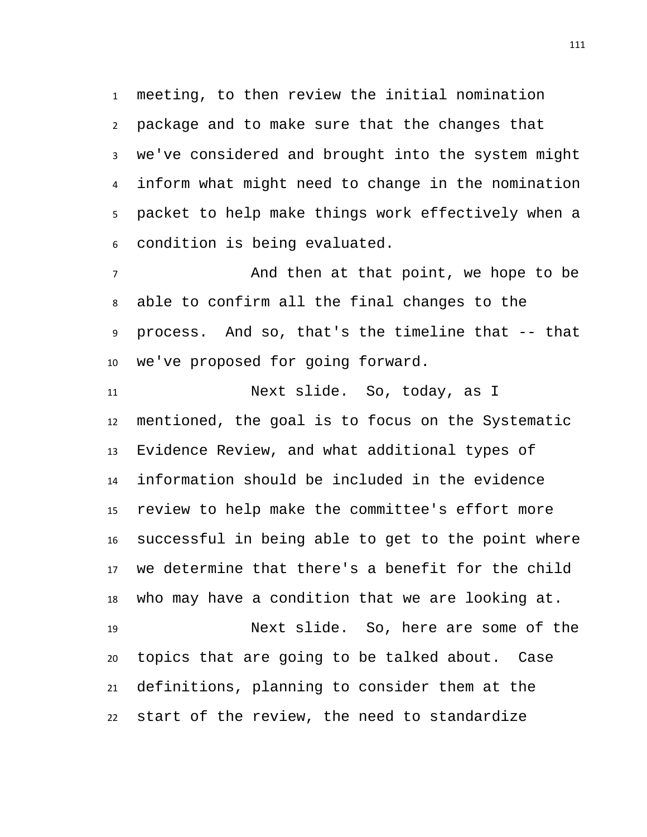meeting, to then review the initial nomination package and to make sure that the changes that we've considered and brought into the system might inform what might need to change in the nomination packet to help make things work effectively when a condition is being evaluated.

 And then at that point, we hope to be able to confirm all the final changes to the process. And so, that's the timeline that -- that we've proposed for going forward.

 Next slide. So, today, as I mentioned, the goal is to focus on the Systematic Evidence Review, and what additional types of information should be included in the evidence review to help make the committee's effort more successful in being able to get to the point where we determine that there's a benefit for the child who may have a condition that we are looking at. Next slide. So, here are some of the topics that are going to be talked about. Case definitions, planning to consider them at the

start of the review, the need to standardize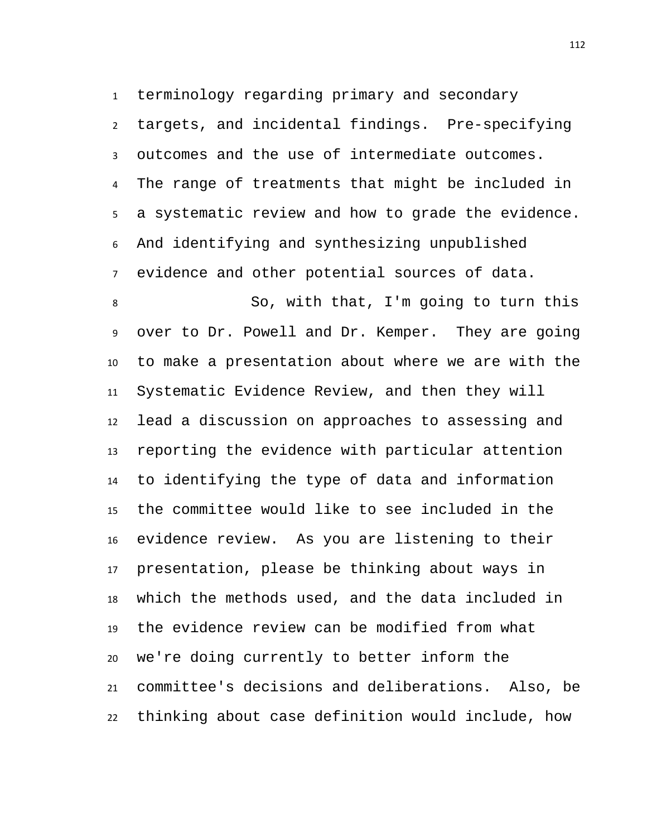terminology regarding primary and secondary targets, and incidental findings. Pre-specifying outcomes and the use of intermediate outcomes. The range of treatments that might be included in a systematic review and how to grade the evidence. And identifying and synthesizing unpublished evidence and other potential sources of data.

 So, with that, I'm going to turn this over to Dr. Powell and Dr. Kemper. They are going to make a presentation about where we are with the Systematic Evidence Review, and then they will lead a discussion on approaches to assessing and reporting the evidence with particular attention to identifying the type of data and information the committee would like to see included in the evidence review. As you are listening to their presentation, please be thinking about ways in which the methods used, and the data included in the evidence review can be modified from what we're doing currently to better inform the committee's decisions and deliberations. Also, be thinking about case definition would include, how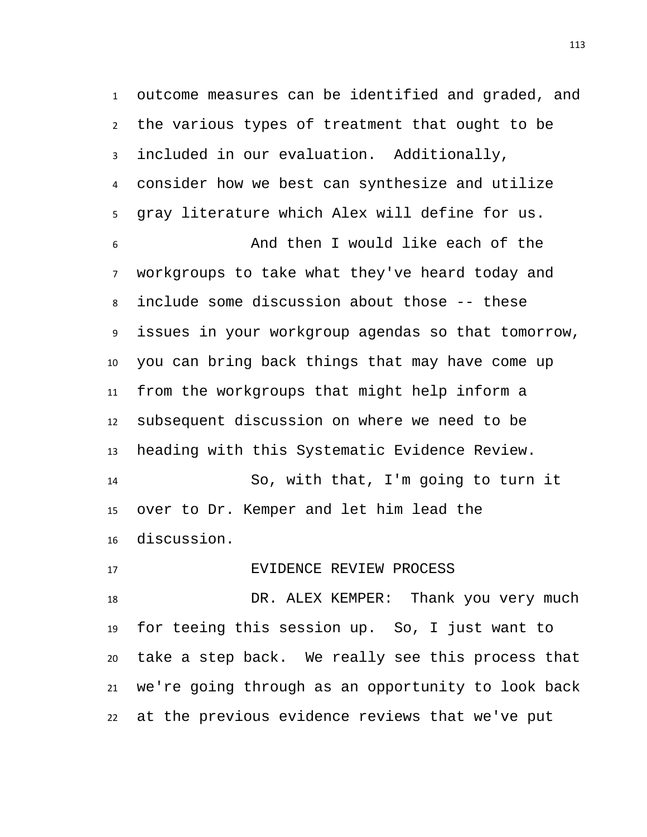outcome measures can be identified and graded, and the various types of treatment that ought to be included in our evaluation. Additionally, consider how we best can synthesize and utilize gray literature which Alex will define for us. And then I would like each of the workgroups to take what they've heard today and include some discussion about those -- these issues in your workgroup agendas so that tomorrow, you can bring back things that may have come up from the workgroups that might help inform a subsequent discussion on where we need to be heading with this Systematic Evidence Review. So, with that, I'm going to turn it over to Dr. Kemper and let him lead the discussion.

 EVIDENCE REVIEW PROCESS DR. ALEX KEMPER: Thank you very much for teeing this session up. So, I just want to take a step back. We really see this process that we're going through as an opportunity to look back at the previous evidence reviews that we've put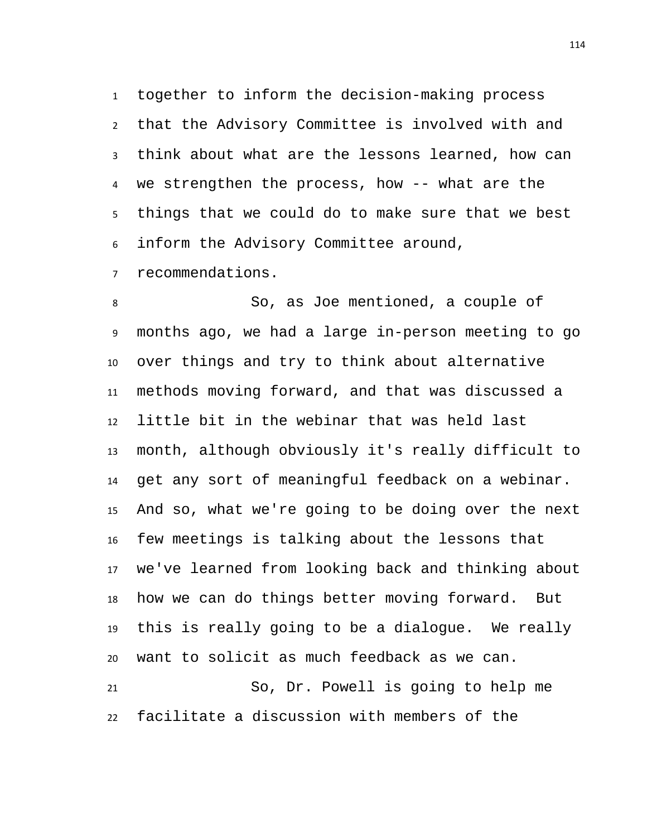together to inform the decision-making process that the Advisory Committee is involved with and think about what are the lessons learned, how can we strengthen the process, how -- what are the things that we could do to make sure that we best inform the Advisory Committee around,

recommendations.

 So, as Joe mentioned, a couple of months ago, we had a large in-person meeting to go over things and try to think about alternative methods moving forward, and that was discussed a little bit in the webinar that was held last month, although obviously it's really difficult to get any sort of meaningful feedback on a webinar. And so, what we're going to be doing over the next few meetings is talking about the lessons that we've learned from looking back and thinking about how we can do things better moving forward. But this is really going to be a dialogue. We really want to solicit as much feedback as we can. So, Dr. Powell is going to help me

facilitate a discussion with members of the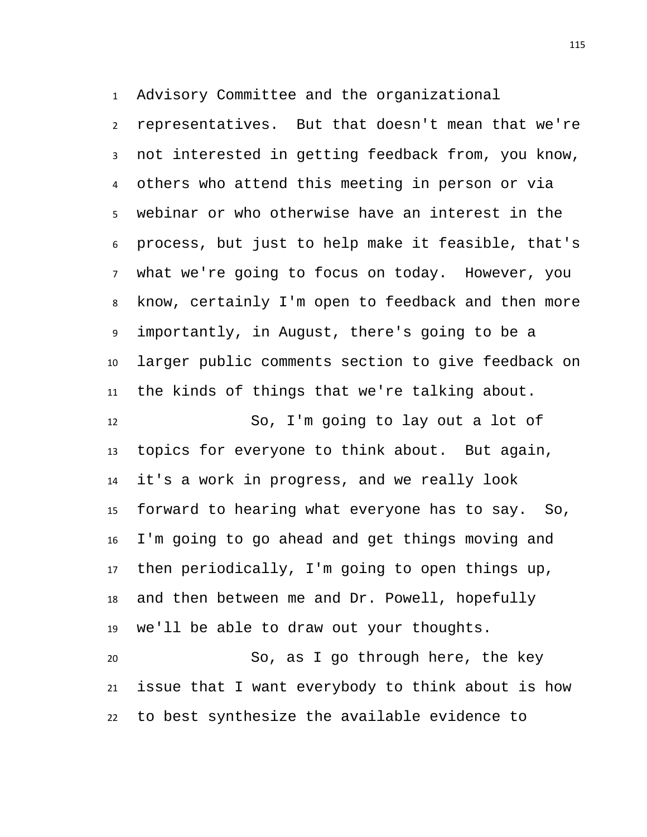Advisory Committee and the organizational

 representatives. But that doesn't mean that we're not interested in getting feedback from, you know, others who attend this meeting in person or via webinar or who otherwise have an interest in the process, but just to help make it feasible, that's what we're going to focus on today. However, you know, certainly I'm open to feedback and then more importantly, in August, there's going to be a larger public comments section to give feedback on the kinds of things that we're talking about.

 So, I'm going to lay out a lot of topics for everyone to think about. But again, it's a work in progress, and we really look forward to hearing what everyone has to say. So, I'm going to go ahead and get things moving and then periodically, I'm going to open things up, and then between me and Dr. Powell, hopefully we'll be able to draw out your thoughts.

 So, as I go through here, the key issue that I want everybody to think about is how to best synthesize the available evidence to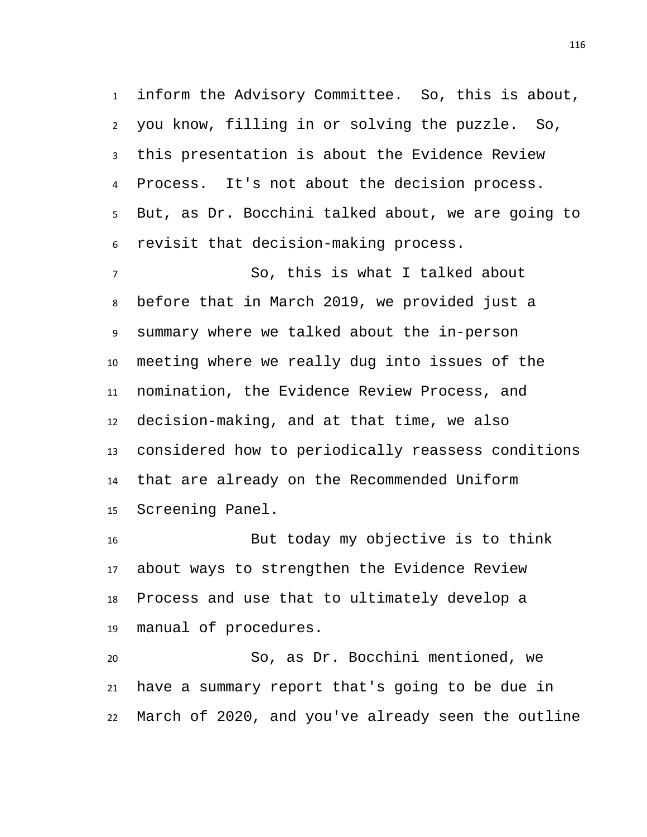inform the Advisory Committee. So, this is about, you know, filling in or solving the puzzle. So, this presentation is about the Evidence Review Process. It's not about the decision process. But, as Dr. Bocchini talked about, we are going to revisit that decision-making process.

 So, this is what I talked about before that in March 2019, we provided just a summary where we talked about the in-person meeting where we really dug into issues of the nomination, the Evidence Review Process, and decision-making, and at that time, we also considered how to periodically reassess conditions that are already on the Recommended Uniform Screening Panel.

 But today my objective is to think about ways to strengthen the Evidence Review Process and use that to ultimately develop a manual of procedures.

 So, as Dr. Bocchini mentioned, we have a summary report that's going to be due in March of 2020, and you've already seen the outline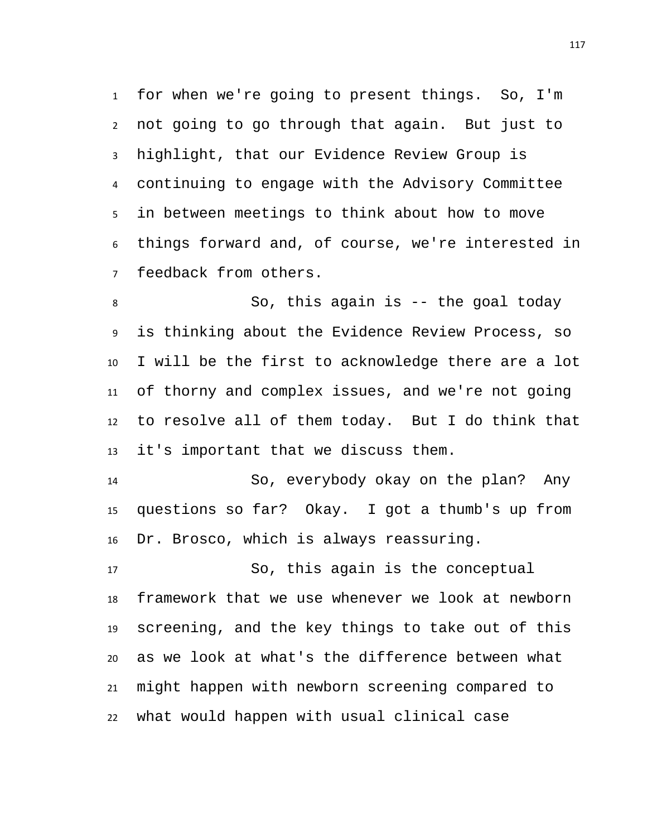for when we're going to present things. So, I'm not going to go through that again. But just to highlight, that our Evidence Review Group is continuing to engage with the Advisory Committee in between meetings to think about how to move things forward and, of course, we're interested in feedback from others.

 So, this again is -- the goal today is thinking about the Evidence Review Process, so I will be the first to acknowledge there are a lot of thorny and complex issues, and we're not going to resolve all of them today. But I do think that it's important that we discuss them.

 So, everybody okay on the plan? Any questions so far? Okay. I got a thumb's up from Dr. Brosco, which is always reassuring.

 So, this again is the conceptual framework that we use whenever we look at newborn screening, and the key things to take out of this as we look at what's the difference between what might happen with newborn screening compared to what would happen with usual clinical case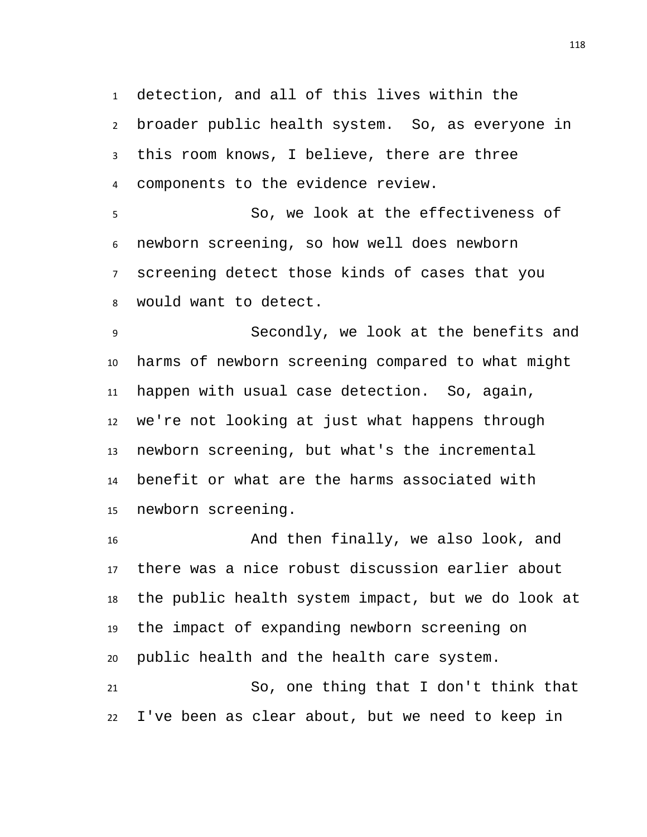detection, and all of this lives within the broader public health system. So, as everyone in this room knows, I believe, there are three components to the evidence review.

 So, we look at the effectiveness of newborn screening, so how well does newborn screening detect those kinds of cases that you would want to detect.

 Secondly, we look at the benefits and harms of newborn screening compared to what might happen with usual case detection. So, again, we're not looking at just what happens through newborn screening, but what's the incremental benefit or what are the harms associated with newborn screening.

 And then finally, we also look, and there was a nice robust discussion earlier about the public health system impact, but we do look at the impact of expanding newborn screening on public health and the health care system.

 So, one thing that I don't think that I've been as clear about, but we need to keep in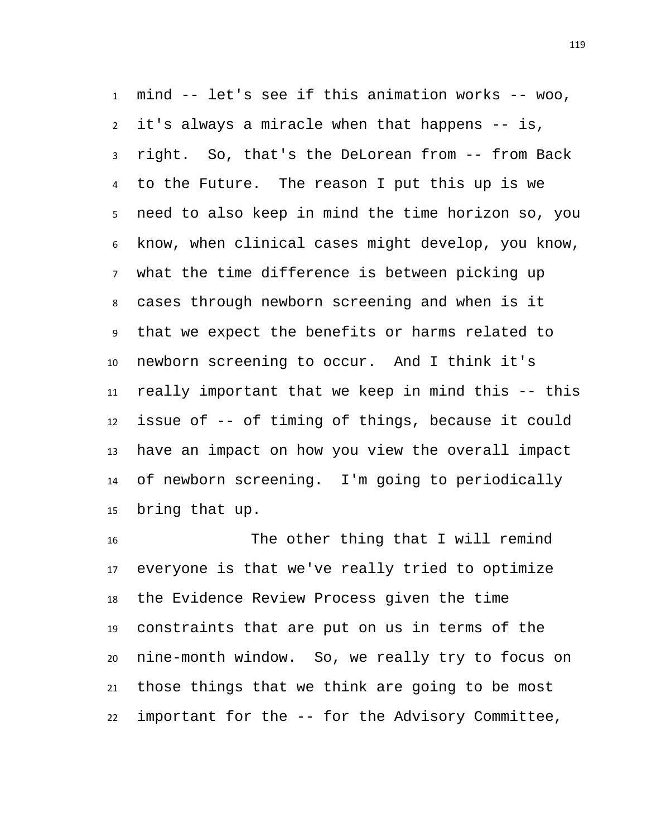mind -- let's see if this animation works -- woo, it's always a miracle when that happens -- is, right. So, that's the DeLorean from -- from Back to the Future. The reason I put this up is we need to also keep in mind the time horizon so, you know, when clinical cases might develop, you know, what the time difference is between picking up cases through newborn screening and when is it that we expect the benefits or harms related to newborn screening to occur. And I think it's really important that we keep in mind this -- this issue of -- of timing of things, because it could have an impact on how you view the overall impact of newborn screening. I'm going to periodically bring that up.

 The other thing that I will remind everyone is that we've really tried to optimize the Evidence Review Process given the time constraints that are put on us in terms of the nine-month window. So, we really try to focus on those things that we think are going to be most important for the -- for the Advisory Committee,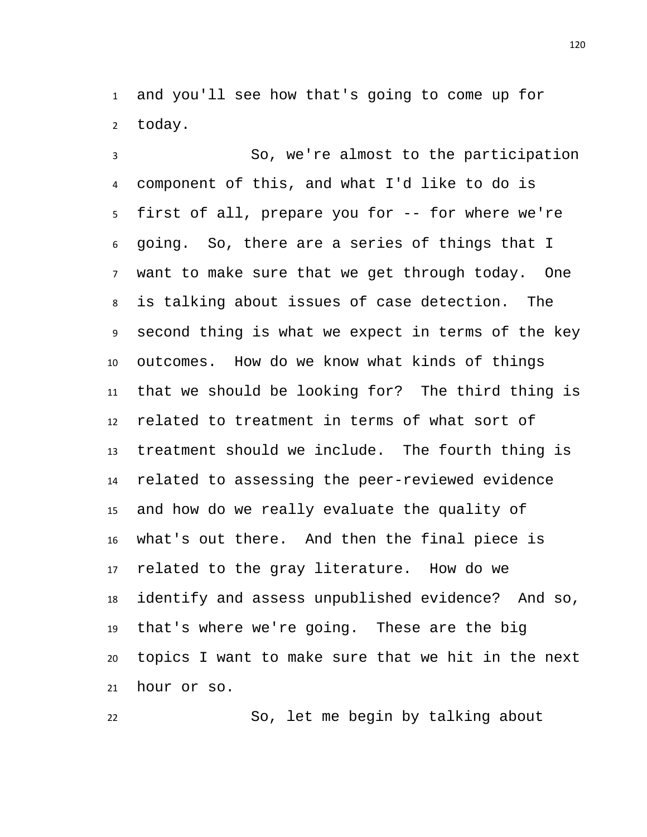and you'll see how that's going to come up for today.

 So, we're almost to the participation component of this, and what I'd like to do is first of all, prepare you for -- for where we're going. So, there are a series of things that I want to make sure that we get through today. One is talking about issues of case detection. The second thing is what we expect in terms of the key outcomes. How do we know what kinds of things that we should be looking for? The third thing is related to treatment in terms of what sort of treatment should we include. The fourth thing is related to assessing the peer-reviewed evidence and how do we really evaluate the quality of what's out there. And then the final piece is related to the gray literature. How do we identify and assess unpublished evidence? And so, that's where we're going. These are the big topics I want to make sure that we hit in the next hour or so.

So, let me begin by talking about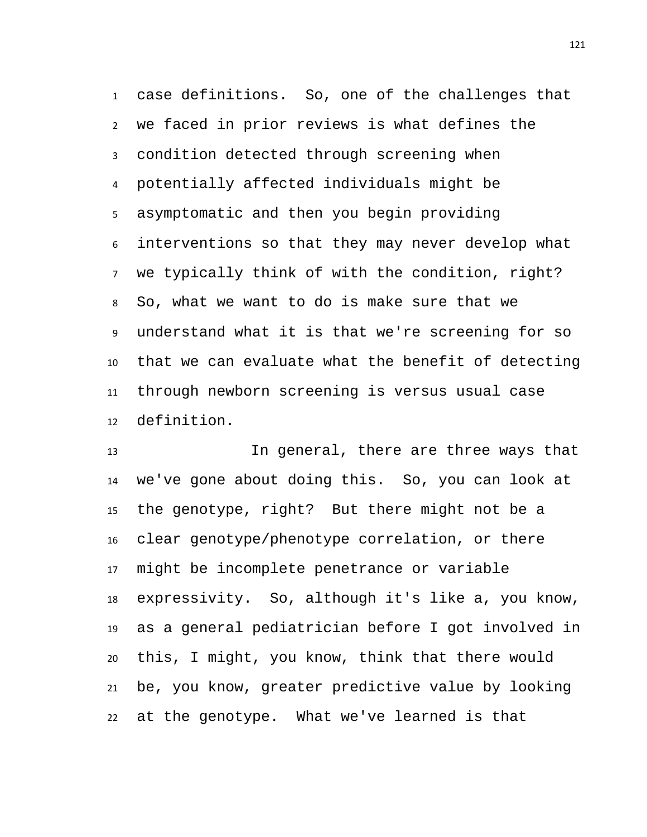case definitions. So, one of the challenges that we faced in prior reviews is what defines the condition detected through screening when potentially affected individuals might be asymptomatic and then you begin providing interventions so that they may never develop what we typically think of with the condition, right? So, what we want to do is make sure that we understand what it is that we're screening for so that we can evaluate what the benefit of detecting through newborn screening is versus usual case definition.

 In general, there are three ways that we've gone about doing this. So, you can look at the genotype, right? But there might not be a clear genotype/phenotype correlation, or there might be incomplete penetrance or variable expressivity. So, although it's like a, you know, as a general pediatrician before I got involved in this, I might, you know, think that there would be, you know, greater predictive value by looking at the genotype. What we've learned is that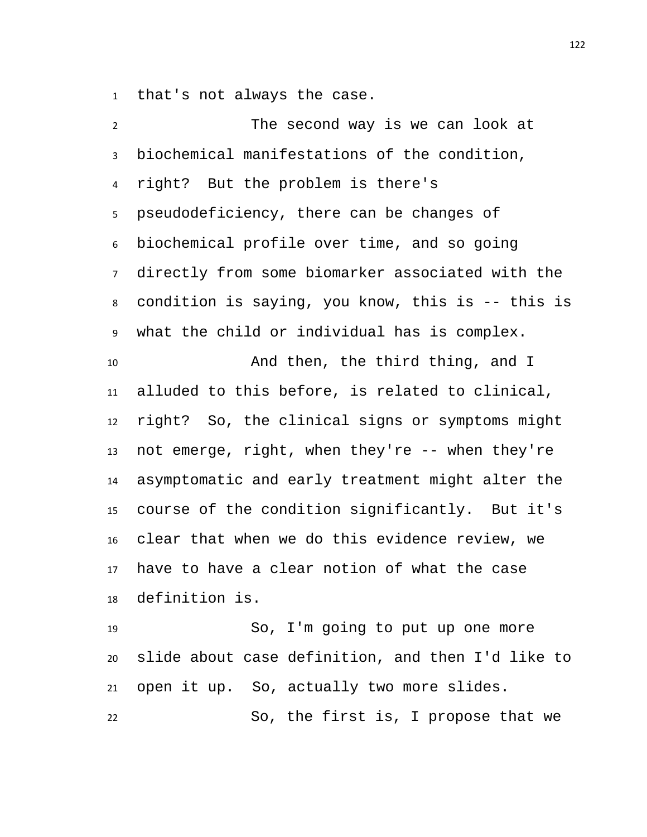that's not always the case.

 The second way is we can look at biochemical manifestations of the condition, right? But the problem is there's pseudodeficiency, there can be changes of biochemical profile over time, and so going directly from some biomarker associated with the condition is saying, you know, this is -- this is what the child or individual has is complex. And then, the third thing, and I alluded to this before, is related to clinical, right? So, the clinical signs or symptoms might not emerge, right, when they're -- when they're asymptomatic and early treatment might alter the course of the condition significantly. But it's clear that when we do this evidence review, we have to have a clear notion of what the case definition is. So, I'm going to put up one more slide about case definition, and then I'd like to open it up. So, actually two more slides.

So, the first is, I propose that we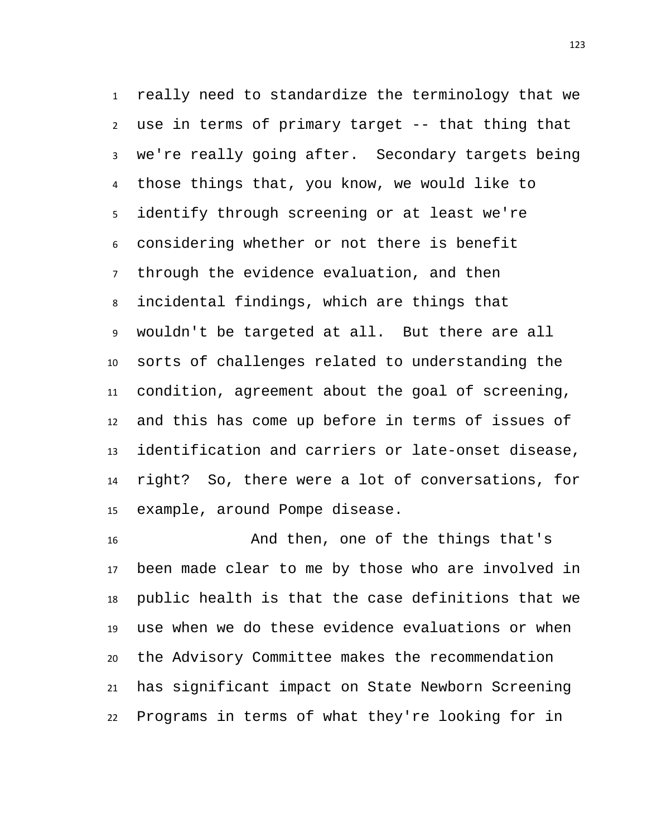really need to standardize the terminology that we use in terms of primary target -- that thing that we're really going after. Secondary targets being those things that, you know, we would like to identify through screening or at least we're considering whether or not there is benefit through the evidence evaluation, and then incidental findings, which are things that wouldn't be targeted at all. But there are all sorts of challenges related to understanding the condition, agreement about the goal of screening, and this has come up before in terms of issues of identification and carriers or late-onset disease, right? So, there were a lot of conversations, for example, around Pompe disease.

 And then, one of the things that's been made clear to me by those who are involved in public health is that the case definitions that we use when we do these evidence evaluations or when the Advisory Committee makes the recommendation has significant impact on State Newborn Screening Programs in terms of what they're looking for in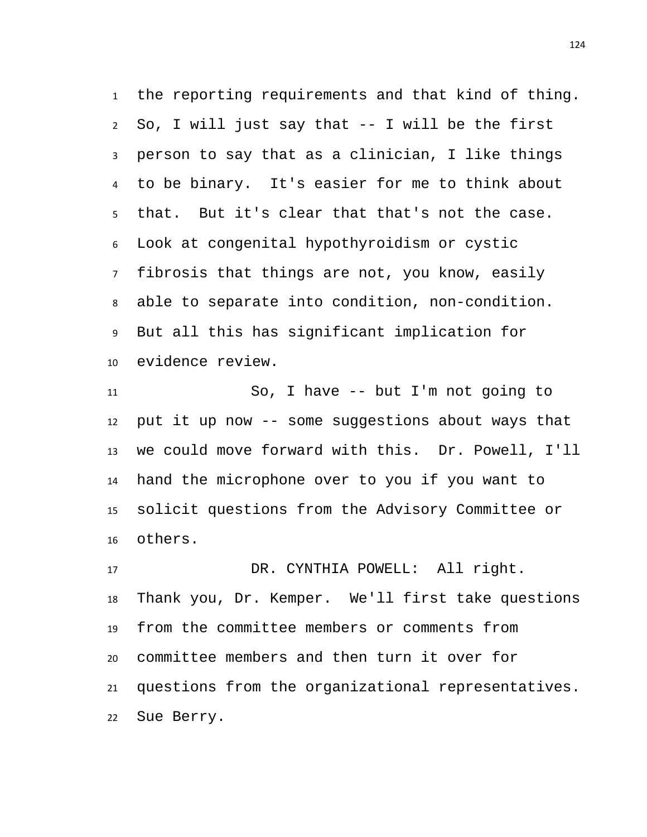the reporting requirements and that kind of thing. So, I will just say that -- I will be the first person to say that as a clinician, I like things to be binary. It's easier for me to think about that. But it's clear that that's not the case. Look at congenital hypothyroidism or cystic fibrosis that things are not, you know, easily able to separate into condition, non-condition. But all this has significant implication for evidence review.

 So, I have -- but I'm not going to put it up now -- some suggestions about ways that we could move forward with this. Dr. Powell, I'll hand the microphone over to you if you want to solicit questions from the Advisory Committee or others.

 DR. CYNTHIA POWELL: All right. Thank you, Dr. Kemper. We'll first take questions from the committee members or comments from committee members and then turn it over for questions from the organizational representatives. Sue Berry.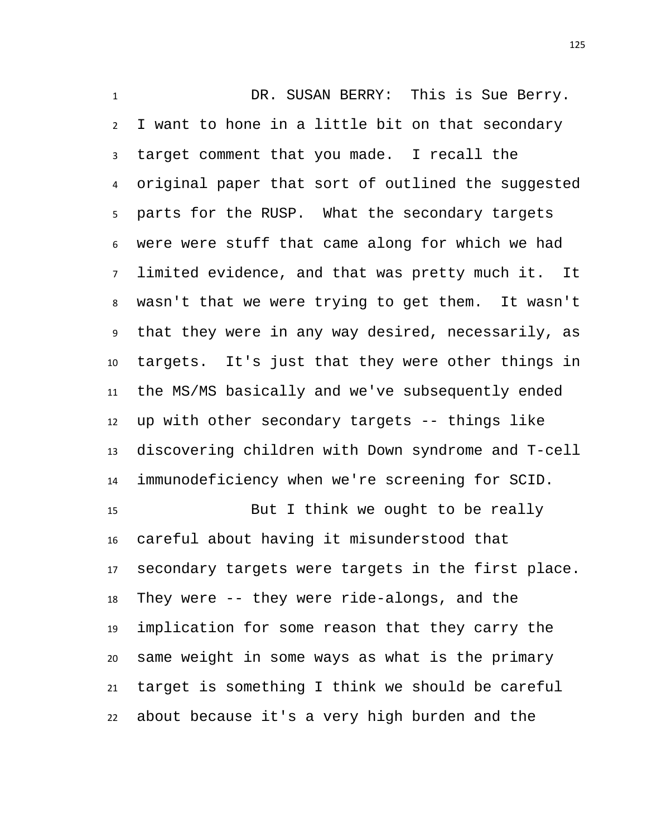DR. SUSAN BERRY: This is Sue Berry. I want to hone in a little bit on that secondary target comment that you made. I recall the original paper that sort of outlined the suggested parts for the RUSP. What the secondary targets were were stuff that came along for which we had limited evidence, and that was pretty much it. It wasn't that we were trying to get them. It wasn't that they were in any way desired, necessarily, as targets. It's just that they were other things in the MS/MS basically and we've subsequently ended up with other secondary targets -- things like discovering children with Down syndrome and T-cell immunodeficiency when we're screening for SCID. But I think we ought to be really careful about having it misunderstood that secondary targets were targets in the first place. They were -- they were ride-alongs, and the implication for some reason that they carry the same weight in some ways as what is the primary

about because it's a very high burden and the

target is something I think we should be careful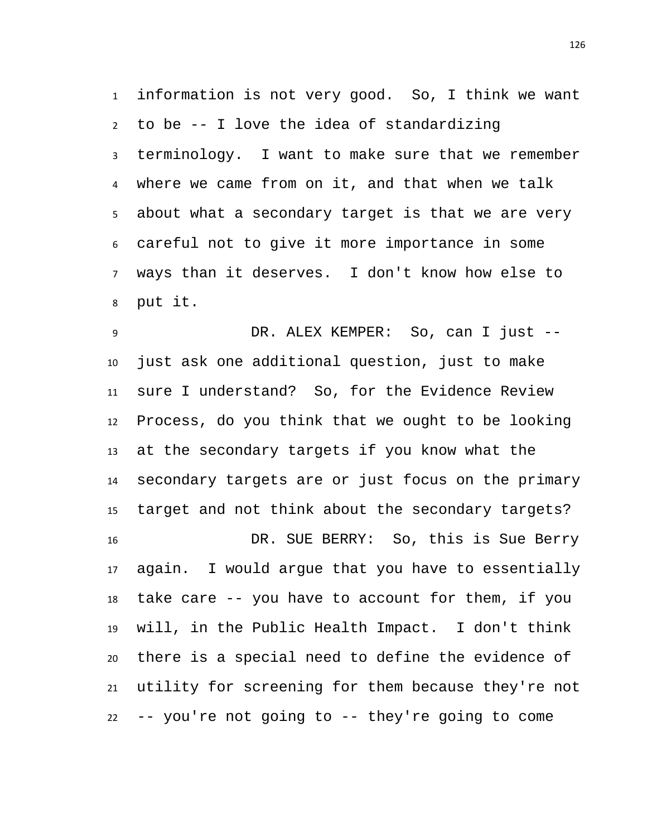information is not very good. So, I think we want to be -- I love the idea of standardizing terminology. I want to make sure that we remember where we came from on it, and that when we talk about what a secondary target is that we are very careful not to give it more importance in some ways than it deserves. I don't know how else to put it.

9 DR. ALEX KEMPER: So, can I just -- just ask one additional question, just to make sure I understand? So, for the Evidence Review Process, do you think that we ought to be looking at the secondary targets if you know what the secondary targets are or just focus on the primary target and not think about the secondary targets? DR. SUE BERRY: So, this is Sue Berry again. I would argue that you have to essentially take care -- you have to account for them, if you will, in the Public Health Impact. I don't think there is a special need to define the evidence of utility for screening for them because they're not -- you're not going to -- they're going to come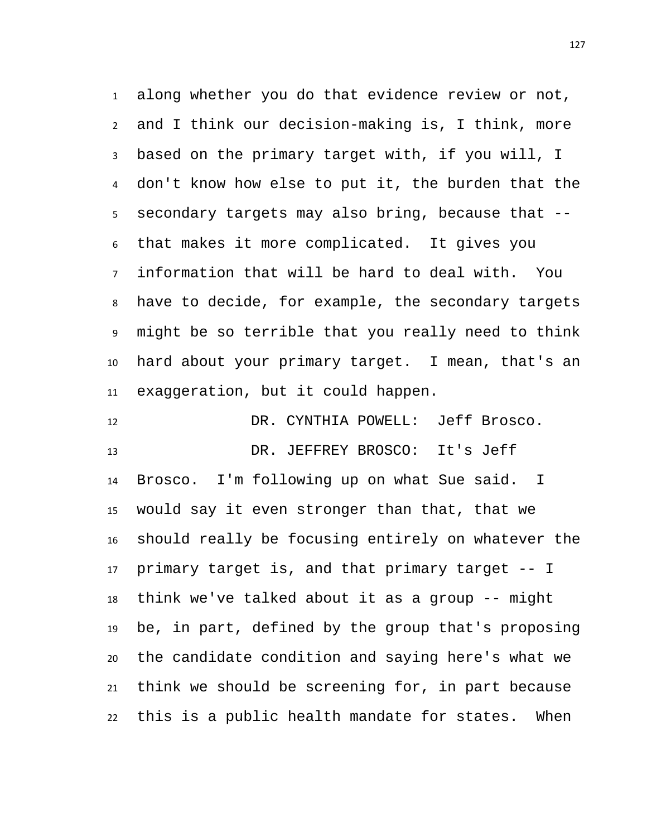along whether you do that evidence review or not, and I think our decision-making is, I think, more based on the primary target with, if you will, I don't know how else to put it, the burden that the secondary targets may also bring, because that -- that makes it more complicated. It gives you information that will be hard to deal with. You have to decide, for example, the secondary targets might be so terrible that you really need to think hard about your primary target. I mean, that's an exaggeration, but it could happen.

 DR. CYNTHIA POWELL: Jeff Brosco. DR. JEFFREY BROSCO: It's Jeff Brosco. I'm following up on what Sue said. I would say it even stronger than that, that we should really be focusing entirely on whatever the primary target is, and that primary target -- I think we've talked about it as a group -- might be, in part, defined by the group that's proposing the candidate condition and saying here's what we think we should be screening for, in part because this is a public health mandate for states. When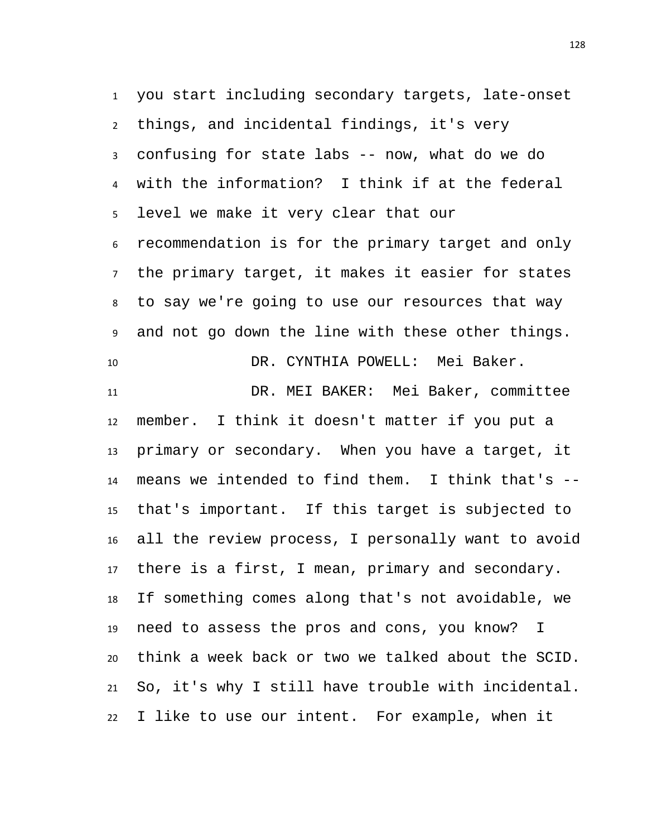you start including secondary targets, late-onset things, and incidental findings, it's very confusing for state labs -- now, what do we do with the information? I think if at the federal level we make it very clear that our recommendation is for the primary target and only the primary target, it makes it easier for states to say we're going to use our resources that way and not go down the line with these other things. DR. CYNTHIA POWELL: Mei Baker.

 DR. MEI BAKER: Mei Baker, committee member. I think it doesn't matter if you put a primary or secondary. When you have a target, it means we intended to find them. I think that's -- that's important. If this target is subjected to all the review process, I personally want to avoid there is a first, I mean, primary and secondary. If something comes along that's not avoidable, we need to assess the pros and cons, you know? I think a week back or two we talked about the SCID. So, it's why I still have trouble with incidental. I like to use our intent. For example, when it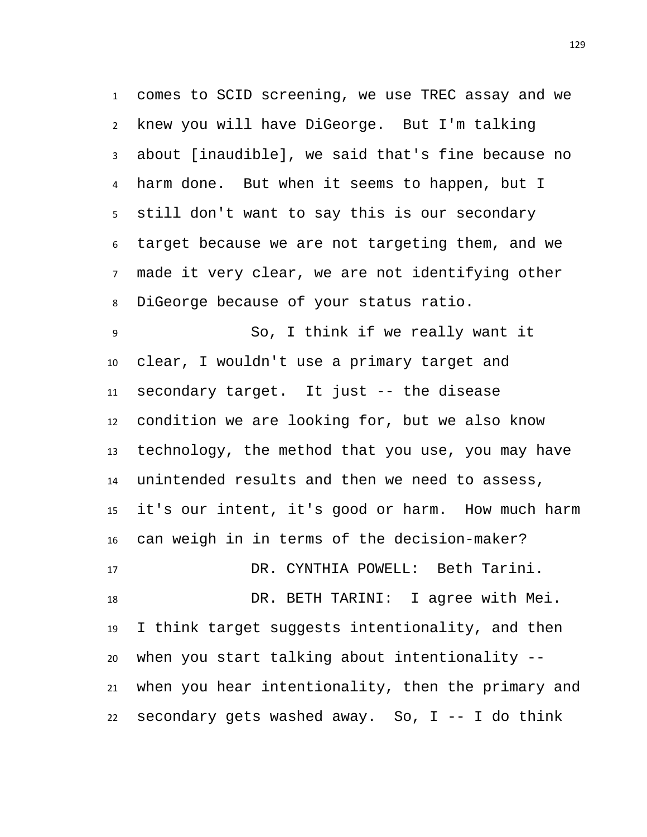comes to SCID screening, we use TREC assay and we knew you will have DiGeorge. But I'm talking about [inaudible], we said that's fine because no harm done. But when it seems to happen, but I still don't want to say this is our secondary target because we are not targeting them, and we made it very clear, we are not identifying other DiGeorge because of your status ratio.

 So, I think if we really want it clear, I wouldn't use a primary target and secondary target. It just -- the disease condition we are looking for, but we also know technology, the method that you use, you may have unintended results and then we need to assess, it's our intent, it's good or harm. How much harm can weigh in in terms of the decision-maker?

 DR. CYNTHIA POWELL: Beth Tarini. DR. BETH TARINI: I agree with Mei. I think target suggests intentionality, and then when you start talking about intentionality -- when you hear intentionality, then the primary and 22 secondary gets washed away. So,  $I$  -- I do think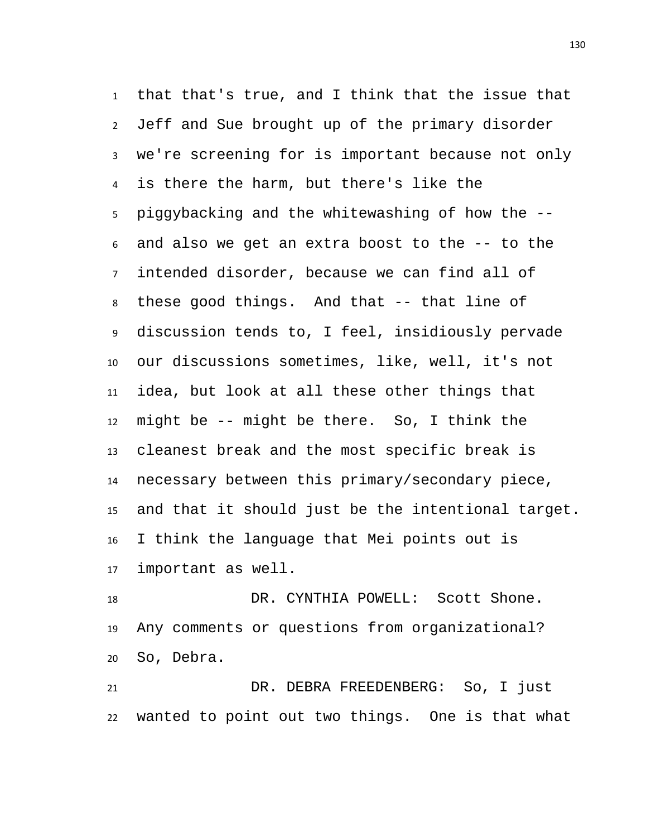that that's true, and I think that the issue that Jeff and Sue brought up of the primary disorder we're screening for is important because not only is there the harm, but there's like the piggybacking and the whitewashing of how the -- and also we get an extra boost to the -- to the intended disorder, because we can find all of these good things. And that -- that line of discussion tends to, I feel, insidiously pervade our discussions sometimes, like, well, it's not idea, but look at all these other things that might be -- might be there. So, I think the cleanest break and the most specific break is necessary between this primary/secondary piece, and that it should just be the intentional target. I think the language that Mei points out is important as well.

18 DR. CYNTHIA POWELL: Scott Shone. Any comments or questions from organizational? So, Debra.

 DR. DEBRA FREEDENBERG: So, I just wanted to point out two things. One is that what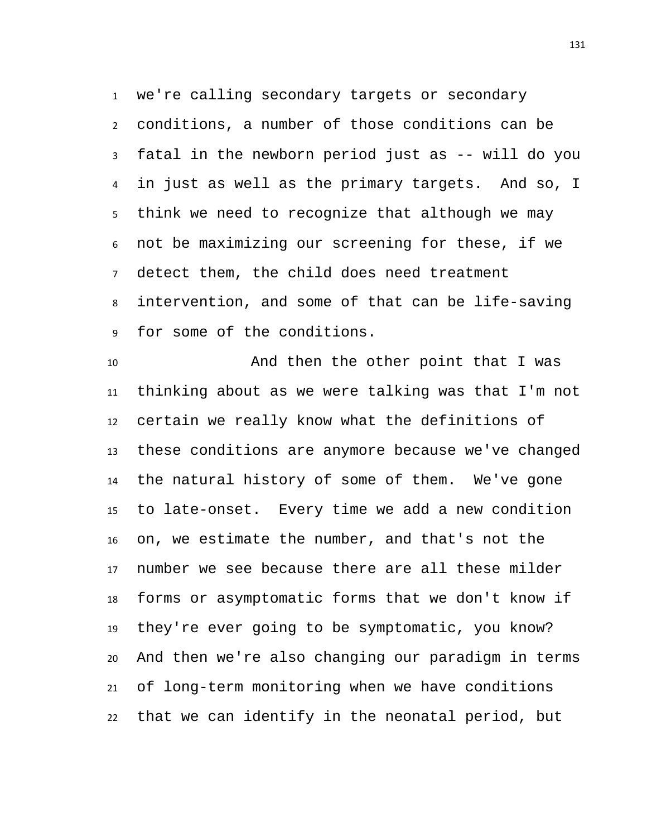we're calling secondary targets or secondary conditions, a number of those conditions can be fatal in the newborn period just as -- will do you in just as well as the primary targets. And so, I think we need to recognize that although we may not be maximizing our screening for these, if we detect them, the child does need treatment intervention, and some of that can be life-saving for some of the conditions.

 And then the other point that I was thinking about as we were talking was that I'm not certain we really know what the definitions of these conditions are anymore because we've changed the natural history of some of them. We've gone to late-onset. Every time we add a new condition on, we estimate the number, and that's not the number we see because there are all these milder forms or asymptomatic forms that we don't know if they're ever going to be symptomatic, you know? And then we're also changing our paradigm in terms of long-term monitoring when we have conditions that we can identify in the neonatal period, but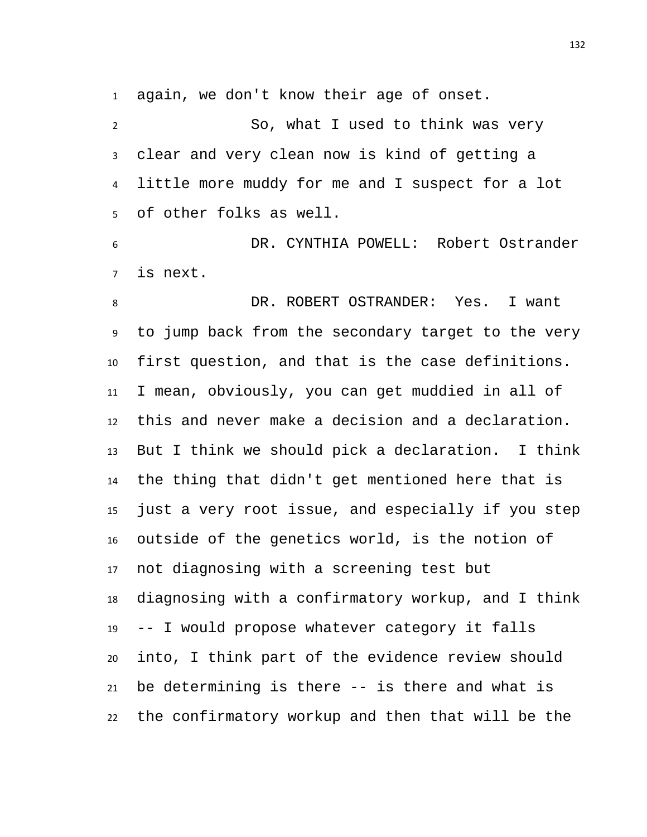again, we don't know their age of onset.

 So, what I used to think was very clear and very clean now is kind of getting a little more muddy for me and I suspect for a lot of other folks as well.

 DR. CYNTHIA POWELL: Robert Ostrander is next.

8 DR. ROBERT OSTRANDER: Yes. I want to jump back from the secondary target to the very first question, and that is the case definitions. I mean, obviously, you can get muddied in all of this and never make a decision and a declaration. But I think we should pick a declaration. I think the thing that didn't get mentioned here that is just a very root issue, and especially if you step outside of the genetics world, is the notion of not diagnosing with a screening test but diagnosing with a confirmatory workup, and I think -- I would propose whatever category it falls into, I think part of the evidence review should be determining is there -- is there and what is the confirmatory workup and then that will be the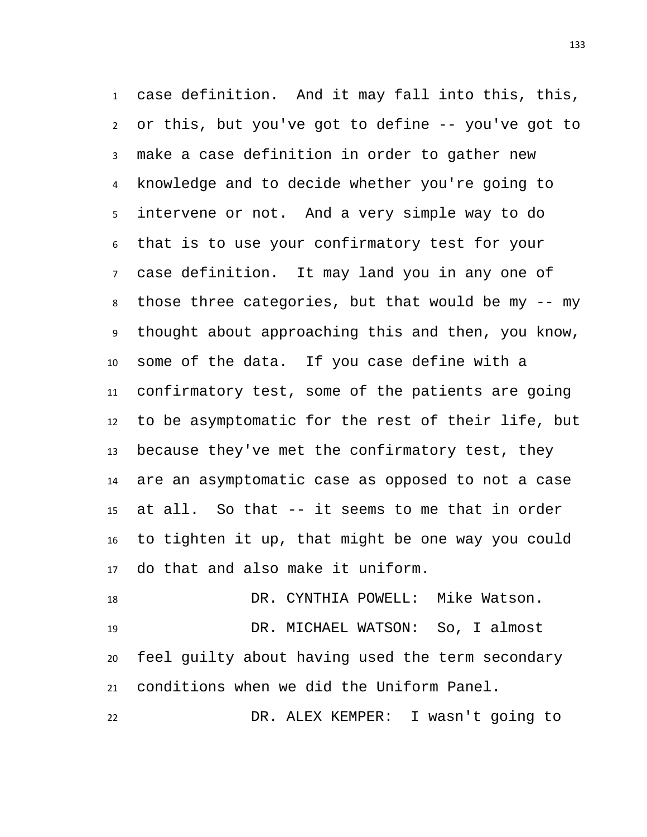case definition. And it may fall into this, this, or this, but you've got to define -- you've got to make a case definition in order to gather new knowledge and to decide whether you're going to intervene or not. And a very simple way to do that is to use your confirmatory test for your case definition. It may land you in any one of those three categories, but that would be my -- my thought about approaching this and then, you know, some of the data. If you case define with a confirmatory test, some of the patients are going to be asymptomatic for the rest of their life, but because they've met the confirmatory test, they are an asymptomatic case as opposed to not a case at all. So that -- it seems to me that in order to tighten it up, that might be one way you could do that and also make it uniform.

18 DR. CYNTHIA POWELL: Mike Watson. DR. MICHAEL WATSON: So, I almost feel guilty about having used the term secondary conditions when we did the Uniform Panel.

DR. ALEX KEMPER: I wasn't going to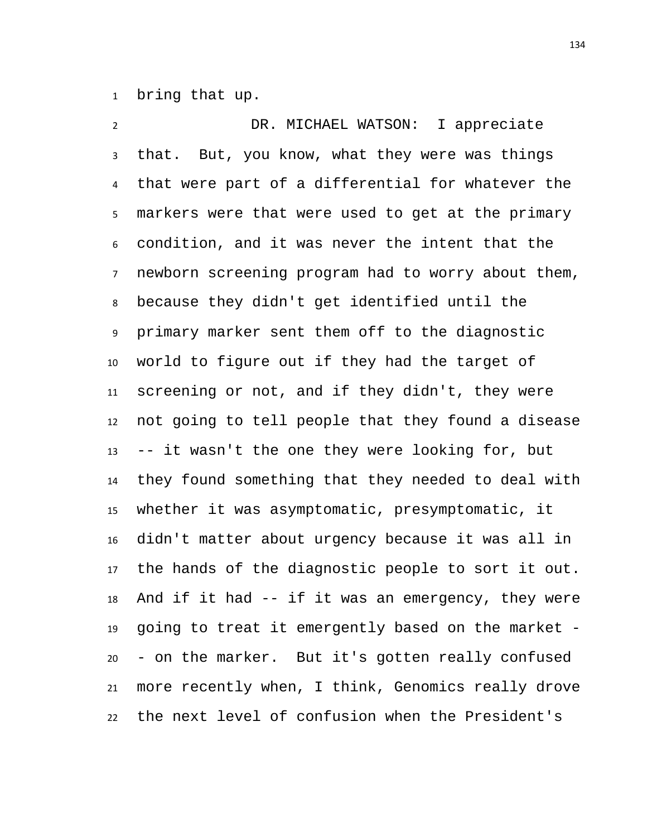bring that up.

 DR. MICHAEL WATSON: I appreciate that. But, you know, what they were was things that were part of a differential for whatever the markers were that were used to get at the primary condition, and it was never the intent that the newborn screening program had to worry about them, because they didn't get identified until the primary marker sent them off to the diagnostic world to figure out if they had the target of screening or not, and if they didn't, they were not going to tell people that they found a disease -- it wasn't the one they were looking for, but they found something that they needed to deal with whether it was asymptomatic, presymptomatic, it didn't matter about urgency because it was all in the hands of the diagnostic people to sort it out. And if it had -- if it was an emergency, they were going to treat it emergently based on the market - - on the marker. But it's gotten really confused more recently when, I think, Genomics really drove the next level of confusion when the President's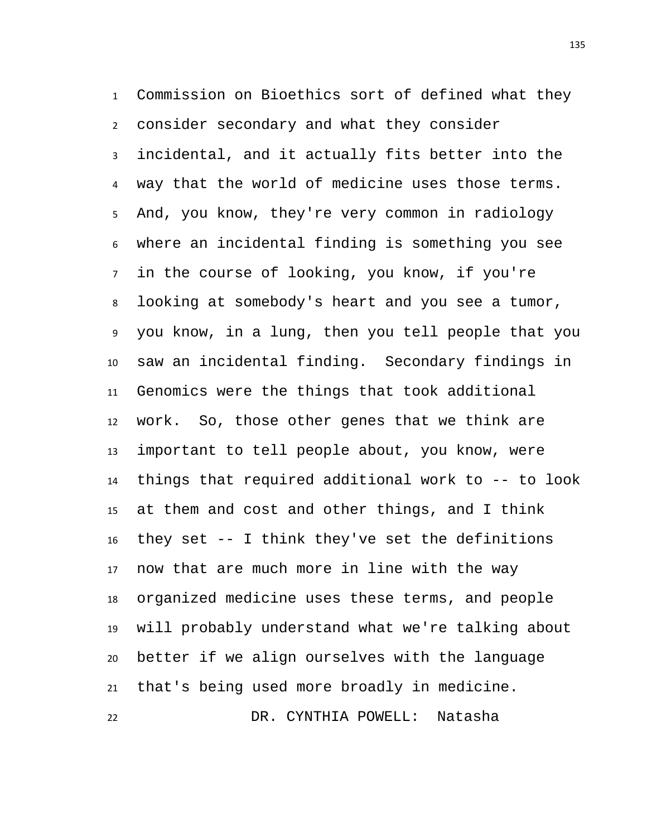Commission on Bioethics sort of defined what they consider secondary and what they consider incidental, and it actually fits better into the way that the world of medicine uses those terms. And, you know, they're very common in radiology where an incidental finding is something you see in the course of looking, you know, if you're looking at somebody's heart and you see a tumor, you know, in a lung, then you tell people that you saw an incidental finding. Secondary findings in Genomics were the things that took additional work. So, those other genes that we think are important to tell people about, you know, were things that required additional work to -- to look at them and cost and other things, and I think they set -- I think they've set the definitions now that are much more in line with the way organized medicine uses these terms, and people will probably understand what we're talking about better if we align ourselves with the language that's being used more broadly in medicine. DR. CYNTHIA POWELL: Natasha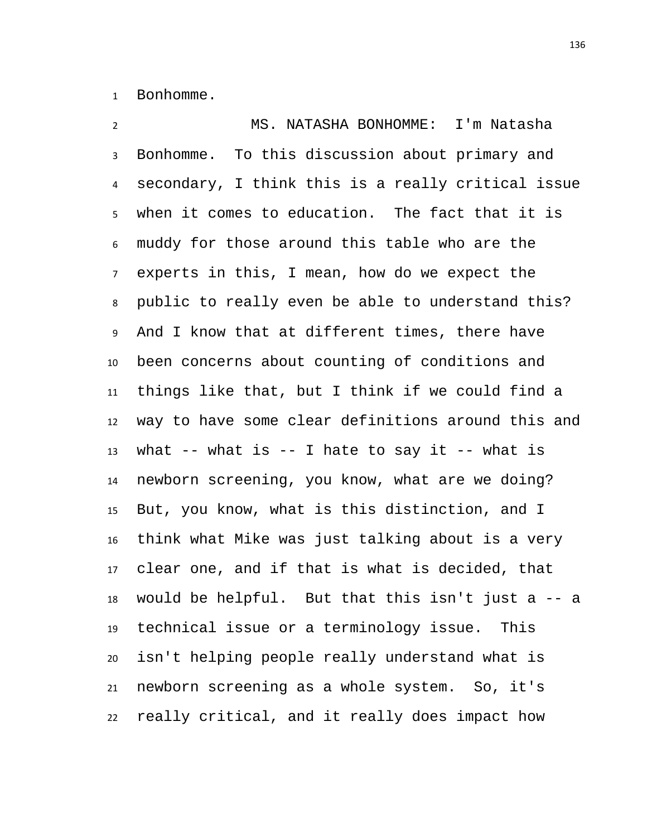Bonhomme.

 MS. NATASHA BONHOMME: I'm Natasha Bonhomme. To this discussion about primary and secondary, I think this is a really critical issue when it comes to education. The fact that it is muddy for those around this table who are the experts in this, I mean, how do we expect the public to really even be able to understand this? And I know that at different times, there have been concerns about counting of conditions and things like that, but I think if we could find a way to have some clear definitions around this and 13 what  $-$ - what is  $-$ - I hate to say it  $-$ - what is newborn screening, you know, what are we doing? But, you know, what is this distinction, and I think what Mike was just talking about is a very clear one, and if that is what is decided, that would be helpful. But that this isn't just a -- a technical issue or a terminology issue. This isn't helping people really understand what is newborn screening as a whole system. So, it's really critical, and it really does impact how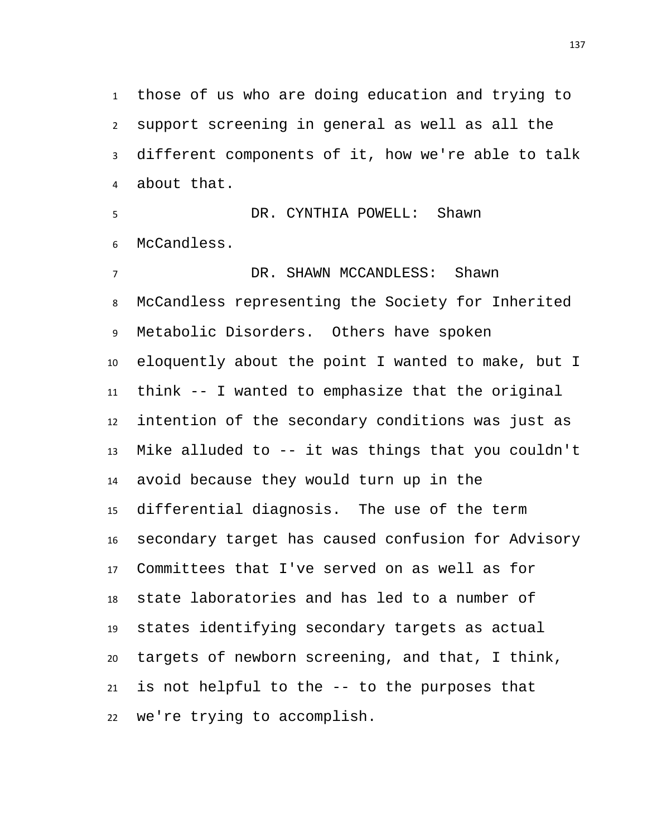those of us who are doing education and trying to support screening in general as well as all the different components of it, how we're able to talk about that.

 DR. CYNTHIA POWELL: Shawn McCandless.

 DR. SHAWN MCCANDLESS: Shawn McCandless representing the Society for Inherited Metabolic Disorders. Others have spoken eloquently about the point I wanted to make, but I think -- I wanted to emphasize that the original intention of the secondary conditions was just as Mike alluded to -- it was things that you couldn't avoid because they would turn up in the differential diagnosis. The use of the term secondary target has caused confusion for Advisory Committees that I've served on as well as for state laboratories and has led to a number of states identifying secondary targets as actual targets of newborn screening, and that, I think, is not helpful to the -- to the purposes that we're trying to accomplish.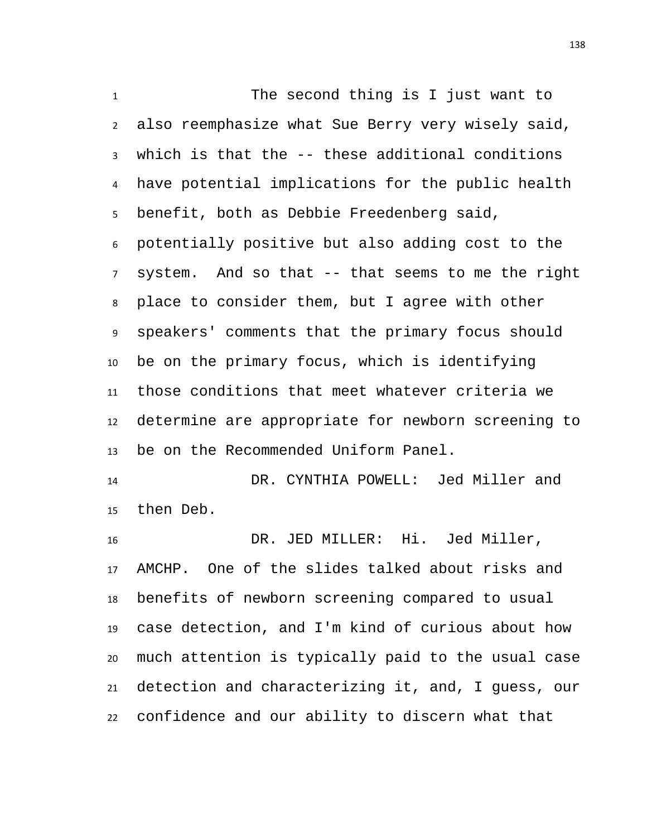The second thing is I just want to also reemphasize what Sue Berry very wisely said, which is that the -- these additional conditions have potential implications for the public health benefit, both as Debbie Freedenberg said, potentially positive but also adding cost to the system. And so that -- that seems to me the right place to consider them, but I agree with other speakers' comments that the primary focus should be on the primary focus, which is identifying those conditions that meet whatever criteria we determine are appropriate for newborn screening to be on the Recommended Uniform Panel.

 DR. CYNTHIA POWELL: Jed Miller and then Deb.

 DR. JED MILLER: Hi. Jed Miller, AMCHP. One of the slides talked about risks and benefits of newborn screening compared to usual case detection, and I'm kind of curious about how much attention is typically paid to the usual case detection and characterizing it, and, I guess, our confidence and our ability to discern what that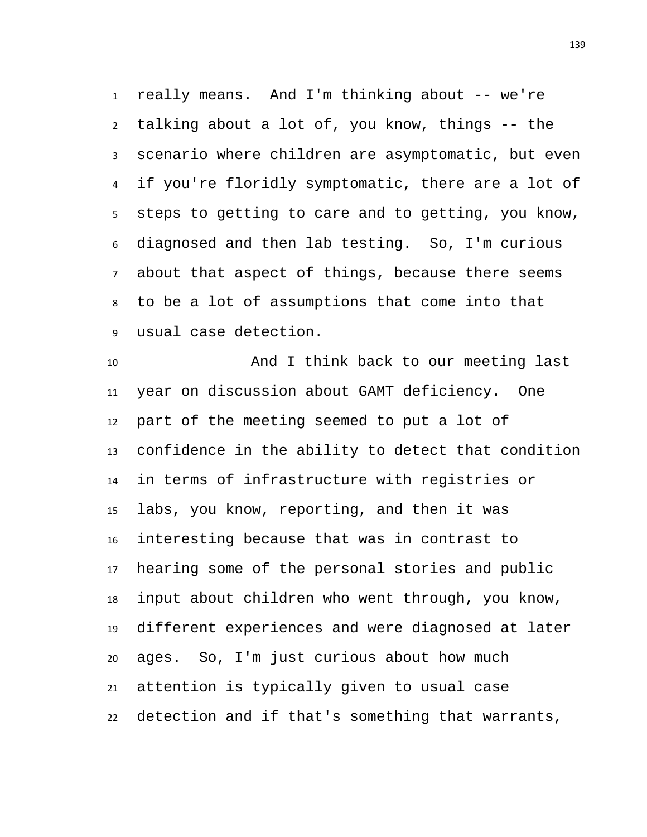really means. And I'm thinking about -- we're talking about a lot of, you know, things -- the scenario where children are asymptomatic, but even if you're floridly symptomatic, there are a lot of steps to getting to care and to getting, you know, diagnosed and then lab testing. So, I'm curious about that aspect of things, because there seems to be a lot of assumptions that come into that usual case detection.

 And I think back to our meeting last year on discussion about GAMT deficiency. One part of the meeting seemed to put a lot of confidence in the ability to detect that condition in terms of infrastructure with registries or labs, you know, reporting, and then it was interesting because that was in contrast to hearing some of the personal stories and public input about children who went through, you know, different experiences and were diagnosed at later ages. So, I'm just curious about how much attention is typically given to usual case detection and if that's something that warrants,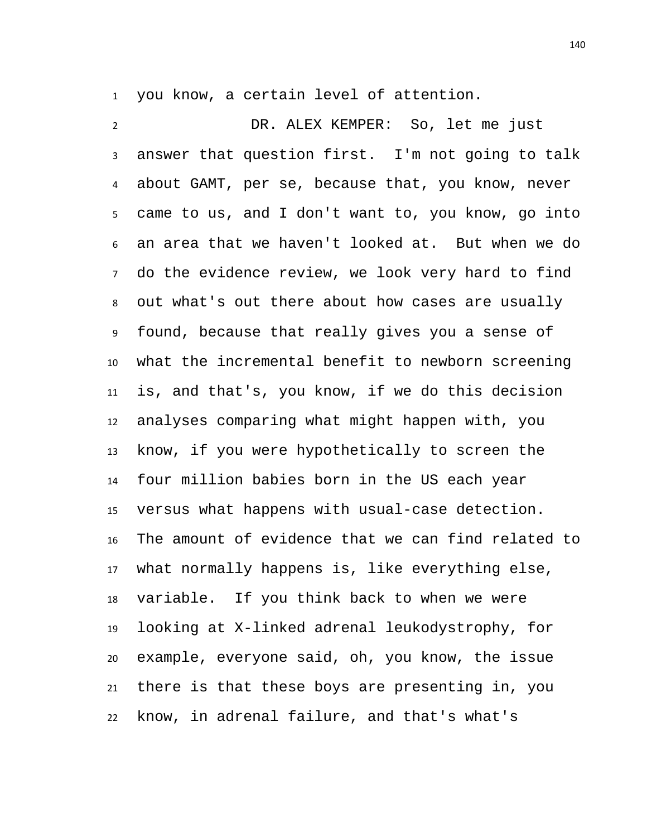you know, a certain level of attention.

 DR. ALEX KEMPER: So, let me just answer that question first. I'm not going to talk about GAMT, per se, because that, you know, never came to us, and I don't want to, you know, go into an area that we haven't looked at. But when we do do the evidence review, we look very hard to find out what's out there about how cases are usually found, because that really gives you a sense of what the incremental benefit to newborn screening is, and that's, you know, if we do this decision analyses comparing what might happen with, you know, if you were hypothetically to screen the four million babies born in the US each year versus what happens with usual-case detection. The amount of evidence that we can find related to what normally happens is, like everything else, variable. If you think back to when we were looking at X-linked adrenal leukodystrophy, for example, everyone said, oh, you know, the issue there is that these boys are presenting in, you know, in adrenal failure, and that's what's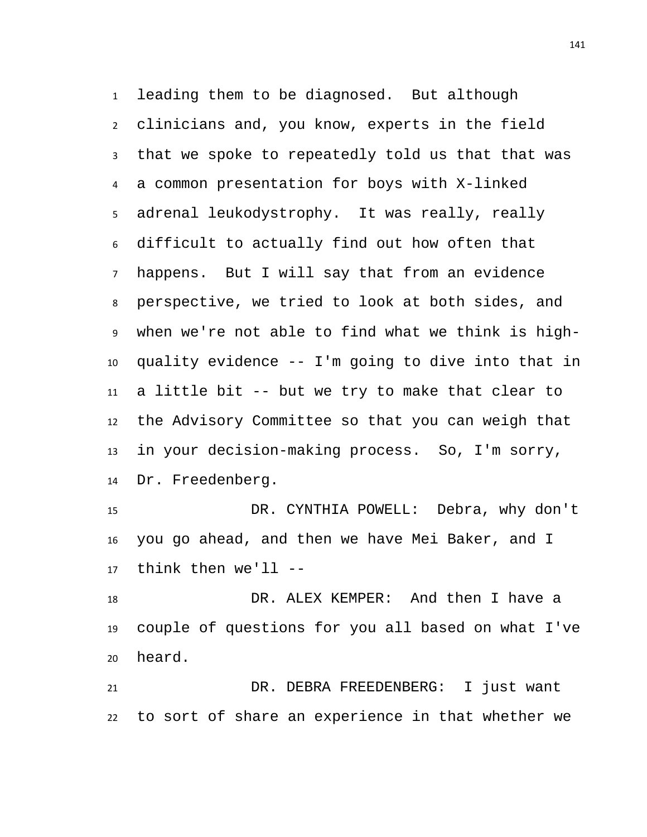leading them to be diagnosed. But although clinicians and, you know, experts in the field that we spoke to repeatedly told us that that was a common presentation for boys with X-linked adrenal leukodystrophy. It was really, really difficult to actually find out how often that happens. But I will say that from an evidence perspective, we tried to look at both sides, and when we're not able to find what we think is high- quality evidence -- I'm going to dive into that in a little bit -- but we try to make that clear to the Advisory Committee so that you can weigh that in your decision-making process. So, I'm sorry, Dr. Freedenberg.

 DR. CYNTHIA POWELL: Debra, why don't you go ahead, and then we have Mei Baker, and I think then we'll --

 DR. ALEX KEMPER: And then I have a couple of questions for you all based on what I've heard.

 DR. DEBRA FREEDENBERG: I just want to sort of share an experience in that whether we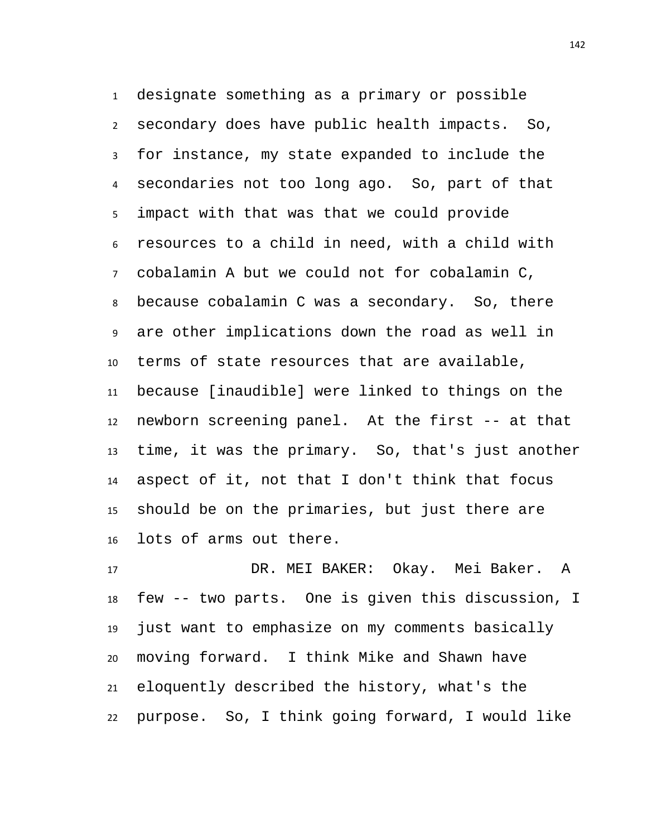designate something as a primary or possible secondary does have public health impacts. So, for instance, my state expanded to include the secondaries not too long ago. So, part of that impact with that was that we could provide resources to a child in need, with a child with cobalamin A but we could not for cobalamin C, because cobalamin C was a secondary. So, there are other implications down the road as well in terms of state resources that are available, because [inaudible] were linked to things on the newborn screening panel. At the first -- at that time, it was the primary. So, that's just another aspect of it, not that I don't think that focus should be on the primaries, but just there are lots of arms out there.

 DR. MEI BAKER: Okay. Mei Baker. A few -- two parts. One is given this discussion, I just want to emphasize on my comments basically moving forward. I think Mike and Shawn have eloquently described the history, what's the purpose. So, I think going forward, I would like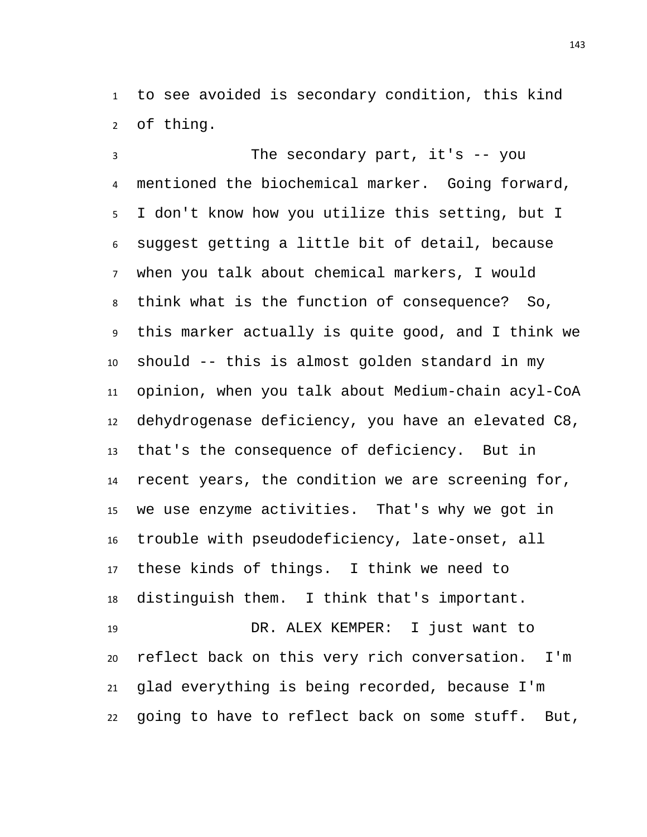to see avoided is secondary condition, this kind of thing.

 The secondary part, it's -- you mentioned the biochemical marker. Going forward, I don't know how you utilize this setting, but I suggest getting a little bit of detail, because when you talk about chemical markers, I would think what is the function of consequence? So, this marker actually is quite good, and I think we should -- this is almost golden standard in my opinion, when you talk about Medium-chain acyl-CoA dehydrogenase deficiency, you have an elevated C8, that's the consequence of deficiency. But in recent years, the condition we are screening for, we use enzyme activities. That's why we got in trouble with pseudodeficiency, late-onset, all these kinds of things. I think we need to distinguish them. I think that's important. DR. ALEX KEMPER: I just want to reflect back on this very rich conversation. I'm glad everything is being recorded, because I'm going to have to reflect back on some stuff. But,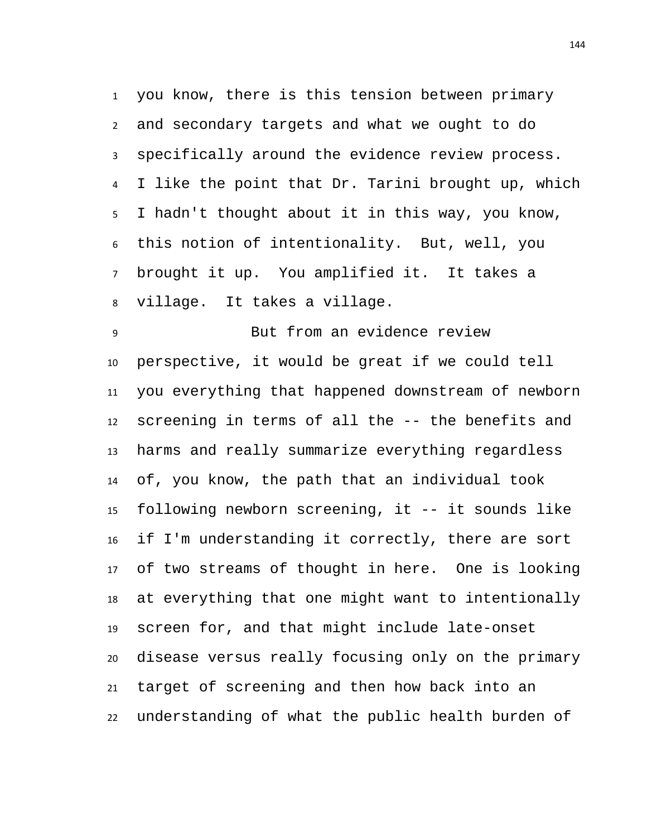you know, there is this tension between primary and secondary targets and what we ought to do specifically around the evidence review process. I like the point that Dr. Tarini brought up, which I hadn't thought about it in this way, you know, this notion of intentionality. But, well, you brought it up. You amplified it. It takes a village. It takes a village.

 But from an evidence review perspective, it would be great if we could tell you everything that happened downstream of newborn screening in terms of all the -- the benefits and harms and really summarize everything regardless of, you know, the path that an individual took following newborn screening, it -- it sounds like if I'm understanding it correctly, there are sort of two streams of thought in here. One is looking at everything that one might want to intentionally screen for, and that might include late-onset disease versus really focusing only on the primary target of screening and then how back into an understanding of what the public health burden of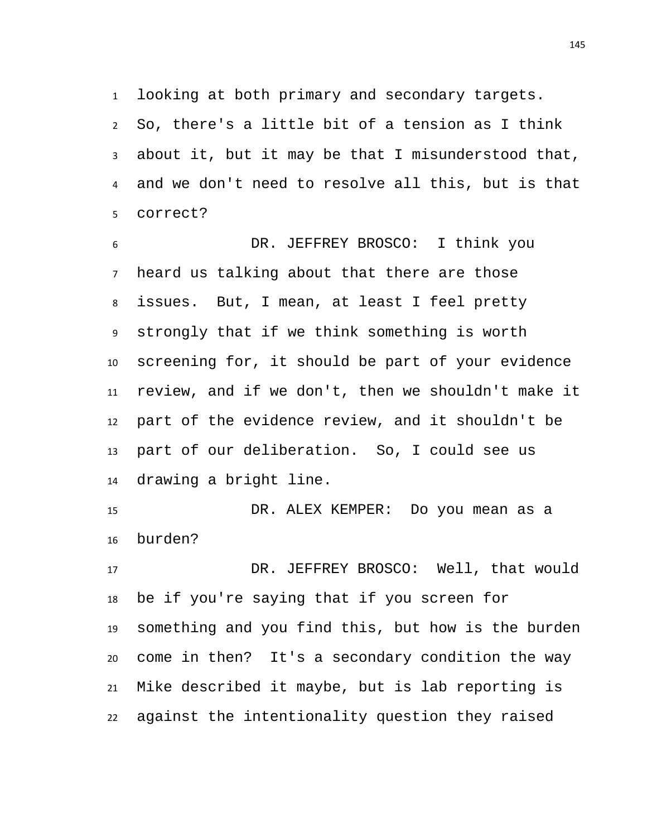looking at both primary and secondary targets. So, there's a little bit of a tension as I think about it, but it may be that I misunderstood that, and we don't need to resolve all this, but is that correct?

 DR. JEFFREY BROSCO: I think you heard us talking about that there are those issues. But, I mean, at least I feel pretty strongly that if we think something is worth screening for, it should be part of your evidence review, and if we don't, then we shouldn't make it part of the evidence review, and it shouldn't be part of our deliberation. So, I could see us drawing a bright line.

 DR. ALEX KEMPER: Do you mean as a burden?

 DR. JEFFREY BROSCO: Well, that would be if you're saying that if you screen for something and you find this, but how is the burden come in then? It's a secondary condition the way Mike described it maybe, but is lab reporting is against the intentionality question they raised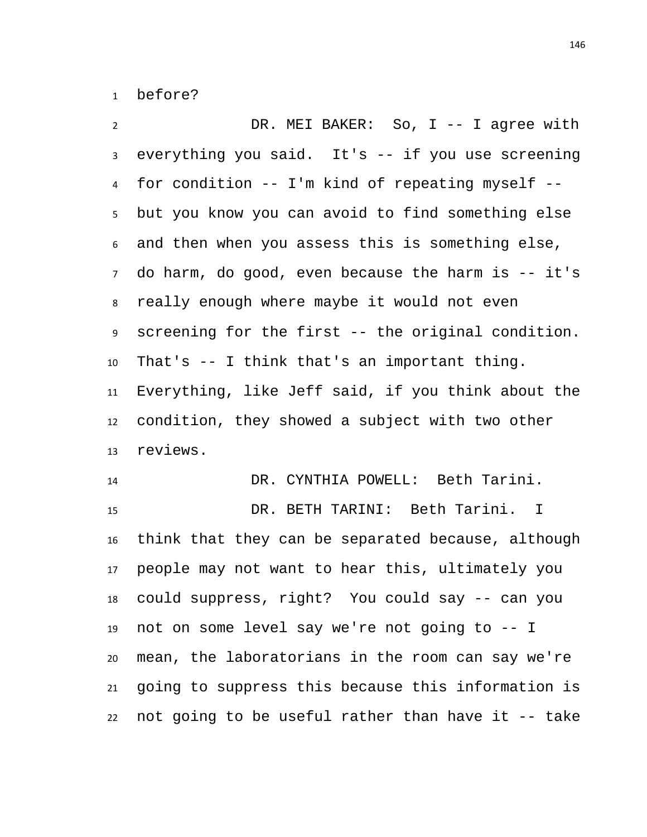before?

 DR. MEI BAKER: So, I -- I agree with everything you said. It's -- if you use screening for condition -- I'm kind of repeating myself -- but you know you can avoid to find something else and then when you assess this is something else, do harm, do good, even because the harm is -- it's really enough where maybe it would not even screening for the first -- the original condition. That's -- I think that's an important thing. Everything, like Jeff said, if you think about the condition, they showed a subject with two other reviews.

 DR. CYNTHIA POWELL: Beth Tarini. DR. BETH TARINI: Beth Tarini. I think that they can be separated because, although people may not want to hear this, ultimately you could suppress, right? You could say -- can you not on some level say we're not going to -- I mean, the laboratorians in the room can say we're going to suppress this because this information is not going to be useful rather than have it -- take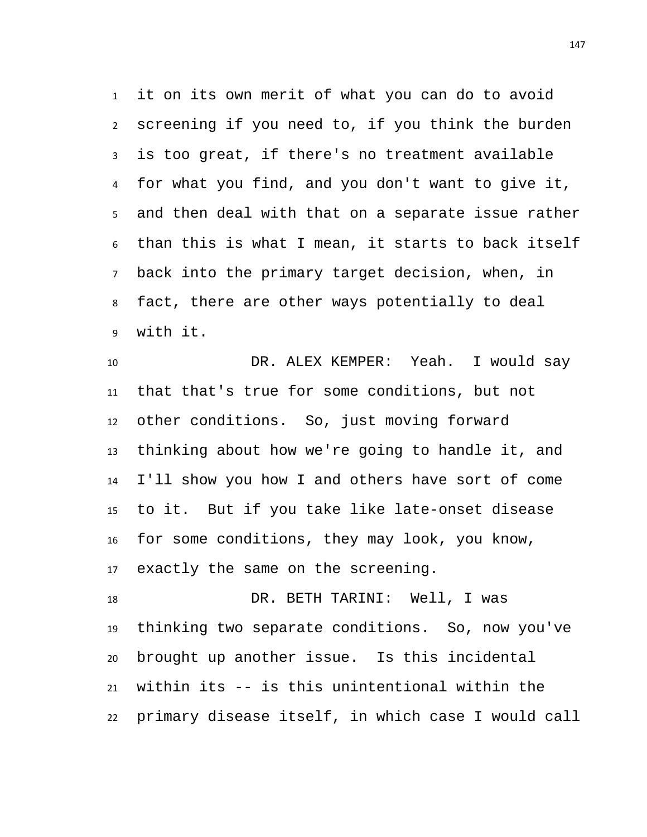it on its own merit of what you can do to avoid screening if you need to, if you think the burden is too great, if there's no treatment available for what you find, and you don't want to give it, and then deal with that on a separate issue rather than this is what I mean, it starts to back itself back into the primary target decision, when, in fact, there are other ways potentially to deal with it.

 DR. ALEX KEMPER: Yeah. I would say that that's true for some conditions, but not other conditions. So, just moving forward thinking about how we're going to handle it, and I'll show you how I and others have sort of come to it. But if you take like late-onset disease for some conditions, they may look, you know, exactly the same on the screening.

 DR. BETH TARINI: Well, I was thinking two separate conditions. So, now you've brought up another issue. Is this incidental within its -- is this unintentional within the primary disease itself, in which case I would call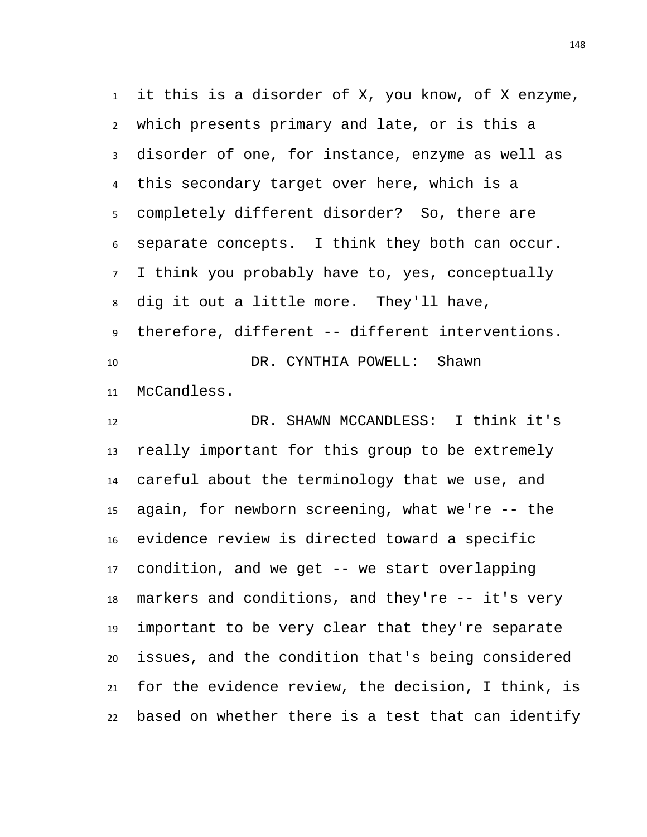it this is a disorder of X, you know, of X enzyme, which presents primary and late, or is this a disorder of one, for instance, enzyme as well as this secondary target over here, which is a completely different disorder? So, there are separate concepts. I think they both can occur. I think you probably have to, yes, conceptually dig it out a little more. They'll have, therefore, different -- different interventions. DR. CYNTHIA POWELL: Shawn McCandless.

 DR. SHAWN MCCANDLESS: I think it's really important for this group to be extremely careful about the terminology that we use, and again, for newborn screening, what we're -- the evidence review is directed toward a specific condition, and we get -- we start overlapping markers and conditions, and they're -- it's very important to be very clear that they're separate issues, and the condition that's being considered for the evidence review, the decision, I think, is based on whether there is a test that can identify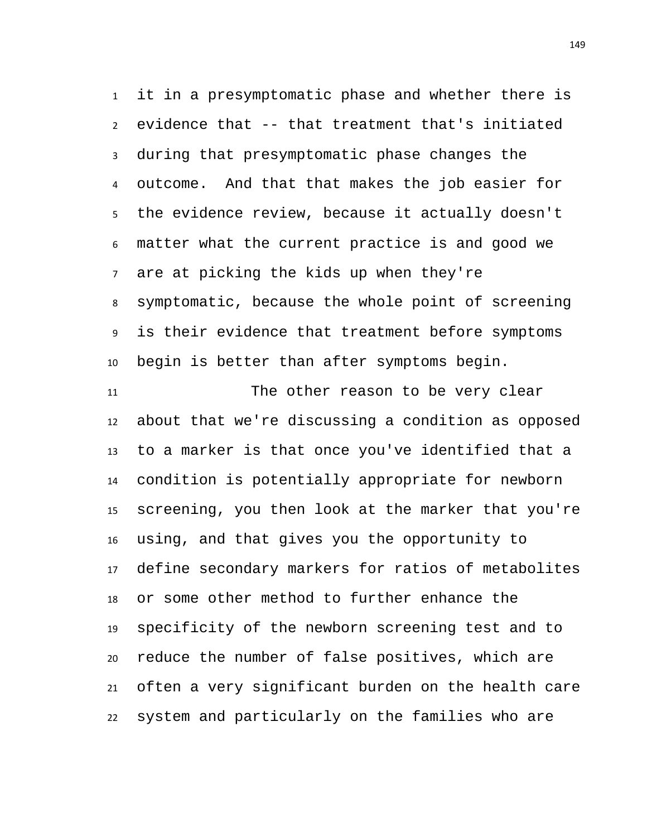it in a presymptomatic phase and whether there is evidence that -- that treatment that's initiated during that presymptomatic phase changes the outcome. And that that makes the job easier for the evidence review, because it actually doesn't matter what the current practice is and good we are at picking the kids up when they're symptomatic, because the whole point of screening is their evidence that treatment before symptoms begin is better than after symptoms begin.

 The other reason to be very clear about that we're discussing a condition as opposed to a marker is that once you've identified that a condition is potentially appropriate for newborn screening, you then look at the marker that you're using, and that gives you the opportunity to define secondary markers for ratios of metabolites or some other method to further enhance the specificity of the newborn screening test and to reduce the number of false positives, which are often a very significant burden on the health care system and particularly on the families who are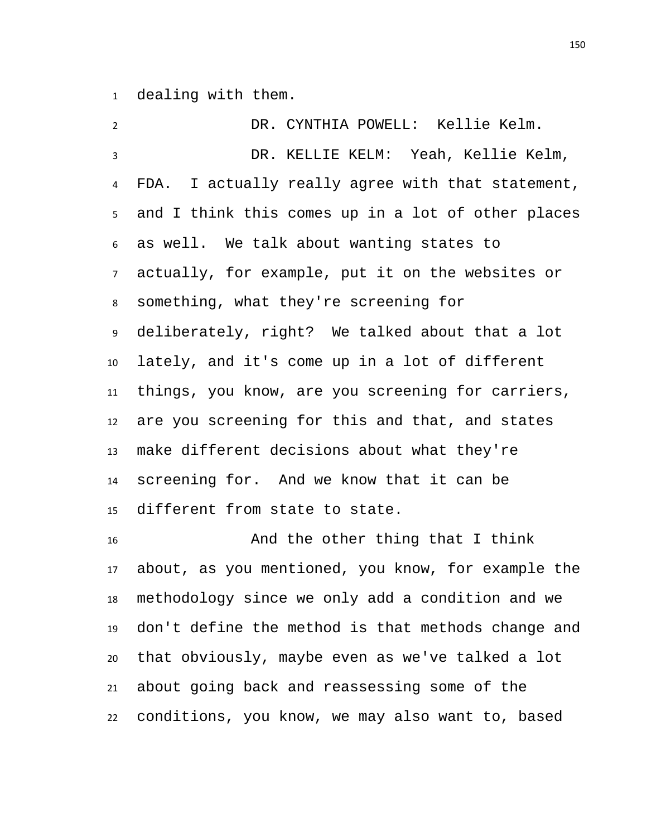dealing with them.

| $\overline{2}$  | DR. CYNTHIA POWELL: Kellie Kelm.                   |
|-----------------|----------------------------------------------------|
| $\overline{3}$  | DR. KELLIE KELM: Yeah, Kellie Kelm,                |
| $\overline{4}$  | FDA. I actually really agree with that statement,  |
| 5 <sub>1</sub>  | and I think this comes up in a lot of other places |
| $6\overline{6}$ | as well. We talk about wanting states to           |
|                 | 7 actually, for example, put it on the websites or |
| 8               | something, what they're screening for              |
| 9               | deliberately, right? We talked about that a lot    |
| 10 <sup>1</sup> | lately, and it's come up in a lot of different     |
| 11              | things, you know, are you screening for carriers,  |
|                 | 12 are you screening for this and that, and states |
| 13              | make different decisions about what they're        |
| 14              | screening for. And we know that it can be          |
| 15              | different from state to state.                     |
| 16              | And the other thing that I think                   |

 And the other thing that I think about, as you mentioned, you know, for example the methodology since we only add a condition and we don't define the method is that methods change and that obviously, maybe even as we've talked a lot about going back and reassessing some of the conditions, you know, we may also want to, based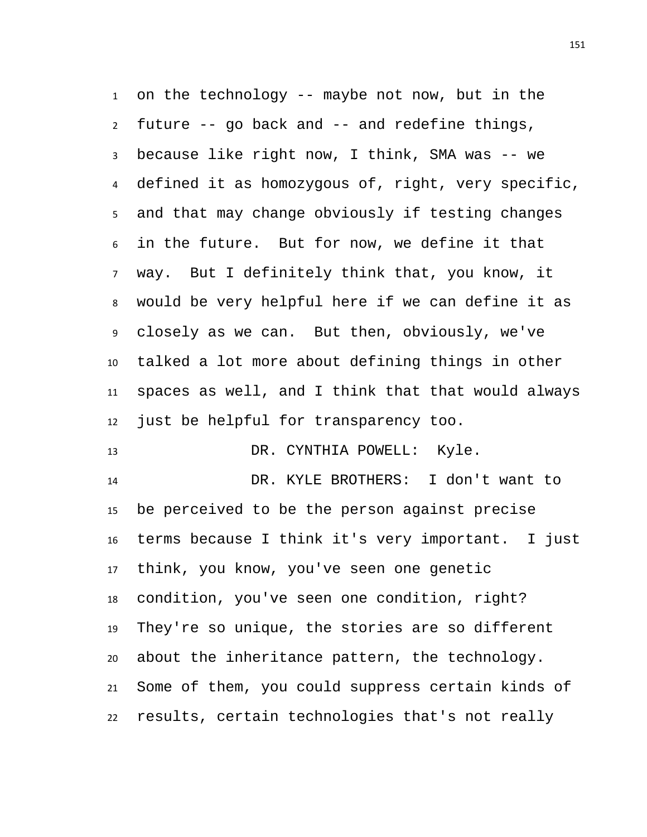on the technology -- maybe not now, but in the future -- go back and -- and redefine things, because like right now, I think, SMA was -- we defined it as homozygous of, right, very specific, and that may change obviously if testing changes in the future. But for now, we define it that way. But I definitely think that, you know, it would be very helpful here if we can define it as closely as we can. But then, obviously, we've talked a lot more about defining things in other spaces as well, and I think that that would always just be helpful for transparency too.

13 DR. CYNTHIA POWELL: Kyle.

 DR. KYLE BROTHERS: I don't want to be perceived to be the person against precise terms because I think it's very important. I just think, you know, you've seen one genetic condition, you've seen one condition, right? They're so unique, the stories are so different about the inheritance pattern, the technology. Some of them, you could suppress certain kinds of results, certain technologies that's not really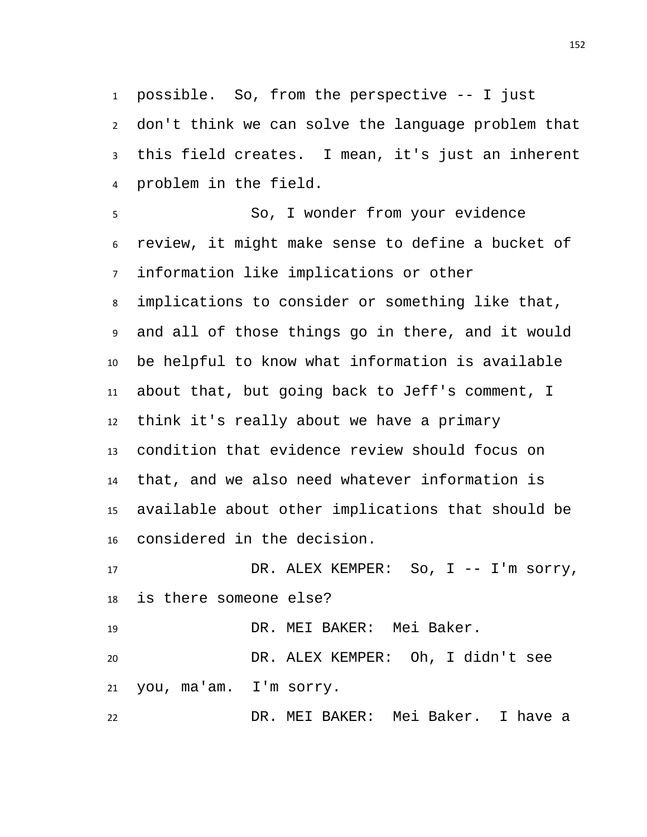possible. So, from the perspective -- I just don't think we can solve the language problem that this field creates. I mean, it's just an inherent problem in the field.

 So, I wonder from your evidence review, it might make sense to define a bucket of information like implications or other implications to consider or something like that, and all of those things go in there, and it would be helpful to know what information is available about that, but going back to Jeff's comment, I think it's really about we have a primary condition that evidence review should focus on that, and we also need whatever information is available about other implications that should be considered in the decision.

17 DR. ALEX KEMPER: So, I -- I'm sorry, is there someone else?

DR. MEI BAKER: Mei Baker.

 DR. ALEX KEMPER: Oh, I didn't see you, ma'am. I'm sorry.

DR. MEI BAKER: Mei Baker. I have a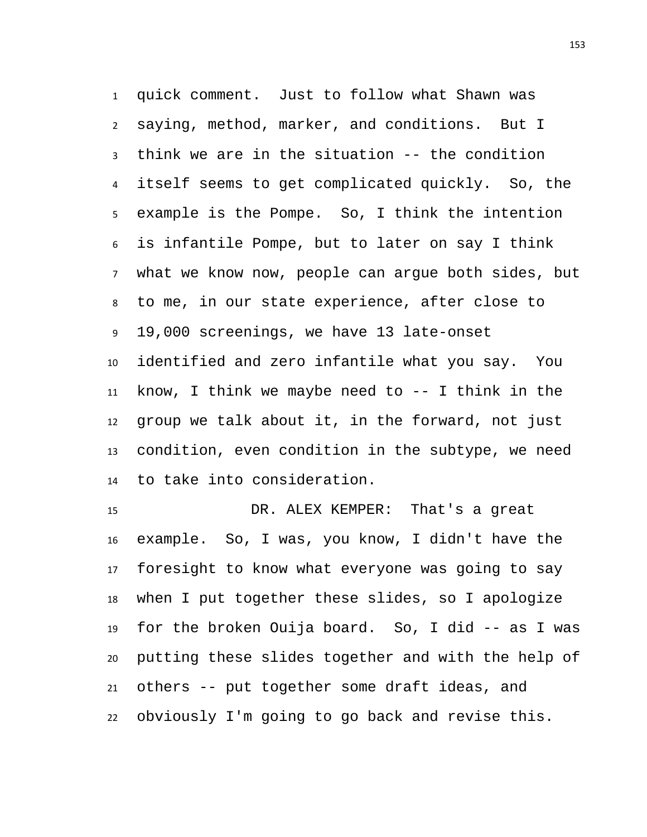quick comment. Just to follow what Shawn was saying, method, marker, and conditions. But I think we are in the situation -- the condition itself seems to get complicated quickly. So, the example is the Pompe. So, I think the intention is infantile Pompe, but to later on say I think what we know now, people can argue both sides, but to me, in our state experience, after close to 19,000 screenings, we have 13 late-onset identified and zero infantile what you say. You know, I think we maybe need to -- I think in the group we talk about it, in the forward, not just condition, even condition in the subtype, we need to take into consideration.

 DR. ALEX KEMPER: That's a great example. So, I was, you know, I didn't have the foresight to know what everyone was going to say when I put together these slides, so I apologize for the broken Ouija board. So, I did -- as I was putting these slides together and with the help of others -- put together some draft ideas, and obviously I'm going to go back and revise this.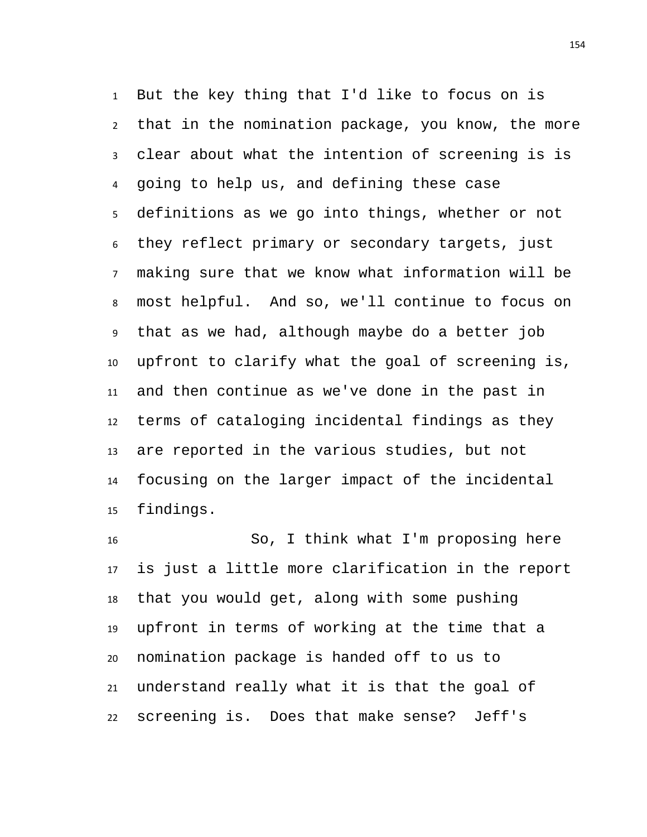But the key thing that I'd like to focus on is that in the nomination package, you know, the more clear about what the intention of screening is is going to help us, and defining these case definitions as we go into things, whether or not they reflect primary or secondary targets, just making sure that we know what information will be most helpful. And so, we'll continue to focus on that as we had, although maybe do a better job upfront to clarify what the goal of screening is, and then continue as we've done in the past in terms of cataloging incidental findings as they are reported in the various studies, but not focusing on the larger impact of the incidental findings.

 So, I think what I'm proposing here is just a little more clarification in the report that you would get, along with some pushing upfront in terms of working at the time that a nomination package is handed off to us to understand really what it is that the goal of screening is. Does that make sense? Jeff's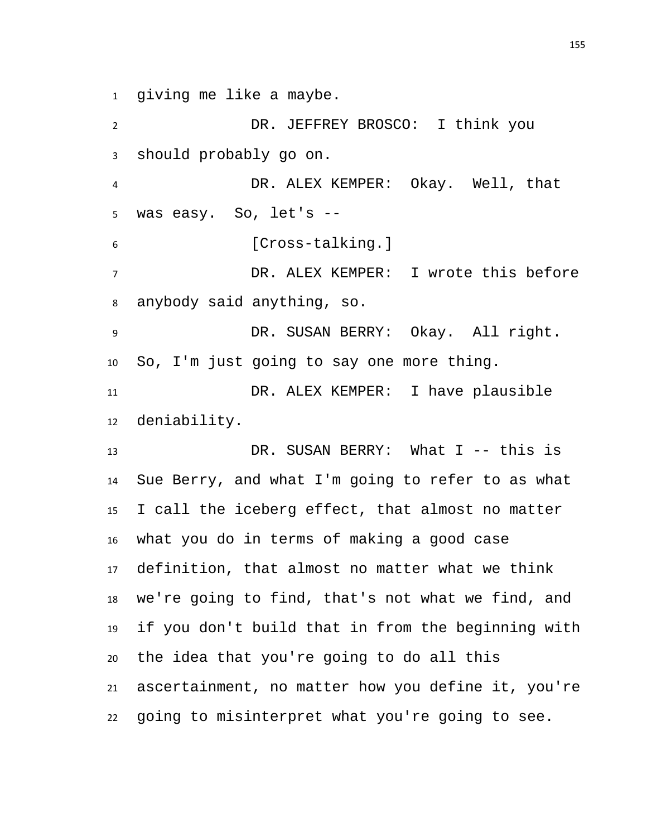giving me like a maybe.

 DR. JEFFREY BROSCO: I think you should probably go on. DR. ALEX KEMPER: Okay. Well, that was easy. So, let's -- [Cross-talking.] DR. ALEX KEMPER: I wrote this before anybody said anything, so. DR. SUSAN BERRY: Okay. All right. So, I'm just going to say one more thing. DR. ALEX KEMPER: I have plausible deniability. 13 DR. SUSAN BERRY: What I -- this is

 Sue Berry, and what I'm going to refer to as what I call the iceberg effect, that almost no matter what you do in terms of making a good case definition, that almost no matter what we think we're going to find, that's not what we find, and if you don't build that in from the beginning with the idea that you're going to do all this ascertainment, no matter how you define it, you're going to misinterpret what you're going to see.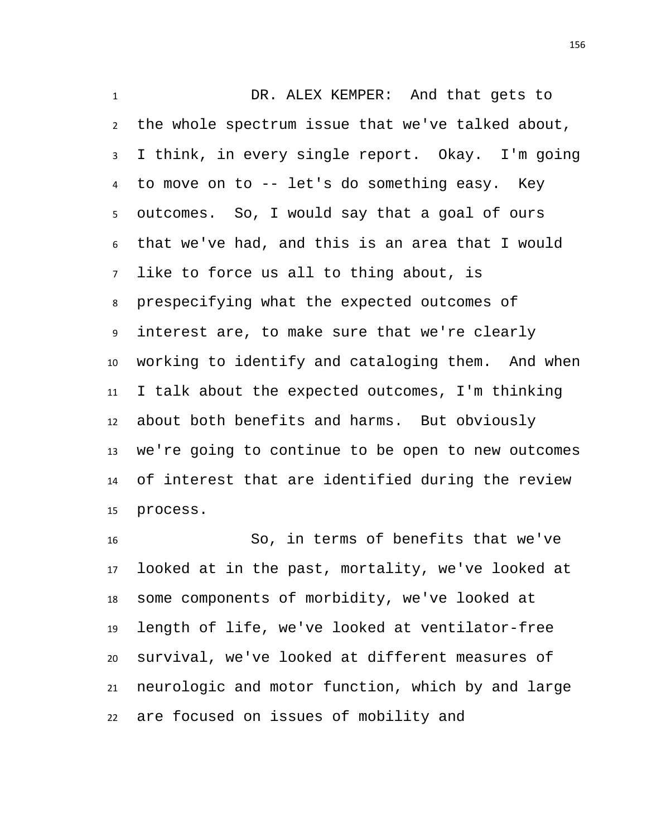DR. ALEX KEMPER: And that gets to the whole spectrum issue that we've talked about, I think, in every single report. Okay. I'm going to move on to -- let's do something easy. Key outcomes. So, I would say that a goal of ours that we've had, and this is an area that I would like to force us all to thing about, is prespecifying what the expected outcomes of interest are, to make sure that we're clearly working to identify and cataloging them. And when I talk about the expected outcomes, I'm thinking about both benefits and harms. But obviously we're going to continue to be open to new outcomes of interest that are identified during the review process.

 So, in terms of benefits that we've looked at in the past, mortality, we've looked at some components of morbidity, we've looked at length of life, we've looked at ventilator-free survival, we've looked at different measures of neurologic and motor function, which by and large are focused on issues of mobility and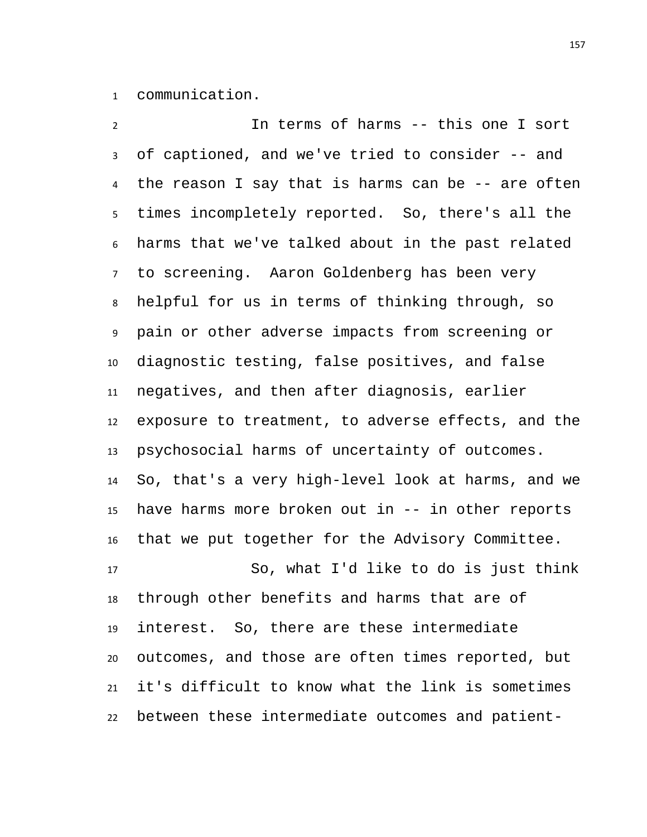communication.

 In terms of harms -- this one I sort of captioned, and we've tried to consider -- and the reason I say that is harms can be -- are often times incompletely reported. So, there's all the harms that we've talked about in the past related to screening. Aaron Goldenberg has been very helpful for us in terms of thinking through, so pain or other adverse impacts from screening or diagnostic testing, false positives, and false negatives, and then after diagnosis, earlier exposure to treatment, to adverse effects, and the psychosocial harms of uncertainty of outcomes. So, that's a very high-level look at harms, and we have harms more broken out in -- in other reports that we put together for the Advisory Committee. So, what I'd like to do is just think

 through other benefits and harms that are of interest. So, there are these intermediate outcomes, and those are often times reported, but it's difficult to know what the link is sometimes between these intermediate outcomes and patient-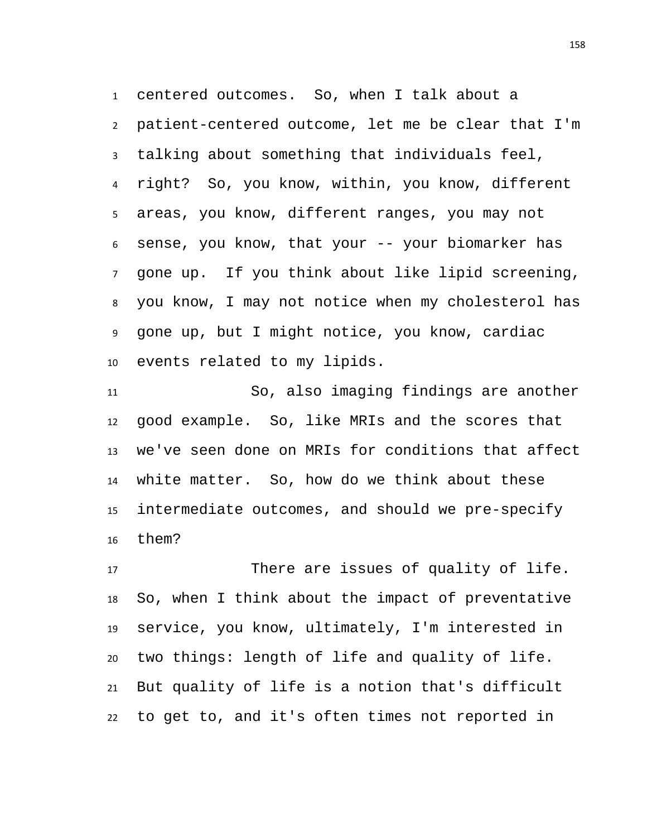centered outcomes. So, when I talk about a patient-centered outcome, let me be clear that I'm talking about something that individuals feel, right? So, you know, within, you know, different areas, you know, different ranges, you may not sense, you know, that your -- your biomarker has gone up. If you think about like lipid screening, you know, I may not notice when my cholesterol has gone up, but I might notice, you know, cardiac events related to my lipids.

 So, also imaging findings are another good example. So, like MRIs and the scores that we've seen done on MRIs for conditions that affect white matter. So, how do we think about these intermediate outcomes, and should we pre-specify them?

 There are issues of quality of life. So, when I think about the impact of preventative service, you know, ultimately, I'm interested in two things: length of life and quality of life. But quality of life is a notion that's difficult to get to, and it's often times not reported in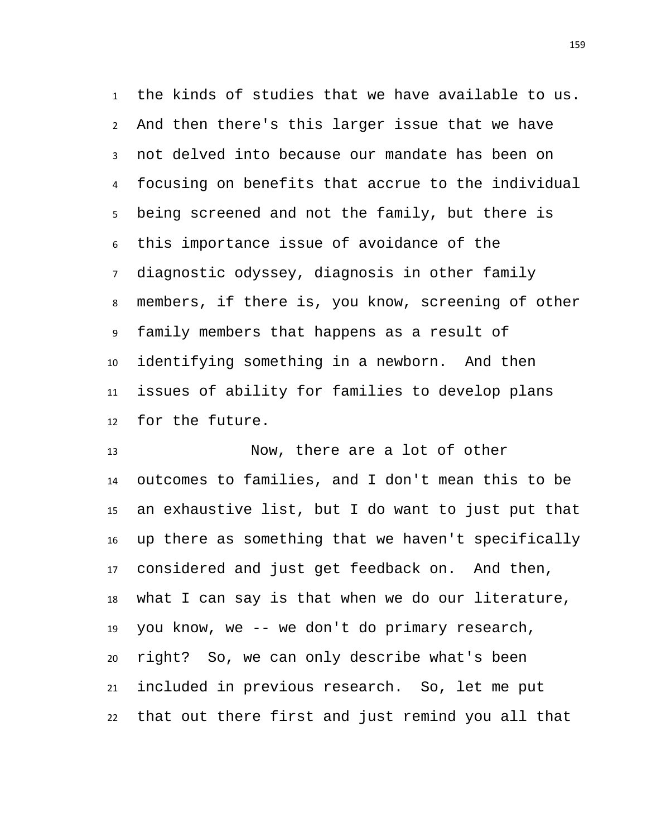the kinds of studies that we have available to us. And then there's this larger issue that we have not delved into because our mandate has been on focusing on benefits that accrue to the individual being screened and not the family, but there is this importance issue of avoidance of the diagnostic odyssey, diagnosis in other family members, if there is, you know, screening of other family members that happens as a result of identifying something in a newborn. And then issues of ability for families to develop plans for the future.

 Now, there are a lot of other outcomes to families, and I don't mean this to be an exhaustive list, but I do want to just put that up there as something that we haven't specifically considered and just get feedback on. And then, what I can say is that when we do our literature, you know, we -- we don't do primary research, right? So, we can only describe what's been included in previous research. So, let me put that out there first and just remind you all that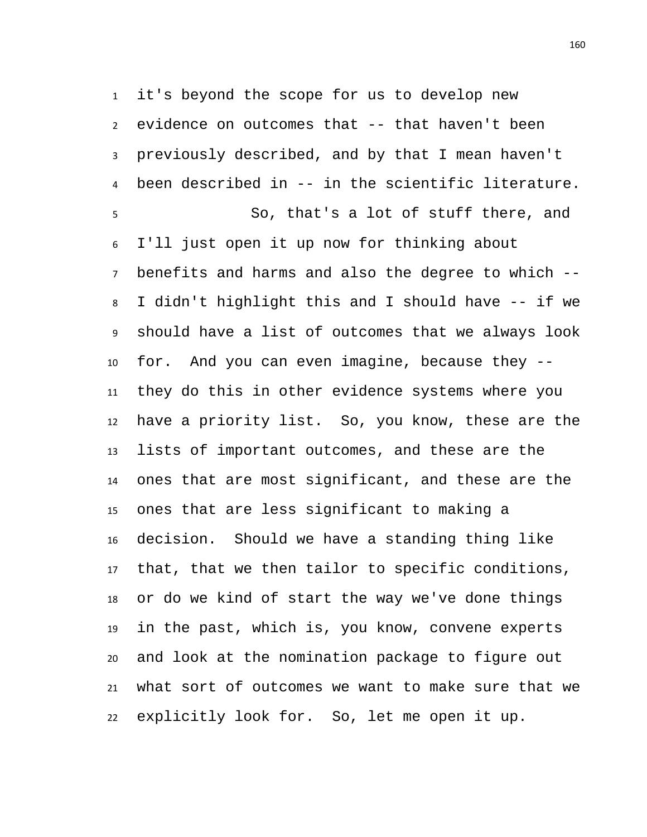it's beyond the scope for us to develop new evidence on outcomes that -- that haven't been previously described, and by that I mean haven't been described in -- in the scientific literature. So, that's a lot of stuff there, and I'll just open it up now for thinking about benefits and harms and also the degree to which -- I didn't highlight this and I should have -- if we should have a list of outcomes that we always look for. And you can even imagine, because they -- they do this in other evidence systems where you have a priority list. So, you know, these are the lists of important outcomes, and these are the ones that are most significant, and these are the ones that are less significant to making a decision. Should we have a standing thing like that, that we then tailor to specific conditions, or do we kind of start the way we've done things in the past, which is, you know, convene experts and look at the nomination package to figure out what sort of outcomes we want to make sure that we explicitly look for. So, let me open it up.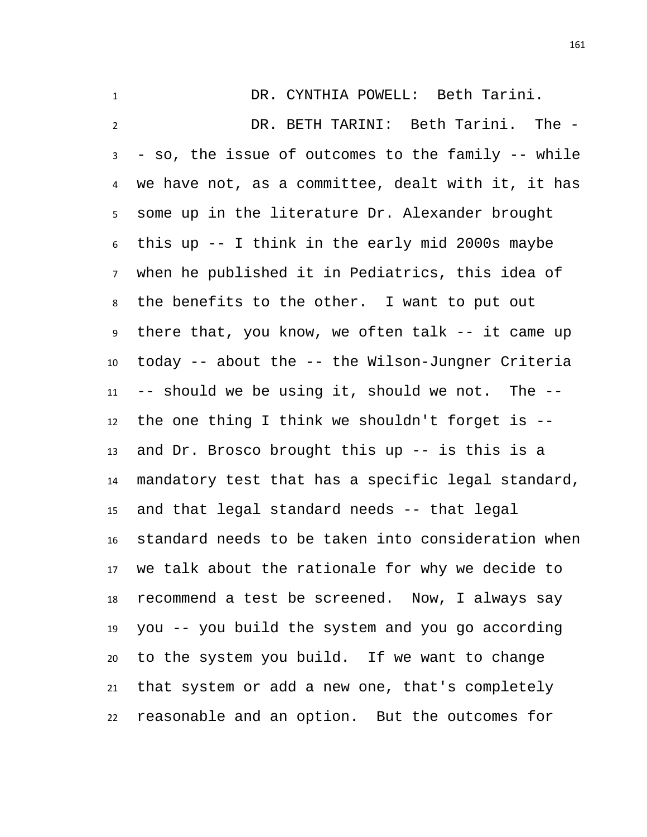DR. CYNTHIA POWELL: Beth Tarini. DR. BETH TARINI: Beth Tarini. The - - so, the issue of outcomes to the family -- while we have not, as a committee, dealt with it, it has some up in the literature Dr. Alexander brought this up -- I think in the early mid 2000s maybe when he published it in Pediatrics, this idea of the benefits to the other. I want to put out there that, you know, we often talk -- it came up today -- about the -- the Wilson-Jungner Criteria -- should we be using it, should we not. The -- the one thing I think we shouldn't forget is -- and Dr. Brosco brought this up -- is this is a mandatory test that has a specific legal standard, and that legal standard needs -- that legal standard needs to be taken into consideration when we talk about the rationale for why we decide to recommend a test be screened. Now, I always say you -- you build the system and you go according to the system you build. If we want to change that system or add a new one, that's completely reasonable and an option. But the outcomes for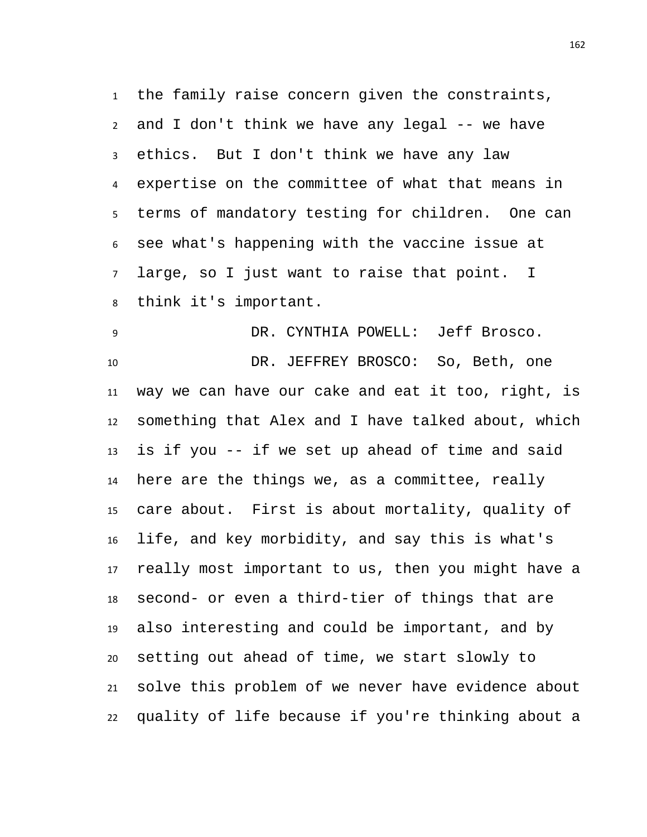the family raise concern given the constraints, and I don't think we have any legal -- we have ethics. But I don't think we have any law expertise on the committee of what that means in terms of mandatory testing for children. One can see what's happening with the vaccine issue at large, so I just want to raise that point. I think it's important.

 DR. CYNTHIA POWELL: Jeff Brosco. DR. JEFFREY BROSCO: So, Beth, one way we can have our cake and eat it too, right, is something that Alex and I have talked about, which is if you -- if we set up ahead of time and said here are the things we, as a committee, really care about. First is about mortality, quality of life, and key morbidity, and say this is what's really most important to us, then you might have a second- or even a third-tier of things that are also interesting and could be important, and by setting out ahead of time, we start slowly to solve this problem of we never have evidence about quality of life because if you're thinking about a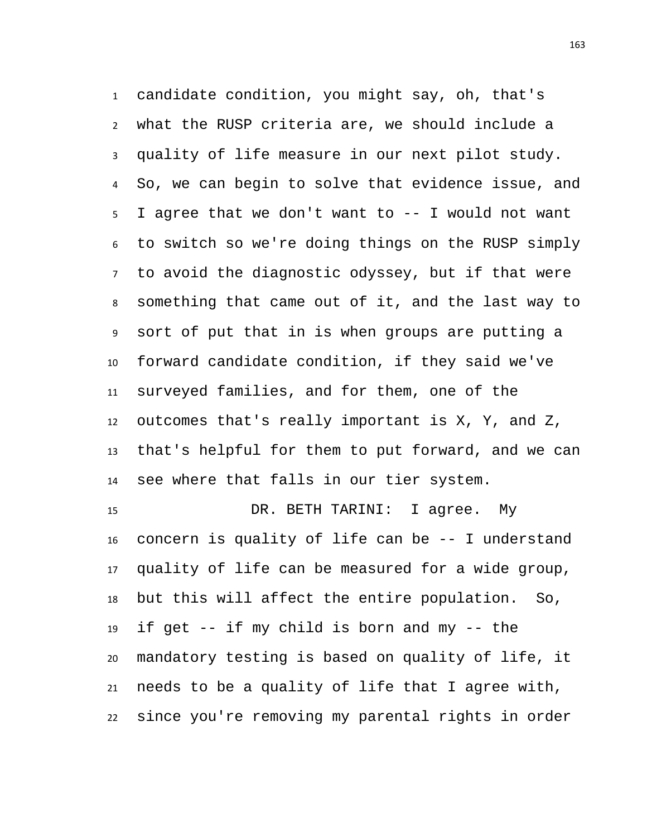candidate condition, you might say, oh, that's what the RUSP criteria are, we should include a quality of life measure in our next pilot study. So, we can begin to solve that evidence issue, and I agree that we don't want to -- I would not want to switch so we're doing things on the RUSP simply to avoid the diagnostic odyssey, but if that were something that came out of it, and the last way to sort of put that in is when groups are putting a forward candidate condition, if they said we've surveyed families, and for them, one of the outcomes that's really important is X, Y, and Z, that's helpful for them to put forward, and we can see where that falls in our tier system.

 DR. BETH TARINI: I agree. My concern is quality of life can be -- I understand quality of life can be measured for a wide group, but this will affect the entire population. So, if get -- if my child is born and my -- the mandatory testing is based on quality of life, it needs to be a quality of life that I agree with, since you're removing my parental rights in order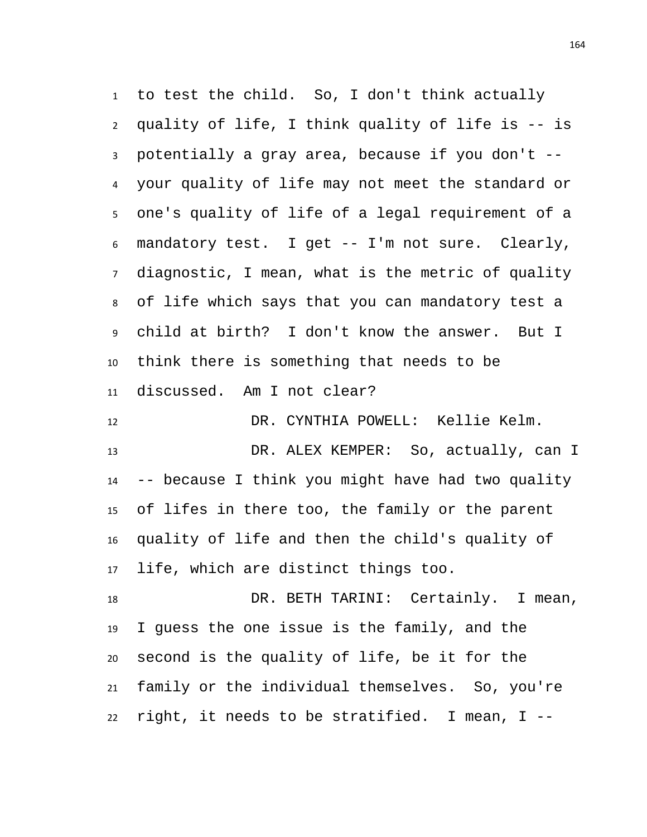to test the child. So, I don't think actually quality of life, I think quality of life is -- is potentially a gray area, because if you don't -- your quality of life may not meet the standard or one's quality of life of a legal requirement of a mandatory test. I get -- I'm not sure. Clearly, diagnostic, I mean, what is the metric of quality of life which says that you can mandatory test a child at birth? I don't know the answer. But I think there is something that needs to be discussed. Am I not clear? DR. CYNTHIA POWELL: Kellie Kelm. DR. ALEX KEMPER: So, actually, can I -- because I think you might have had two quality of lifes in there too, the family or the parent quality of life and then the child's quality of life, which are distinct things too. 18 DR. BETH TARINI: Certainly. I mean,

 I guess the one issue is the family, and the second is the quality of life, be it for the family or the individual themselves. So, you're right, it needs to be stratified. I mean, I --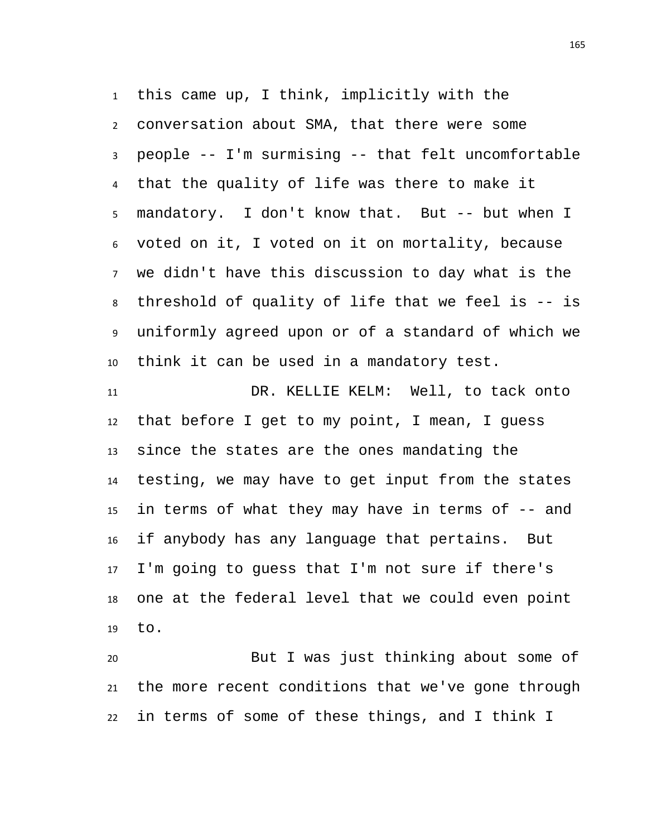this came up, I think, implicitly with the conversation about SMA, that there were some people -- I'm surmising -- that felt uncomfortable that the quality of life was there to make it mandatory. I don't know that. But -- but when I voted on it, I voted on it on mortality, because we didn't have this discussion to day what is the threshold of quality of life that we feel is -- is uniformly agreed upon or of a standard of which we think it can be used in a mandatory test.

 DR. KELLIE KELM: Well, to tack onto that before I get to my point, I mean, I guess since the states are the ones mandating the testing, we may have to get input from the states in terms of what they may have in terms of -- and if anybody has any language that pertains. But I'm going to guess that I'm not sure if there's one at the federal level that we could even point to.

 But I was just thinking about some of the more recent conditions that we've gone through in terms of some of these things, and I think I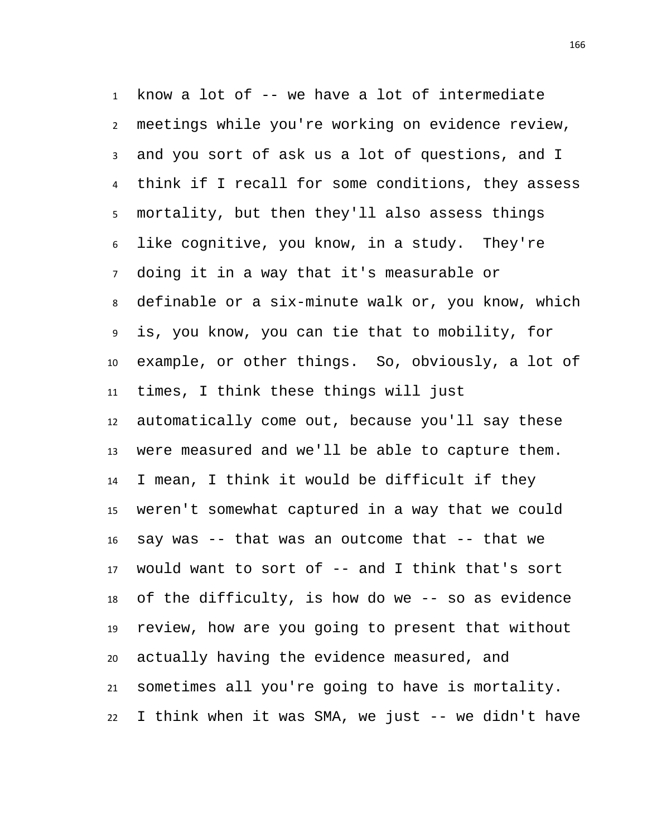know a lot of -- we have a lot of intermediate meetings while you're working on evidence review, and you sort of ask us a lot of questions, and I think if I recall for some conditions, they assess mortality, but then they'll also assess things like cognitive, you know, in a study. They're doing it in a way that it's measurable or definable or a six-minute walk or, you know, which is, you know, you can tie that to mobility, for example, or other things. So, obviously, a lot of times, I think these things will just automatically come out, because you'll say these were measured and we'll be able to capture them. I mean, I think it would be difficult if they weren't somewhat captured in a way that we could say was -- that was an outcome that -- that we would want to sort of -- and I think that's sort of the difficulty, is how do we -- so as evidence review, how are you going to present that without actually having the evidence measured, and sometimes all you're going to have is mortality. I think when it was SMA, we just -- we didn't have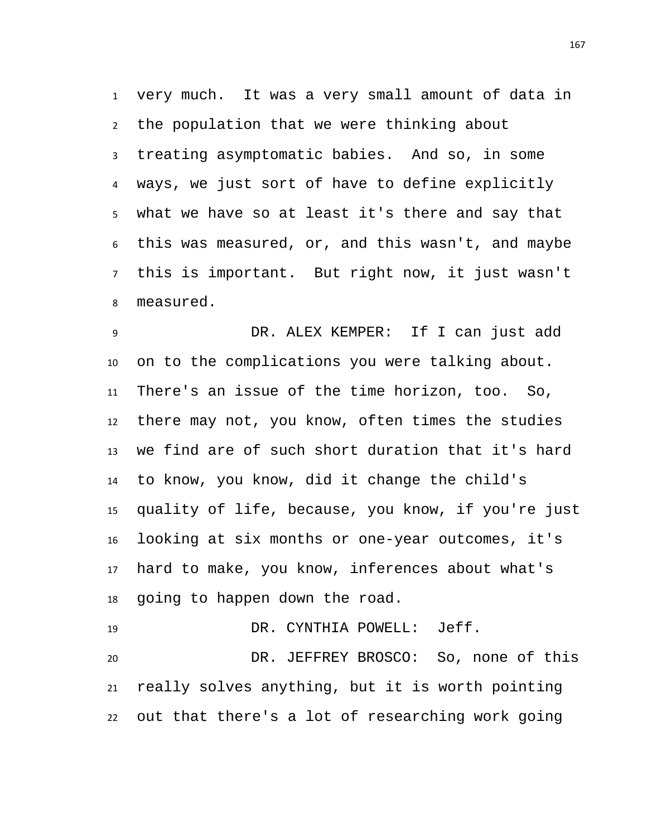very much. It was a very small amount of data in the population that we were thinking about treating asymptomatic babies. And so, in some ways, we just sort of have to define explicitly what we have so at least it's there and say that this was measured, or, and this wasn't, and maybe this is important. But right now, it just wasn't measured.

 DR. ALEX KEMPER: If I can just add on to the complications you were talking about. There's an issue of the time horizon, too. So, there may not, you know, often times the studies we find are of such short duration that it's hard to know, you know, did it change the child's quality of life, because, you know, if you're just looking at six months or one-year outcomes, it's hard to make, you know, inferences about what's going to happen down the road.

 DR. CYNTHIA POWELL: Jeff. DR. JEFFREY BROSCO: So, none of this really solves anything, but it is worth pointing out that there's a lot of researching work going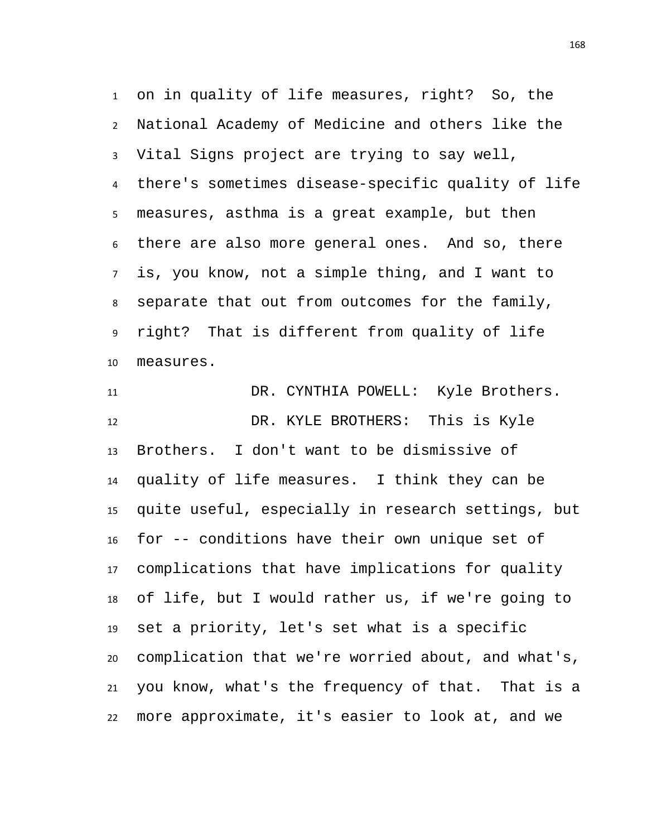on in quality of life measures, right? So, the National Academy of Medicine and others like the Vital Signs project are trying to say well, there's sometimes disease-specific quality of life measures, asthma is a great example, but then there are also more general ones. And so, there is, you know, not a simple thing, and I want to separate that out from outcomes for the family, right? That is different from quality of life measures.

 DR. CYNTHIA POWELL: Kyle Brothers. DR. KYLE BROTHERS: This is Kyle Brothers. I don't want to be dismissive of quality of life measures. I think they can be quite useful, especially in research settings, but for -- conditions have their own unique set of complications that have implications for quality of life, but I would rather us, if we're going to set a priority, let's set what is a specific complication that we're worried about, and what's, you know, what's the frequency of that. That is a more approximate, it's easier to look at, and we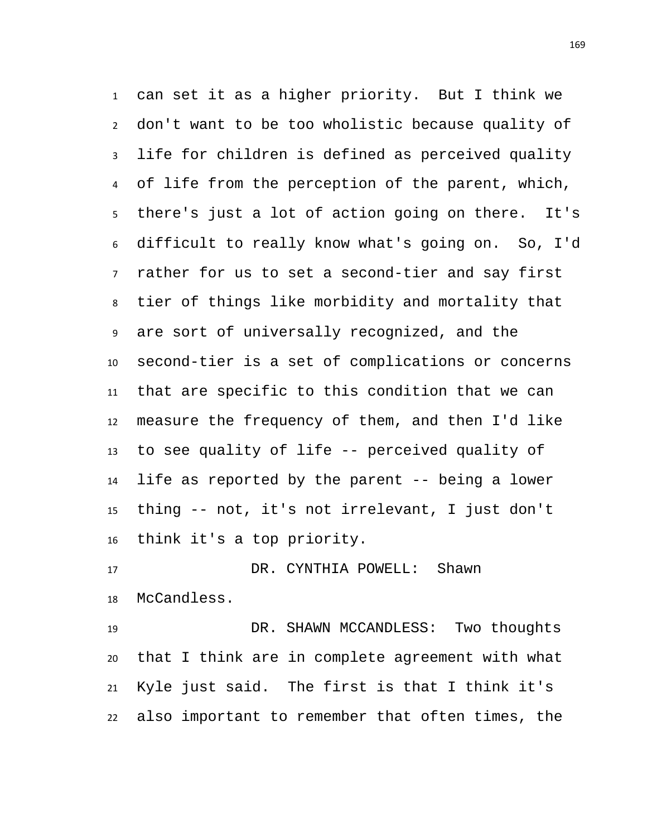can set it as a higher priority. But I think we don't want to be too wholistic because quality of life for children is defined as perceived quality of life from the perception of the parent, which, there's just a lot of action going on there. It's difficult to really know what's going on. So, I'd rather for us to set a second-tier and say first tier of things like morbidity and mortality that are sort of universally recognized, and the second-tier is a set of complications or concerns that are specific to this condition that we can measure the frequency of them, and then I'd like to see quality of life -- perceived quality of life as reported by the parent -- being a lower thing -- not, it's not irrelevant, I just don't think it's a top priority.

 DR. CYNTHIA POWELL: Shawn McCandless.

 DR. SHAWN MCCANDLESS: Two thoughts that I think are in complete agreement with what Kyle just said. The first is that I think it's also important to remember that often times, the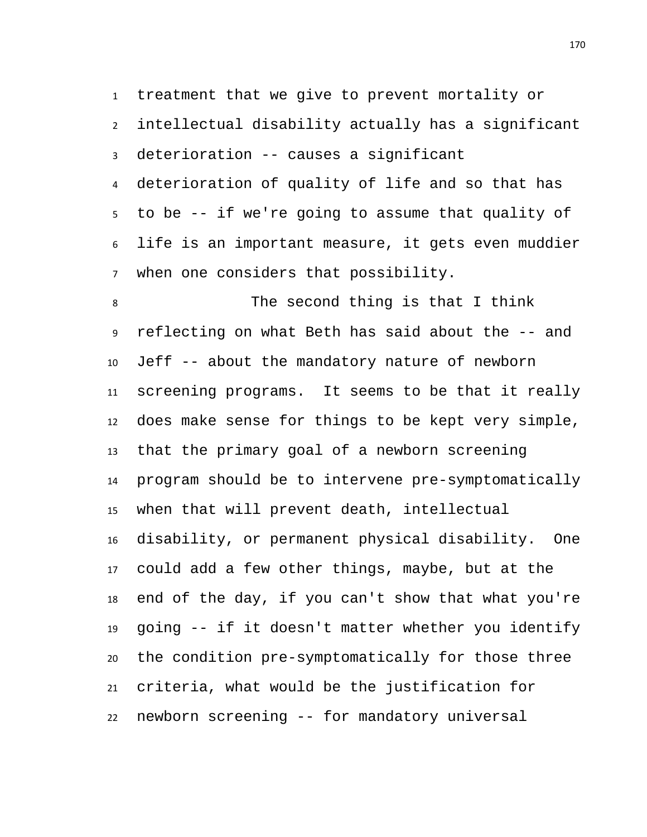treatment that we give to prevent mortality or

 intellectual disability actually has a significant deterioration -- causes a significant

 deterioration of quality of life and so that has to be -- if we're going to assume that quality of life is an important measure, it gets even muddier when one considers that possibility.

 The second thing is that I think reflecting on what Beth has said about the -- and Jeff -- about the mandatory nature of newborn screening programs. It seems to be that it really does make sense for things to be kept very simple, that the primary goal of a newborn screening program should be to intervene pre-symptomatically when that will prevent death, intellectual disability, or permanent physical disability. One could add a few other things, maybe, but at the end of the day, if you can't show that what you're going -- if it doesn't matter whether you identify the condition pre-symptomatically for those three criteria, what would be the justification for newborn screening -- for mandatory universal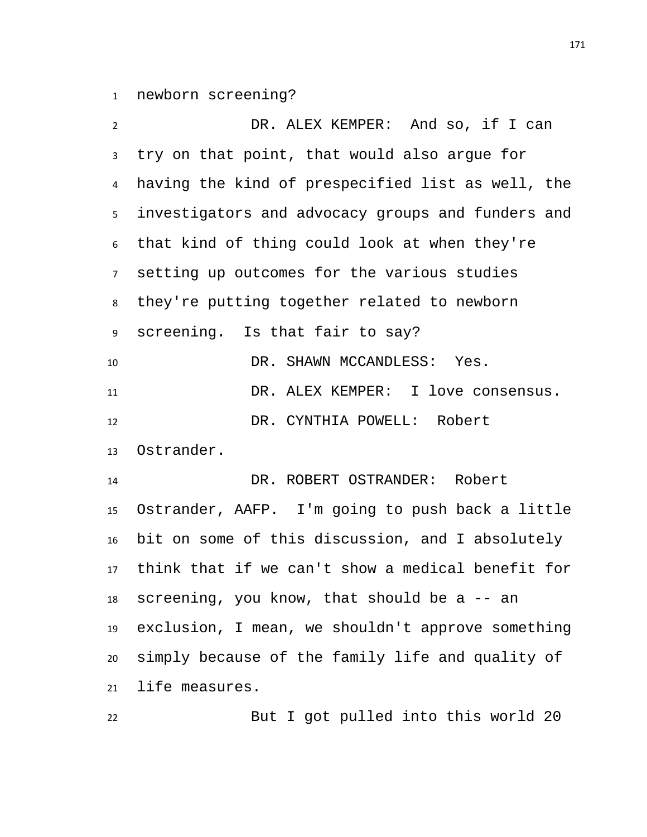newborn screening?

 DR. ALEX KEMPER: And so, if I can try on that point, that would also argue for having the kind of prespecified list as well, the investigators and advocacy groups and funders and that kind of thing could look at when they're setting up outcomes for the various studies they're putting together related to newborn screening. Is that fair to say? 10 DR. SHAWN MCCANDLESS: Yes. DR. ALEX KEMPER: I love consensus. 12 DR. CYNTHIA POWELL: Robert Ostrander. DR. ROBERT OSTRANDER: Robert Ostrander, AAFP. I'm going to push back a little bit on some of this discussion, and I absolutely think that if we can't show a medical benefit for screening, you know, that should be a -- an exclusion, I mean, we shouldn't approve something simply because of the family life and quality of life measures.

But I got pulled into this world 20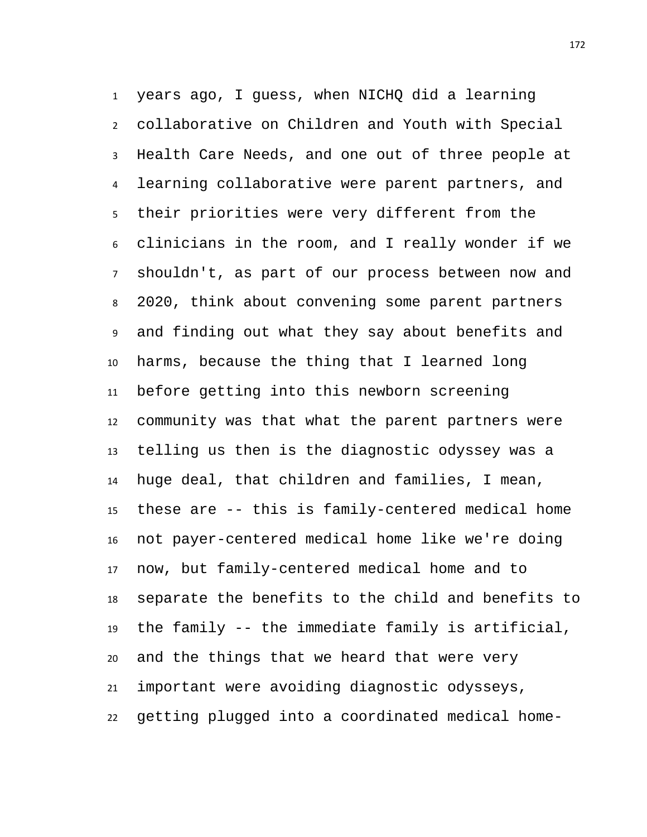years ago, I guess, when NICHQ did a learning collaborative on Children and Youth with Special Health Care Needs, and one out of three people at learning collaborative were parent partners, and their priorities were very different from the clinicians in the room, and I really wonder if we shouldn't, as part of our process between now and 2020, think about convening some parent partners and finding out what they say about benefits and harms, because the thing that I learned long before getting into this newborn screening community was that what the parent partners were telling us then is the diagnostic odyssey was a huge deal, that children and families, I mean, these are -- this is family-centered medical home not payer-centered medical home like we're doing now, but family-centered medical home and to separate the benefits to the child and benefits to the family -- the immediate family is artificial, and the things that we heard that were very important were avoiding diagnostic odysseys, getting plugged into a coordinated medical home-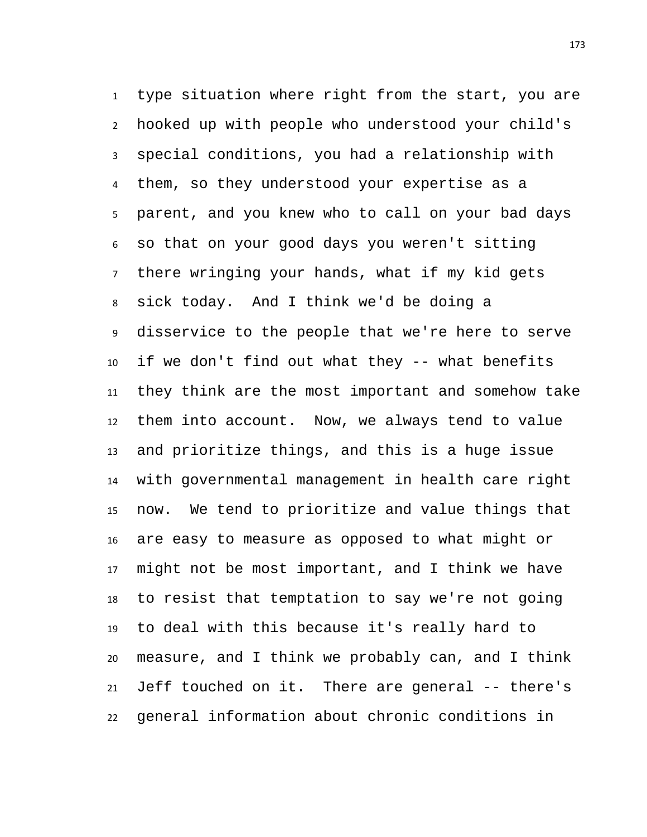type situation where right from the start, you are hooked up with people who understood your child's special conditions, you had a relationship with them, so they understood your expertise as a parent, and you knew who to call on your bad days so that on your good days you weren't sitting there wringing your hands, what if my kid gets sick today. And I think we'd be doing a disservice to the people that we're here to serve if we don't find out what they -- what benefits they think are the most important and somehow take them into account. Now, we always tend to value and prioritize things, and this is a huge issue with governmental management in health care right now. We tend to prioritize and value things that are easy to measure as opposed to what might or might not be most important, and I think we have to resist that temptation to say we're not going to deal with this because it's really hard to measure, and I think we probably can, and I think Jeff touched on it. There are general -- there's general information about chronic conditions in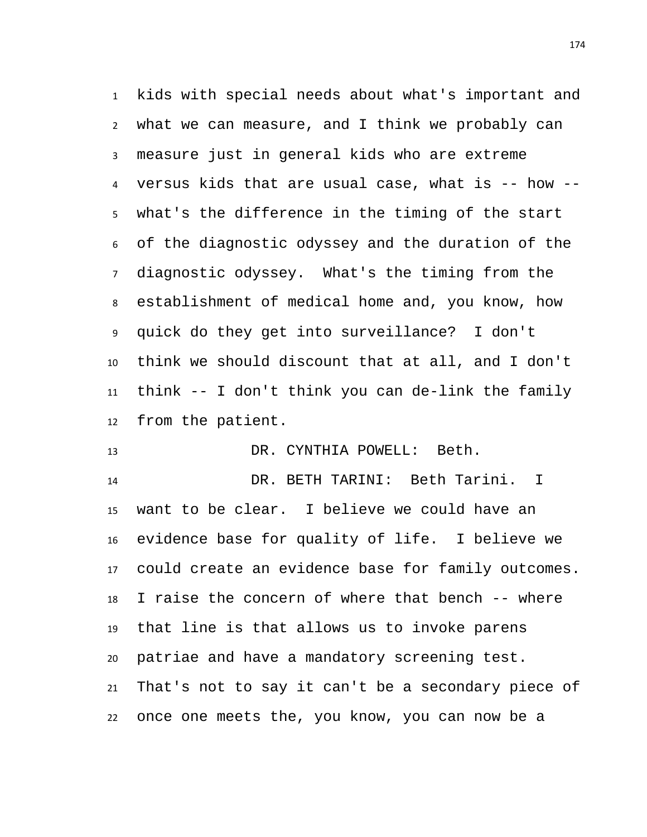kids with special needs about what's important and what we can measure, and I think we probably can measure just in general kids who are extreme versus kids that are usual case, what is -- how -- what's the difference in the timing of the start of the diagnostic odyssey and the duration of the diagnostic odyssey. What's the timing from the establishment of medical home and, you know, how quick do they get into surveillance? I don't think we should discount that at all, and I don't think -- I don't think you can de-link the family from the patient.

DR. CYNTHIA POWELL: Beth.

 DR. BETH TARINI: Beth Tarini. I want to be clear. I believe we could have an evidence base for quality of life. I believe we could create an evidence base for family outcomes. I raise the concern of where that bench -- where that line is that allows us to invoke parens patriae and have a mandatory screening test. That's not to say it can't be a secondary piece of once one meets the, you know, you can now be a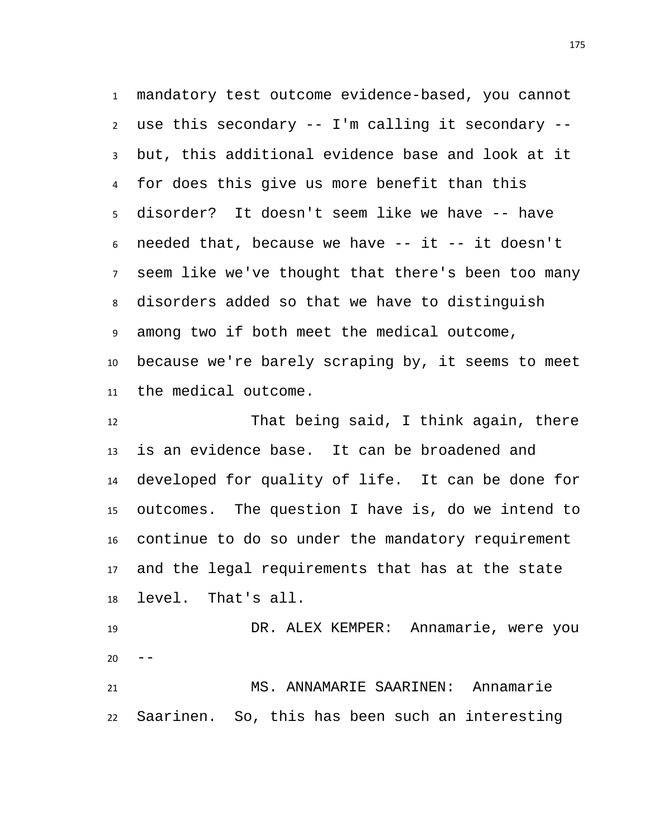mandatory test outcome evidence-based, you cannot use this secondary -- I'm calling it secondary -- but, this additional evidence base and look at it for does this give us more benefit than this disorder? It doesn't seem like we have -- have needed that, because we have -- it -- it doesn't seem like we've thought that there's been too many disorders added so that we have to distinguish among two if both meet the medical outcome, because we're barely scraping by, it seems to meet the medical outcome.

 That being said, I think again, there is an evidence base. It can be broadened and developed for quality of life. It can be done for outcomes. The question I have is, do we intend to continue to do so under the mandatory requirement and the legal requirements that has at the state level. That's all.

 DR. ALEX KEMPER: Annamarie, were you 

 MS. ANNAMARIE SAARINEN: Annamarie Saarinen. So, this has been such an interesting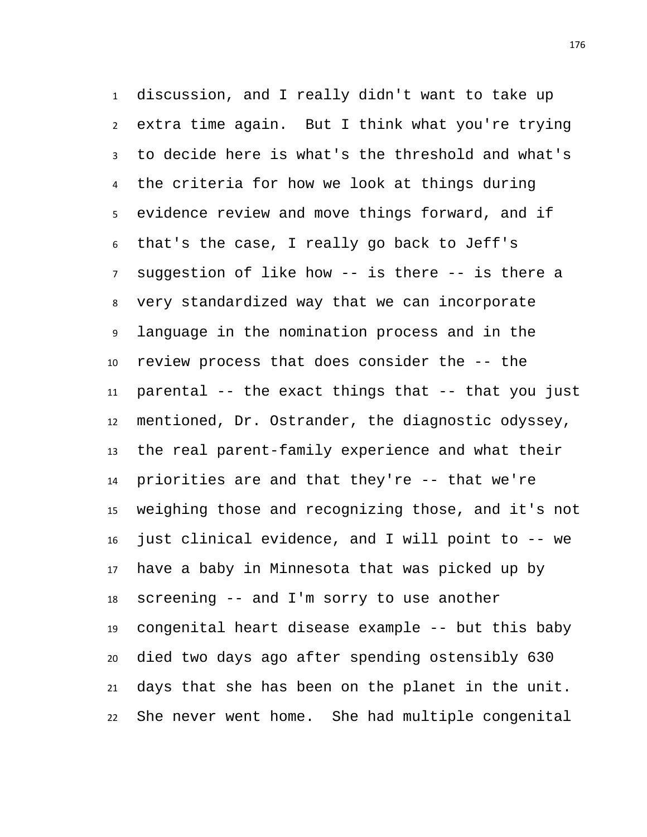discussion, and I really didn't want to take up extra time again. But I think what you're trying to decide here is what's the threshold and what's the criteria for how we look at things during evidence review and move things forward, and if that's the case, I really go back to Jeff's suggestion of like how -- is there -- is there a very standardized way that we can incorporate language in the nomination process and in the review process that does consider the -- the parental -- the exact things that -- that you just mentioned, Dr. Ostrander, the diagnostic odyssey, the real parent-family experience and what their priorities are and that they're -- that we're weighing those and recognizing those, and it's not just clinical evidence, and I will point to -- we have a baby in Minnesota that was picked up by screening -- and I'm sorry to use another congenital heart disease example -- but this baby died two days ago after spending ostensibly 630 days that she has been on the planet in the unit. She never went home. She had multiple congenital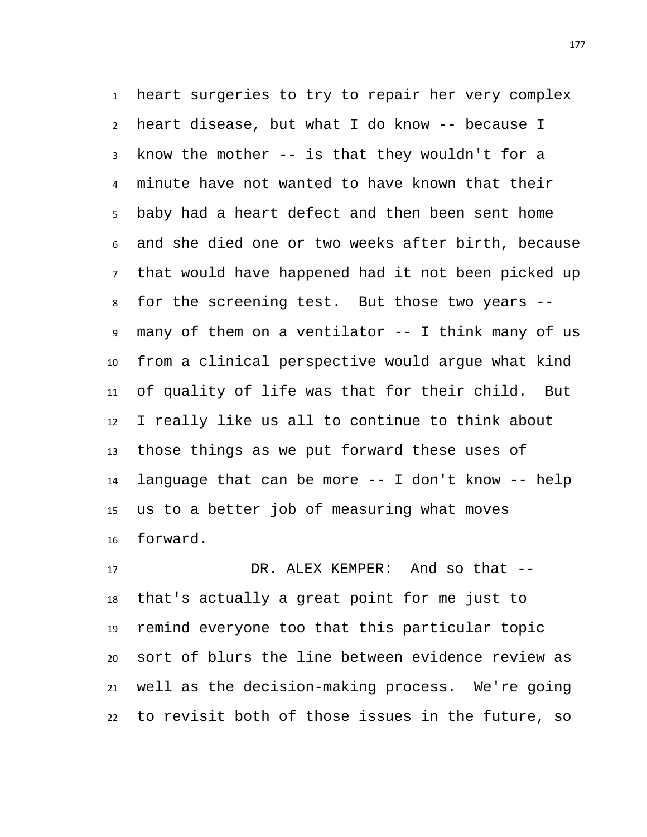heart surgeries to try to repair her very complex heart disease, but what I do know -- because I know the mother -- is that they wouldn't for a minute have not wanted to have known that their baby had a heart defect and then been sent home and she died one or two weeks after birth, because that would have happened had it not been picked up for the screening test. But those two years -- many of them on a ventilator -- I think many of us from a clinical perspective would argue what kind of quality of life was that for their child. But I really like us all to continue to think about those things as we put forward these uses of language that can be more -- I don't know -- help us to a better job of measuring what moves forward.

 DR. ALEX KEMPER: And so that -- that's actually a great point for me just to remind everyone too that this particular topic sort of blurs the line between evidence review as well as the decision-making process. We're going to revisit both of those issues in the future, so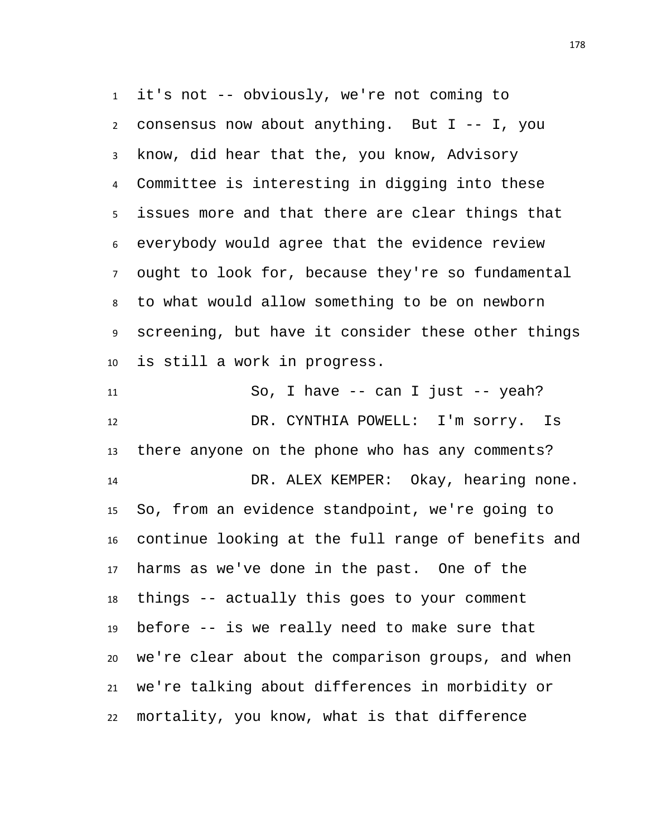it's not -- obviously, we're not coming to consensus now about anything. But I -- I, you know, did hear that the, you know, Advisory Committee is interesting in digging into these issues more and that there are clear things that everybody would agree that the evidence review ought to look for, because they're so fundamental to what would allow something to be on newborn screening, but have it consider these other things is still a work in progress.

 So, I have -- can I just -- yeah? DR. CYNTHIA POWELL: I'm sorry. Is there anyone on the phone who has any comments? DR. ALEX KEMPER: Okay, hearing none. So, from an evidence standpoint, we're going to continue looking at the full range of benefits and harms as we've done in the past. One of the things -- actually this goes to your comment before -- is we really need to make sure that we're clear about the comparison groups, and when we're talking about differences in morbidity or mortality, you know, what is that difference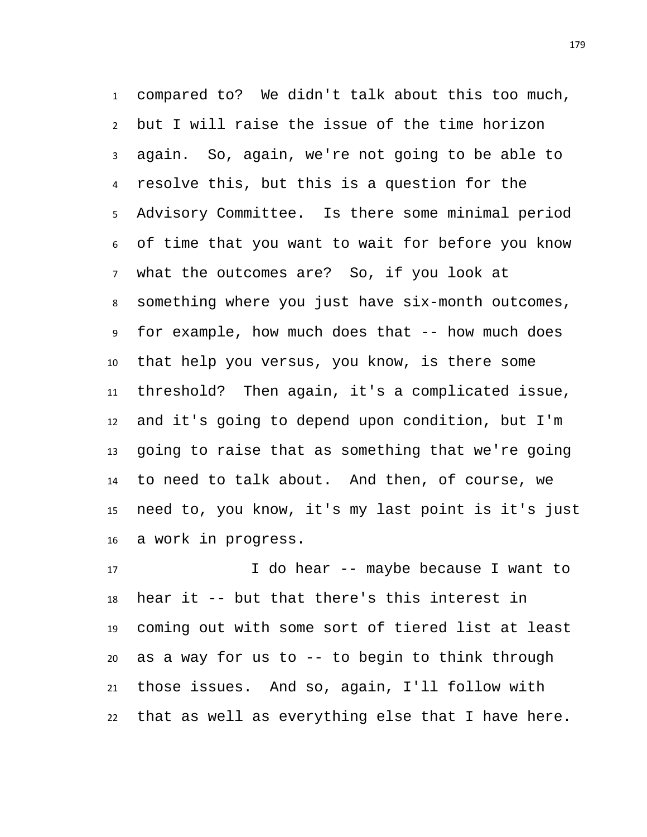compared to? We didn't talk about this too much, but I will raise the issue of the time horizon again. So, again, we're not going to be able to resolve this, but this is a question for the Advisory Committee. Is there some minimal period of time that you want to wait for before you know what the outcomes are? So, if you look at something where you just have six-month outcomes, for example, how much does that -- how much does that help you versus, you know, is there some threshold? Then again, it's a complicated issue, and it's going to depend upon condition, but I'm going to raise that as something that we're going to need to talk about. And then, of course, we need to, you know, it's my last point is it's just a work in progress.

 I do hear -- maybe because I want to hear it -- but that there's this interest in coming out with some sort of tiered list at least as a way for us to -- to begin to think through those issues. And so, again, I'll follow with that as well as everything else that I have here.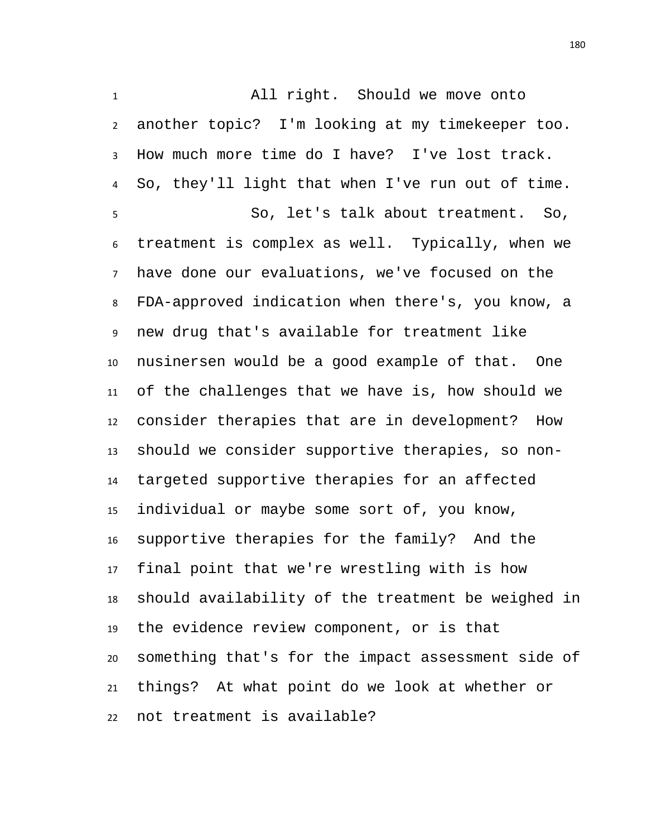All right. Should we move onto another topic? I'm looking at my timekeeper too. How much more time do I have? I've lost track. So, they'll light that when I've run out of time. So, let's talk about treatment. So, treatment is complex as well. Typically, when we have done our evaluations, we've focused on the FDA-approved indication when there's, you know, a new drug that's available for treatment like nusinersen would be a good example of that. One of the challenges that we have is, how should we consider therapies that are in development? How should we consider supportive therapies, so non- targeted supportive therapies for an affected individual or maybe some sort of, you know, supportive therapies for the family? And the final point that we're wrestling with is how should availability of the treatment be weighed in the evidence review component, or is that something that's for the impact assessment side of things? At what point do we look at whether or not treatment is available?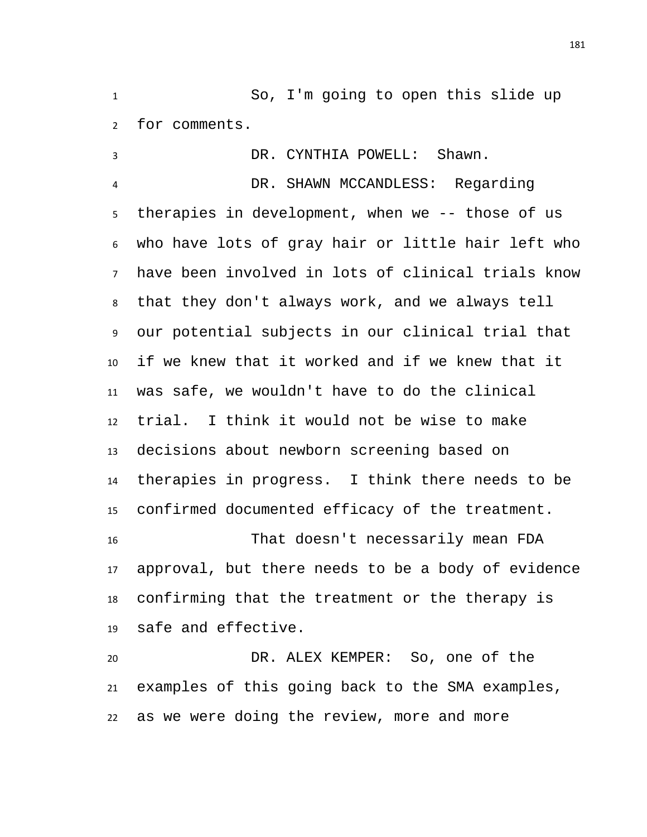So, I'm going to open this slide up for comments.

 DR. CYNTHIA POWELL: Shawn. DR. SHAWN MCCANDLESS: Regarding therapies in development, when we -- those of us who have lots of gray hair or little hair left who have been involved in lots of clinical trials know that they don't always work, and we always tell our potential subjects in our clinical trial that if we knew that it worked and if we knew that it was safe, we wouldn't have to do the clinical trial. I think it would not be wise to make decisions about newborn screening based on therapies in progress. I think there needs to be confirmed documented efficacy of the treatment. That doesn't necessarily mean FDA approval, but there needs to be a body of evidence confirming that the treatment or the therapy is safe and effective. DR. ALEX KEMPER: So, one of the examples of this going back to the SMA examples,

as we were doing the review, more and more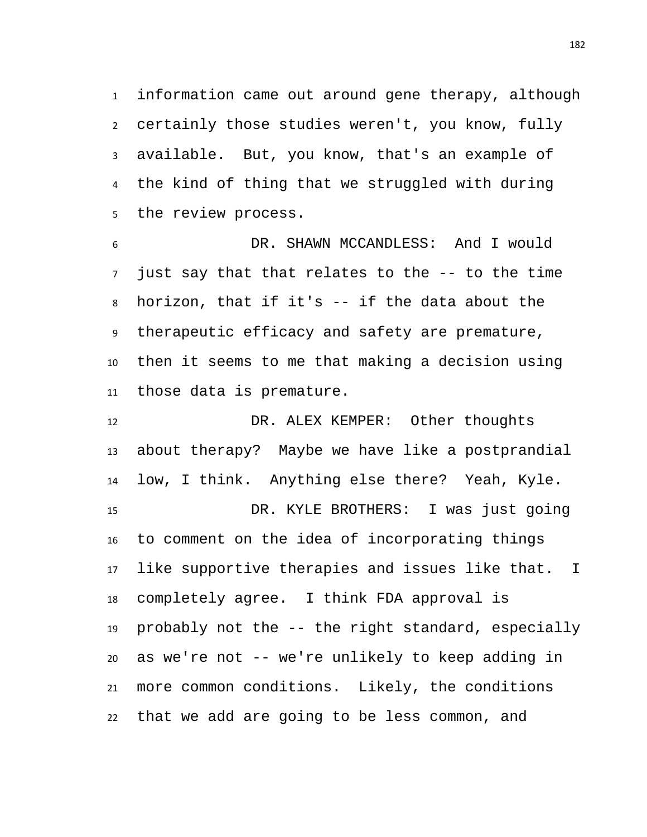information came out around gene therapy, although certainly those studies weren't, you know, fully available. But, you know, that's an example of the kind of thing that we struggled with during the review process.

 DR. SHAWN MCCANDLESS: And I would just say that that relates to the -- to the time horizon, that if it's -- if the data about the therapeutic efficacy and safety are premature, then it seems to me that making a decision using those data is premature.

 DR. ALEX KEMPER: Other thoughts about therapy? Maybe we have like a postprandial low, I think. Anything else there? Yeah, Kyle. DR. KYLE BROTHERS: I was just going to comment on the idea of incorporating things like supportive therapies and issues like that. I completely agree. I think FDA approval is probably not the -- the right standard, especially as we're not -- we're unlikely to keep adding in more common conditions. Likely, the conditions that we add are going to be less common, and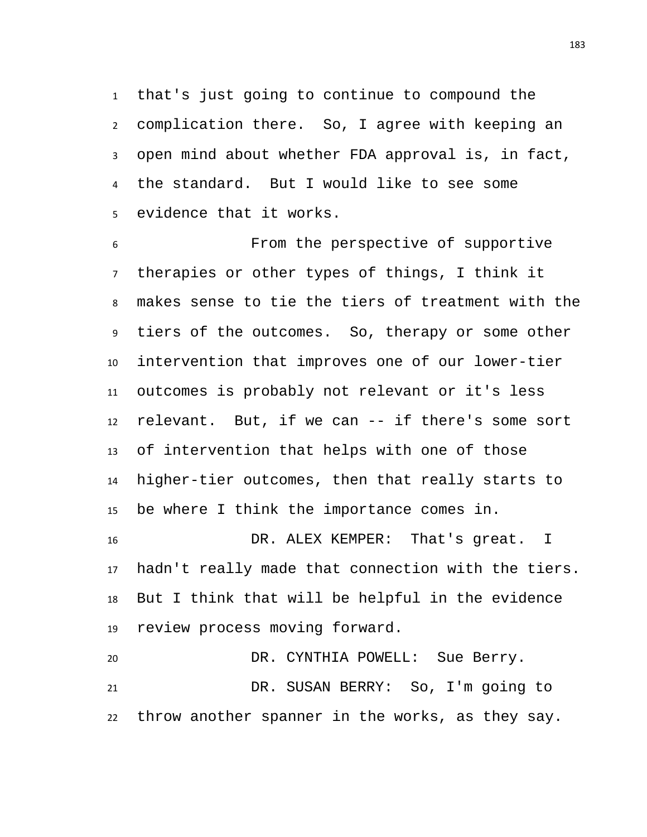that's just going to continue to compound the complication there. So, I agree with keeping an open mind about whether FDA approval is, in fact, the standard. But I would like to see some evidence that it works.

 From the perspective of supportive therapies or other types of things, I think it makes sense to tie the tiers of treatment with the tiers of the outcomes. So, therapy or some other intervention that improves one of our lower-tier outcomes is probably not relevant or it's less relevant. But, if we can -- if there's some sort of intervention that helps with one of those higher-tier outcomes, then that really starts to be where I think the importance comes in.

 DR. ALEX KEMPER: That's great. I hadn't really made that connection with the tiers. But I think that will be helpful in the evidence review process moving forward.

 DR. CYNTHIA POWELL: Sue Berry. DR. SUSAN BERRY: So, I'm going to throw another spanner in the works, as they say.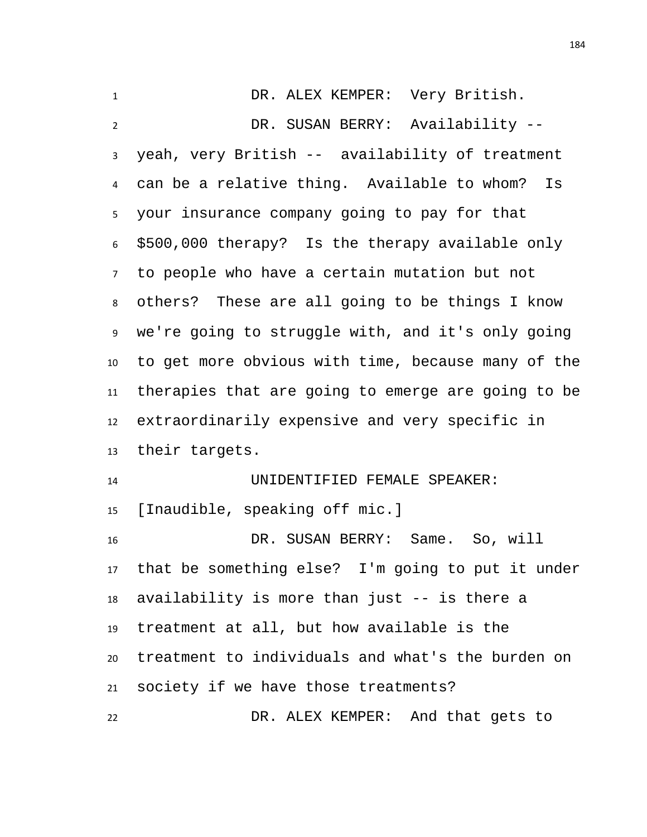| $\mathbf{1}$   | DR. ALEX KEMPER: Very British.                       |
|----------------|------------------------------------------------------|
| $\overline{2}$ | DR. SUSAN BERRY: Availability --                     |
| 3              | yeah, very British -- availability of treatment      |
| 4              | can be a relative thing. Available to whom?<br>Is    |
| 5              | your insurance company going to pay for that         |
| 6              | \$500,000 therapy? Is the therapy available only     |
| $7^{\circ}$    | to people who have a certain mutation but not        |
| 8              | others? These are all going to be things I know      |
| 9              | we're going to struggle with, and it's only going    |
| 10             | to get more obvious with time, because many of the   |
| 11             | therapies that are going to emerge are going to be   |
| 12             | extraordinarily expensive and very specific in       |
| 13             | their targets.                                       |
| 14             | UNIDENTIFIED FEMALE SPEAKER:                         |
| 15             | [Inaudible, speaking off mic.]                       |
| 16             | DR. SUSAN BERRY: Same. So, will                      |
|                | 17 that be something else? I'm going to put it under |
| 18             | availability is more than just -- is there a         |
| 19             | treatment at all, but how available is the           |
|                |                                                      |
| 20             | treatment to individuals and what's the burden on    |
| 21             | society if we have those treatments?                 |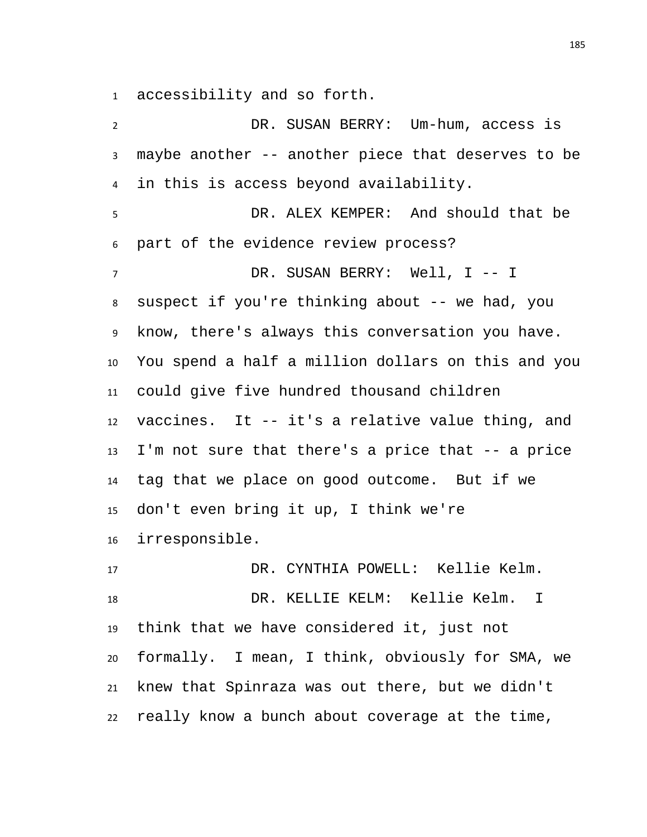accessibility and so forth.

 DR. SUSAN BERRY: Um-hum, access is maybe another -- another piece that deserves to be in this is access beyond availability. DR. ALEX KEMPER: And should that be part of the evidence review process? DR. SUSAN BERRY: Well, I -- I suspect if you're thinking about -- we had, you know, there's always this conversation you have. You spend a half a million dollars on this and you could give five hundred thousand children vaccines. It -- it's a relative value thing, and I'm not sure that there's a price that -- a price tag that we place on good outcome. But if we don't even bring it up, I think we're irresponsible. DR. CYNTHIA POWELL: Kellie Kelm. DR. KELLIE KELM: Kellie Kelm. I think that we have considered it, just not formally. I mean, I think, obviously for SMA, we knew that Spinraza was out there, but we didn't

really know a bunch about coverage at the time,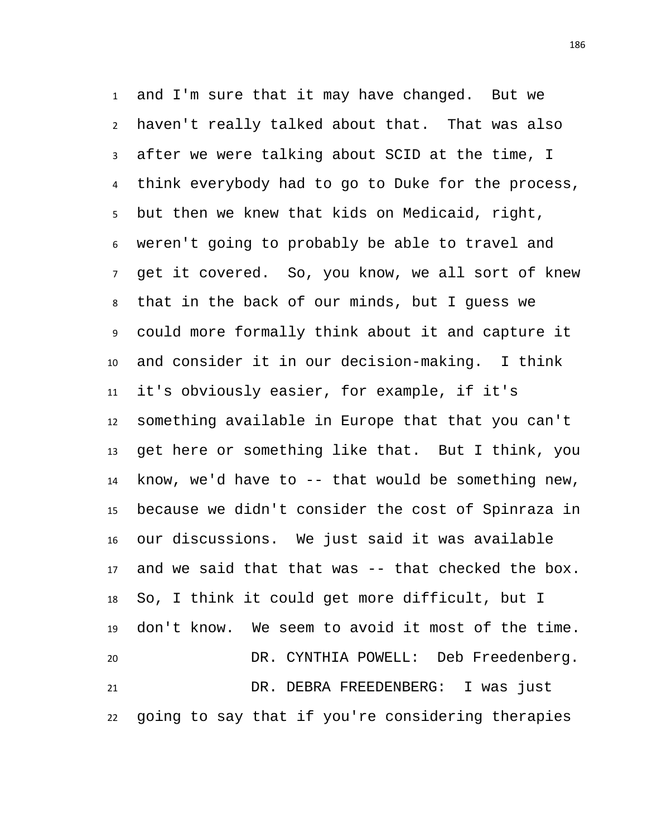and I'm sure that it may have changed. But we haven't really talked about that. That was also after we were talking about SCID at the time, I think everybody had to go to Duke for the process, but then we knew that kids on Medicaid, right, weren't going to probably be able to travel and get it covered. So, you know, we all sort of knew that in the back of our minds, but I guess we could more formally think about it and capture it and consider it in our decision-making. I think it's obviously easier, for example, if it's something available in Europe that that you can't get here or something like that. But I think, you know, we'd have to -- that would be something new, because we didn't consider the cost of Spinraza in our discussions. We just said it was available and we said that that was -- that checked the box. So, I think it could get more difficult, but I don't know. We seem to avoid it most of the time. DR. CYNTHIA POWELL: Deb Freedenberg. DR. DEBRA FREEDENBERG: I was just going to say that if you're considering therapies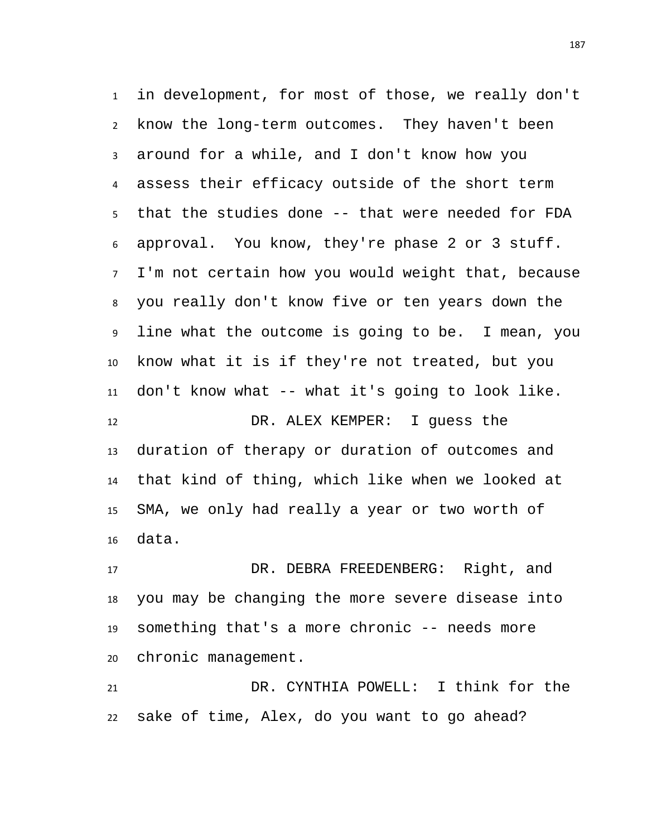in development, for most of those, we really don't know the long-term outcomes. They haven't been around for a while, and I don't know how you assess their efficacy outside of the short term that the studies done -- that were needed for FDA approval. You know, they're phase 2 or 3 stuff. I'm not certain how you would weight that, because you really don't know five or ten years down the line what the outcome is going to be. I mean, you know what it is if they're not treated, but you don't know what -- what it's going to look like. DR. ALEX KEMPER: I guess the duration of therapy or duration of outcomes and that kind of thing, which like when we looked at SMA, we only had really a year or two worth of data.

17 DR. DEBRA FREEDENBERG: Right, and you may be changing the more severe disease into something that's a more chronic -- needs more chronic management.

 DR. CYNTHIA POWELL: I think for the sake of time, Alex, do you want to go ahead?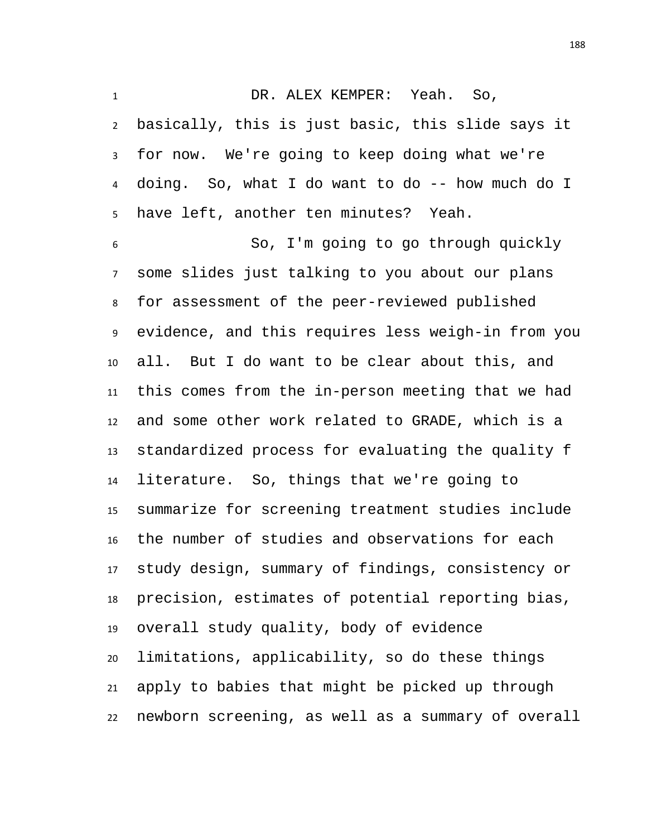DR. ALEX KEMPER: Yeah. So,

 basically, this is just basic, this slide says it for now. We're going to keep doing what we're doing. So, what I do want to do -- how much do I have left, another ten minutes? Yeah.

 So, I'm going to go through quickly some slides just talking to you about our plans for assessment of the peer-reviewed published evidence, and this requires less weigh-in from you all. But I do want to be clear about this, and this comes from the in-person meeting that we had and some other work related to GRADE, which is a standardized process for evaluating the quality f literature. So, things that we're going to summarize for screening treatment studies include the number of studies and observations for each study design, summary of findings, consistency or precision, estimates of potential reporting bias, overall study quality, body of evidence limitations, applicability, so do these things apply to babies that might be picked up through newborn screening, as well as a summary of overall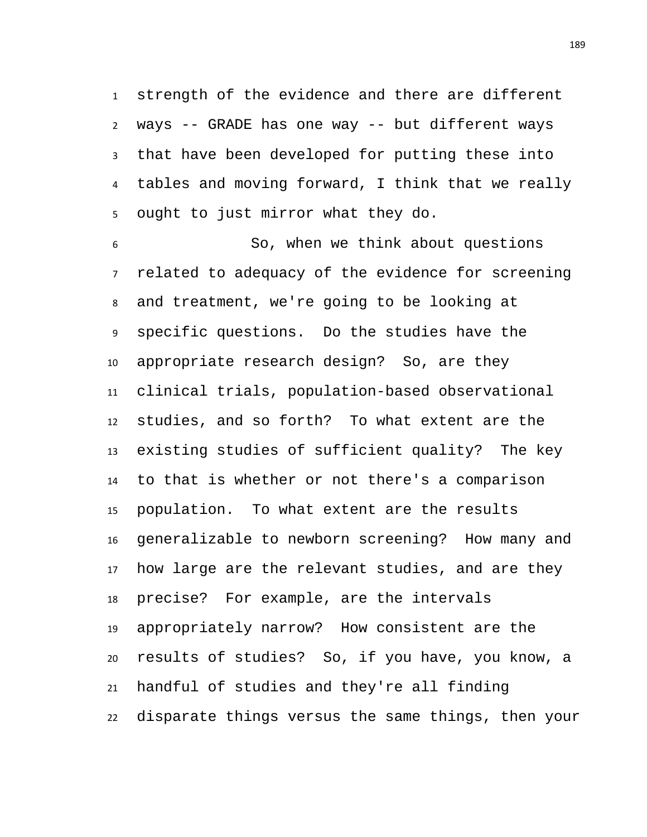strength of the evidence and there are different ways -- GRADE has one way -- but different ways that have been developed for putting these into tables and moving forward, I think that we really ought to just mirror what they do.

 So, when we think about questions related to adequacy of the evidence for screening and treatment, we're going to be looking at specific questions. Do the studies have the appropriate research design? So, are they clinical trials, population-based observational studies, and so forth? To what extent are the existing studies of sufficient quality? The key to that is whether or not there's a comparison population. To what extent are the results generalizable to newborn screening? How many and how large are the relevant studies, and are they precise? For example, are the intervals appropriately narrow? How consistent are the results of studies? So, if you have, you know, a handful of studies and they're all finding disparate things versus the same things, then your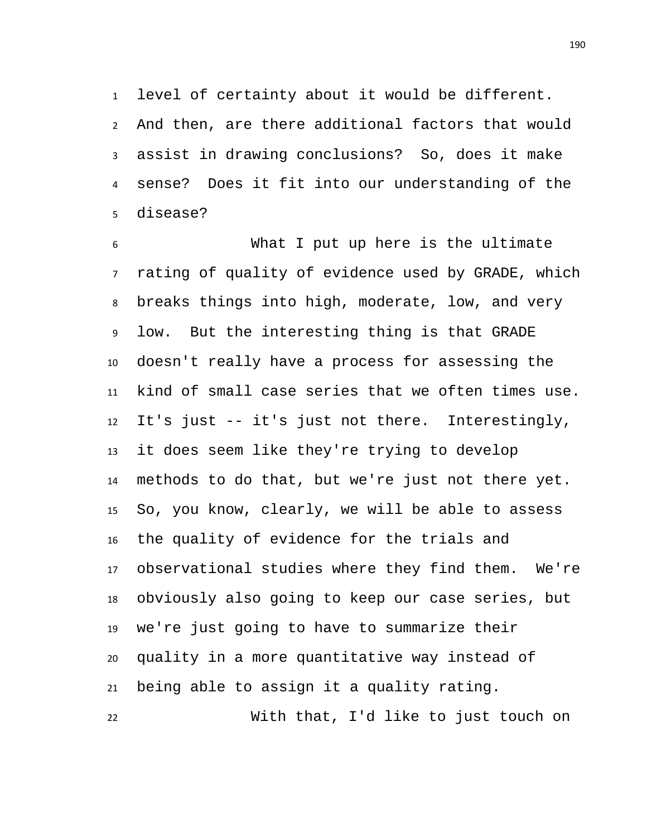level of certainty about it would be different. And then, are there additional factors that would assist in drawing conclusions? So, does it make sense? Does it fit into our understanding of the

 What I put up here is the ultimate rating of quality of evidence used by GRADE, which breaks things into high, moderate, low, and very low. But the interesting thing is that GRADE doesn't really have a process for assessing the kind of small case series that we often times use. It's just -- it's just not there. Interestingly, it does seem like they're trying to develop methods to do that, but we're just not there yet. So, you know, clearly, we will be able to assess the quality of evidence for the trials and observational studies where they find them. We're obviously also going to keep our case series, but we're just going to have to summarize their quality in a more quantitative way instead of being able to assign it a quality rating.

disease?

With that, I'd like to just touch on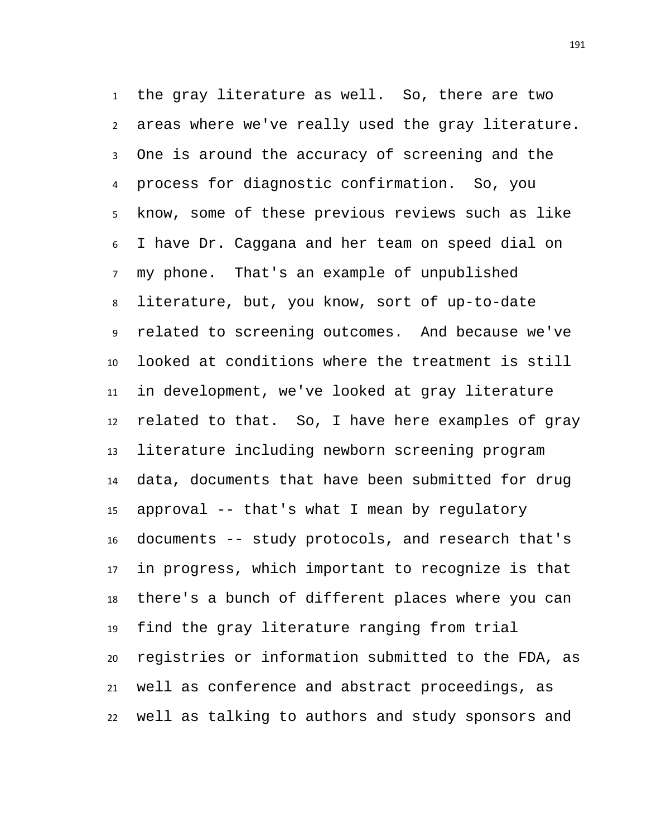the gray literature as well. So, there are two areas where we've really used the gray literature. One is around the accuracy of screening and the process for diagnostic confirmation. So, you know, some of these previous reviews such as like I have Dr. Caggana and her team on speed dial on my phone. That's an example of unpublished literature, but, you know, sort of up-to-date related to screening outcomes. And because we've looked at conditions where the treatment is still in development, we've looked at gray literature related to that. So, I have here examples of gray literature including newborn screening program data, documents that have been submitted for drug approval -- that's what I mean by regulatory documents -- study protocols, and research that's in progress, which important to recognize is that there's a bunch of different places where you can find the gray literature ranging from trial registries or information submitted to the FDA, as well as conference and abstract proceedings, as well as talking to authors and study sponsors and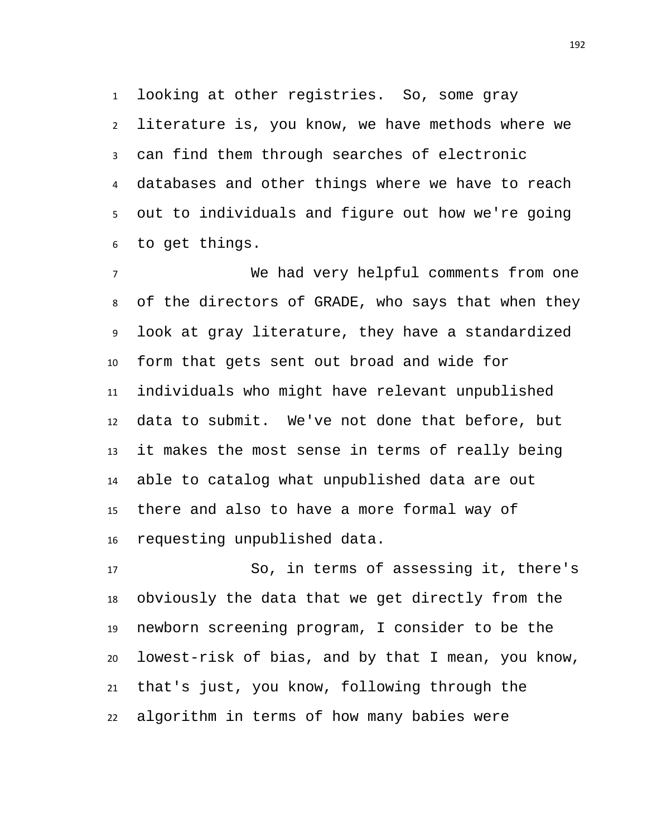looking at other registries. So, some gray literature is, you know, we have methods where we can find them through searches of electronic databases and other things where we have to reach out to individuals and figure out how we're going to get things.

 We had very helpful comments from one of the directors of GRADE, who says that when they look at gray literature, they have a standardized form that gets sent out broad and wide for individuals who might have relevant unpublished data to submit. We've not done that before, but it makes the most sense in terms of really being able to catalog what unpublished data are out there and also to have a more formal way of requesting unpublished data.

 So, in terms of assessing it, there's obviously the data that we get directly from the newborn screening program, I consider to be the lowest-risk of bias, and by that I mean, you know, that's just, you know, following through the algorithm in terms of how many babies were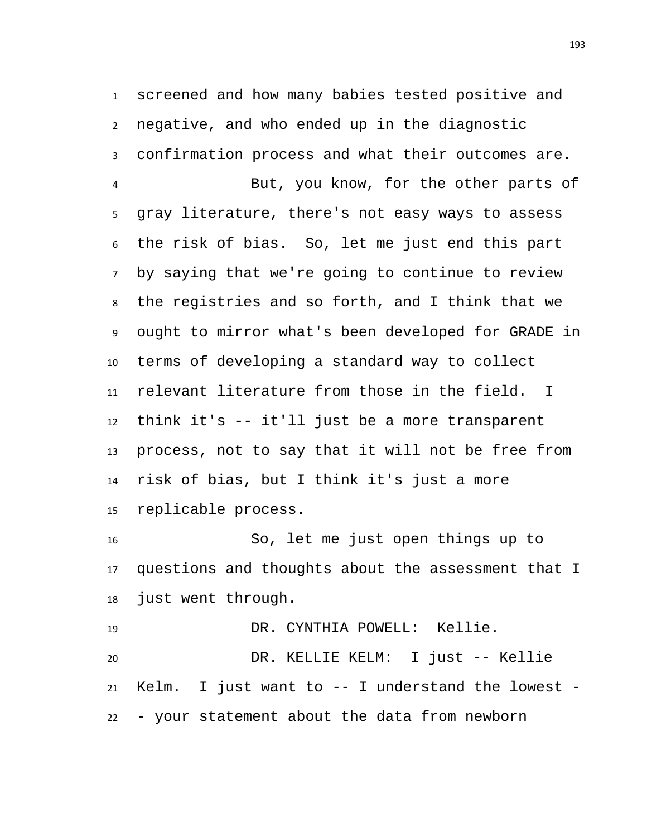screened and how many babies tested positive and negative, and who ended up in the diagnostic confirmation process and what their outcomes are. But, you know, for the other parts of gray literature, there's not easy ways to assess the risk of bias. So, let me just end this part by saying that we're going to continue to review the registries and so forth, and I think that we ought to mirror what's been developed for GRADE in terms of developing a standard way to collect relevant literature from those in the field. I think it's -- it'll just be a more transparent process, not to say that it will not be free from risk of bias, but I think it's just a more replicable process.

 So, let me just open things up to questions and thoughts about the assessment that I just went through.

 DR. CYNTHIA POWELL: Kellie. DR. KELLIE KELM: I just -- Kellie Kelm. I just want to -- I understand the lowest - - your statement about the data from newborn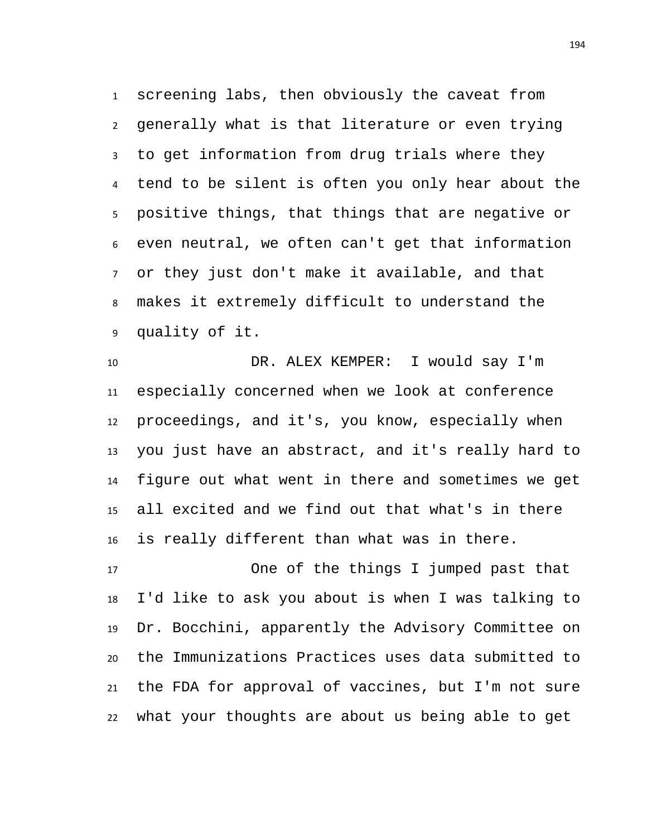screening labs, then obviously the caveat from generally what is that literature or even trying to get information from drug trials where they tend to be silent is often you only hear about the positive things, that things that are negative or even neutral, we often can't get that information or they just don't make it available, and that makes it extremely difficult to understand the quality of it.

 DR. ALEX KEMPER: I would say I'm especially concerned when we look at conference proceedings, and it's, you know, especially when you just have an abstract, and it's really hard to figure out what went in there and sometimes we get all excited and we find out that what's in there is really different than what was in there.

 One of the things I jumped past that I'd like to ask you about is when I was talking to Dr. Bocchini, apparently the Advisory Committee on the Immunizations Practices uses data submitted to the FDA for approval of vaccines, but I'm not sure what your thoughts are about us being able to get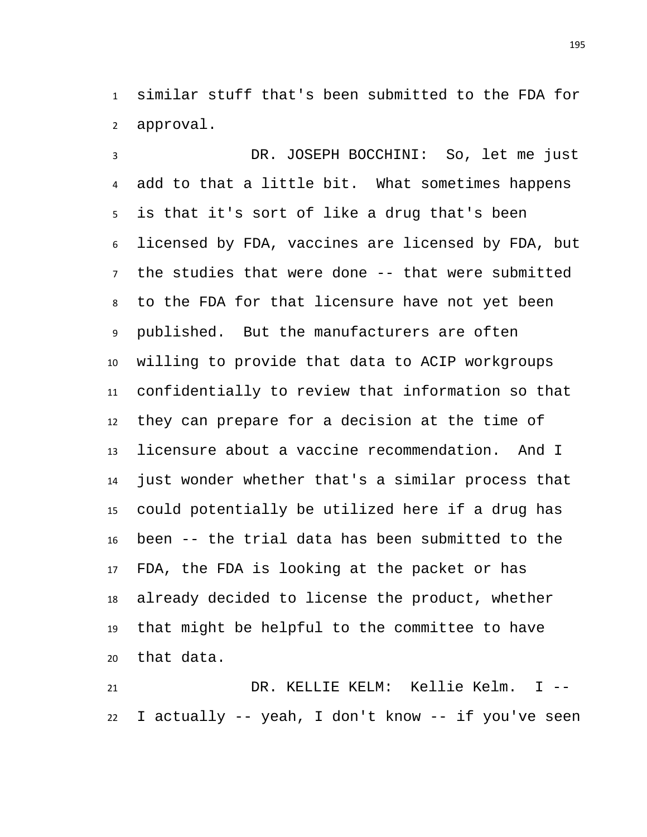similar stuff that's been submitted to the FDA for approval.

 DR. JOSEPH BOCCHINI: So, let me just add to that a little bit. What sometimes happens is that it's sort of like a drug that's been licensed by FDA, vaccines are licensed by FDA, but the studies that were done -- that were submitted to the FDA for that licensure have not yet been published. But the manufacturers are often willing to provide that data to ACIP workgroups confidentially to review that information so that they can prepare for a decision at the time of licensure about a vaccine recommendation. And I just wonder whether that's a similar process that could potentially be utilized here if a drug has been -- the trial data has been submitted to the FDA, the FDA is looking at the packet or has already decided to license the product, whether that might be helpful to the committee to have that data.

 DR. KELLIE KELM: Kellie Kelm. I -- I actually -- yeah, I don't know -- if you've seen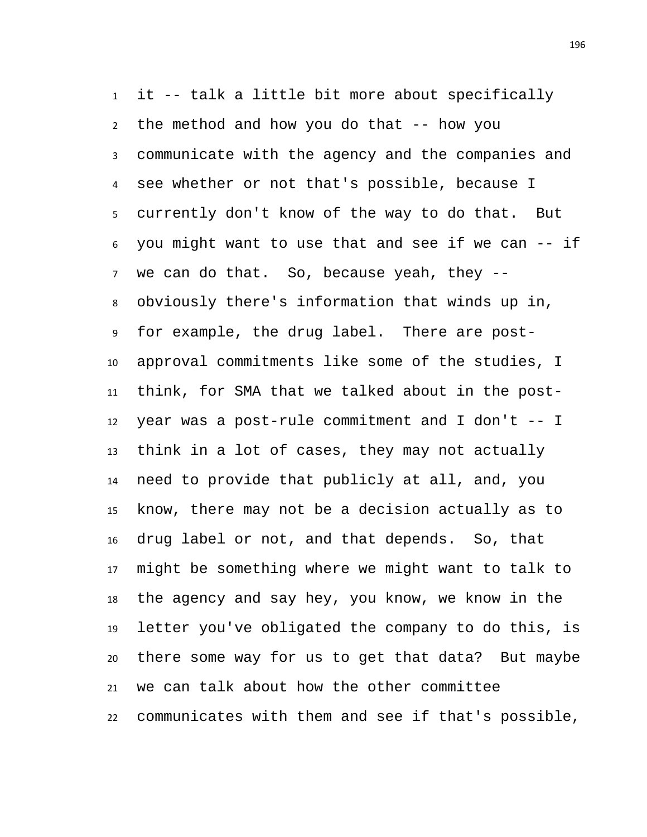it -- talk a little bit more about specifically the method and how you do that -- how you communicate with the agency and the companies and see whether or not that's possible, because I currently don't know of the way to do that. But you might want to use that and see if we can -- if we can do that. So, because yeah, they -- obviously there's information that winds up in, for example, the drug label. There are post- approval commitments like some of the studies, I think, for SMA that we talked about in the post- year was a post-rule commitment and I don't -- I think in a lot of cases, they may not actually need to provide that publicly at all, and, you know, there may not be a decision actually as to drug label or not, and that depends. So, that might be something where we might want to talk to the agency and say hey, you know, we know in the letter you've obligated the company to do this, is there some way for us to get that data? But maybe we can talk about how the other committee communicates with them and see if that's possible,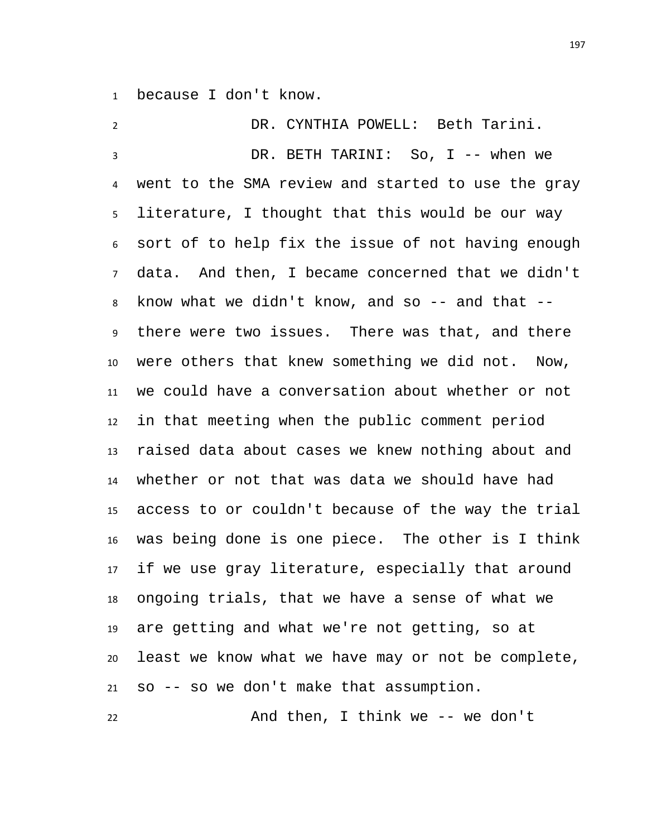because I don't know.

| $\overline{2}$  | DR. CYNTHIA POWELL: Beth Tarini.                   |
|-----------------|----------------------------------------------------|
| 3               | DR. BETH TARINI: So, I -- when we                  |
| 4               | went to the SMA review and started to use the gray |
| 5               | literature, I thought that this would be our way   |
| 6               | sort of to help fix the issue of not having enough |
| $\overline{7}$  | data. And then, I became concerned that we didn't  |
| 8               | know what we didn't know, and so $-$ and that $-$  |
| 9               | there were two issues. There was that, and there   |
| 10              | were others that knew something we did not. Now,   |
| 11              | we could have a conversation about whether or not  |
| 12 <sup>2</sup> | in that meeting when the public comment period     |
| 13              | raised data about cases we knew nothing about and  |
| 14              | whether or not that was data we should have had    |
| 15              | access to or couldn't because of the way the trial |
| 16              | was being done is one piece. The other is I think  |
| 17              | if we use gray literature, especially that around  |
| 18              | ongoing trials, that we have a sense of what we    |
| 19              | are getting and what we're not getting, so at      |
| 20              | least we know what we have may or not be complete, |
|                 | 21 so -- so we don't make that assumption.         |

And then, I think we -- we don't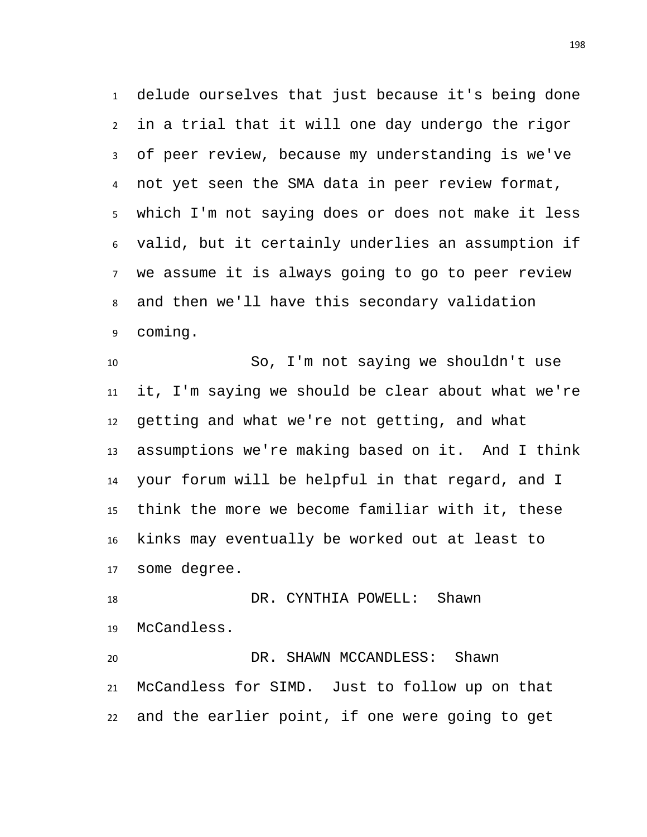delude ourselves that just because it's being done in a trial that it will one day undergo the rigor of peer review, because my understanding is we've not yet seen the SMA data in peer review format, which I'm not saying does or does not make it less valid, but it certainly underlies an assumption if we assume it is always going to go to peer review and then we'll have this secondary validation coming.

 So, I'm not saying we shouldn't use it, I'm saying we should be clear about what we're getting and what we're not getting, and what assumptions we're making based on it. And I think your forum will be helpful in that regard, and I think the more we become familiar with it, these kinks may eventually be worked out at least to some degree.

18 DR. CYNTHIA POWELL: Shawn McCandless.

 DR. SHAWN MCCANDLESS: Shawn McCandless for SIMD. Just to follow up on that and the earlier point, if one were going to get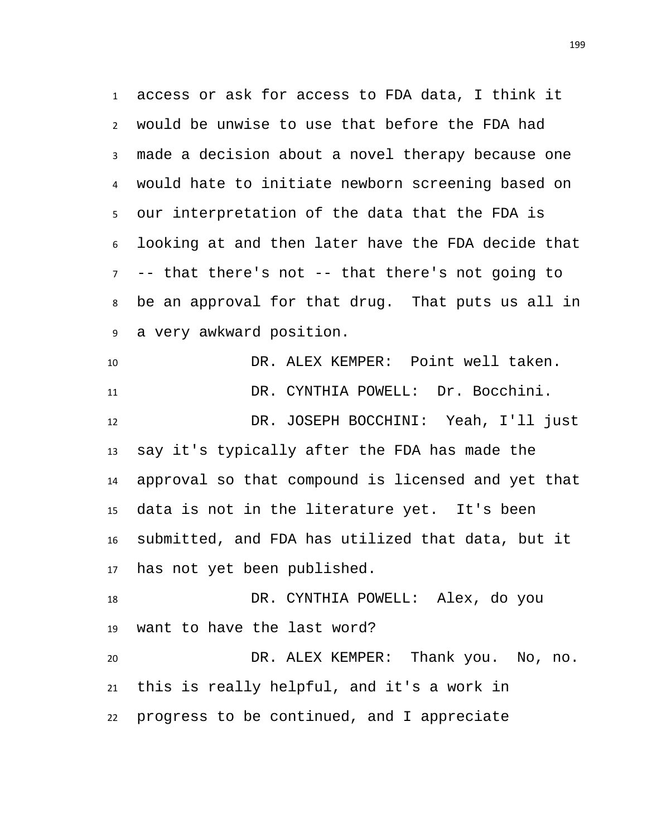access or ask for access to FDA data, I think it would be unwise to use that before the FDA had made a decision about a novel therapy because one would hate to initiate newborn screening based on our interpretation of the data that the FDA is looking at and then later have the FDA decide that -- that there's not -- that there's not going to be an approval for that drug. That puts us all in a very awkward position.

 DR. ALEX KEMPER: Point well taken. DR. CYNTHIA POWELL: Dr. Bocchini. DR. JOSEPH BOCCHINI: Yeah, I'll just say it's typically after the FDA has made the approval so that compound is licensed and yet that data is not in the literature yet. It's been submitted, and FDA has utilized that data, but it has not yet been published. DR. CYNTHIA POWELL: Alex, do you

 want to have the last word? DR. ALEX KEMPER: Thank you. No, no. this is really helpful, and it's a work in progress to be continued, and I appreciate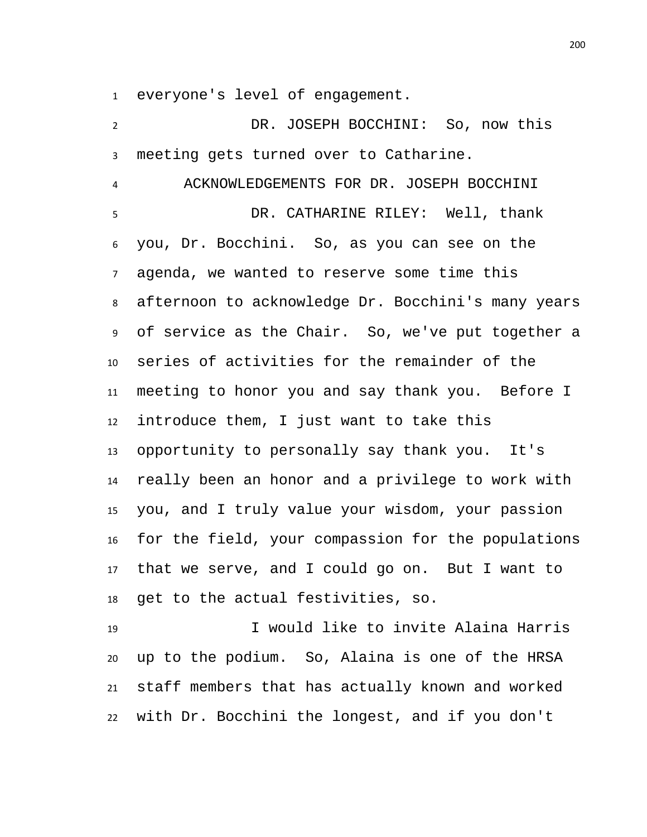everyone's level of engagement.

 DR. JOSEPH BOCCHINI: So, now this meeting gets turned over to Catharine. ACKNOWLEDGEMENTS FOR DR. JOSEPH BOCCHINI DR. CATHARINE RILEY: Well, thank you, Dr. Bocchini. So, as you can see on the agenda, we wanted to reserve some time this afternoon to acknowledge Dr. Bocchini's many years of service as the Chair. So, we've put together a series of activities for the remainder of the meeting to honor you and say thank you. Before I introduce them, I just want to take this opportunity to personally say thank you. It's really been an honor and a privilege to work with you, and I truly value your wisdom, your passion for the field, your compassion for the populations that we serve, and I could go on. But I want to get to the actual festivities, so.

 I would like to invite Alaina Harris up to the podium. So, Alaina is one of the HRSA staff members that has actually known and worked with Dr. Bocchini the longest, and if you don't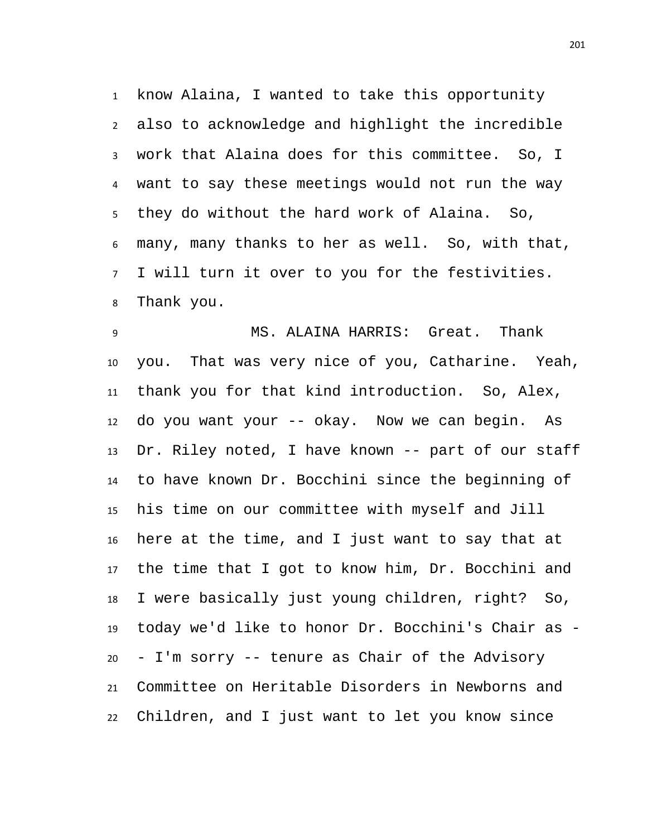know Alaina, I wanted to take this opportunity also to acknowledge and highlight the incredible work that Alaina does for this committee. So, I want to say these meetings would not run the way they do without the hard work of Alaina. So, many, many thanks to her as well. So, with that, I will turn it over to you for the festivities. Thank you.

 MS. ALAINA HARRIS: Great. Thank you. That was very nice of you, Catharine. Yeah, thank you for that kind introduction. So, Alex, do you want your -- okay. Now we can begin. As Dr. Riley noted, I have known -- part of our staff to have known Dr. Bocchini since the beginning of his time on our committee with myself and Jill here at the time, and I just want to say that at the time that I got to know him, Dr. Bocchini and I were basically just young children, right? So, today we'd like to honor Dr. Bocchini's Chair as - - I'm sorry -- tenure as Chair of the Advisory Committee on Heritable Disorders in Newborns and Children, and I just want to let you know since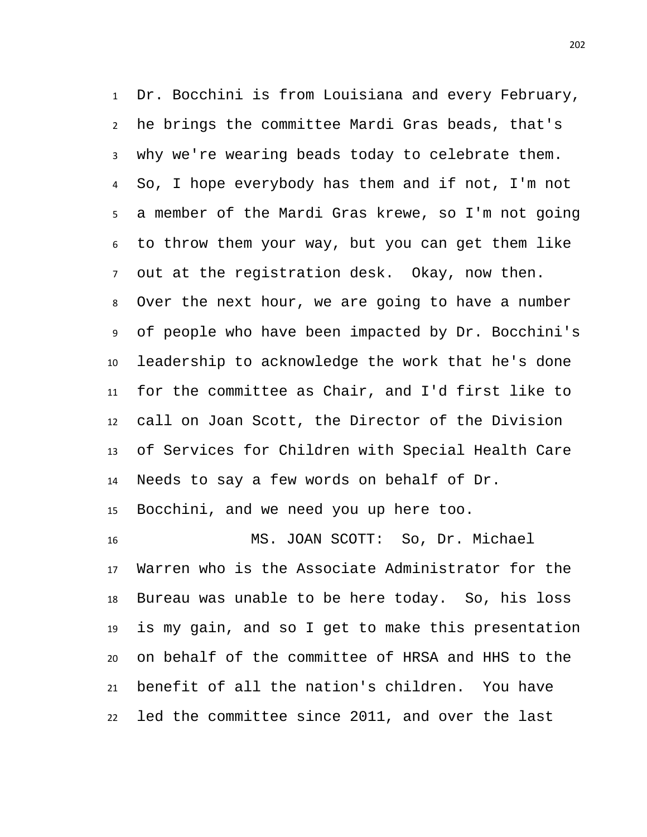Dr. Bocchini is from Louisiana and every February, he brings the committee Mardi Gras beads, that's why we're wearing beads today to celebrate them. So, I hope everybody has them and if not, I'm not a member of the Mardi Gras krewe, so I'm not going to throw them your way, but you can get them like out at the registration desk. Okay, now then. Over the next hour, we are going to have a number of people who have been impacted by Dr. Bocchini's leadership to acknowledge the work that he's done for the committee as Chair, and I'd first like to call on Joan Scott, the Director of the Division of Services for Children with Special Health Care Needs to say a few words on behalf of Dr. Bocchini, and we need you up here too.

 MS. JOAN SCOTT: So, Dr. Michael Warren who is the Associate Administrator for the Bureau was unable to be here today. So, his loss is my gain, and so I get to make this presentation on behalf of the committee of HRSA and HHS to the benefit of all the nation's children. You have led the committee since 2011, and over the last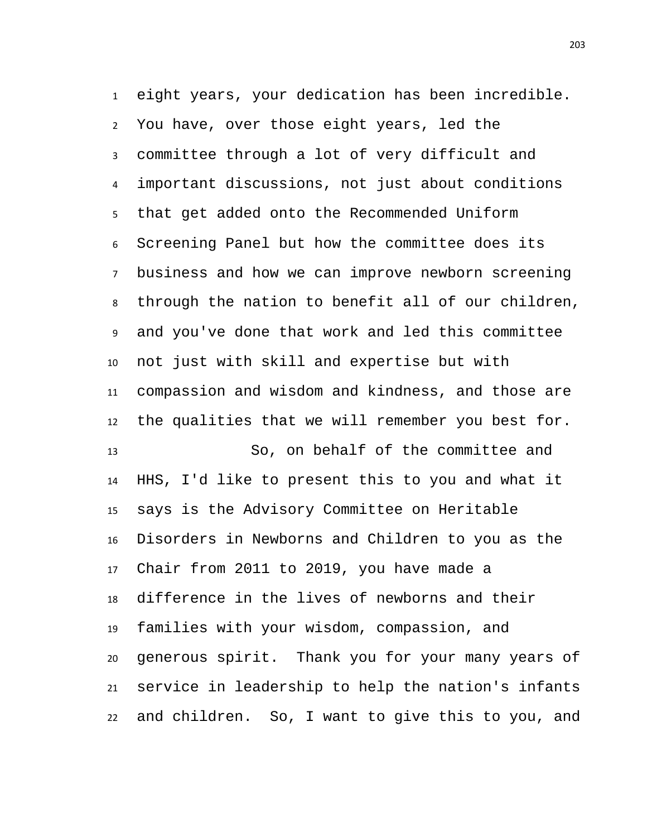eight years, your dedication has been incredible. You have, over those eight years, led the committee through a lot of very difficult and important discussions, not just about conditions that get added onto the Recommended Uniform Screening Panel but how the committee does its business and how we can improve newborn screening through the nation to benefit all of our children, and you've done that work and led this committee not just with skill and expertise but with compassion and wisdom and kindness, and those are the qualities that we will remember you best for. So, on behalf of the committee and HHS, I'd like to present this to you and what it says is the Advisory Committee on Heritable Disorders in Newborns and Children to you as the Chair from 2011 to 2019, you have made a difference in the lives of newborns and their families with your wisdom, compassion, and generous spirit. Thank you for your many years of service in leadership to help the nation's infants and children. So, I want to give this to you, and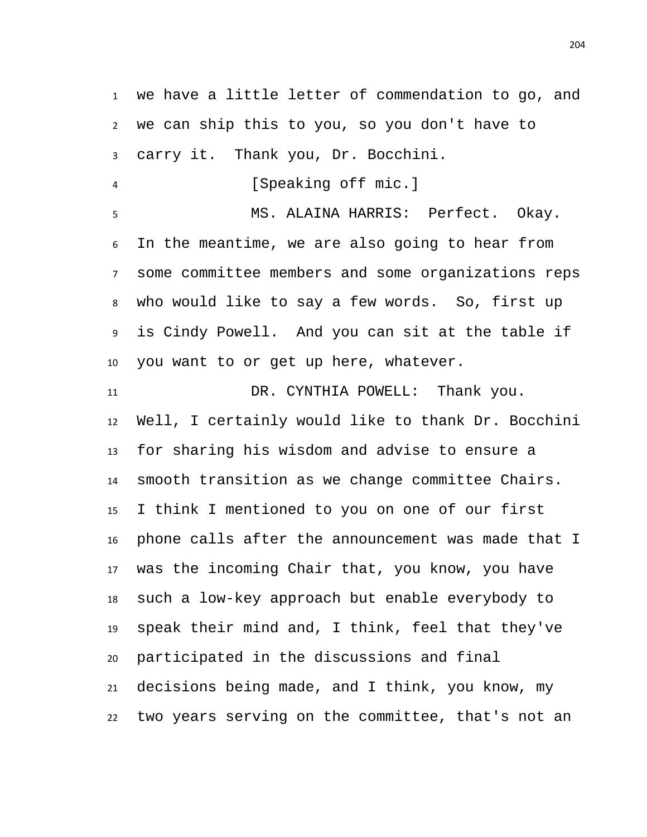we have a little letter of commendation to go, and we can ship this to you, so you don't have to carry it. Thank you, Dr. Bocchini.

4 [Speaking off mic.]

 MS. ALAINA HARRIS: Perfect. Okay. In the meantime, we are also going to hear from some committee members and some organizations reps who would like to say a few words. So, first up is Cindy Powell. And you can sit at the table if you want to or get up here, whatever.

 DR. CYNTHIA POWELL: Thank you. Well, I certainly would like to thank Dr. Bocchini for sharing his wisdom and advise to ensure a smooth transition as we change committee Chairs. I think I mentioned to you on one of our first phone calls after the announcement was made that I was the incoming Chair that, you know, you have such a low-key approach but enable everybody to speak their mind and, I think, feel that they've participated in the discussions and final decisions being made, and I think, you know, my two years serving on the committee, that's not an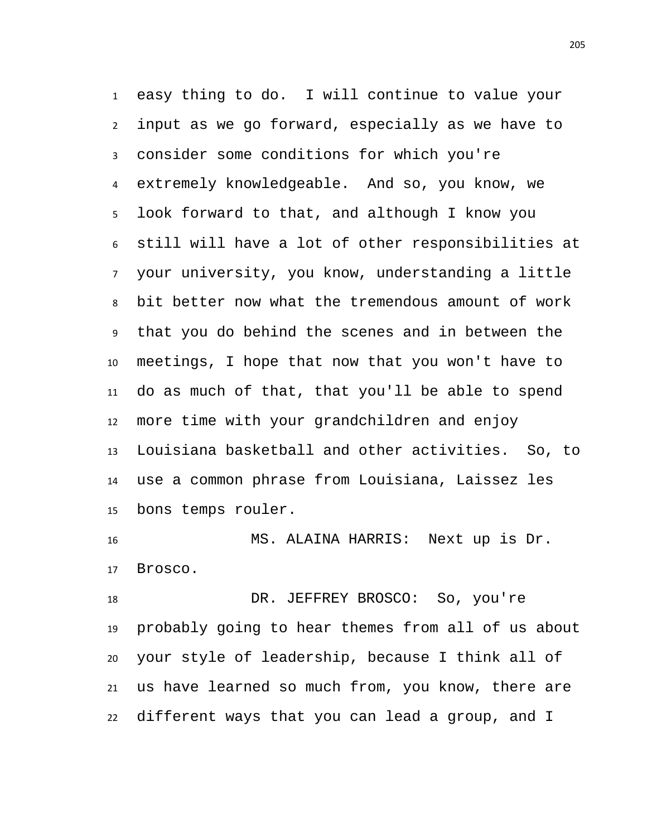easy thing to do. I will continue to value your input as we go forward, especially as we have to consider some conditions for which you're extremely knowledgeable. And so, you know, we look forward to that, and although I know you still will have a lot of other responsibilities at your university, you know, understanding a little bit better now what the tremendous amount of work that you do behind the scenes and in between the meetings, I hope that now that you won't have to do as much of that, that you'll be able to spend more time with your grandchildren and enjoy Louisiana basketball and other activities. So, to use a common phrase from Louisiana, Laissez les bons temps rouler.

 MS. ALAINA HARRIS: Next up is Dr. Brosco.

18 DR. JEFFREY BROSCO: So, you're probably going to hear themes from all of us about your style of leadership, because I think all of us have learned so much from, you know, there are different ways that you can lead a group, and I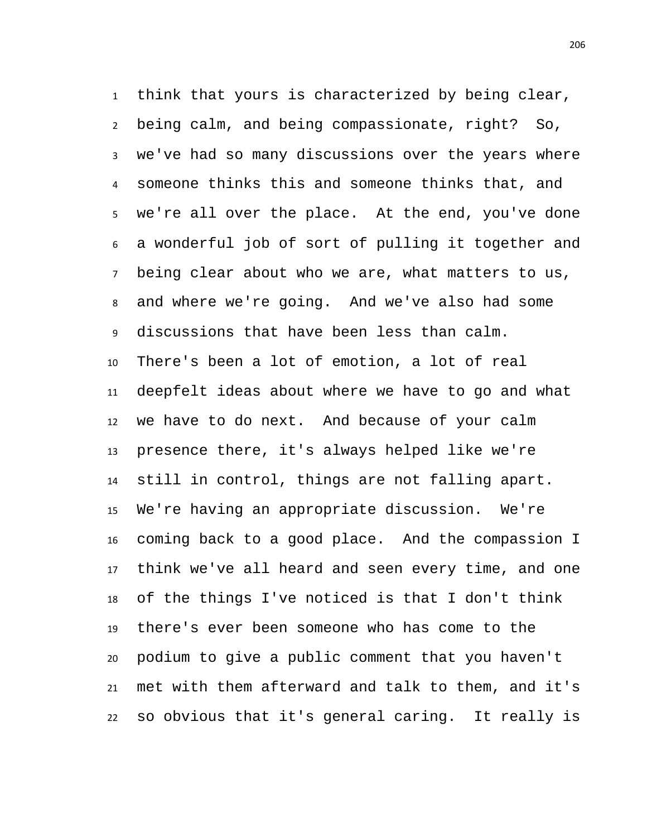think that yours is characterized by being clear, being calm, and being compassionate, right? So, we've had so many discussions over the years where someone thinks this and someone thinks that, and we're all over the place. At the end, you've done a wonderful job of sort of pulling it together and being clear about who we are, what matters to us, and where we're going. And we've also had some discussions that have been less than calm. There's been a lot of emotion, a lot of real deepfelt ideas about where we have to go and what we have to do next. And because of your calm presence there, it's always helped like we're still in control, things are not falling apart. We're having an appropriate discussion. We're coming back to a good place. And the compassion I think we've all heard and seen every time, and one of the things I've noticed is that I don't think there's ever been someone who has come to the podium to give a public comment that you haven't met with them afterward and talk to them, and it's so obvious that it's general caring. It really is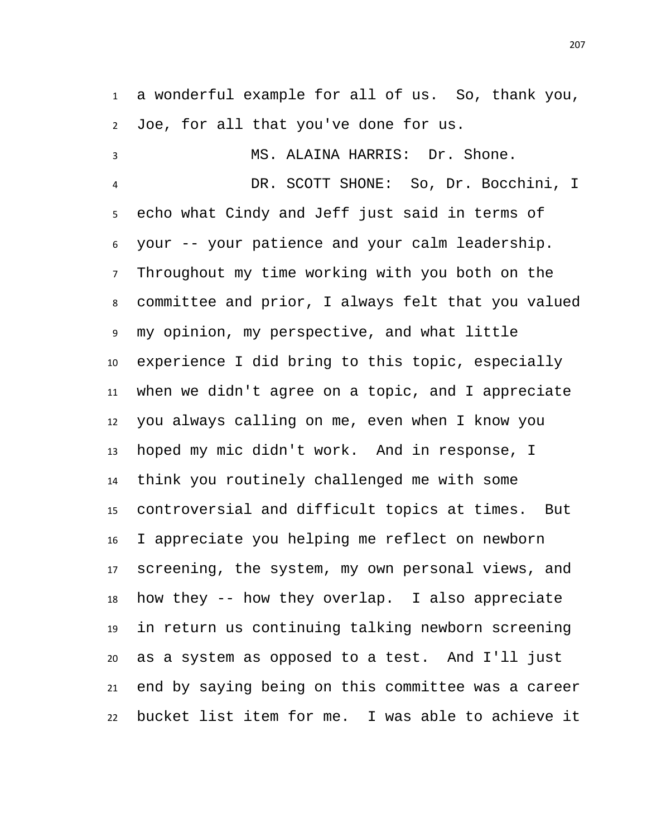a wonderful example for all of us. So, thank you, Joe, for all that you've done for us.

 MS. ALAINA HARRIS: Dr. Shone. DR. SCOTT SHONE: So, Dr. Bocchini, I echo what Cindy and Jeff just said in terms of your -- your patience and your calm leadership. Throughout my time working with you both on the committee and prior, I always felt that you valued my opinion, my perspective, and what little experience I did bring to this topic, especially when we didn't agree on a topic, and I appreciate you always calling on me, even when I know you hoped my mic didn't work. And in response, I think you routinely challenged me with some controversial and difficult topics at times. But I appreciate you helping me reflect on newborn screening, the system, my own personal views, and how they -- how they overlap. I also appreciate in return us continuing talking newborn screening as a system as opposed to a test. And I'll just end by saying being on this committee was a career bucket list item for me. I was able to achieve it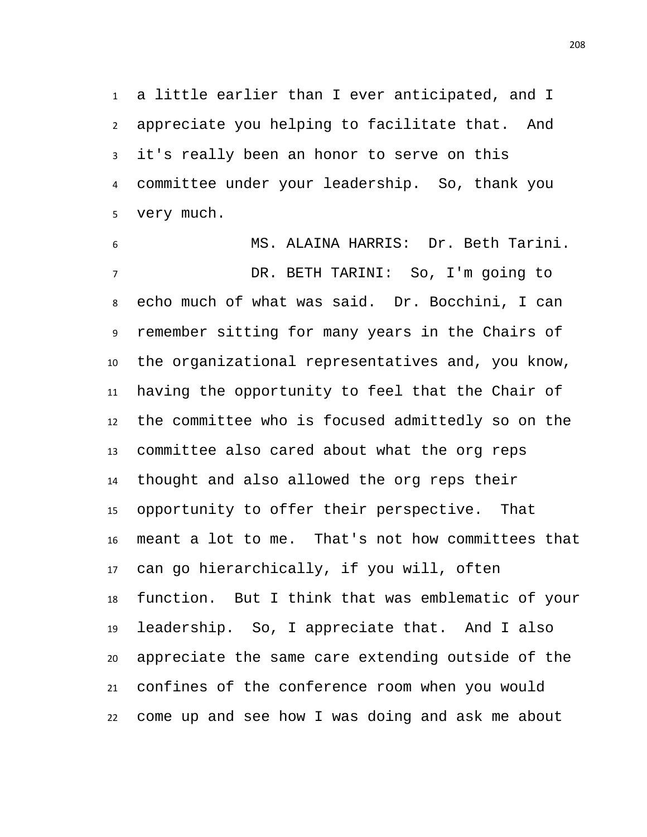a little earlier than I ever anticipated, and I appreciate you helping to facilitate that. And it's really been an honor to serve on this committee under your leadership. So, thank you very much.

 MS. ALAINA HARRIS: Dr. Beth Tarini. DR. BETH TARINI: So, I'm going to echo much of what was said. Dr. Bocchini, I can remember sitting for many years in the Chairs of the organizational representatives and, you know, having the opportunity to feel that the Chair of the committee who is focused admittedly so on the committee also cared about what the org reps thought and also allowed the org reps their opportunity to offer their perspective. That meant a lot to me. That's not how committees that can go hierarchically, if you will, often function. But I think that was emblematic of your leadership. So, I appreciate that. And I also appreciate the same care extending outside of the confines of the conference room when you would come up and see how I was doing and ask me about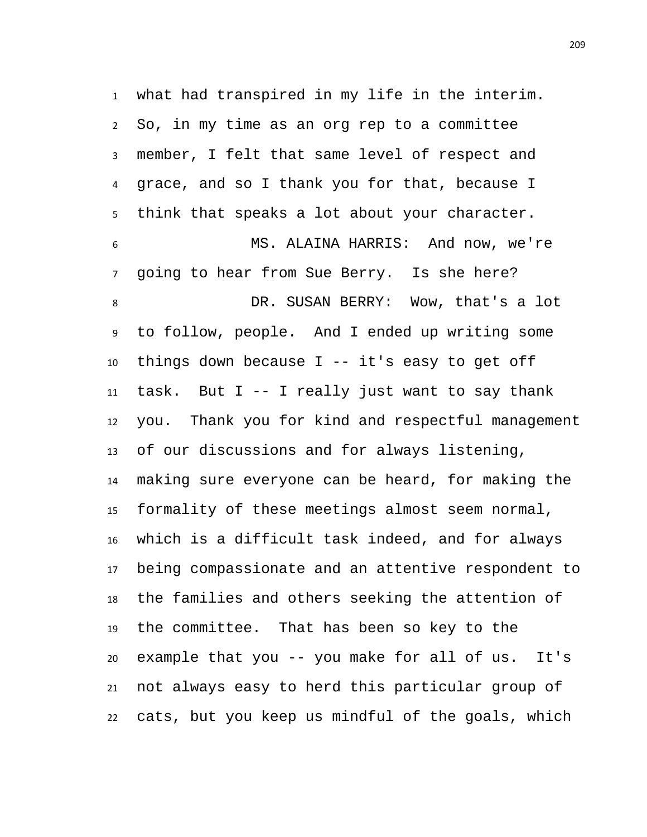what had transpired in my life in the interim. So, in my time as an org rep to a committee member, I felt that same level of respect and grace, and so I thank you for that, because I think that speaks a lot about your character. MS. ALAINA HARRIS: And now, we're going to hear from Sue Berry. Is she here? DR. SUSAN BERRY: Wow, that's a lot to follow, people. And I ended up writing some things down because I -- it's easy to get off 11 task. But I  $-$ - I really just want to say thank you. Thank you for kind and respectful management of our discussions and for always listening, making sure everyone can be heard, for making the formality of these meetings almost seem normal, which is a difficult task indeed, and for always being compassionate and an attentive respondent to the families and others seeking the attention of the committee. That has been so key to the example that you -- you make for all of us. It's not always easy to herd this particular group of cats, but you keep us mindful of the goals, which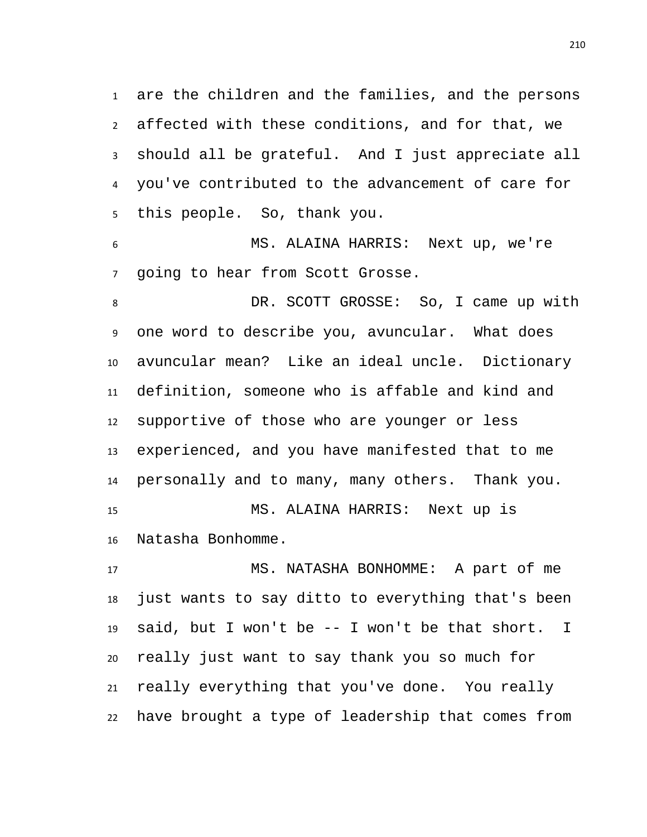are the children and the families, and the persons affected with these conditions, and for that, we should all be grateful. And I just appreciate all you've contributed to the advancement of care for this people. So, thank you.

 MS. ALAINA HARRIS: Next up, we're going to hear from Scott Grosse.

 DR. SCOTT GROSSE: So, I came up with one word to describe you, avuncular. What does avuncular mean? Like an ideal uncle. Dictionary definition, someone who is affable and kind and supportive of those who are younger or less experienced, and you have manifested that to me personally and to many, many others. Thank you. MS. ALAINA HARRIS: Next up is

Natasha Bonhomme.

 MS. NATASHA BONHOMME: A part of me just wants to say ditto to everything that's been said, but I won't be -- I won't be that short. I really just want to say thank you so much for really everything that you've done. You really have brought a type of leadership that comes from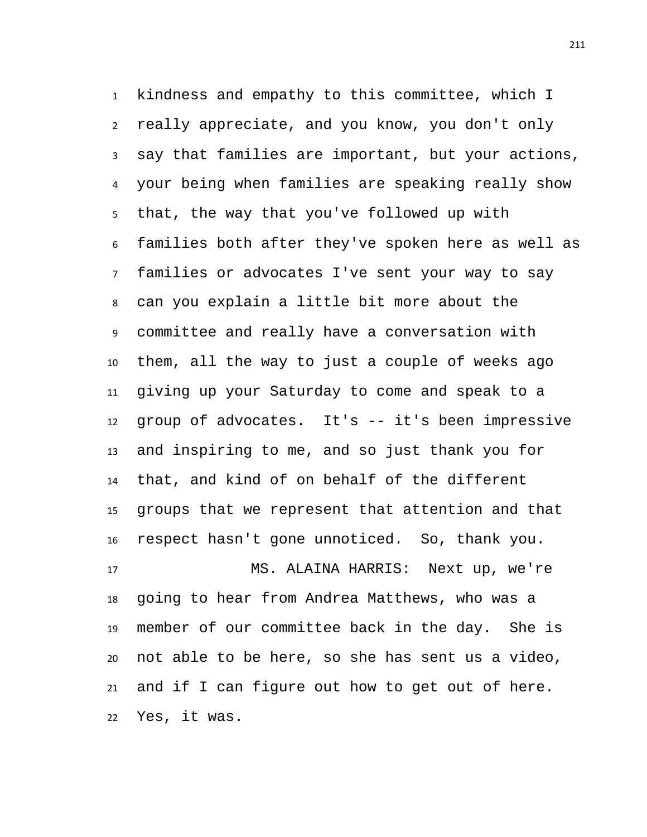kindness and empathy to this committee, which I really appreciate, and you know, you don't only say that families are important, but your actions, your being when families are speaking really show that, the way that you've followed up with families both after they've spoken here as well as families or advocates I've sent your way to say can you explain a little bit more about the committee and really have a conversation with them, all the way to just a couple of weeks ago giving up your Saturday to come and speak to a group of advocates. It's -- it's been impressive and inspiring to me, and so just thank you for that, and kind of on behalf of the different groups that we represent that attention and that respect hasn't gone unnoticed. So, thank you. MS. ALAINA HARRIS: Next up, we're

 going to hear from Andrea Matthews, who was a member of our committee back in the day. She is not able to be here, so she has sent us a video, and if I can figure out how to get out of here. Yes, it was.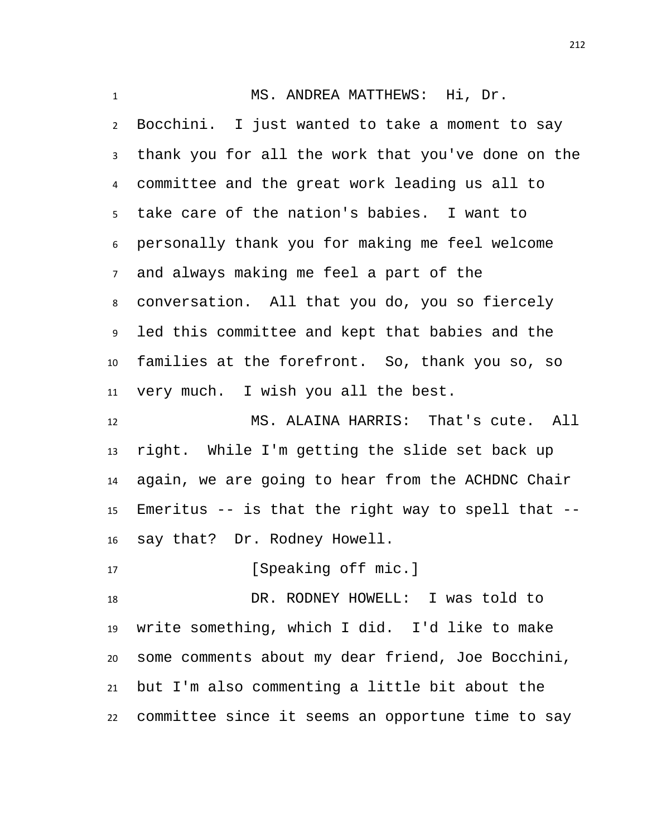MS. ANDREA MATTHEWS: Hi, Dr. Bocchini. I just wanted to take a moment to say thank you for all the work that you've done on the committee and the great work leading us all to take care of the nation's babies. I want to personally thank you for making me feel welcome and always making me feel a part of the conversation. All that you do, you so fiercely led this committee and kept that babies and the families at the forefront. So, thank you so, so very much. I wish you all the best. MS. ALAINA HARRIS: That's cute. All right. While I'm getting the slide set back up again, we are going to hear from the ACHDNC Chair Emeritus -- is that the right way to spell that -- say that? Dr. Rodney Howell. 17 [Speaking off mic.]

 DR. RODNEY HOWELL: I was told to write something, which I did. I'd like to make some comments about my dear friend, Joe Bocchini, but I'm also commenting a little bit about the committee since it seems an opportune time to say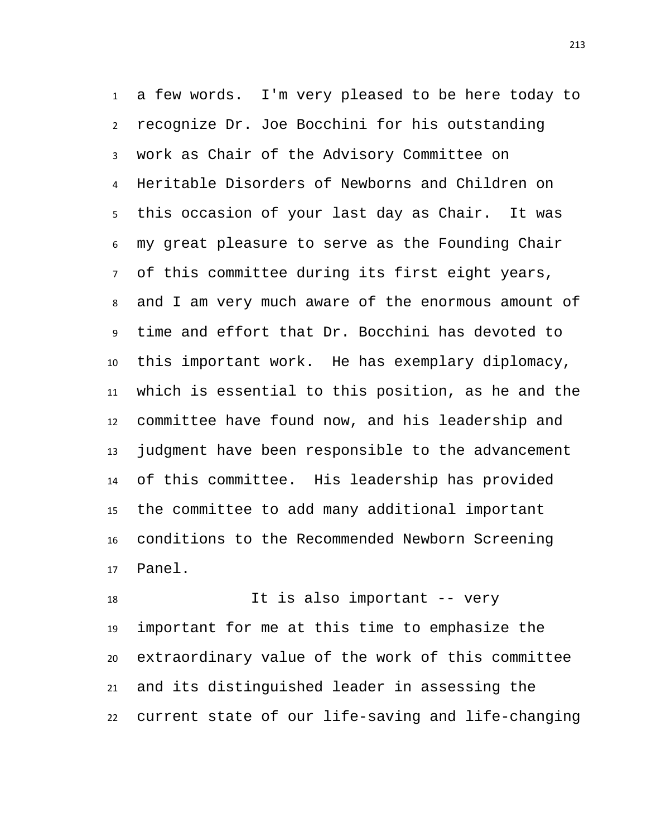a few words. I'm very pleased to be here today to recognize Dr. Joe Bocchini for his outstanding work as Chair of the Advisory Committee on Heritable Disorders of Newborns and Children on this occasion of your last day as Chair. It was my great pleasure to serve as the Founding Chair of this committee during its first eight years, and I am very much aware of the enormous amount of time and effort that Dr. Bocchini has devoted to this important work. He has exemplary diplomacy, which is essential to this position, as he and the committee have found now, and his leadership and judgment have been responsible to the advancement of this committee. His leadership has provided the committee to add many additional important conditions to the Recommended Newborn Screening Panel.

 It is also important -- very important for me at this time to emphasize the extraordinary value of the work of this committee and its distinguished leader in assessing the current state of our life-saving and life-changing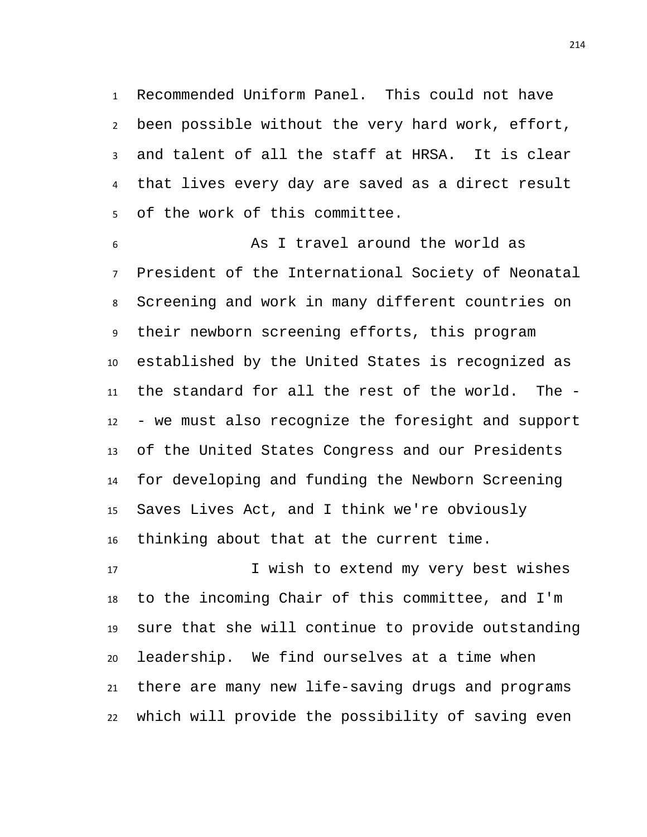Recommended Uniform Panel. This could not have been possible without the very hard work, effort, and talent of all the staff at HRSA. It is clear that lives every day are saved as a direct result of the work of this committee.

 As I travel around the world as President of the International Society of Neonatal Screening and work in many different countries on their newborn screening efforts, this program established by the United States is recognized as the standard for all the rest of the world. The - - we must also recognize the foresight and support of the United States Congress and our Presidents for developing and funding the Newborn Screening Saves Lives Act, and I think we're obviously thinking about that at the current time.

17 I wish to extend my very best wishes to the incoming Chair of this committee, and I'm sure that she will continue to provide outstanding leadership. We find ourselves at a time when there are many new life-saving drugs and programs which will provide the possibility of saving even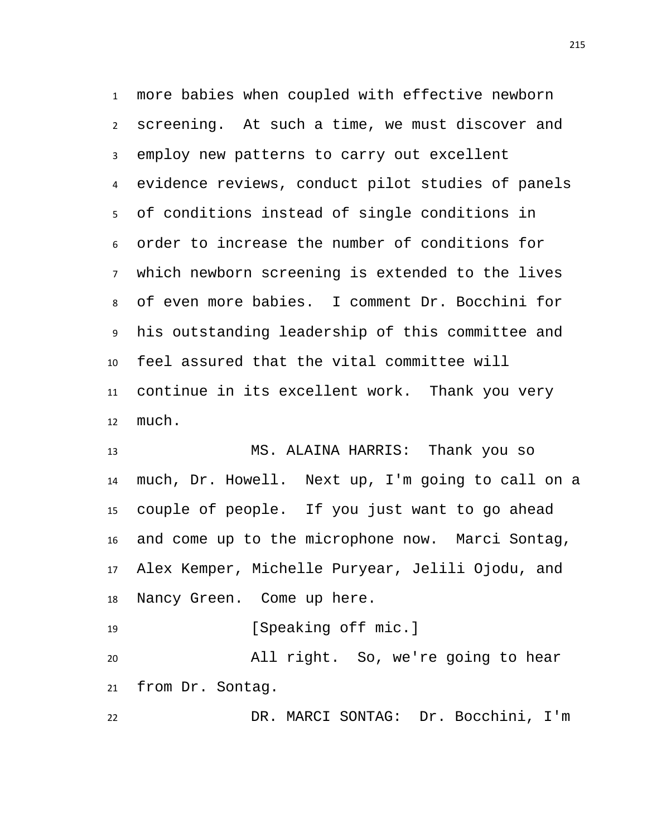more babies when coupled with effective newborn screening. At such a time, we must discover and employ new patterns to carry out excellent evidence reviews, conduct pilot studies of panels of conditions instead of single conditions in order to increase the number of conditions for which newborn screening is extended to the lives of even more babies. I comment Dr. Bocchini for his outstanding leadership of this committee and feel assured that the vital committee will continue in its excellent work. Thank you very much.

 MS. ALAINA HARRIS: Thank you so much, Dr. Howell. Next up, I'm going to call on a couple of people. If you just want to go ahead and come up to the microphone now. Marci Sontag, Alex Kemper, Michelle Puryear, Jelili Ojodu, and Nancy Green. Come up here.

19 [Speaking off mic.] All right. So, we're going to hear from Dr. Sontag.

DR. MARCI SONTAG: Dr. Bocchini, I'm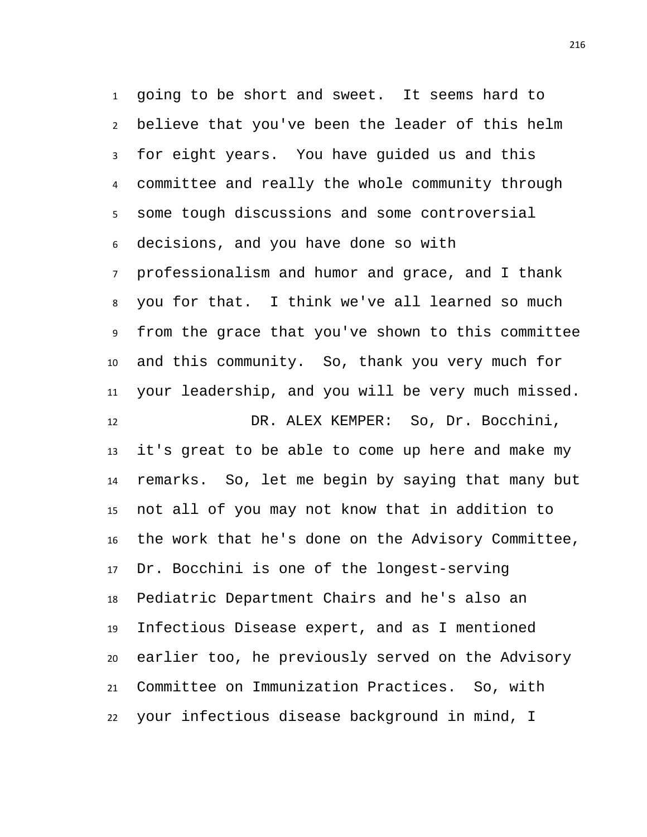going to be short and sweet. It seems hard to believe that you've been the leader of this helm for eight years. You have guided us and this committee and really the whole community through some tough discussions and some controversial decisions, and you have done so with professionalism and humor and grace, and I thank you for that. I think we've all learned so much from the grace that you've shown to this committee and this community. So, thank you very much for your leadership, and you will be very much missed. DR. ALEX KEMPER: So, Dr. Bocchini, it's great to be able to come up here and make my remarks. So, let me begin by saying that many but not all of you may not know that in addition to the work that he's done on the Advisory Committee, Dr. Bocchini is one of the longest-serving Pediatric Department Chairs and he's also an Infectious Disease expert, and as I mentioned earlier too, he previously served on the Advisory

your infectious disease background in mind, I

Committee on Immunization Practices. So, with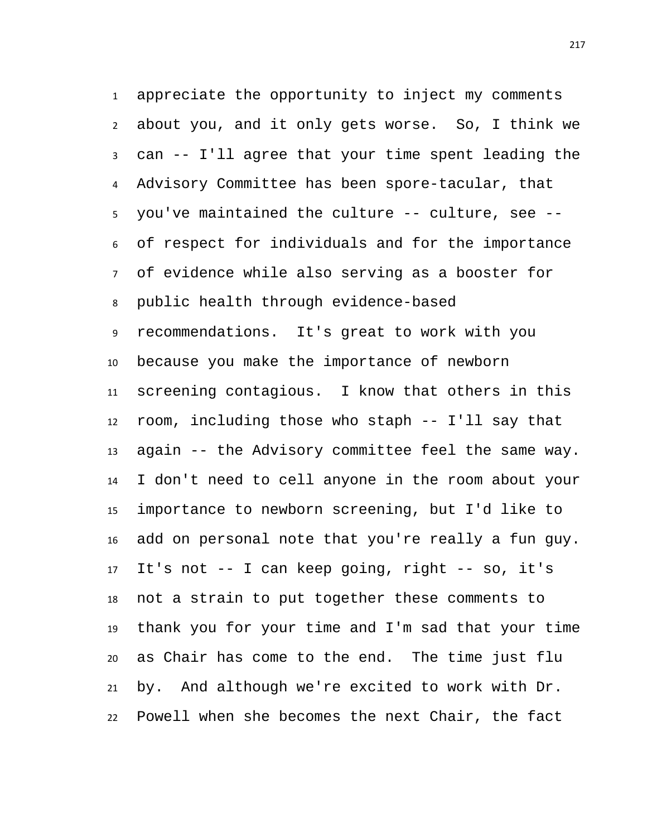appreciate the opportunity to inject my comments about you, and it only gets worse. So, I think we can -- I'll agree that your time spent leading the Advisory Committee has been spore-tacular, that you've maintained the culture -- culture, see -- of respect for individuals and for the importance of evidence while also serving as a booster for public health through evidence-based recommendations. It's great to work with you because you make the importance of newborn screening contagious. I know that others in this room, including those who staph -- I'll say that again -- the Advisory committee feel the same way. I don't need to cell anyone in the room about your importance to newborn screening, but I'd like to add on personal note that you're really a fun guy. It's not -- I can keep going, right -- so, it's not a strain to put together these comments to thank you for your time and I'm sad that your time as Chair has come to the end. The time just flu by. And although we're excited to work with Dr. Powell when she becomes the next Chair, the fact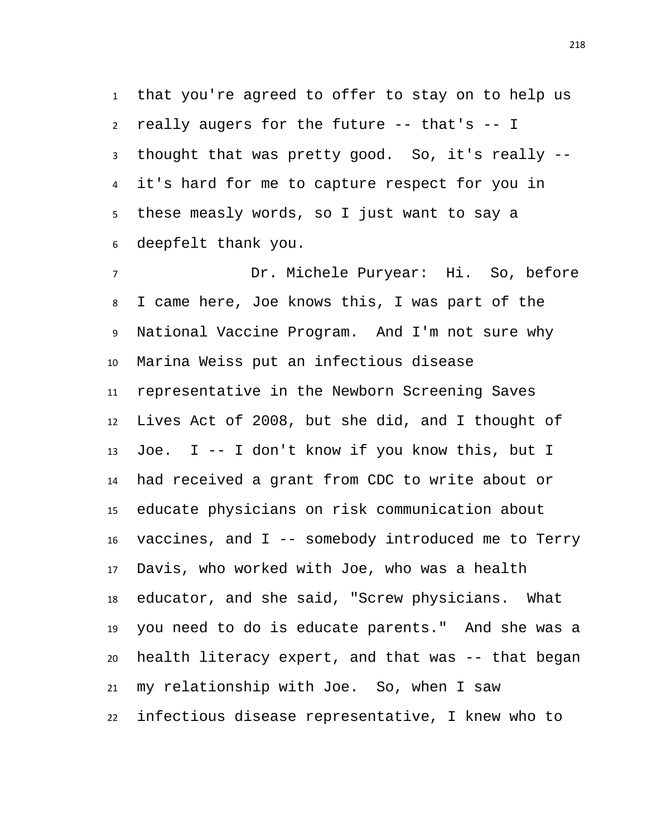that you're agreed to offer to stay on to help us really augers for the future -- that's -- I thought that was pretty good. So, it's really -- it's hard for me to capture respect for you in these measly words, so I just want to say a deepfelt thank you.

 Dr. Michele Puryear: Hi. So, before I came here, Joe knows this, I was part of the National Vaccine Program. And I'm not sure why Marina Weiss put an infectious disease representative in the Newborn Screening Saves Lives Act of 2008, but she did, and I thought of Joe. I -- I don't know if you know this, but I had received a grant from CDC to write about or educate physicians on risk communication about vaccines, and I -- somebody introduced me to Terry Davis, who worked with Joe, who was a health educator, and she said, "Screw physicians. What you need to do is educate parents." And she was a health literacy expert, and that was -- that began my relationship with Joe. So, when I saw infectious disease representative, I knew who to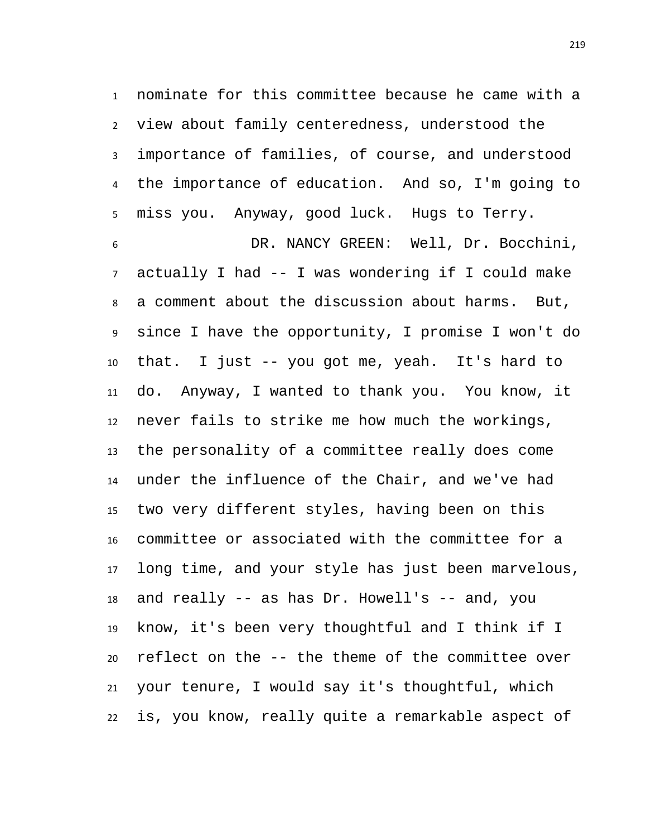nominate for this committee because he came with a view about family centeredness, understood the importance of families, of course, and understood the importance of education. And so, I'm going to miss you. Anyway, good luck. Hugs to Terry.

 DR. NANCY GREEN: Well, Dr. Bocchini, actually I had -- I was wondering if I could make a comment about the discussion about harms. But, since I have the opportunity, I promise I won't do that. I just -- you got me, yeah. It's hard to do. Anyway, I wanted to thank you. You know, it never fails to strike me how much the workings, the personality of a committee really does come under the influence of the Chair, and we've had two very different styles, having been on this committee or associated with the committee for a long time, and your style has just been marvelous, and really -- as has Dr. Howell's -- and, you know, it's been very thoughtful and I think if I reflect on the -- the theme of the committee over your tenure, I would say it's thoughtful, which is, you know, really quite a remarkable aspect of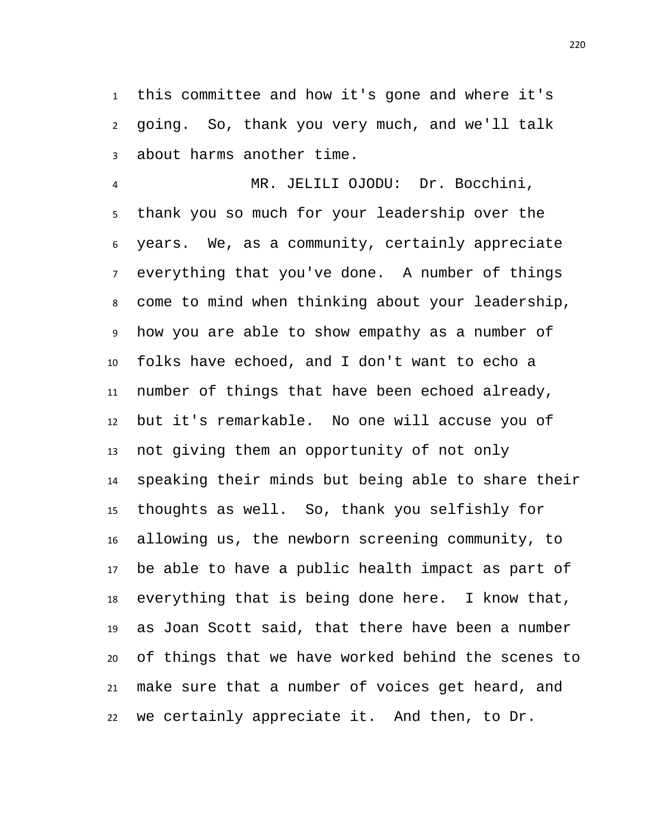this committee and how it's gone and where it's going. So, thank you very much, and we'll talk about harms another time.

 MR. JELILI OJODU: Dr. Bocchini, thank you so much for your leadership over the years. We, as a community, certainly appreciate everything that you've done. A number of things come to mind when thinking about your leadership, how you are able to show empathy as a number of folks have echoed, and I don't want to echo a number of things that have been echoed already, but it's remarkable. No one will accuse you of not giving them an opportunity of not only speaking their minds but being able to share their thoughts as well. So, thank you selfishly for allowing us, the newborn screening community, to be able to have a public health impact as part of everything that is being done here. I know that, as Joan Scott said, that there have been a number of things that we have worked behind the scenes to make sure that a number of voices get heard, and we certainly appreciate it. And then, to Dr.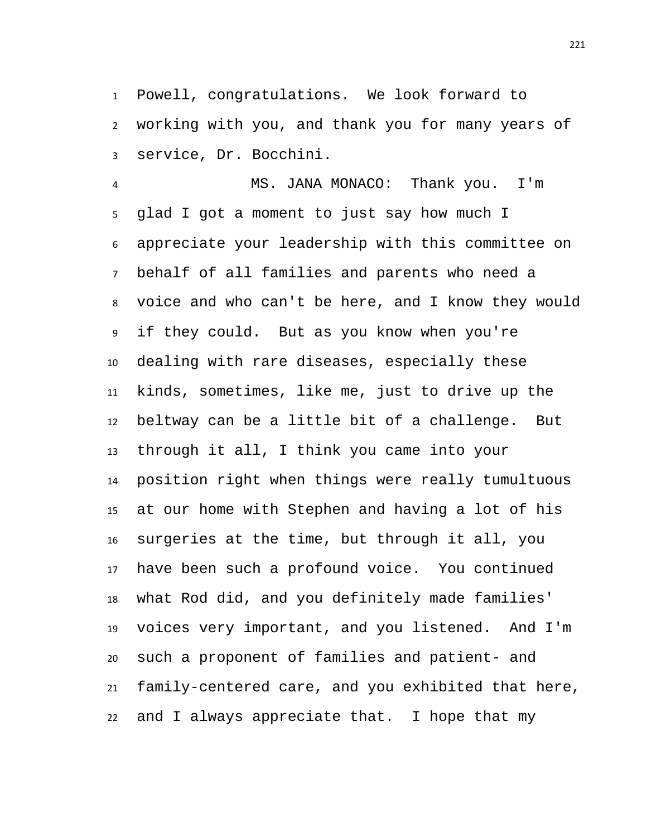Powell, congratulations. We look forward to working with you, and thank you for many years of service, Dr. Bocchini.

 MS. JANA MONACO: Thank you. I'm glad I got a moment to just say how much I appreciate your leadership with this committee on behalf of all families and parents who need a voice and who can't be here, and I know they would if they could. But as you know when you're dealing with rare diseases, especially these kinds, sometimes, like me, just to drive up the beltway can be a little bit of a challenge. But through it all, I think you came into your position right when things were really tumultuous at our home with Stephen and having a lot of his surgeries at the time, but through it all, you have been such a profound voice. You continued what Rod did, and you definitely made families' voices very important, and you listened. And I'm such a proponent of families and patient- and family-centered care, and you exhibited that here, and I always appreciate that. I hope that my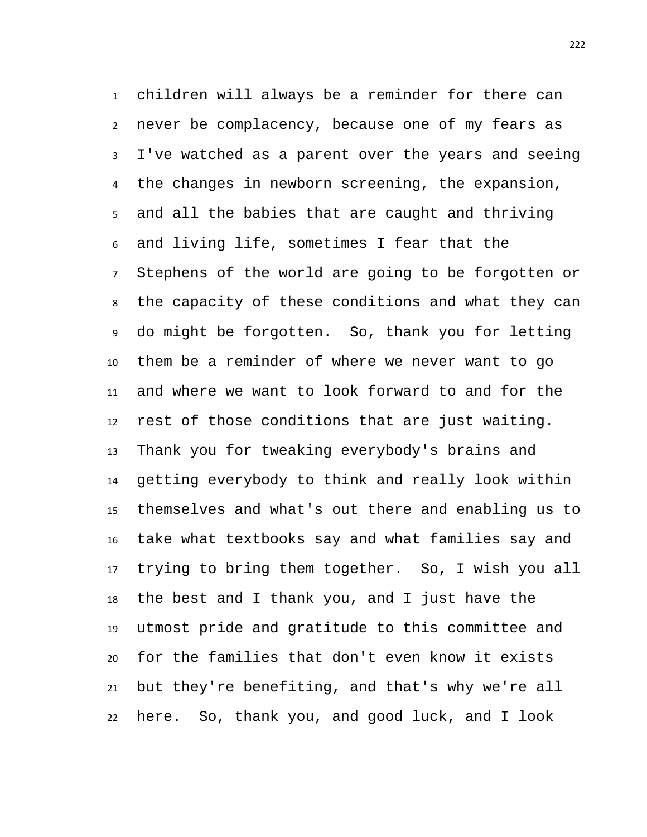children will always be a reminder for there can never be complacency, because one of my fears as I've watched as a parent over the years and seeing the changes in newborn screening, the expansion, and all the babies that are caught and thriving and living life, sometimes I fear that the Stephens of the world are going to be forgotten or the capacity of these conditions and what they can do might be forgotten. So, thank you for letting them be a reminder of where we never want to go and where we want to look forward to and for the rest of those conditions that are just waiting. Thank you for tweaking everybody's brains and getting everybody to think and really look within themselves and what's out there and enabling us to take what textbooks say and what families say and trying to bring them together. So, I wish you all the best and I thank you, and I just have the utmost pride and gratitude to this committee and for the families that don't even know it exists but they're benefiting, and that's why we're all here. So, thank you, and good luck, and I look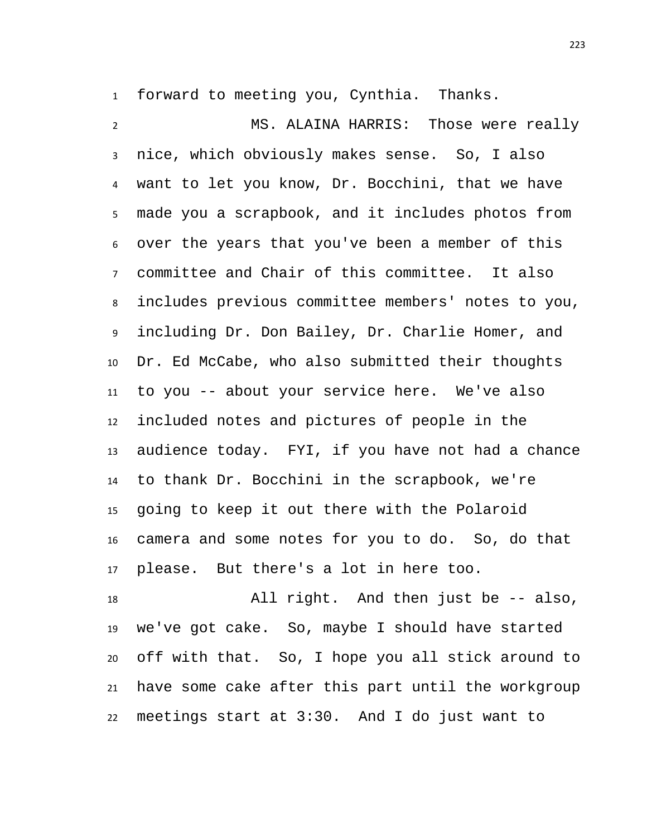forward to meeting you, Cynthia. Thanks.

 MS. ALAINA HARRIS: Those were really nice, which obviously makes sense. So, I also want to let you know, Dr. Bocchini, that we have made you a scrapbook, and it includes photos from over the years that you've been a member of this committee and Chair of this committee. It also includes previous committee members' notes to you, including Dr. Don Bailey, Dr. Charlie Homer, and Dr. Ed McCabe, who also submitted their thoughts to you -- about your service here. We've also included notes and pictures of people in the audience today. FYI, if you have not had a chance to thank Dr. Bocchini in the scrapbook, we're going to keep it out there with the Polaroid camera and some notes for you to do. So, do that please. But there's a lot in here too.

 All right. And then just be -- also, we've got cake. So, maybe I should have started off with that. So, I hope you all stick around to have some cake after this part until the workgroup meetings start at 3:30. And I do just want to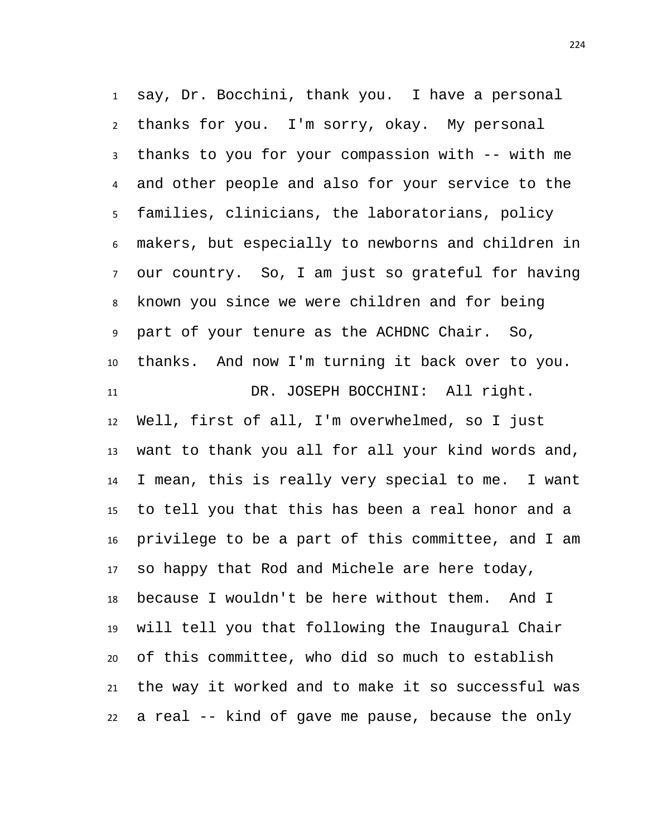say, Dr. Bocchini, thank you. I have a personal thanks for you. I'm sorry, okay. My personal thanks to you for your compassion with -- with me and other people and also for your service to the families, clinicians, the laboratorians, policy makers, but especially to newborns and children in our country. So, I am just so grateful for having known you since we were children and for being part of your tenure as the ACHDNC Chair. So, thanks. And now I'm turning it back over to you. DR. JOSEPH BOCCHINI: All right. Well, first of all, I'm overwhelmed, so I just want to thank you all for all your kind words and, I mean, this is really very special to me. I want to tell you that this has been a real honor and a privilege to be a part of this committee, and I am so happy that Rod and Michele are here today, because I wouldn't be here without them. And I will tell you that following the Inaugural Chair of this committee, who did so much to establish the way it worked and to make it so successful was a real -- kind of gave me pause, because the only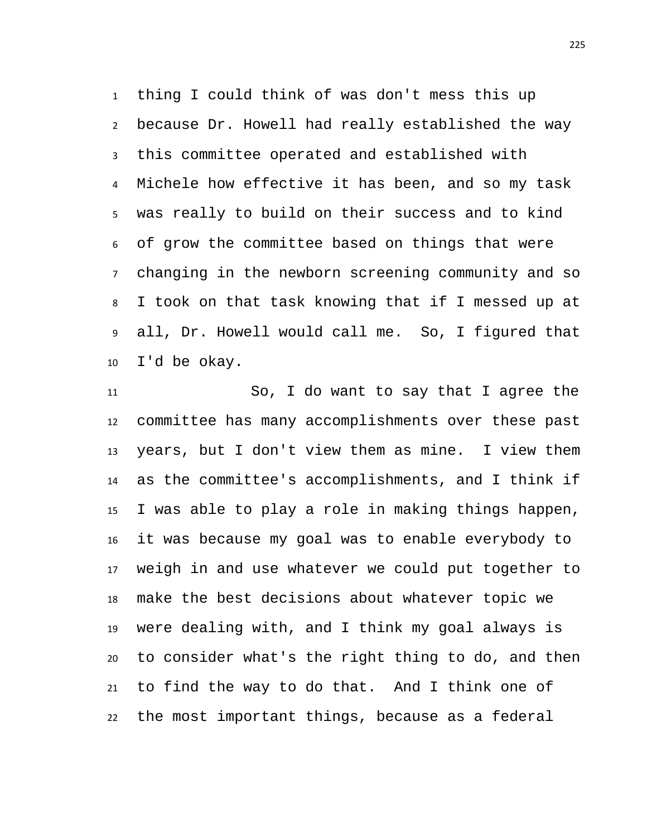thing I could think of was don't mess this up because Dr. Howell had really established the way this committee operated and established with Michele how effective it has been, and so my task was really to build on their success and to kind of grow the committee based on things that were changing in the newborn screening community and so I took on that task knowing that if I messed up at all, Dr. Howell would call me. So, I figured that I'd be okay.

 So, I do want to say that I agree the committee has many accomplishments over these past years, but I don't view them as mine. I view them as the committee's accomplishments, and I think if I was able to play a role in making things happen, it was because my goal was to enable everybody to weigh in and use whatever we could put together to make the best decisions about whatever topic we were dealing with, and I think my goal always is to consider what's the right thing to do, and then to find the way to do that. And I think one of the most important things, because as a federal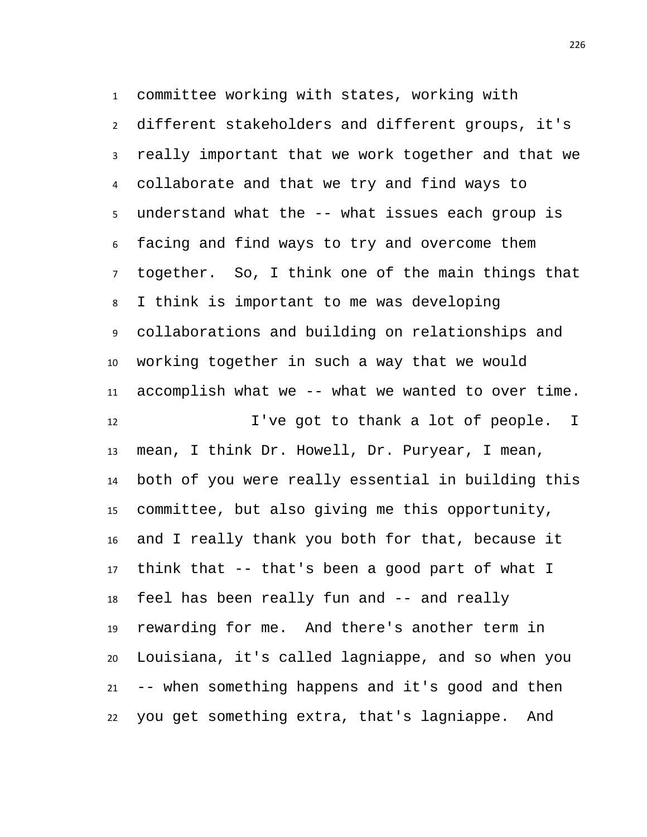committee working with states, working with different stakeholders and different groups, it's really important that we work together and that we collaborate and that we try and find ways to understand what the -- what issues each group is facing and find ways to try and overcome them together. So, I think one of the main things that I think is important to me was developing collaborations and building on relationships and working together in such a way that we would accomplish what we -- what we wanted to over time. I've got to thank a lot of people. I mean, I think Dr. Howell, Dr. Puryear, I mean, both of you were really essential in building this committee, but also giving me this opportunity, and I really thank you both for that, because it

 think that -- that's been a good part of what I feel has been really fun and -- and really rewarding for me. And there's another term in Louisiana, it's called lagniappe, and so when you -- when something happens and it's good and then you get something extra, that's lagniappe. And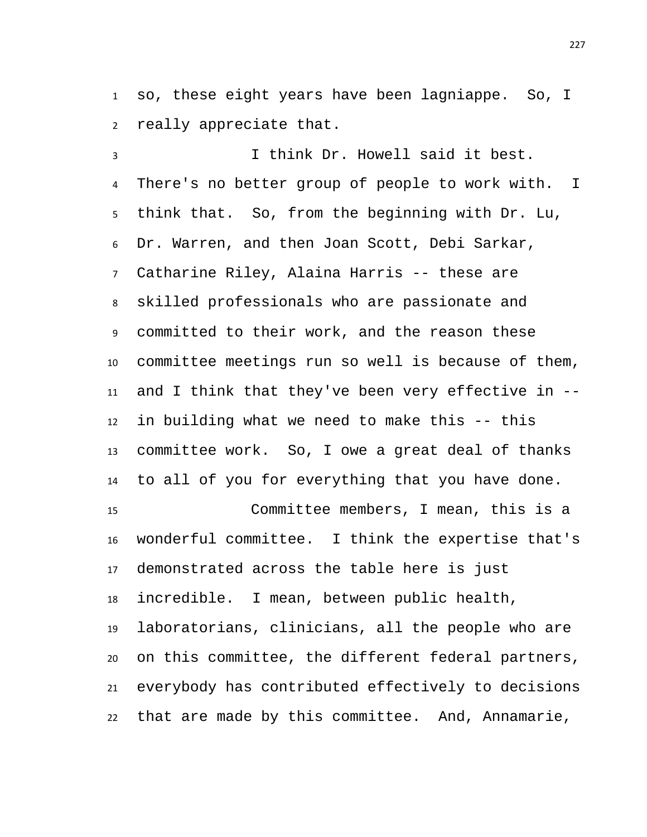so, these eight years have been lagniappe. So, I really appreciate that.

 I think Dr. Howell said it best. There's no better group of people to work with. I think that. So, from the beginning with Dr. Lu, Dr. Warren, and then Joan Scott, Debi Sarkar, Catharine Riley, Alaina Harris -- these are skilled professionals who are passionate and committed to their work, and the reason these committee meetings run so well is because of them, and I think that they've been very effective in -- in building what we need to make this -- this committee work. So, I owe a great deal of thanks to all of you for everything that you have done. Committee members, I mean, this is a wonderful committee. I think the expertise that's demonstrated across the table here is just incredible. I mean, between public health, laboratorians, clinicians, all the people who are on this committee, the different federal partners, everybody has contributed effectively to decisions that are made by this committee. And, Annamarie,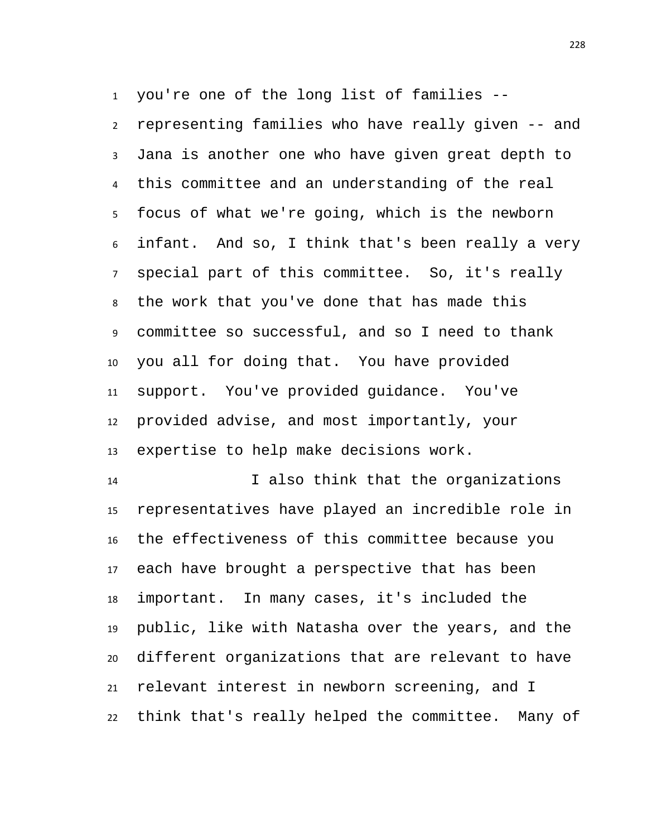you're one of the long list of families -- representing families who have really given -- and Jana is another one who have given great depth to this committee and an understanding of the real focus of what we're going, which is the newborn infant. And so, I think that's been really a very special part of this committee. So, it's really the work that you've done that has made this committee so successful, and so I need to thank you all for doing that. You have provided support. You've provided guidance. You've provided advise, and most importantly, your expertise to help make decisions work.

 I also think that the organizations representatives have played an incredible role in the effectiveness of this committee because you each have brought a perspective that has been important. In many cases, it's included the public, like with Natasha over the years, and the different organizations that are relevant to have relevant interest in newborn screening, and I think that's really helped the committee. Many of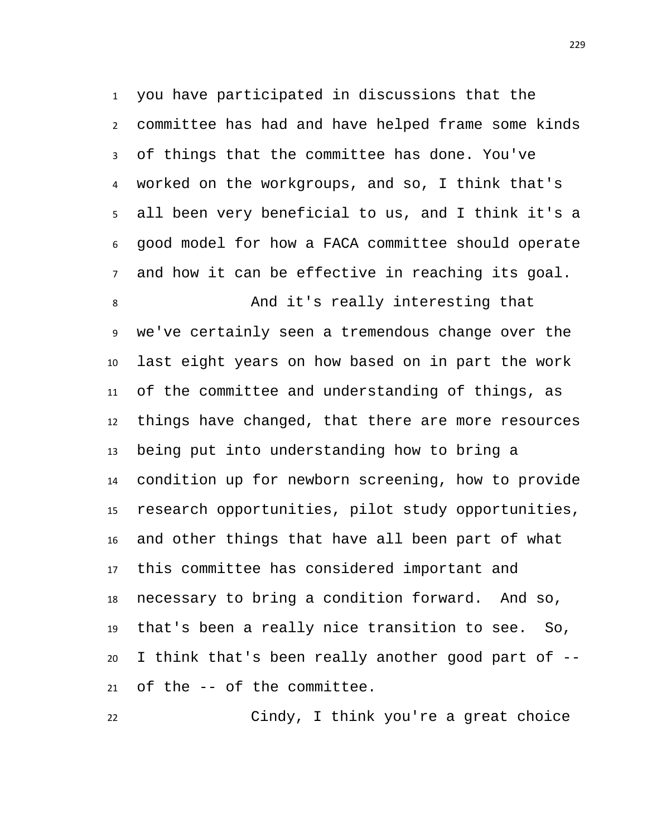you have participated in discussions that the committee has had and have helped frame some kinds of things that the committee has done. You've worked on the workgroups, and so, I think that's all been very beneficial to us, and I think it's a good model for how a FACA committee should operate and how it can be effective in reaching its goal.

 And it's really interesting that we've certainly seen a tremendous change over the last eight years on how based on in part the work of the committee and understanding of things, as things have changed, that there are more resources being put into understanding how to bring a condition up for newborn screening, how to provide research opportunities, pilot study opportunities, and other things that have all been part of what this committee has considered important and necessary to bring a condition forward. And so, that's been a really nice transition to see. So, I think that's been really another good part of -- of the -- of the committee.

Cindy, I think you're a great choice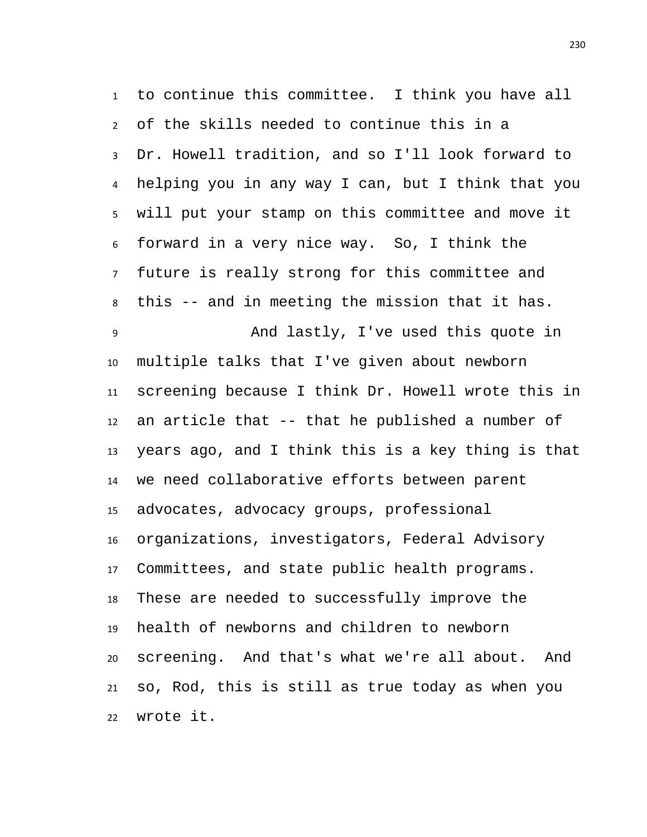to continue this committee. I think you have all of the skills needed to continue this in a Dr. Howell tradition, and so I'll look forward to helping you in any way I can, but I think that you will put your stamp on this committee and move it forward in a very nice way. So, I think the future is really strong for this committee and this -- and in meeting the mission that it has. And lastly, I've used this quote in multiple talks that I've given about newborn screening because I think Dr. Howell wrote this in an article that -- that he published a number of years ago, and I think this is a key thing is that we need collaborative efforts between parent advocates, advocacy groups, professional organizations, investigators, Federal Advisory Committees, and state public health programs. These are needed to successfully improve the health of newborns and children to newborn screening. And that's what we're all about. And so, Rod, this is still as true today as when you wrote it.